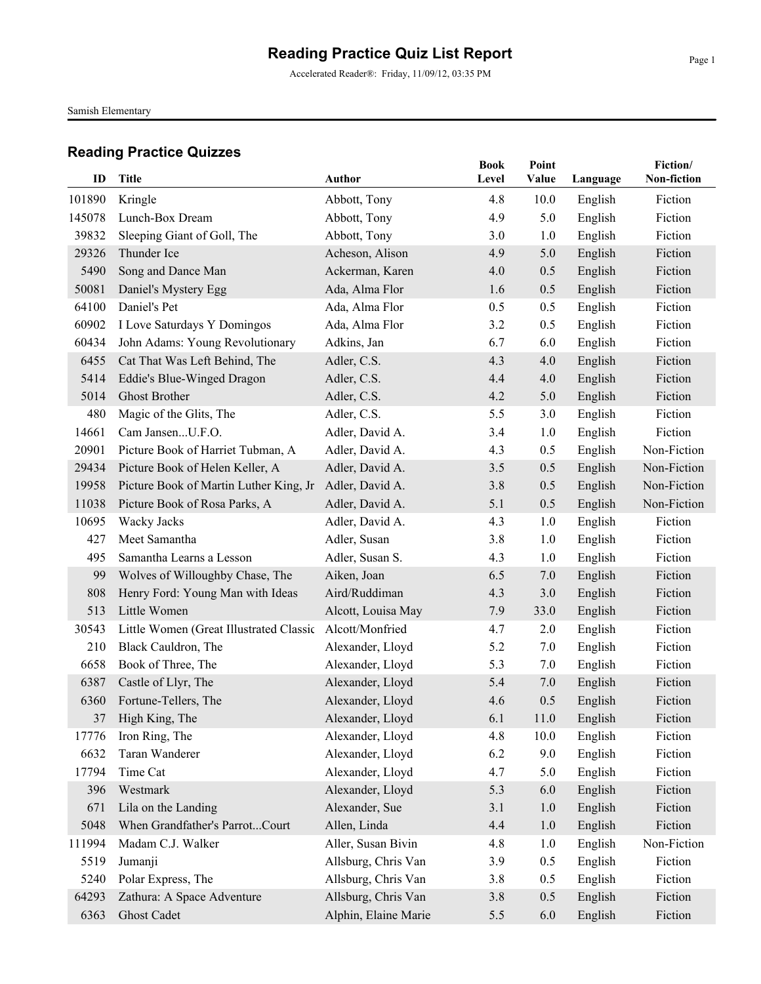Accelerated Reader®: Friday, 11/09/12, 03:35 PM

Samish Elementary

| ID     | <b>Title</b>                            | Author               | <b>Book</b> | Point |          | Fiction/<br>Non-fiction |
|--------|-----------------------------------------|----------------------|-------------|-------|----------|-------------------------|
|        |                                         |                      | Level       | Value | Language |                         |
| 101890 | Kringle                                 | Abbott, Tony         | 4.8         | 10.0  | English  | Fiction                 |
| 145078 | Lunch-Box Dream                         | Abbott, Tony         | 4.9         | 5.0   | English  | Fiction                 |
| 39832  | Sleeping Giant of Goll, The             | Abbott, Tony         | 3.0         | 1.0   | English  | Fiction                 |
| 29326  | Thunder Ice                             | Acheson, Alison      | 4.9         | 5.0   | English  | Fiction                 |
| 5490   | Song and Dance Man                      | Ackerman, Karen      | 4.0         | 0.5   | English  | Fiction                 |
| 50081  | Daniel's Mystery Egg                    | Ada, Alma Flor       | 1.6         | 0.5   | English  | Fiction                 |
| 64100  | Daniel's Pet                            | Ada, Alma Flor       | 0.5         | 0.5   | English  | Fiction                 |
| 60902  | I Love Saturdays Y Domingos             | Ada, Alma Flor       | 3.2         | 0.5   | English  | Fiction                 |
| 60434  | John Adams: Young Revolutionary         | Adkins, Jan          | 6.7         | 6.0   | English  | Fiction                 |
| 6455   | Cat That Was Left Behind, The           | Adler, C.S.          | 4.3         | 4.0   | English  | Fiction                 |
| 5414   | Eddie's Blue-Winged Dragon              | Adler, C.S.          | 4.4         | 4.0   | English  | Fiction                 |
| 5014   | <b>Ghost Brother</b>                    | Adler, C.S.          | 4.2         | 5.0   | English  | Fiction                 |
| 480    | Magic of the Glits, The                 | Adler, C.S.          | 5.5         | 3.0   | English  | Fiction                 |
| 14661  | Cam JansenU.F.O.                        | Adler, David A.      | 3.4         | 1.0   | English  | Fiction                 |
| 20901  | Picture Book of Harriet Tubman, A       | Adler, David A.      | 4.3         | 0.5   | English  | Non-Fiction             |
| 29434  | Picture Book of Helen Keller, A         | Adler, David A.      | 3.5         | 0.5   | English  | Non-Fiction             |
| 19958  | Picture Book of Martin Luther King, Jr  | Adler, David A.      | 3.8         | 0.5   | English  | Non-Fiction             |
| 11038  | Picture Book of Rosa Parks, A           | Adler, David A.      | 5.1         | 0.5   | English  | Non-Fiction             |
| 10695  | Wacky Jacks                             | Adler, David A.      | 4.3         | 1.0   | English  | Fiction                 |
| 427    | Meet Samantha                           | Adler, Susan         | 3.8         | 1.0   | English  | Fiction                 |
| 495    | Samantha Learns a Lesson                | Adler, Susan S.      | 4.3         | 1.0   | English  | Fiction                 |
| 99     | Wolves of Willoughby Chase, The         | Aiken, Joan          | 6.5         | 7.0   | English  | Fiction                 |
| 808    | Henry Ford: Young Man with Ideas        | Aird/Ruddiman        | 4.3         | 3.0   | English  | Fiction                 |
| 513    | Little Women                            | Alcott, Louisa May   | 7.9         | 33.0  | English  | Fiction                 |
| 30543  | Little Women (Great Illustrated Classic | Alcott/Monfried      | 4.7         | 2.0   | English  | Fiction                 |
| 210    | Black Cauldron, The                     | Alexander, Lloyd     | 5.2         | 7.0   | English  | Fiction                 |
| 6658   | Book of Three, The                      | Alexander, Lloyd     | 5.3         | 7.0   | English  | Fiction                 |
| 6387   | Castle of Llyr, The                     | Alexander, Lloyd     | 5.4         | 7.0   | English  | Fiction                 |
| 6360   | Fortune-Tellers, The                    | Alexander, Lloyd     | 4.6         | 0.5   | English  | Fiction                 |
| 37     | High King, The                          | Alexander, Lloyd     | 6.1         | 11.0  | English  | Fiction                 |
| 17776  | Iron Ring, The                          | Alexander, Lloyd     | 4.8         | 10.0  | English  | Fiction                 |
| 6632   | Taran Wanderer                          | Alexander, Lloyd     | 6.2         | 9.0   | English  | Fiction                 |
| 17794  | Time Cat                                | Alexander, Lloyd     | 4.7         | 5.0   | English  | Fiction                 |
| 396    | Westmark                                | Alexander, Lloyd     | 5.3         | 6.0   | English  | Fiction                 |
| 671    | Lila on the Landing                     | Alexander, Sue       | 3.1         | 1.0   | English  | Fiction                 |
| 5048   | When Grandfather's ParrotCourt          | Allen, Linda         | 4.4         | 1.0   | English  | Fiction                 |
| 111994 | Madam C.J. Walker                       | Aller, Susan Bivin   | 4.8         | 1.0   | English  | Non-Fiction             |
| 5519   | Jumanji                                 | Allsburg, Chris Van  | 3.9         | 0.5   | English  | Fiction                 |
| 5240   | Polar Express, The                      | Allsburg, Chris Van  | 3.8         | 0.5   | English  | Fiction                 |
| 64293  | Zathura: A Space Adventure              | Allsburg, Chris Van  | 3.8         | 0.5   | English  | Fiction                 |
| 6363   | <b>Ghost Cadet</b>                      | Alphin, Elaine Marie | 5.5         | 6.0   | English  | Fiction                 |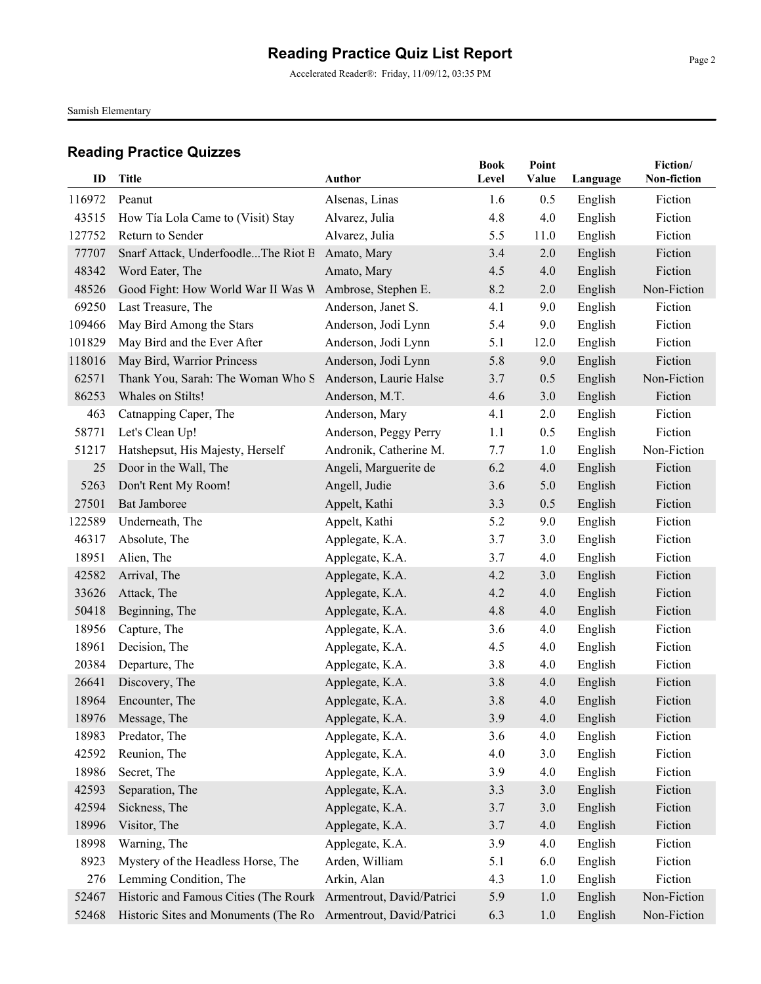Accelerated Reader®: Friday, 11/09/12, 03:35 PM

Samish Elementary

| 116972<br>Alsenas, Linas<br>Fiction<br>Peanut<br>1.6<br>0.5<br>English<br>Fiction<br>43515<br>Alvarez, Julia<br>4.8<br>4.0<br>English<br>How Tía Lola Came to (Visit) Stay<br>127752<br>Return to Sender<br>Alvarez, Julia<br>5.5<br>English<br>Fiction<br>11.0<br>77707<br>Snarf Attack, UnderfoodleThe Riot B<br>Amato, Mary<br>3.4<br>2.0<br>English<br>Fiction<br>Fiction<br>48342<br>Word Eater, The<br>Amato, Mary<br>4.5<br>4.0<br>English<br>48526<br>Good Fight: How World War II Was W<br>Ambrose, Stephen E.<br>8.2<br>English<br>Non-Fiction<br>2.0<br>Fiction<br>69250<br>Last Treasure, The<br>Anderson, Janet S.<br>4.1<br>9.0<br>English<br>109466<br>May Bird Among the Stars<br>Anderson, Jodi Lynn<br>5.4<br>English<br>Fiction<br>9.0<br>101829<br>May Bird and the Ever After<br>Fiction<br>Anderson, Jodi Lynn<br>5.1<br>English<br>12.0<br>118016<br>May Bird, Warrior Princess<br>Fiction<br>Anderson, Jodi Lynn<br>5.8<br>9.0<br>English<br>62571<br>Thank You, Sarah: The Woman Who S<br>Anderson, Laurie Halse<br>English<br>Non-Fiction<br>3.7<br>0.5<br>86253<br>Whales on Stilts!<br>Anderson, M.T.<br>4.6<br>3.0<br>English<br>Fiction<br>Catnapping Caper, The<br>4.1<br>English<br>Fiction<br>463<br>Anderson, Mary<br>2.0<br>58771<br>Let's Clean Up!<br>Fiction<br>1.1<br>0.5<br>English<br>Anderson, Peggy Perry<br>Hatshepsut, His Majesty, Herself<br>Non-Fiction<br>Andronik, Catherine M.<br>1.0<br>English<br>51217<br>7.7<br>Door in the Wall, The<br>Angeli, Marguerite de<br>6.2<br>4.0<br>English<br>Fiction<br>25<br>Fiction<br>5263<br>Don't Rent My Room!<br>Angell, Judie<br>3.6<br>5.0<br>English<br>27501<br><b>Bat Jamboree</b><br>Appelt, Kathi<br>3.3<br>English<br>Fiction<br>0.5<br>5.2<br>Fiction<br>122589<br>Underneath, The<br>Appelt, Kathi<br>9.0<br>English<br>Fiction<br>46317<br>Absolute, The<br>Applegate, K.A.<br>3.7<br>3.0<br>English<br>18951<br>Alien, The<br>Applegate, K.A.<br>4.0<br>English<br>Fiction<br>3.7<br>42582<br>Arrival, The<br>Applegate, K.A.<br>4.2<br>3.0<br>English<br>Fiction<br>33626<br>Attack, The<br>Applegate, K.A.<br>4.2<br>4.0<br>English<br>Fiction<br>Fiction<br>50418<br>Beginning, The<br>Applegate, K.A.<br>4.8<br>4.0<br>English<br>Capture, The<br>Fiction<br>18956<br>Applegate, K.A.<br>3.6<br>4.0<br>English<br>18961<br>Decision, The<br>Applegate, K.A.<br>4.0<br>English<br>Fiction<br>4.5<br>Fiction<br>20384<br>Departure, The<br>Applegate, K.A.<br>3.8<br>4.0<br>English<br>26641<br>Discovery, The<br>Applegate, K.A.<br>3.8<br>English<br>Fiction<br>4.0<br>Encounter, The<br>Fiction<br>18964<br>Applegate, K.A.<br>3.8<br>4.0<br>English<br>3.9<br>English<br>Fiction<br>18976 Message, The<br>Applegate, K.A.<br>4.0<br>Fiction<br>18983<br>Predator, The<br>Applegate, K.A.<br>English<br>3.6<br>4.0<br>Fiction<br>42592<br>Reunion, The<br>Applegate, K.A.<br>4.0<br>3.0<br>English<br>18986<br>Secret, The<br>Applegate, K.A.<br>3.9<br>4.0<br>English<br>Fiction<br>42593<br>Separation, The<br>Applegate, K.A.<br>English<br>Fiction<br>3.3<br>3.0<br>42594<br>Sickness, The<br>Applegate, K.A.<br>3.0<br>English<br>Fiction<br>3.7<br>18996<br>Visitor, The<br>Applegate, K.A.<br>4.0<br>English<br>Fiction<br>3.7<br>18998<br>Warning, The<br>Fiction<br>Applegate, K.A.<br>3.9<br>4.0<br>English<br>Arden, William<br>8923<br>Mystery of the Headless Horse, The<br>6.0<br>English<br>Fiction<br>5.1<br>Arkin, Alan<br>Fiction<br>276<br>Lemming Condition, The<br>4.3<br>English<br>1.0 | ID    | <b>Title</b> | <b>Author</b> | <b>Book</b><br>Level | Point<br>Value | Language | Fiction/<br>Non-fiction |
|----------------------------------------------------------------------------------------------------------------------------------------------------------------------------------------------------------------------------------------------------------------------------------------------------------------------------------------------------------------------------------------------------------------------------------------------------------------------------------------------------------------------------------------------------------------------------------------------------------------------------------------------------------------------------------------------------------------------------------------------------------------------------------------------------------------------------------------------------------------------------------------------------------------------------------------------------------------------------------------------------------------------------------------------------------------------------------------------------------------------------------------------------------------------------------------------------------------------------------------------------------------------------------------------------------------------------------------------------------------------------------------------------------------------------------------------------------------------------------------------------------------------------------------------------------------------------------------------------------------------------------------------------------------------------------------------------------------------------------------------------------------------------------------------------------------------------------------------------------------------------------------------------------------------------------------------------------------------------------------------------------------------------------------------------------------------------------------------------------------------------------------------------------------------------------------------------------------------------------------------------------------------------------------------------------------------------------------------------------------------------------------------------------------------------------------------------------------------------------------------------------------------------------------------------------------------------------------------------------------------------------------------------------------------------------------------------------------------------------------------------------------------------------------------------------------------------------------------------------------------------------------------------------------------------------------------------------------------------------------------------------------------------------------------------------------------------------------------------------------------------------------------------------------------------------------------------------------------------------------------------------------------------------------------------------------------------------------------------------------------------------------------------------------------------------------------------------------------------------------------------------------------------|-------|--------------|---------------|----------------------|----------------|----------|-------------------------|
|                                                                                                                                                                                                                                                                                                                                                                                                                                                                                                                                                                                                                                                                                                                                                                                                                                                                                                                                                                                                                                                                                                                                                                                                                                                                                                                                                                                                                                                                                                                                                                                                                                                                                                                                                                                                                                                                                                                                                                                                                                                                                                                                                                                                                                                                                                                                                                                                                                                                                                                                                                                                                                                                                                                                                                                                                                                                                                                                                                                                                                                                                                                                                                                                                                                                                                                                                                                                                                                                                                                            |       |              |               |                      |                |          |                         |
|                                                                                                                                                                                                                                                                                                                                                                                                                                                                                                                                                                                                                                                                                                                                                                                                                                                                                                                                                                                                                                                                                                                                                                                                                                                                                                                                                                                                                                                                                                                                                                                                                                                                                                                                                                                                                                                                                                                                                                                                                                                                                                                                                                                                                                                                                                                                                                                                                                                                                                                                                                                                                                                                                                                                                                                                                                                                                                                                                                                                                                                                                                                                                                                                                                                                                                                                                                                                                                                                                                                            |       |              |               |                      |                |          |                         |
|                                                                                                                                                                                                                                                                                                                                                                                                                                                                                                                                                                                                                                                                                                                                                                                                                                                                                                                                                                                                                                                                                                                                                                                                                                                                                                                                                                                                                                                                                                                                                                                                                                                                                                                                                                                                                                                                                                                                                                                                                                                                                                                                                                                                                                                                                                                                                                                                                                                                                                                                                                                                                                                                                                                                                                                                                                                                                                                                                                                                                                                                                                                                                                                                                                                                                                                                                                                                                                                                                                                            |       |              |               |                      |                |          |                         |
|                                                                                                                                                                                                                                                                                                                                                                                                                                                                                                                                                                                                                                                                                                                                                                                                                                                                                                                                                                                                                                                                                                                                                                                                                                                                                                                                                                                                                                                                                                                                                                                                                                                                                                                                                                                                                                                                                                                                                                                                                                                                                                                                                                                                                                                                                                                                                                                                                                                                                                                                                                                                                                                                                                                                                                                                                                                                                                                                                                                                                                                                                                                                                                                                                                                                                                                                                                                                                                                                                                                            |       |              |               |                      |                |          |                         |
|                                                                                                                                                                                                                                                                                                                                                                                                                                                                                                                                                                                                                                                                                                                                                                                                                                                                                                                                                                                                                                                                                                                                                                                                                                                                                                                                                                                                                                                                                                                                                                                                                                                                                                                                                                                                                                                                                                                                                                                                                                                                                                                                                                                                                                                                                                                                                                                                                                                                                                                                                                                                                                                                                                                                                                                                                                                                                                                                                                                                                                                                                                                                                                                                                                                                                                                                                                                                                                                                                                                            |       |              |               |                      |                |          |                         |
|                                                                                                                                                                                                                                                                                                                                                                                                                                                                                                                                                                                                                                                                                                                                                                                                                                                                                                                                                                                                                                                                                                                                                                                                                                                                                                                                                                                                                                                                                                                                                                                                                                                                                                                                                                                                                                                                                                                                                                                                                                                                                                                                                                                                                                                                                                                                                                                                                                                                                                                                                                                                                                                                                                                                                                                                                                                                                                                                                                                                                                                                                                                                                                                                                                                                                                                                                                                                                                                                                                                            |       |              |               |                      |                |          |                         |
|                                                                                                                                                                                                                                                                                                                                                                                                                                                                                                                                                                                                                                                                                                                                                                                                                                                                                                                                                                                                                                                                                                                                                                                                                                                                                                                                                                                                                                                                                                                                                                                                                                                                                                                                                                                                                                                                                                                                                                                                                                                                                                                                                                                                                                                                                                                                                                                                                                                                                                                                                                                                                                                                                                                                                                                                                                                                                                                                                                                                                                                                                                                                                                                                                                                                                                                                                                                                                                                                                                                            |       |              |               |                      |                |          |                         |
|                                                                                                                                                                                                                                                                                                                                                                                                                                                                                                                                                                                                                                                                                                                                                                                                                                                                                                                                                                                                                                                                                                                                                                                                                                                                                                                                                                                                                                                                                                                                                                                                                                                                                                                                                                                                                                                                                                                                                                                                                                                                                                                                                                                                                                                                                                                                                                                                                                                                                                                                                                                                                                                                                                                                                                                                                                                                                                                                                                                                                                                                                                                                                                                                                                                                                                                                                                                                                                                                                                                            |       |              |               |                      |                |          |                         |
|                                                                                                                                                                                                                                                                                                                                                                                                                                                                                                                                                                                                                                                                                                                                                                                                                                                                                                                                                                                                                                                                                                                                                                                                                                                                                                                                                                                                                                                                                                                                                                                                                                                                                                                                                                                                                                                                                                                                                                                                                                                                                                                                                                                                                                                                                                                                                                                                                                                                                                                                                                                                                                                                                                                                                                                                                                                                                                                                                                                                                                                                                                                                                                                                                                                                                                                                                                                                                                                                                                                            |       |              |               |                      |                |          |                         |
|                                                                                                                                                                                                                                                                                                                                                                                                                                                                                                                                                                                                                                                                                                                                                                                                                                                                                                                                                                                                                                                                                                                                                                                                                                                                                                                                                                                                                                                                                                                                                                                                                                                                                                                                                                                                                                                                                                                                                                                                                                                                                                                                                                                                                                                                                                                                                                                                                                                                                                                                                                                                                                                                                                                                                                                                                                                                                                                                                                                                                                                                                                                                                                                                                                                                                                                                                                                                                                                                                                                            |       |              |               |                      |                |          |                         |
|                                                                                                                                                                                                                                                                                                                                                                                                                                                                                                                                                                                                                                                                                                                                                                                                                                                                                                                                                                                                                                                                                                                                                                                                                                                                                                                                                                                                                                                                                                                                                                                                                                                                                                                                                                                                                                                                                                                                                                                                                                                                                                                                                                                                                                                                                                                                                                                                                                                                                                                                                                                                                                                                                                                                                                                                                                                                                                                                                                                                                                                                                                                                                                                                                                                                                                                                                                                                                                                                                                                            |       |              |               |                      |                |          |                         |
|                                                                                                                                                                                                                                                                                                                                                                                                                                                                                                                                                                                                                                                                                                                                                                                                                                                                                                                                                                                                                                                                                                                                                                                                                                                                                                                                                                                                                                                                                                                                                                                                                                                                                                                                                                                                                                                                                                                                                                                                                                                                                                                                                                                                                                                                                                                                                                                                                                                                                                                                                                                                                                                                                                                                                                                                                                                                                                                                                                                                                                                                                                                                                                                                                                                                                                                                                                                                                                                                                                                            |       |              |               |                      |                |          |                         |
|                                                                                                                                                                                                                                                                                                                                                                                                                                                                                                                                                                                                                                                                                                                                                                                                                                                                                                                                                                                                                                                                                                                                                                                                                                                                                                                                                                                                                                                                                                                                                                                                                                                                                                                                                                                                                                                                                                                                                                                                                                                                                                                                                                                                                                                                                                                                                                                                                                                                                                                                                                                                                                                                                                                                                                                                                                                                                                                                                                                                                                                                                                                                                                                                                                                                                                                                                                                                                                                                                                                            |       |              |               |                      |                |          |                         |
|                                                                                                                                                                                                                                                                                                                                                                                                                                                                                                                                                                                                                                                                                                                                                                                                                                                                                                                                                                                                                                                                                                                                                                                                                                                                                                                                                                                                                                                                                                                                                                                                                                                                                                                                                                                                                                                                                                                                                                                                                                                                                                                                                                                                                                                                                                                                                                                                                                                                                                                                                                                                                                                                                                                                                                                                                                                                                                                                                                                                                                                                                                                                                                                                                                                                                                                                                                                                                                                                                                                            |       |              |               |                      |                |          |                         |
|                                                                                                                                                                                                                                                                                                                                                                                                                                                                                                                                                                                                                                                                                                                                                                                                                                                                                                                                                                                                                                                                                                                                                                                                                                                                                                                                                                                                                                                                                                                                                                                                                                                                                                                                                                                                                                                                                                                                                                                                                                                                                                                                                                                                                                                                                                                                                                                                                                                                                                                                                                                                                                                                                                                                                                                                                                                                                                                                                                                                                                                                                                                                                                                                                                                                                                                                                                                                                                                                                                                            |       |              |               |                      |                |          |                         |
|                                                                                                                                                                                                                                                                                                                                                                                                                                                                                                                                                                                                                                                                                                                                                                                                                                                                                                                                                                                                                                                                                                                                                                                                                                                                                                                                                                                                                                                                                                                                                                                                                                                                                                                                                                                                                                                                                                                                                                                                                                                                                                                                                                                                                                                                                                                                                                                                                                                                                                                                                                                                                                                                                                                                                                                                                                                                                                                                                                                                                                                                                                                                                                                                                                                                                                                                                                                                                                                                                                                            |       |              |               |                      |                |          |                         |
|                                                                                                                                                                                                                                                                                                                                                                                                                                                                                                                                                                                                                                                                                                                                                                                                                                                                                                                                                                                                                                                                                                                                                                                                                                                                                                                                                                                                                                                                                                                                                                                                                                                                                                                                                                                                                                                                                                                                                                                                                                                                                                                                                                                                                                                                                                                                                                                                                                                                                                                                                                                                                                                                                                                                                                                                                                                                                                                                                                                                                                                                                                                                                                                                                                                                                                                                                                                                                                                                                                                            |       |              |               |                      |                |          |                         |
|                                                                                                                                                                                                                                                                                                                                                                                                                                                                                                                                                                                                                                                                                                                                                                                                                                                                                                                                                                                                                                                                                                                                                                                                                                                                                                                                                                                                                                                                                                                                                                                                                                                                                                                                                                                                                                                                                                                                                                                                                                                                                                                                                                                                                                                                                                                                                                                                                                                                                                                                                                                                                                                                                                                                                                                                                                                                                                                                                                                                                                                                                                                                                                                                                                                                                                                                                                                                                                                                                                                            |       |              |               |                      |                |          |                         |
|                                                                                                                                                                                                                                                                                                                                                                                                                                                                                                                                                                                                                                                                                                                                                                                                                                                                                                                                                                                                                                                                                                                                                                                                                                                                                                                                                                                                                                                                                                                                                                                                                                                                                                                                                                                                                                                                                                                                                                                                                                                                                                                                                                                                                                                                                                                                                                                                                                                                                                                                                                                                                                                                                                                                                                                                                                                                                                                                                                                                                                                                                                                                                                                                                                                                                                                                                                                                                                                                                                                            |       |              |               |                      |                |          |                         |
|                                                                                                                                                                                                                                                                                                                                                                                                                                                                                                                                                                                                                                                                                                                                                                                                                                                                                                                                                                                                                                                                                                                                                                                                                                                                                                                                                                                                                                                                                                                                                                                                                                                                                                                                                                                                                                                                                                                                                                                                                                                                                                                                                                                                                                                                                                                                                                                                                                                                                                                                                                                                                                                                                                                                                                                                                                                                                                                                                                                                                                                                                                                                                                                                                                                                                                                                                                                                                                                                                                                            |       |              |               |                      |                |          |                         |
|                                                                                                                                                                                                                                                                                                                                                                                                                                                                                                                                                                                                                                                                                                                                                                                                                                                                                                                                                                                                                                                                                                                                                                                                                                                                                                                                                                                                                                                                                                                                                                                                                                                                                                                                                                                                                                                                                                                                                                                                                                                                                                                                                                                                                                                                                                                                                                                                                                                                                                                                                                                                                                                                                                                                                                                                                                                                                                                                                                                                                                                                                                                                                                                                                                                                                                                                                                                                                                                                                                                            |       |              |               |                      |                |          |                         |
|                                                                                                                                                                                                                                                                                                                                                                                                                                                                                                                                                                                                                                                                                                                                                                                                                                                                                                                                                                                                                                                                                                                                                                                                                                                                                                                                                                                                                                                                                                                                                                                                                                                                                                                                                                                                                                                                                                                                                                                                                                                                                                                                                                                                                                                                                                                                                                                                                                                                                                                                                                                                                                                                                                                                                                                                                                                                                                                                                                                                                                                                                                                                                                                                                                                                                                                                                                                                                                                                                                                            |       |              |               |                      |                |          |                         |
|                                                                                                                                                                                                                                                                                                                                                                                                                                                                                                                                                                                                                                                                                                                                                                                                                                                                                                                                                                                                                                                                                                                                                                                                                                                                                                                                                                                                                                                                                                                                                                                                                                                                                                                                                                                                                                                                                                                                                                                                                                                                                                                                                                                                                                                                                                                                                                                                                                                                                                                                                                                                                                                                                                                                                                                                                                                                                                                                                                                                                                                                                                                                                                                                                                                                                                                                                                                                                                                                                                                            |       |              |               |                      |                |          |                         |
|                                                                                                                                                                                                                                                                                                                                                                                                                                                                                                                                                                                                                                                                                                                                                                                                                                                                                                                                                                                                                                                                                                                                                                                                                                                                                                                                                                                                                                                                                                                                                                                                                                                                                                                                                                                                                                                                                                                                                                                                                                                                                                                                                                                                                                                                                                                                                                                                                                                                                                                                                                                                                                                                                                                                                                                                                                                                                                                                                                                                                                                                                                                                                                                                                                                                                                                                                                                                                                                                                                                            |       |              |               |                      |                |          |                         |
|                                                                                                                                                                                                                                                                                                                                                                                                                                                                                                                                                                                                                                                                                                                                                                                                                                                                                                                                                                                                                                                                                                                                                                                                                                                                                                                                                                                                                                                                                                                                                                                                                                                                                                                                                                                                                                                                                                                                                                                                                                                                                                                                                                                                                                                                                                                                                                                                                                                                                                                                                                                                                                                                                                                                                                                                                                                                                                                                                                                                                                                                                                                                                                                                                                                                                                                                                                                                                                                                                                                            |       |              |               |                      |                |          |                         |
|                                                                                                                                                                                                                                                                                                                                                                                                                                                                                                                                                                                                                                                                                                                                                                                                                                                                                                                                                                                                                                                                                                                                                                                                                                                                                                                                                                                                                                                                                                                                                                                                                                                                                                                                                                                                                                                                                                                                                                                                                                                                                                                                                                                                                                                                                                                                                                                                                                                                                                                                                                                                                                                                                                                                                                                                                                                                                                                                                                                                                                                                                                                                                                                                                                                                                                                                                                                                                                                                                                                            |       |              |               |                      |                |          |                         |
|                                                                                                                                                                                                                                                                                                                                                                                                                                                                                                                                                                                                                                                                                                                                                                                                                                                                                                                                                                                                                                                                                                                                                                                                                                                                                                                                                                                                                                                                                                                                                                                                                                                                                                                                                                                                                                                                                                                                                                                                                                                                                                                                                                                                                                                                                                                                                                                                                                                                                                                                                                                                                                                                                                                                                                                                                                                                                                                                                                                                                                                                                                                                                                                                                                                                                                                                                                                                                                                                                                                            |       |              |               |                      |                |          |                         |
|                                                                                                                                                                                                                                                                                                                                                                                                                                                                                                                                                                                                                                                                                                                                                                                                                                                                                                                                                                                                                                                                                                                                                                                                                                                                                                                                                                                                                                                                                                                                                                                                                                                                                                                                                                                                                                                                                                                                                                                                                                                                                                                                                                                                                                                                                                                                                                                                                                                                                                                                                                                                                                                                                                                                                                                                                                                                                                                                                                                                                                                                                                                                                                                                                                                                                                                                                                                                                                                                                                                            |       |              |               |                      |                |          |                         |
|                                                                                                                                                                                                                                                                                                                                                                                                                                                                                                                                                                                                                                                                                                                                                                                                                                                                                                                                                                                                                                                                                                                                                                                                                                                                                                                                                                                                                                                                                                                                                                                                                                                                                                                                                                                                                                                                                                                                                                                                                                                                                                                                                                                                                                                                                                                                                                                                                                                                                                                                                                                                                                                                                                                                                                                                                                                                                                                                                                                                                                                                                                                                                                                                                                                                                                                                                                                                                                                                                                                            |       |              |               |                      |                |          |                         |
|                                                                                                                                                                                                                                                                                                                                                                                                                                                                                                                                                                                                                                                                                                                                                                                                                                                                                                                                                                                                                                                                                                                                                                                                                                                                                                                                                                                                                                                                                                                                                                                                                                                                                                                                                                                                                                                                                                                                                                                                                                                                                                                                                                                                                                                                                                                                                                                                                                                                                                                                                                                                                                                                                                                                                                                                                                                                                                                                                                                                                                                                                                                                                                                                                                                                                                                                                                                                                                                                                                                            |       |              |               |                      |                |          |                         |
|                                                                                                                                                                                                                                                                                                                                                                                                                                                                                                                                                                                                                                                                                                                                                                                                                                                                                                                                                                                                                                                                                                                                                                                                                                                                                                                                                                                                                                                                                                                                                                                                                                                                                                                                                                                                                                                                                                                                                                                                                                                                                                                                                                                                                                                                                                                                                                                                                                                                                                                                                                                                                                                                                                                                                                                                                                                                                                                                                                                                                                                                                                                                                                                                                                                                                                                                                                                                                                                                                                                            |       |              |               |                      |                |          |                         |
|                                                                                                                                                                                                                                                                                                                                                                                                                                                                                                                                                                                                                                                                                                                                                                                                                                                                                                                                                                                                                                                                                                                                                                                                                                                                                                                                                                                                                                                                                                                                                                                                                                                                                                                                                                                                                                                                                                                                                                                                                                                                                                                                                                                                                                                                                                                                                                                                                                                                                                                                                                                                                                                                                                                                                                                                                                                                                                                                                                                                                                                                                                                                                                                                                                                                                                                                                                                                                                                                                                                            |       |              |               |                      |                |          |                         |
|                                                                                                                                                                                                                                                                                                                                                                                                                                                                                                                                                                                                                                                                                                                                                                                                                                                                                                                                                                                                                                                                                                                                                                                                                                                                                                                                                                                                                                                                                                                                                                                                                                                                                                                                                                                                                                                                                                                                                                                                                                                                                                                                                                                                                                                                                                                                                                                                                                                                                                                                                                                                                                                                                                                                                                                                                                                                                                                                                                                                                                                                                                                                                                                                                                                                                                                                                                                                                                                                                                                            |       |              |               |                      |                |          |                         |
|                                                                                                                                                                                                                                                                                                                                                                                                                                                                                                                                                                                                                                                                                                                                                                                                                                                                                                                                                                                                                                                                                                                                                                                                                                                                                                                                                                                                                                                                                                                                                                                                                                                                                                                                                                                                                                                                                                                                                                                                                                                                                                                                                                                                                                                                                                                                                                                                                                                                                                                                                                                                                                                                                                                                                                                                                                                                                                                                                                                                                                                                                                                                                                                                                                                                                                                                                                                                                                                                                                                            |       |              |               |                      |                |          |                         |
|                                                                                                                                                                                                                                                                                                                                                                                                                                                                                                                                                                                                                                                                                                                                                                                                                                                                                                                                                                                                                                                                                                                                                                                                                                                                                                                                                                                                                                                                                                                                                                                                                                                                                                                                                                                                                                                                                                                                                                                                                                                                                                                                                                                                                                                                                                                                                                                                                                                                                                                                                                                                                                                                                                                                                                                                                                                                                                                                                                                                                                                                                                                                                                                                                                                                                                                                                                                                                                                                                                                            |       |              |               |                      |                |          |                         |
|                                                                                                                                                                                                                                                                                                                                                                                                                                                                                                                                                                                                                                                                                                                                                                                                                                                                                                                                                                                                                                                                                                                                                                                                                                                                                                                                                                                                                                                                                                                                                                                                                                                                                                                                                                                                                                                                                                                                                                                                                                                                                                                                                                                                                                                                                                                                                                                                                                                                                                                                                                                                                                                                                                                                                                                                                                                                                                                                                                                                                                                                                                                                                                                                                                                                                                                                                                                                                                                                                                                            |       |              |               |                      |                |          |                         |
|                                                                                                                                                                                                                                                                                                                                                                                                                                                                                                                                                                                                                                                                                                                                                                                                                                                                                                                                                                                                                                                                                                                                                                                                                                                                                                                                                                                                                                                                                                                                                                                                                                                                                                                                                                                                                                                                                                                                                                                                                                                                                                                                                                                                                                                                                                                                                                                                                                                                                                                                                                                                                                                                                                                                                                                                                                                                                                                                                                                                                                                                                                                                                                                                                                                                                                                                                                                                                                                                                                                            |       |              |               |                      |                |          |                         |
|                                                                                                                                                                                                                                                                                                                                                                                                                                                                                                                                                                                                                                                                                                                                                                                                                                                                                                                                                                                                                                                                                                                                                                                                                                                                                                                                                                                                                                                                                                                                                                                                                                                                                                                                                                                                                                                                                                                                                                                                                                                                                                                                                                                                                                                                                                                                                                                                                                                                                                                                                                                                                                                                                                                                                                                                                                                                                                                                                                                                                                                                                                                                                                                                                                                                                                                                                                                                                                                                                                                            |       |              |               |                      |                |          |                         |
|                                                                                                                                                                                                                                                                                                                                                                                                                                                                                                                                                                                                                                                                                                                                                                                                                                                                                                                                                                                                                                                                                                                                                                                                                                                                                                                                                                                                                                                                                                                                                                                                                                                                                                                                                                                                                                                                                                                                                                                                                                                                                                                                                                                                                                                                                                                                                                                                                                                                                                                                                                                                                                                                                                                                                                                                                                                                                                                                                                                                                                                                                                                                                                                                                                                                                                                                                                                                                                                                                                                            |       |              |               |                      |                |          |                         |
| Historic and Famous Cities (The Rourk Armentrout, David/Patrici                                                                                                                                                                                                                                                                                                                                                                                                                                                                                                                                                                                                                                                                                                                                                                                                                                                                                                                                                                                                                                                                                                                                                                                                                                                                                                                                                                                                                                                                                                                                                                                                                                                                                                                                                                                                                                                                                                                                                                                                                                                                                                                                                                                                                                                                                                                                                                                                                                                                                                                                                                                                                                                                                                                                                                                                                                                                                                                                                                                                                                                                                                                                                                                                                                                                                                                                                                                                                                                            | 52467 |              |               | 5.9                  | 1.0            | English  | Non-Fiction             |
| Historic Sites and Monuments (The Ro Armentrout, David/Patrici<br>Non-Fiction<br>52468<br>6.3<br>English<br>1.0                                                                                                                                                                                                                                                                                                                                                                                                                                                                                                                                                                                                                                                                                                                                                                                                                                                                                                                                                                                                                                                                                                                                                                                                                                                                                                                                                                                                                                                                                                                                                                                                                                                                                                                                                                                                                                                                                                                                                                                                                                                                                                                                                                                                                                                                                                                                                                                                                                                                                                                                                                                                                                                                                                                                                                                                                                                                                                                                                                                                                                                                                                                                                                                                                                                                                                                                                                                                            |       |              |               |                      |                |          |                         |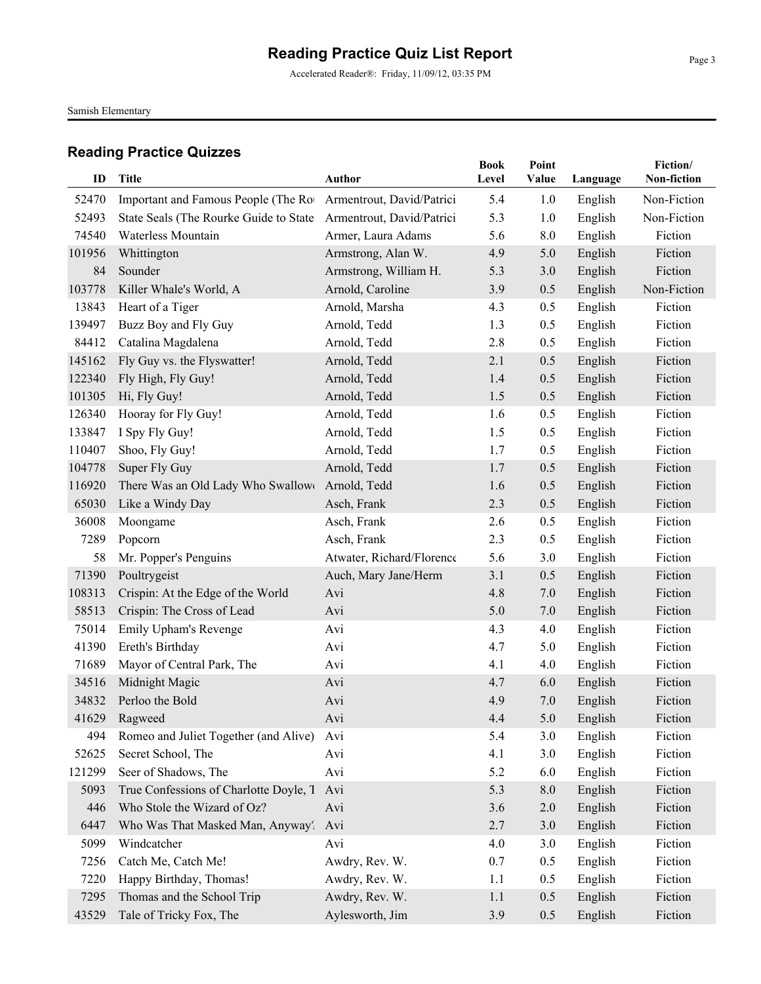Accelerated Reader®: Friday, 11/09/12, 03:35 PM

Samish Elementary

| ID     | Title                                  | Author                    | <b>Book</b><br>Level | Point<br>Value | Language | Fiction/<br>Non-fiction |
|--------|----------------------------------------|---------------------------|----------------------|----------------|----------|-------------------------|
| 52470  | Important and Famous People (The Ro    | Armentrout, David/Patrici | 5.4                  | 1.0            | English  | Non-Fiction             |
| 52493  | State Seals (The Rourke Guide to State | Armentrout, David/Patrici | 5.3                  | 1.0            | English  | Non-Fiction             |
| 74540  | Waterless Mountain                     | Armer, Laura Adams        | 5.6                  | 8.0            | English  | Fiction                 |
| 101956 | Whittington                            | Armstrong, Alan W.        | 4.9                  | 5.0            | English  | Fiction                 |
| 84     | Sounder                                | Armstrong, William H.     | 5.3                  | 3.0            | English  | Fiction                 |
| 103778 | Killer Whale's World, A                | Arnold, Caroline          | 3.9                  | 0.5            | English  | Non-Fiction             |
| 13843  | Heart of a Tiger                       | Arnold, Marsha            | 4.3                  | 0.5            | English  | Fiction                 |
| 139497 | Buzz Boy and Fly Guy                   | Arnold, Tedd              | 1.3                  | 0.5            | English  | Fiction                 |
| 84412  | Catalina Magdalena                     | Arnold, Tedd              | 2.8                  | 0.5            | English  | Fiction                 |
| 145162 | Fly Guy vs. the Flyswatter!            | Arnold, Tedd              | 2.1                  | 0.5            | English  | Fiction                 |
| 122340 | Fly High, Fly Guy!                     | Arnold, Tedd              | 1.4                  | 0.5            | English  | Fiction                 |
| 101305 | Hi, Fly Guy!                           | Arnold, Tedd              | 1.5                  | 0.5            | English  | Fiction                 |
| 126340 | Hooray for Fly Guy!                    | Arnold, Tedd              | 1.6                  | 0.5            | English  | Fiction                 |
| 133847 | I Spy Fly Guy!                         | Arnold, Tedd              | 1.5                  | 0.5            | English  | Fiction                 |
| 110407 | Shoo, Fly Guy!                         | Arnold, Tedd              | 1.7                  | 0.5            | English  | Fiction                 |
| 104778 | Super Fly Guy                          | Arnold, Tedd              | 1.7                  | 0.5            | English  | Fiction                 |
| 116920 | There Was an Old Lady Who Swallow      | Arnold, Tedd              | 1.6                  | 0.5            | English  | Fiction                 |
| 65030  | Like a Windy Day                       | Asch, Frank               | 2.3                  | 0.5            | English  | Fiction                 |
| 36008  | Moongame                               | Asch, Frank               | 2.6                  | 0.5            | English  | Fiction                 |
| 7289   | Popcorn                                | Asch, Frank               | 2.3                  | 0.5            | English  | Fiction                 |
| 58     | Mr. Popper's Penguins                  | Atwater, Richard/Florence | 5.6                  | 3.0            | English  | Fiction                 |
| 71390  | Poultrygeist                           | Auch, Mary Jane/Herm      | 3.1                  | 0.5            | English  | Fiction                 |
| 108313 | Crispin: At the Edge of the World      | Avi                       | 4.8                  | 7.0            | English  | Fiction                 |
| 58513  | Crispin: The Cross of Lead             | Avi                       | 5.0                  | 7.0            | English  | Fiction                 |
| 75014  | Emily Upham's Revenge                  | Avi                       | 4.3                  | 4.0            | English  | Fiction                 |
| 41390  | Ereth's Birthday                       | Avi                       | 4.7                  | 5.0            | English  | Fiction                 |
| 71689  | Mayor of Central Park, The             | Avi                       | 4.1                  | 4.0            | English  | Fiction                 |
| 34516  | Midnight Magic                         | Avi                       | 4.7                  | 6.0            | English  | Fiction                 |
| 34832  | Perloo the Bold                        | Avi                       | 4.9                  | 7.0            | English  | Fiction                 |
|        | 41629 Ragweed                          | Avi                       | 4.4                  | 5.0            | English  | Fiction                 |
| 494    | Romeo and Juliet Together (and Alive)  | Avi                       | 5.4                  | 3.0            | English  | Fiction                 |
| 52625  | Secret School, The                     | Avi                       | 4.1                  | 3.0            | English  | Fiction                 |
| 121299 | Seer of Shadows, The                   | Avi                       | 5.2                  | 6.0            | English  | Fiction                 |
| 5093   | True Confessions of Charlotte Doyle, T | Avi                       | 5.3                  | 8.0            | English  | Fiction                 |
| 446    | Who Stole the Wizard of Oz?            | Avi                       | 3.6                  | $2.0\,$        | English  | Fiction                 |
| 6447   | Who Was That Masked Man, Anyway?       | Avi                       | 2.7                  | 3.0            | English  | Fiction                 |
| 5099   | Windcatcher                            | Avi                       | 4.0                  | 3.0            | English  | Fiction                 |
| 7256   | Catch Me, Catch Me!                    | Awdry, Rev. W.            | 0.7                  | 0.5            | English  | Fiction                 |
| 7220   | Happy Birthday, Thomas!                | Awdry, Rev. W.            | 1.1                  | 0.5            | English  | Fiction                 |
| 7295   | Thomas and the School Trip             | Awdry, Rev. W.            | 1.1                  | 0.5            | English  | Fiction                 |
| 43529  | Tale of Tricky Fox, The                | Aylesworth, Jim           | 3.9                  | 0.5            | English  | Fiction                 |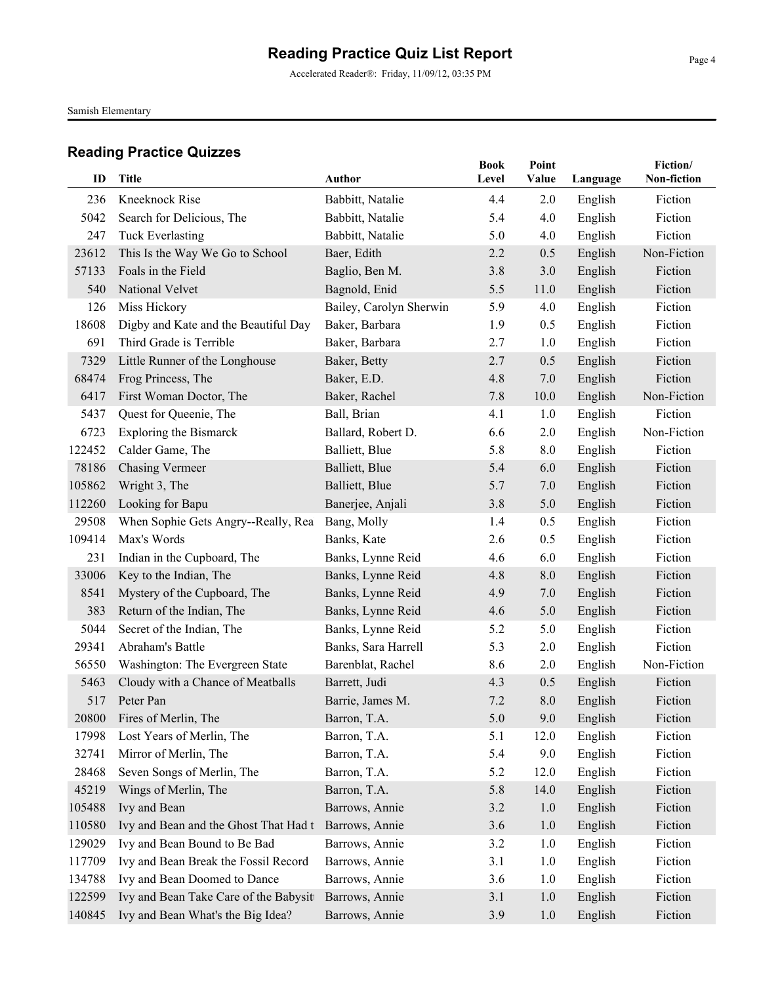Accelerated Reader®: Friday, 11/09/12, 03:35 PM

Samish Elementary

| ID     | <b>Title</b>                           | <b>Author</b>           | <b>Book</b><br>Level | Point<br>Value | Language | Fiction/<br>Non-fiction |
|--------|----------------------------------------|-------------------------|----------------------|----------------|----------|-------------------------|
| 236    | Kneeknock Rise                         | Babbitt, Natalie        | 4.4                  | 2.0            | English  | Fiction                 |
| 5042   | Search for Delicious, The              | Babbitt, Natalie        | 5.4                  | 4.0            | English  | Fiction                 |
| 247    | <b>Tuck Everlasting</b>                | Babbitt, Natalie        | 5.0                  | 4.0            | English  | Fiction                 |
| 23612  | This Is the Way We Go to School        | Baer, Edith             | 2.2                  | 0.5            | English  | Non-Fiction             |
| 57133  | Foals in the Field                     | Baglio, Ben M.          | 3.8                  | 3.0            | English  | Fiction                 |
| 540    | National Velvet                        | Bagnold, Enid           | 5.5                  | 11.0           | English  | Fiction                 |
| 126    | Miss Hickory                           | Bailey, Carolyn Sherwin | 5.9                  | 4.0            | English  | Fiction                 |
| 18608  | Digby and Kate and the Beautiful Day   | Baker, Barbara          | 1.9                  | 0.5            | English  | Fiction                 |
| 691    | Third Grade is Terrible                | Baker, Barbara          | 2.7                  | 1.0            | English  | Fiction                 |
| 7329   | Little Runner of the Longhouse         | Baker, Betty            | 2.7                  | 0.5            | English  | Fiction                 |
| 68474  | Frog Princess, The                     | Baker, E.D.             | 4.8                  | 7.0            | English  | Fiction                 |
| 6417   | First Woman Doctor, The                | Baker, Rachel           | 7.8                  | 10.0           | English  | Non-Fiction             |
| 5437   | Quest for Queenie, The                 | Ball, Brian             | 4.1                  | 1.0            | English  | Fiction                 |
| 6723   | <b>Exploring the Bismarck</b>          | Ballard, Robert D.      | 6.6                  | 2.0            | English  | Non-Fiction             |
| 122452 | Calder Game, The                       | Balliett, Blue          | 5.8                  | 8.0            | English  | Fiction                 |
| 78186  | <b>Chasing Vermeer</b>                 | Balliett, Blue          | 5.4                  | 6.0            | English  | Fiction                 |
| 105862 | Wright 3, The                          | Balliett, Blue          | 5.7                  | 7.0            | English  | Fiction                 |
| 112260 | Looking for Bapu                       | Banerjee, Anjali        | 3.8                  | 5.0            | English  | Fiction                 |
| 29508  | When Sophie Gets Angry--Really, Rea    | Bang, Molly             | 1.4                  | 0.5            | English  | Fiction                 |
| 109414 | Max's Words                            | Banks, Kate             | 2.6                  | 0.5            | English  | Fiction                 |
| 231    | Indian in the Cupboard, The            | Banks, Lynne Reid       | 4.6                  | 6.0            | English  | Fiction                 |
| 33006  | Key to the Indian, The                 | Banks, Lynne Reid       | 4.8                  | 8.0            | English  | Fiction                 |
| 8541   | Mystery of the Cupboard, The           | Banks, Lynne Reid       | 4.9                  | 7.0            | English  | Fiction                 |
| 383    | Return of the Indian, The              | Banks, Lynne Reid       | 4.6                  | 5.0            | English  | Fiction                 |
| 5044   | Secret of the Indian, The              | Banks, Lynne Reid       | 5.2                  | 5.0            | English  | Fiction                 |
| 29341  | Abraham's Battle                       | Banks, Sara Harrell     | 5.3                  | 2.0            | English  | Fiction                 |
| 56550  | Washington: The Evergreen State        | Barenblat, Rachel       | 8.6                  | 2.0            | English  | Non-Fiction             |
| 5463   | Cloudy with a Chance of Meatballs      | Barrett, Judi           | 4.3                  | 0.5            | English  | Fiction                 |
| 517    | Peter Pan                              | Barrie, James M.        | 7.2                  | 8.0            | English  | Fiction                 |
| 20800  | Fires of Merlin, The                   | Barron, T.A.            | $5.0\,$              | 9.0            | English  | Fiction                 |
| 17998  | Lost Years of Merlin, The              | Barron, T.A.            | 5.1                  | 12.0           | English  | Fiction                 |
| 32741  | Mirror of Merlin, The                  | Barron, T.A.            | 5.4                  | 9.0            | English  | Fiction                 |
| 28468  | Seven Songs of Merlin, The             | Barron, T.A.            | 5.2                  | 12.0           | English  | Fiction                 |
| 45219  | Wings of Merlin, The                   | Barron, T.A.            | 5.8                  | 14.0           | English  | Fiction                 |
| 105488 | Ivy and Bean                           | Barrows, Annie          | 3.2                  | 1.0            | English  | Fiction                 |
| 110580 | Ivy and Bean and the Ghost That Had t  | Barrows, Annie          | 3.6                  | 1.0            | English  | Fiction                 |
| 129029 | Ivy and Bean Bound to Be Bad           | Barrows, Annie          | 3.2                  | 1.0            | English  | Fiction                 |
| 117709 | Ivy and Bean Break the Fossil Record   | Barrows, Annie          | 3.1                  | 1.0            | English  | Fiction                 |
| 134788 | Ivy and Bean Doomed to Dance           | Barrows, Annie          | 3.6                  | 1.0            | English  | Fiction                 |
| 122599 | Ivy and Bean Take Care of the Babysitt | Barrows, Annie          | 3.1                  | 1.0            | English  | Fiction                 |
| 140845 | Ivy and Bean What's the Big Idea?      | Barrows, Annie          | 3.9                  | 1.0            | English  | Fiction                 |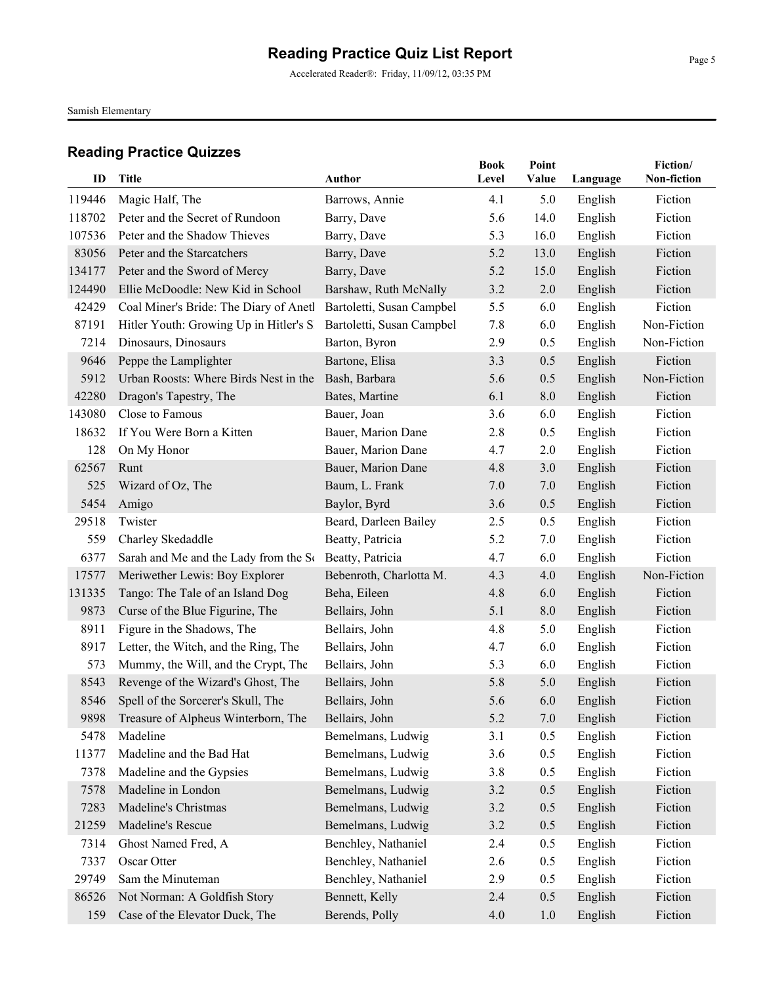Accelerated Reader®: Friday, 11/09/12, 03:35 PM

Samish Elementary

| ID     | Title                                                  | Author                    | <b>Book</b><br>Level | Point<br>Value |          | Fiction/<br>Non-fiction |
|--------|--------------------------------------------------------|---------------------------|----------------------|----------------|----------|-------------------------|
|        |                                                        |                           |                      |                | Language |                         |
| 119446 | Magic Half, The                                        | Barrows, Annie            | 4.1                  | 5.0            | English  | Fiction                 |
| 118702 | Peter and the Secret of Rundoon                        | Barry, Dave               | 5.6                  | 14.0           | English  | Fiction                 |
| 107536 | Peter and the Shadow Thieves                           | Barry, Dave               | 5.3                  | 16.0           | English  | Fiction                 |
| 83056  | Peter and the Starcatchers                             | Barry, Dave               | 5.2                  | 13.0           | English  | Fiction                 |
| 134177 | Peter and the Sword of Mercy                           | Barry, Dave               | 5.2                  | 15.0           | English  | Fiction                 |
| 124490 | Ellie McDoodle: New Kid in School                      | Barshaw, Ruth McNally     | 3.2                  | 2.0            | English  | Fiction                 |
| 42429  | Coal Miner's Bride: The Diary of Anetl                 | Bartoletti, Susan Campbel | 5.5                  | 6.0            | English  | Fiction                 |
| 87191  | Hitler Youth: Growing Up in Hitler's S.                | Bartoletti, Susan Campbel | 7.8                  | 6.0            | English  | Non-Fiction             |
| 7214   | Dinosaurs, Dinosaurs                                   | Barton, Byron             | 2.9                  | 0.5            | English  | Non-Fiction             |
| 9646   | Peppe the Lamplighter                                  | Bartone, Elisa            | 3.3                  | 0.5            | English  | Fiction                 |
| 5912   | Urban Roosts: Where Birds Nest in the                  | Bash, Barbara             | 5.6                  | 0.5            | English  | Non-Fiction             |
| 42280  | Dragon's Tapestry, The                                 | Bates, Martine            | 6.1                  | 8.0            | English  | Fiction                 |
| 143080 | Close to Famous                                        | Bauer, Joan               | 3.6                  | 6.0            | English  | Fiction                 |
| 18632  | If You Were Born a Kitten                              | Bauer, Marion Dane        | 2.8                  | 0.5            | English  | Fiction                 |
| 128    | On My Honor                                            | Bauer, Marion Dane        | 4.7                  | 2.0            | English  | Fiction                 |
| 62567  | Runt                                                   | Bauer, Marion Dane        | 4.8                  | 3.0            | English  | Fiction                 |
| 525    | Wizard of Oz, The                                      | Baum, L. Frank            | 7.0                  | 7.0            | English  | Fiction                 |
| 5454   | Amigo                                                  | Baylor, Byrd              | 3.6                  | 0.5            | English  | Fiction                 |
| 29518  | Twister                                                | Beard, Darleen Bailey     | 2.5                  | 0.5            | English  | Fiction                 |
| 559    | Charley Skedaddle                                      | Beatty, Patricia          | 5.2                  | 7.0            | English  | Fiction                 |
| 6377   | Sarah and Me and the Lady from the St Beatty, Patricia |                           | 4.7                  | 6.0            | English  | Fiction                 |
| 17577  | Meriwether Lewis: Boy Explorer                         | Bebenroth, Charlotta M.   | 4.3                  | 4.0            | English  | Non-Fiction             |
| 131335 | Tango: The Tale of an Island Dog                       | Beha, Eileen              | 4.8                  | 6.0            | English  | Fiction                 |
| 9873   | Curse of the Blue Figurine, The                        | Bellairs, John            | 5.1                  | 8.0            | English  | Fiction                 |
| 8911   | Figure in the Shadows, The                             | Bellairs, John            | 4.8                  | 5.0            | English  | Fiction                 |
| 8917   | Letter, the Witch, and the Ring, The                   | Bellairs, John            | 4.7                  | 6.0            | English  | Fiction                 |
| 573    | Mummy, the Will, and the Crypt, The                    | Bellairs, John            | 5.3                  | 6.0            | English  | Fiction                 |
| 8543   | Revenge of the Wizard's Ghost, The                     | Bellairs, John            | 5.8                  | 5.0            | English  | Fiction                 |
| 8546   | Spell of the Sorcerer's Skull, The                     | Bellairs, John            | 5.6                  | 6.0            | English  | Fiction                 |
|        | 9898 Treasure of Alpheus Winterborn, The               | Bellairs, John            | 5.2                  | 7.0            | English  | Fiction                 |
| 5478   | Madeline                                               | Bemelmans, Ludwig         | 3.1                  | 0.5            | English  | Fiction                 |
| 11377  | Madeline and the Bad Hat                               | Bemelmans, Ludwig         | 3.6                  | 0.5            | English  | Fiction                 |
| 7378   | Madeline and the Gypsies                               | Bemelmans, Ludwig         | 3.8                  | 0.5            | English  | Fiction                 |
| 7578   | Madeline in London                                     | Bemelmans, Ludwig         | 3.2                  | 0.5            | English  | Fiction                 |
| 7283   | Madeline's Christmas                                   | Bemelmans, Ludwig         | 3.2                  | 0.5            | English  | Fiction                 |
| 21259  | Madeline's Rescue                                      | Bemelmans, Ludwig         | 3.2                  | 0.5            | English  | Fiction                 |
| 7314   | Ghost Named Fred, A                                    | Benchley, Nathaniel       | 2.4                  | 0.5            | English  | Fiction                 |
| 7337   | Oscar Otter                                            | Benchley, Nathaniel       | 2.6                  | 0.5            | English  | Fiction                 |
| 29749  | Sam the Minuteman                                      | Benchley, Nathaniel       | 2.9                  | 0.5            | English  | Fiction                 |
| 86526  | Not Norman: A Goldfish Story                           | Bennett, Kelly            | 2.4                  | 0.5            | English  | Fiction                 |
| 159    | Case of the Elevator Duck, The                         | Berends, Polly            | 4.0                  | 1.0            | English  | Fiction                 |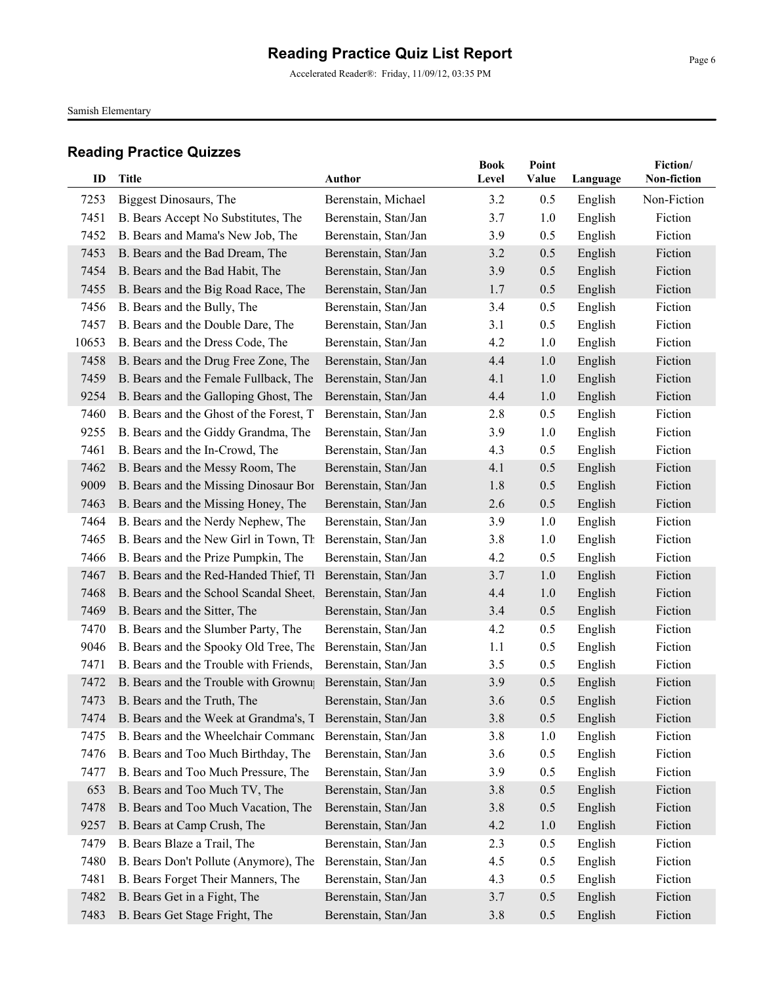Accelerated Reader®: Friday, 11/09/12, 03:35 PM

Samish Elementary

|       |                                                            |                      | <b>Book</b> | Point |          | Fiction/    |
|-------|------------------------------------------------------------|----------------------|-------------|-------|----------|-------------|
| ID    | <b>Title</b>                                               | <b>Author</b>        | Level       | Value | Language | Non-fiction |
| 7253  | Biggest Dinosaurs, The                                     | Berenstain, Michael  | 3.2         | 0.5   | English  | Non-Fiction |
| 7451  | B. Bears Accept No Substitutes, The                        | Berenstain, Stan/Jan | 3.7         | 1.0   | English  | Fiction     |
| 7452  | B. Bears and Mama's New Job, The                           | Berenstain, Stan/Jan | 3.9         | 0.5   | English  | Fiction     |
| 7453  | B. Bears and the Bad Dream, The                            | Berenstain, Stan/Jan | 3.2         | 0.5   | English  | Fiction     |
| 7454  | B. Bears and the Bad Habit, The                            | Berenstain, Stan/Jan | 3.9         | 0.5   | English  | Fiction     |
| 7455  | B. Bears and the Big Road Race, The                        | Berenstain, Stan/Jan | 1.7         | 0.5   | English  | Fiction     |
| 7456  | B. Bears and the Bully, The                                | Berenstain, Stan/Jan | 3.4         | 0.5   | English  | Fiction     |
| 7457  | B. Bears and the Double Dare, The                          | Berenstain, Stan/Jan | 3.1         | 0.5   | English  | Fiction     |
| 10653 | B. Bears and the Dress Code, The                           | Berenstain, Stan/Jan | 4.2         | 1.0   | English  | Fiction     |
| 7458  | B. Bears and the Drug Free Zone, The                       | Berenstain, Stan/Jan | 4.4         | 1.0   | English  | Fiction     |
| 7459  | B. Bears and the Female Fullback, The                      | Berenstain, Stan/Jan | 4.1         | 1.0   | English  | Fiction     |
| 9254  | B. Bears and the Galloping Ghost, The                      | Berenstain, Stan/Jan | 4.4         | 1.0   | English  | Fiction     |
| 7460  | B. Bears and the Ghost of the Forest, T.                   | Berenstain, Stan/Jan | 2.8         | 0.5   | English  | Fiction     |
| 9255  | B. Bears and the Giddy Grandma, The                        | Berenstain, Stan/Jan | 3.9         | 1.0   | English  | Fiction     |
| 7461  | B. Bears and the In-Crowd, The                             | Berenstain, Stan/Jan | 4.3         | 0.5   | English  | Fiction     |
| 7462  | B. Bears and the Messy Room, The                           | Berenstain, Stan/Jan | 4.1         | 0.5   | English  | Fiction     |
| 9009  | B. Bears and the Missing Dinosaur Bor                      | Berenstain, Stan/Jan | 1.8         | 0.5   | English  | Fiction     |
| 7463  | B. Bears and the Missing Honey, The                        | Berenstain, Stan/Jan | 2.6         | 0.5   | English  | Fiction     |
| 7464  | B. Bears and the Nerdy Nephew, The                         | Berenstain, Stan/Jan | 3.9         | 1.0   | English  | Fiction     |
| 7465  | B. Bears and the New Girl in Town, Th                      | Berenstain, Stan/Jan | 3.8         | 1.0   | English  | Fiction     |
| 7466  | B. Bears and the Prize Pumpkin, The                        | Berenstain, Stan/Jan | 4.2         | 0.5   | English  | Fiction     |
| 7467  | B. Bears and the Red-Handed Thief, Th                      | Berenstain, Stan/Jan | 3.7         | 1.0   | English  | Fiction     |
| 7468  | B. Bears and the School Scandal Sheet,                     | Berenstain, Stan/Jan | 4.4         | 1.0   | English  | Fiction     |
| 7469  | B. Bears and the Sitter, The                               | Berenstain, Stan/Jan | 3.4         | 0.5   | English  | Fiction     |
| 7470  | B. Bears and the Slumber Party, The                        | Berenstain, Stan/Jan | 4.2         | 0.5   | English  | Fiction     |
| 9046  | B. Bears and the Spooky Old Tree, The                      | Berenstain, Stan/Jan | 1.1         | 0.5   | English  | Fiction     |
| 7471  | B. Bears and the Trouble with Friends,                     | Berenstain, Stan/Jan | 3.5         | 0.5   | English  | Fiction     |
| 7472  | B. Bears and the Trouble with Grownu                       | Berenstain, Stan/Jan | 3.9         | 0.5   | English  | Fiction     |
| 7473  | B. Bears and the Truth, The                                | Berenstain, Stan/Jan | 3.6         | 0.5   | English  | Fiction     |
| 7474  | B. Bears and the Week at Grandma's, T Berenstain, Stan/Jan |                      | 3.8         | 0.5   | English  | Fiction     |
| 7475  | B. Bears and the Wheelchair Command                        | Berenstain, Stan/Jan | 3.8         | 1.0   | English  | Fiction     |
| 7476  | B. Bears and Too Much Birthday, The                        | Berenstain, Stan/Jan | 3.6         | 0.5   | English  | Fiction     |
| 7477  | B. Bears and Too Much Pressure, The                        | Berenstain, Stan/Jan | 3.9         | 0.5   | English  | Fiction     |
| 653   | B. Bears and Too Much TV, The                              | Berenstain, Stan/Jan | 3.8         | 0.5   | English  | Fiction     |
| 7478  | B. Bears and Too Much Vacation, The                        | Berenstain, Stan/Jan | 3.8         | 0.5   | English  | Fiction     |
| 9257  | B. Bears at Camp Crush, The                                | Berenstain, Stan/Jan | 4.2         | 1.0   | English  | Fiction     |
| 7479  | B. Bears Blaze a Trail, The                                | Berenstain, Stan/Jan | 2.3         | 0.5   | English  | Fiction     |
| 7480  | B. Bears Don't Pollute (Anymore), The                      | Berenstain, Stan/Jan | 4.5         | 0.5   | English  | Fiction     |
| 7481  | B. Bears Forget Their Manners, The                         | Berenstain, Stan/Jan | 4.3         | 0.5   | English  | Fiction     |
| 7482  | B. Bears Get in a Fight, The                               | Berenstain, Stan/Jan | 3.7         | 0.5   | English  | Fiction     |
| 7483  | B. Bears Get Stage Fright, The                             | Berenstain, Stan/Jan | 3.8         | 0.5   | English  | Fiction     |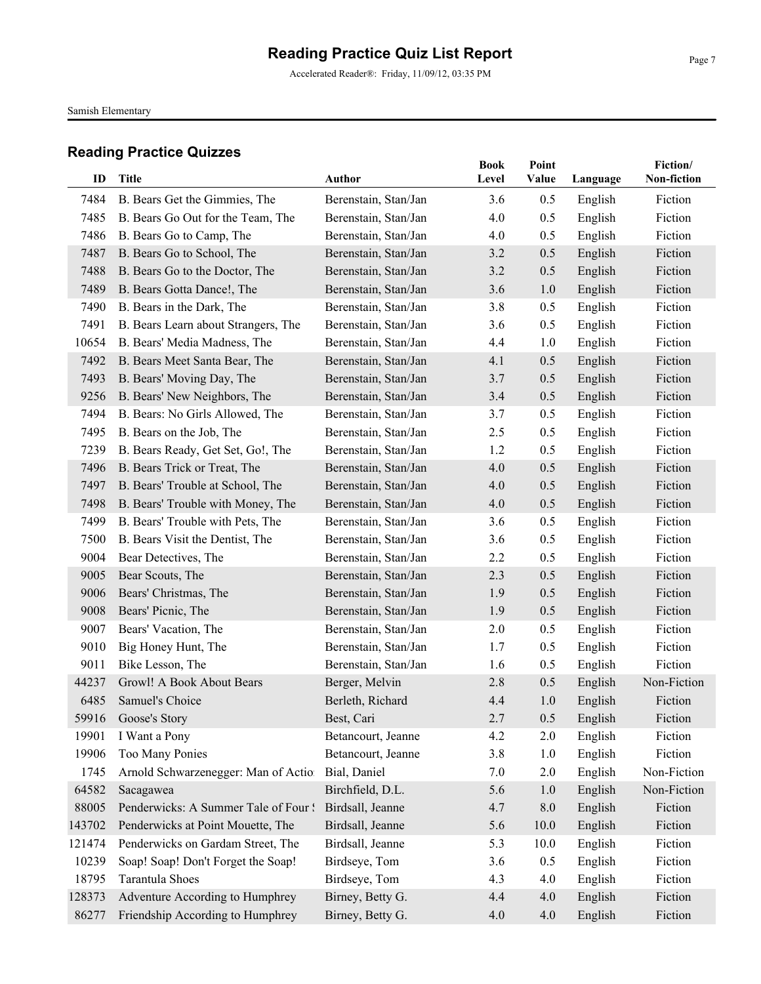Accelerated Reader®: Friday, 11/09/12, 03:35 PM

Samish Elementary

| ID     | Title                                | Author               | <b>Book</b><br>Level | Point<br>Value | Language | Fiction/<br>Non-fiction |
|--------|--------------------------------------|----------------------|----------------------|----------------|----------|-------------------------|
|        |                                      |                      |                      |                |          |                         |
| 7484   | B. Bears Get the Gimmies, The        | Berenstain, Stan/Jan | 3.6                  | 0.5            | English  | Fiction                 |
| 7485   | B. Bears Go Out for the Team, The    | Berenstain, Stan/Jan | 4.0                  | 0.5            | English  | Fiction                 |
| 7486   | B. Bears Go to Camp, The             | Berenstain, Stan/Jan | 4.0                  | 0.5            | English  | Fiction                 |
| 7487   | B. Bears Go to School, The           | Berenstain, Stan/Jan | 3.2                  | 0.5            | English  | Fiction                 |
| 7488   | B. Bears Go to the Doctor, The       | Berenstain, Stan/Jan | 3.2                  | 0.5            | English  | Fiction                 |
| 7489   | B. Bears Gotta Dance!, The           | Berenstain, Stan/Jan | 3.6                  | 1.0            | English  | Fiction                 |
| 7490   | B. Bears in the Dark, The            | Berenstain, Stan/Jan | 3.8                  | 0.5            | English  | Fiction                 |
| 7491   | B. Bears Learn about Strangers, The  | Berenstain, Stan/Jan | 3.6                  | 0.5            | English  | Fiction                 |
| 10654  | B. Bears' Media Madness, The         | Berenstain, Stan/Jan | 4.4                  | 1.0            | English  | Fiction                 |
| 7492   | B. Bears Meet Santa Bear, The        | Berenstain, Stan/Jan | 4.1                  | 0.5            | English  | Fiction                 |
| 7493   | B. Bears' Moving Day, The            | Berenstain, Stan/Jan | 3.7                  | 0.5            | English  | Fiction                 |
| 9256   | B. Bears' New Neighbors, The         | Berenstain, Stan/Jan | 3.4                  | 0.5            | English  | Fiction                 |
| 7494   | B. Bears: No Girls Allowed, The      | Berenstain, Stan/Jan | 3.7                  | 0.5            | English  | Fiction                 |
| 7495   | B. Bears on the Job, The             | Berenstain, Stan/Jan | 2.5                  | 0.5            | English  | Fiction                 |
| 7239   | B. Bears Ready, Get Set, Go!, The    | Berenstain, Stan/Jan | 1.2                  | 0.5            | English  | Fiction                 |
| 7496   | B. Bears Trick or Treat, The         | Berenstain, Stan/Jan | 4.0                  | 0.5            | English  | Fiction                 |
| 7497   | B. Bears' Trouble at School, The     | Berenstain, Stan/Jan | 4.0                  | 0.5            | English  | Fiction                 |
| 7498   | B. Bears' Trouble with Money, The    | Berenstain, Stan/Jan | 4.0                  | 0.5            | English  | Fiction                 |
| 7499   | B. Bears' Trouble with Pets, The     | Berenstain, Stan/Jan | 3.6                  | 0.5            | English  | Fiction                 |
| 7500   | B. Bears Visit the Dentist, The      | Berenstain, Stan/Jan | 3.6                  | 0.5            | English  | Fiction                 |
| 9004   | Bear Detectives, The                 | Berenstain, Stan/Jan | 2.2                  | 0.5            | English  | Fiction                 |
| 9005   | Bear Scouts, The                     | Berenstain, Stan/Jan | 2.3                  | 0.5            | English  | Fiction                 |
| 9006   | Bears' Christmas, The                | Berenstain, Stan/Jan | 1.9                  | 0.5            | English  | Fiction                 |
| 9008   | Bears' Picnic, The                   | Berenstain, Stan/Jan | 1.9                  | 0.5            | English  | Fiction                 |
| 9007   | Bears' Vacation, The                 | Berenstain, Stan/Jan | 2.0                  | 0.5            | English  | Fiction                 |
| 9010   | Big Honey Hunt, The                  | Berenstain, Stan/Jan | 1.7                  | 0.5            | English  | Fiction                 |
| 9011   | Bike Lesson, The                     | Berenstain, Stan/Jan | 1.6                  | 0.5            | English  | Fiction                 |
| 44237  | Growl! A Book About Bears            | Berger, Melvin       | 2.8                  | 0.5            | English  | Non-Fiction             |
| 6485   | Samuel's Choice                      | Berleth, Richard     | 4.4                  | 1.0            | English  | Fiction                 |
|        | 59916 Goose's Story                  | Best, Cari           | 2.7                  | 0.5            | English  | Fiction                 |
| 19901  | I Want a Pony                        | Betancourt, Jeanne   | 4.2                  | 2.0            | English  | Fiction                 |
| 19906  | Too Many Ponies                      | Betancourt, Jeanne   | 3.8                  | 1.0            | English  | Fiction                 |
| 1745   | Arnold Schwarzenegger: Man of Action | Bial, Daniel         | 7.0                  | 2.0            | English  | Non-Fiction             |
| 64582  | Sacagawea                            | Birchfield, D.L.     | 5.6                  | 1.0            | English  | Non-Fiction             |
| 88005  | Penderwicks: A Summer Tale of Four!  | Birdsall, Jeanne     | 4.7                  | 8.0            | English  | Fiction                 |
| 143702 | Penderwicks at Point Mouette, The    | Birdsall, Jeanne     | 5.6                  | 10.0           | English  | Fiction                 |
| 121474 | Penderwicks on Gardam Street, The    | Birdsall, Jeanne     | 5.3                  | 10.0           | English  | Fiction                 |
| 10239  | Soap! Soap! Don't Forget the Soap!   | Birdseye, Tom        | 3.6                  | 0.5            | English  | Fiction                 |
| 18795  | <b>Tarantula Shoes</b>               | Birdseye, Tom        | 4.3                  | 4.0            | English  | Fiction                 |
| 128373 | Adventure According to Humphrey      | Birney, Betty G.     | 4.4                  | 4.0            | English  | Fiction                 |
| 86277  | Friendship According to Humphrey     | Birney, Betty G.     | 4.0                  | 4.0            | English  | Fiction                 |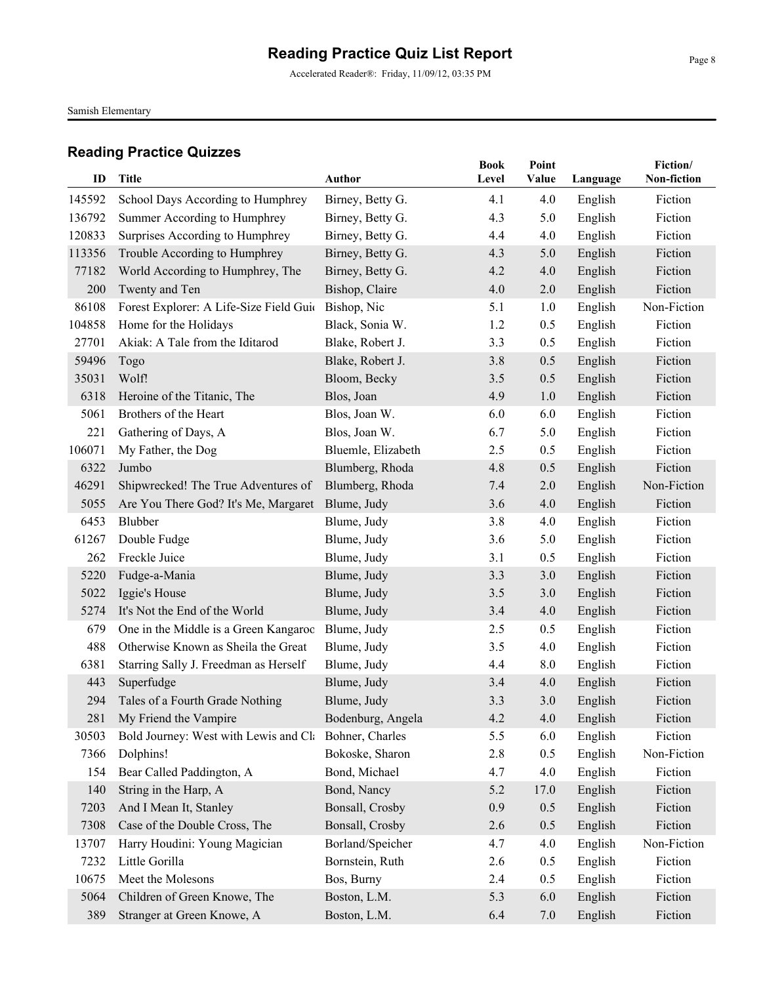Accelerated Reader®: Friday, 11/09/12, 03:35 PM

Samish Elementary

| ID     | Title                                   | Author             | <b>Book</b><br>Level | Point<br>Value | Language | Fiction/<br>Non-fiction |
|--------|-----------------------------------------|--------------------|----------------------|----------------|----------|-------------------------|
|        |                                         |                    |                      |                |          |                         |
| 145592 | School Days According to Humphrey       | Birney, Betty G.   | 4.1                  | 4.0            | English  | Fiction                 |
| 136792 | Summer According to Humphrey            | Birney, Betty G.   | 4.3                  | 5.0            | English  | Fiction                 |
| 120833 | Surprises According to Humphrey         | Birney, Betty G.   | 4.4                  | 4.0            | English  | Fiction                 |
| 113356 | Trouble According to Humphrey           | Birney, Betty G.   | 4.3                  | 5.0            | English  | Fiction                 |
| 77182  | World According to Humphrey, The        | Birney, Betty G.   | 4.2                  | 4.0            | English  | Fiction                 |
| 200    | Twenty and Ten                          | Bishop, Claire     | 4.0                  | 2.0            | English  | Fiction                 |
| 86108  | Forest Explorer: A Life-Size Field Guid | Bishop, Nic        | 5.1                  | 1.0            | English  | Non-Fiction             |
| 104858 | Home for the Holidays                   | Black, Sonia W.    | 1.2                  | 0.5            | English  | Fiction                 |
| 27701  | Akiak: A Tale from the Iditarod         | Blake, Robert J.   | 3.3                  | 0.5            | English  | Fiction                 |
| 59496  | Togo                                    | Blake, Robert J.   | 3.8                  | 0.5            | English  | Fiction                 |
| 35031  | Wolf!                                   | Bloom, Becky       | 3.5                  | 0.5            | English  | Fiction                 |
| 6318   | Heroine of the Titanic, The             | Blos, Joan         | 4.9                  | 1.0            | English  | Fiction                 |
| 5061   | Brothers of the Heart                   | Blos, Joan W.      | 6.0                  | 6.0            | English  | Fiction                 |
| 221    | Gathering of Days, A                    | Blos, Joan W.      | 6.7                  | 5.0            | English  | Fiction                 |
| 106071 | My Father, the Dog                      | Bluemle, Elizabeth | 2.5                  | 0.5            | English  | Fiction                 |
| 6322   | Jumbo                                   | Blumberg, Rhoda    | 4.8                  | 0.5            | English  | Fiction                 |
| 46291  | Shipwrecked! The True Adventures of     | Blumberg, Rhoda    | 7.4                  | 2.0            | English  | Non-Fiction             |
| 5055   | Are You There God? It's Me, Margaret    | Blume, Judy        | 3.6                  | 4.0            | English  | Fiction                 |
| 6453   | Blubber                                 | Blume, Judy        | 3.8                  | 4.0            | English  | Fiction                 |
| 61267  | Double Fudge                            | Blume, Judy        | 3.6                  | 5.0            | English  | Fiction                 |
| 262    | Freckle Juice                           | Blume, Judy        | 3.1                  | 0.5            | English  | Fiction                 |
| 5220   | Fudge-a-Mania                           | Blume, Judy        | 3.3                  | 3.0            | English  | Fiction                 |
| 5022   | Iggie's House                           | Blume, Judy        | 3.5                  | 3.0            | English  | Fiction                 |
| 5274   | It's Not the End of the World           | Blume, Judy        | 3.4                  | 4.0            | English  | Fiction                 |
| 679    | One in the Middle is a Green Kangaroo   | Blume, Judy        | 2.5                  | 0.5            | English  | Fiction                 |
| 488    | Otherwise Known as Sheila the Great     | Blume, Judy        | 3.5                  | 4.0            | English  | Fiction                 |
| 6381   | Starring Sally J. Freedman as Herself   | Blume, Judy        | 4.4                  | 8.0            | English  | Fiction                 |
| 443    | Superfudge                              | Blume, Judy        | 3.4                  | 4.0            | English  | Fiction                 |
| 294    | Tales of a Fourth Grade Nothing         | Blume, Judy        | 3.3                  | 3.0            | English  | Fiction                 |
| 281    | My Friend the Vampire                   | Bodenburg, Angela  | 4.2                  | 4.0            | English  | Fiction                 |
| 30503  | Bold Journey: West with Lewis and Cla   | Bohner, Charles    | 5.5                  | 6.0            | English  | Fiction                 |
| 7366   | Dolphins!                               | Bokoske, Sharon    | 2.8                  | 0.5            | English  | Non-Fiction             |
| 154    | Bear Called Paddington, A               | Bond, Michael      | 4.7                  | 4.0            | English  | Fiction                 |
| 140    | String in the Harp, A                   | Bond, Nancy        | 5.2                  | 17.0           | English  | Fiction                 |
| 7203   | And I Mean It, Stanley                  | Bonsall, Crosby    | 0.9                  | 0.5            | English  | Fiction                 |
| 7308   | Case of the Double Cross, The           | Bonsall, Crosby    | 2.6                  | 0.5            | English  | Fiction                 |
| 13707  | Harry Houdini: Young Magician           | Borland/Speicher   | 4.7                  | 4.0            | English  | Non-Fiction             |
| 7232   | Little Gorilla                          | Bornstein, Ruth    | 2.6                  | 0.5            | English  | Fiction                 |
| 10675  | Meet the Molesons                       | Bos, Burny         | 2.4                  | 0.5            | English  | Fiction                 |
| 5064   | Children of Green Knowe, The            | Boston, L.M.       | 5.3                  | 6.0            | English  | Fiction                 |
| 389    | Stranger at Green Knowe, A              | Boston, L.M.       | 6.4                  | 7.0            | English  | Fiction                 |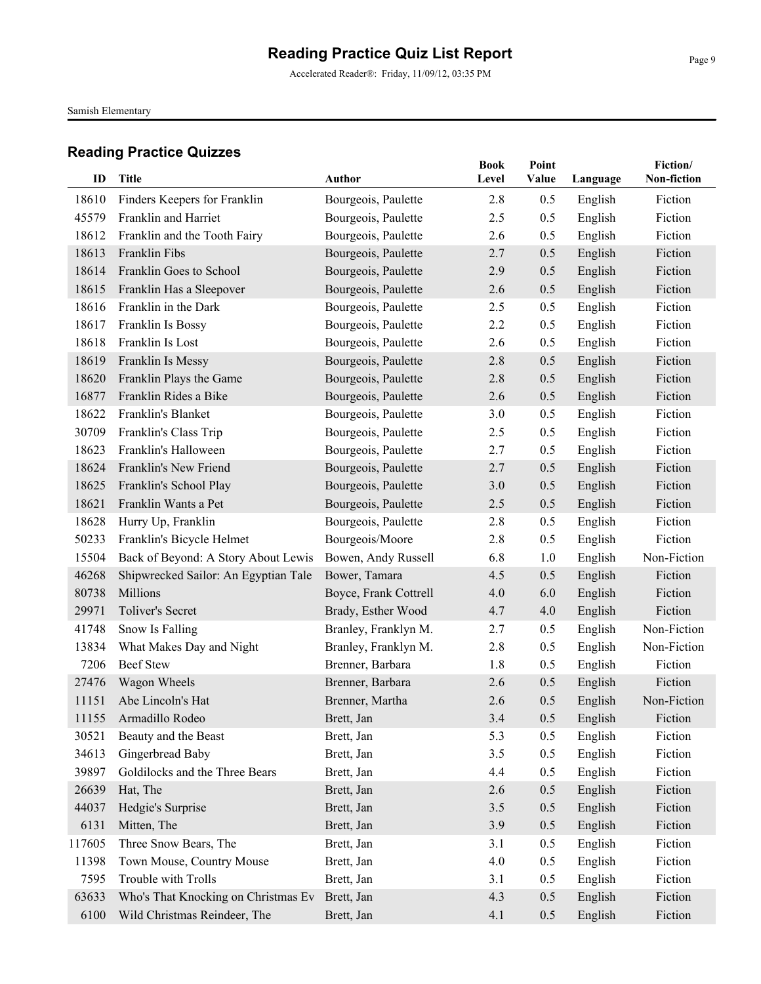Accelerated Reader®: Friday, 11/09/12, 03:35 PM

Samish Elementary

| ID     | Title                                | <b>Author</b>         | <b>Book</b><br>Level | Point<br>Value | Language | Fiction/<br>Non-fiction |
|--------|--------------------------------------|-----------------------|----------------------|----------------|----------|-------------------------|
|        |                                      |                       |                      |                |          |                         |
| 18610  | Finders Keepers for Franklin         | Bourgeois, Paulette   | 2.8                  | 0.5            | English  | Fiction                 |
| 45579  | Franklin and Harriet                 | Bourgeois, Paulette   | 2.5                  | 0.5            | English  | Fiction                 |
| 18612  | Franklin and the Tooth Fairy         | Bourgeois, Paulette   | 2.6                  | 0.5            | English  | Fiction                 |
| 18613  | Franklin Fibs                        | Bourgeois, Paulette   | 2.7                  | 0.5            | English  | Fiction                 |
| 18614  | Franklin Goes to School              | Bourgeois, Paulette   | 2.9                  | 0.5            | English  | Fiction                 |
| 18615  | Franklin Has a Sleepover             | Bourgeois, Paulette   | 2.6                  | 0.5            | English  | Fiction                 |
| 18616  | Franklin in the Dark                 | Bourgeois, Paulette   | 2.5                  | 0.5            | English  | Fiction                 |
| 18617  | Franklin Is Bossy                    | Bourgeois, Paulette   | 2.2                  | 0.5            | English  | Fiction                 |
| 18618  | Franklin Is Lost                     | Bourgeois, Paulette   | 2.6                  | 0.5            | English  | Fiction                 |
| 18619  | Franklin Is Messy                    | Bourgeois, Paulette   | 2.8                  | 0.5            | English  | Fiction                 |
| 18620  | Franklin Plays the Game              | Bourgeois, Paulette   | 2.8                  | 0.5            | English  | Fiction                 |
| 16877  | Franklin Rides a Bike                | Bourgeois, Paulette   | 2.6                  | 0.5            | English  | Fiction                 |
| 18622  | Franklin's Blanket                   | Bourgeois, Paulette   | 3.0                  | 0.5            | English  | Fiction                 |
| 30709  | Franklin's Class Trip                | Bourgeois, Paulette   | 2.5                  | 0.5            | English  | Fiction                 |
| 18623  | Franklin's Halloween                 | Bourgeois, Paulette   | 2.7                  | 0.5            | English  | Fiction                 |
| 18624  | Franklin's New Friend                | Bourgeois, Paulette   | 2.7                  | 0.5            | English  | Fiction                 |
| 18625  | Franklin's School Play               | Bourgeois, Paulette   | 3.0                  | 0.5            | English  | Fiction                 |
| 18621  | Franklin Wants a Pet                 | Bourgeois, Paulette   | 2.5                  | 0.5            | English  | Fiction                 |
| 18628  | Hurry Up, Franklin                   | Bourgeois, Paulette   | 2.8                  | 0.5            | English  | Fiction                 |
| 50233  | Franklin's Bicycle Helmet            | Bourgeois/Moore       | 2.8                  | 0.5            | English  | Fiction                 |
| 15504  | Back of Beyond: A Story About Lewis  | Bowen, Andy Russell   | 6.8                  | 1.0            | English  | Non-Fiction             |
| 46268  | Shipwrecked Sailor: An Egyptian Tale | Bower, Tamara         | 4.5                  | 0.5            | English  | Fiction                 |
| 80738  | Millions                             | Boyce, Frank Cottrell | 4.0                  | 6.0            | English  | Fiction                 |
| 29971  | Toliver's Secret                     | Brady, Esther Wood    | 4.7                  | 4.0            | English  | Fiction                 |
| 41748  | Snow Is Falling                      | Branley, Franklyn M.  | 2.7                  | 0.5            | English  | Non-Fiction             |
| 13834  | What Makes Day and Night             | Branley, Franklyn M.  | 2.8                  | 0.5            | English  | Non-Fiction             |
| 7206   | <b>Beef Stew</b>                     | Brenner, Barbara      | 1.8                  | 0.5            | English  | Fiction                 |
| 27476  | Wagon Wheels                         | Brenner, Barbara      | 2.6                  | 0.5            | English  | Fiction                 |
| 11151  | Abe Lincoln's Hat                    | Brenner, Martha       | 2.6                  | 0.5            | English  | Non-Fiction             |
|        | 11155 Armadillo Rodeo                | Brett, Jan            | 3.4                  | 0.5            | English  | Fiction                 |
| 30521  | Beauty and the Beast                 | Brett, Jan            | 5.3                  | 0.5            | English  | Fiction                 |
| 34613  | Gingerbread Baby                     | Brett, Jan            | 3.5                  | 0.5            | English  | Fiction                 |
| 39897  | Goldilocks and the Three Bears       | Brett, Jan            | 4.4                  | 0.5            | English  | Fiction                 |
| 26639  | Hat, The                             | Brett, Jan            | 2.6                  | 0.5            | English  | Fiction                 |
| 44037  | Hedgie's Surprise                    | Brett, Jan            | 3.5                  | 0.5            | English  | Fiction                 |
| 6131   | Mitten, The                          | Brett, Jan            | 3.9                  | 0.5            | English  | Fiction                 |
| 117605 | Three Snow Bears, The                | Brett, Jan            | 3.1                  | 0.5            | English  | Fiction                 |
| 11398  | Town Mouse, Country Mouse            | Brett, Jan            | 4.0                  | 0.5            | English  | Fiction                 |
| 7595   | Trouble with Trolls                  | Brett, Jan            | 3.1                  | 0.5            | English  | Fiction                 |
| 63633  | Who's That Knocking on Christmas Ev  | Brett, Jan            | 4.3                  | 0.5            | English  | Fiction                 |
| 6100   | Wild Christmas Reindeer, The         | Brett, Jan            | 4.1                  | 0.5            | English  | Fiction                 |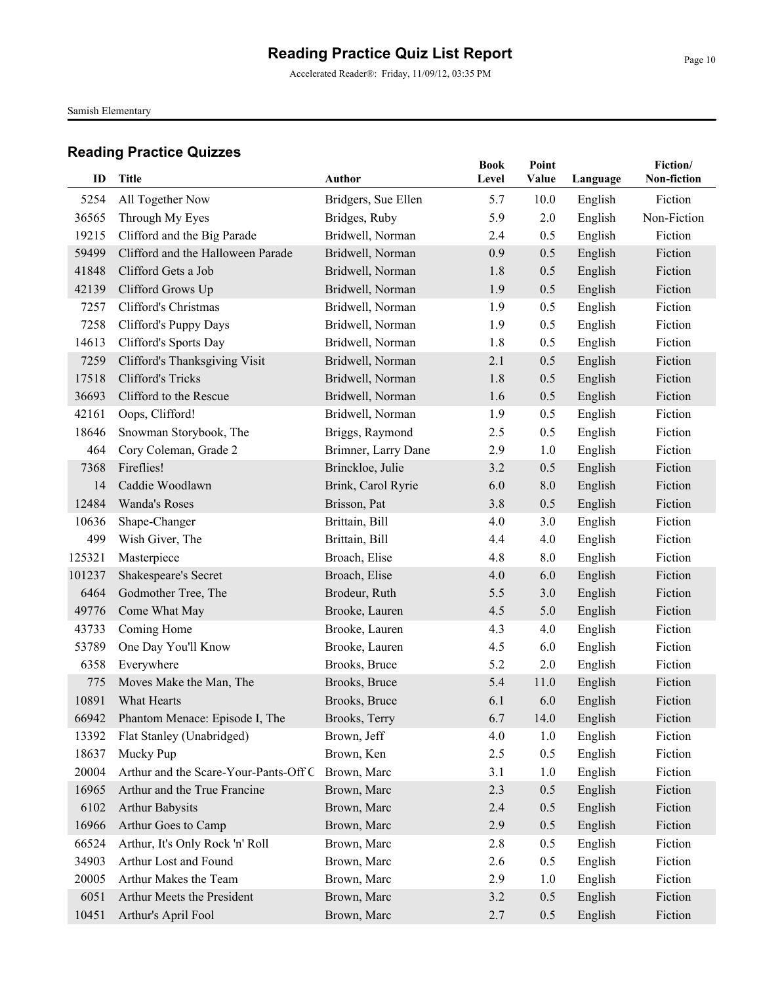Accelerated Reader®: Friday, 11/09/12, 03:35 PM

Samish Elementary

| ID     | <b>Title</b>                          | Author              | <b>Book</b><br>Level | Point<br>Value | Language | Fiction/<br>Non-fiction |
|--------|---------------------------------------|---------------------|----------------------|----------------|----------|-------------------------|
| 5254   | All Together Now                      | Bridgers, Sue Ellen | 5.7                  | 10.0           | English  | Fiction                 |
| 36565  | Through My Eyes                       | Bridges, Ruby       | 5.9                  | 2.0            | English  | Non-Fiction             |
| 19215  | Clifford and the Big Parade           | Bridwell, Norman    | 2.4                  | 0.5            | English  | Fiction                 |
| 59499  | Clifford and the Halloween Parade     | Bridwell, Norman    | 0.9                  | 0.5            | English  | Fiction                 |
| 41848  | Clifford Gets a Job                   | Bridwell, Norman    | 1.8                  | 0.5            | English  | Fiction                 |
| 42139  | Clifford Grows Up                     | Bridwell, Norman    | 1.9                  | 0.5            | English  | Fiction                 |
| 7257   | Clifford's Christmas                  | Bridwell, Norman    | 1.9                  | 0.5            | English  | Fiction                 |
| 7258   | Clifford's Puppy Days                 | Bridwell, Norman    | 1.9                  | 0.5            | English  | Fiction                 |
| 14613  | Clifford's Sports Day                 | Bridwell, Norman    | 1.8                  | 0.5            | English  | Fiction                 |
| 7259   | Clifford's Thanksgiving Visit         | Bridwell, Norman    | 2.1                  | 0.5            | English  | Fiction                 |
| 17518  | Clifford's Tricks                     | Bridwell, Norman    | 1.8                  | 0.5            | English  | Fiction                 |
| 36693  | Clifford to the Rescue                | Bridwell, Norman    | 1.6                  | 0.5            | English  | Fiction                 |
| 42161  | Oops, Clifford!                       | Bridwell, Norman    | 1.9                  | 0.5            | English  | Fiction                 |
| 18646  | Snowman Storybook, The                | Briggs, Raymond     | 2.5                  | 0.5            | English  | Fiction                 |
| 464    | Cory Coleman, Grade 2                 | Brimner, Larry Dane | 2.9                  | 1.0            | English  | Fiction                 |
| 7368   | Fireflies!                            | Brinckloe, Julie    | 3.2                  | 0.5            | English  | Fiction                 |
| 14     | Caddie Woodlawn                       | Brink, Carol Ryrie  | 6.0                  | 8.0            | English  | Fiction                 |
| 12484  | Wanda's Roses                         | Brisson, Pat        | 3.8                  | 0.5            | English  | Fiction                 |
| 10636  | Shape-Changer                         | Brittain, Bill      | 4.0                  | 3.0            | English  | Fiction                 |
| 499    | Wish Giver, The                       | Brittain, Bill      | 4.4                  | 4.0            | English  | Fiction                 |
| 125321 | Masterpiece                           | Broach, Elise       | 4.8                  | 8.0            | English  | Fiction                 |
| 101237 | Shakespeare's Secret                  | Broach, Elise       | 4.0                  | 6.0            | English  | Fiction                 |
| 6464   | Godmother Tree, The                   | Brodeur, Ruth       | 5.5                  | 3.0            | English  | Fiction                 |
| 49776  | Come What May                         | Brooke, Lauren      | 4.5                  | 5.0            | English  | Fiction                 |
| 43733  | Coming Home                           | Brooke, Lauren      | 4.3                  | 4.0            | English  | Fiction                 |
| 53789  | One Day You'll Know                   | Brooke, Lauren      | 4.5                  | 6.0            | English  | Fiction                 |
| 6358   | Everywhere                            | Brooks, Bruce       | 5.2                  | 2.0            | English  | Fiction                 |
| 775    | Moves Make the Man, The               | Brooks, Bruce       | 5.4                  | 11.0           | English  | Fiction                 |
| 10891  | What Hearts                           | Brooks, Bruce       | 6.1                  | 6.0            | English  | Fiction                 |
| 66942  | Phantom Menace: Episode I, The        | Brooks, Terry       | 6.7                  | 14.0           | English  | Fiction                 |
| 13392  | Flat Stanley (Unabridged)             | Brown, Jeff         | 4.0                  | 1.0            | English  | Fiction                 |
| 18637  | Mucky Pup                             | Brown, Ken          | 2.5                  | 0.5            | English  | Fiction                 |
| 20004  | Arthur and the Scare-Your-Pants-Off C | Brown, Marc         | 3.1                  | 1.0            | English  | Fiction                 |
| 16965  | Arthur and the True Francine          | Brown, Marc         | 2.3                  | 0.5            | English  | Fiction                 |
| 6102   | <b>Arthur Babysits</b>                | Brown, Marc         | 2.4                  | 0.5            | English  | Fiction                 |
| 16966  | Arthur Goes to Camp                   | Brown, Marc         | 2.9                  | 0.5            | English  | Fiction                 |
| 66524  | Arthur, It's Only Rock 'n' Roll       | Brown, Marc         | 2.8                  | 0.5            | English  | Fiction                 |
| 34903  | Arthur Lost and Found                 | Brown, Marc         | 2.6                  | 0.5            | English  | Fiction                 |
| 20005  | Arthur Makes the Team                 | Brown, Marc         | 2.9                  | 1.0            | English  | Fiction                 |
| 6051   | Arthur Meets the President            | Brown, Marc         | 3.2                  | 0.5            | English  | Fiction                 |
| 10451  | Arthur's April Fool                   | Brown, Marc         | 2.7                  | 0.5            | English  | Fiction                 |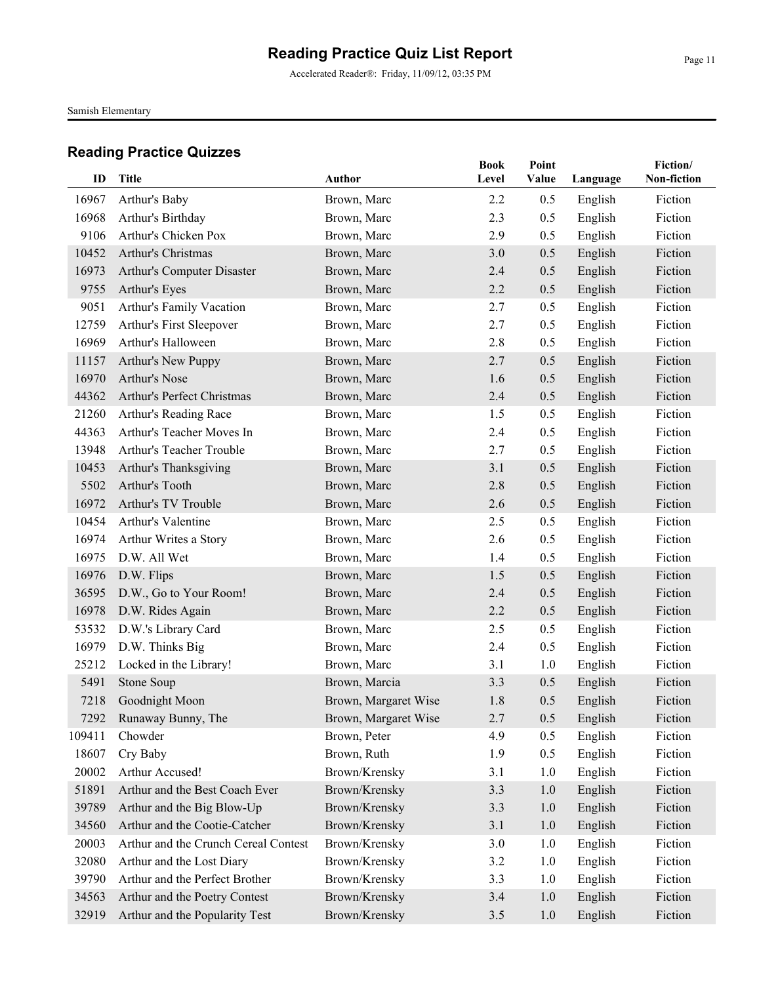Accelerated Reader®: Friday, 11/09/12, 03:35 PM

Samish Elementary

| ID     | <b>Title</b>                         | Author               | <b>Book</b> | Point |          | Fiction/<br>Non-fiction |
|--------|--------------------------------------|----------------------|-------------|-------|----------|-------------------------|
|        |                                      |                      | Level       | Value | Language |                         |
| 16967  | Arthur's Baby                        | Brown, Marc          | 2.2         | 0.5   | English  | Fiction                 |
| 16968  | Arthur's Birthday                    | Brown, Marc          | 2.3         | 0.5   | English  | Fiction                 |
| 9106   | Arthur's Chicken Pox                 | Brown, Marc          | 2.9         | 0.5   | English  | Fiction                 |
| 10452  | Arthur's Christmas                   | Brown, Marc          | 3.0         | 0.5   | English  | Fiction                 |
| 16973  | Arthur's Computer Disaster           | Brown, Marc          | 2.4         | 0.5   | English  | Fiction                 |
| 9755   | Arthur's Eyes                        | Brown, Marc          | 2.2         | 0.5   | English  | Fiction                 |
| 9051   | Arthur's Family Vacation             | Brown, Marc          | 2.7         | 0.5   | English  | Fiction                 |
| 12759  | Arthur's First Sleepover             | Brown, Marc          | 2.7         | 0.5   | English  | Fiction                 |
| 16969  | Arthur's Halloween                   | Brown, Marc          | 2.8         | 0.5   | English  | Fiction                 |
| 11157  | Arthur's New Puppy                   | Brown, Marc          | 2.7         | 0.5   | English  | Fiction                 |
| 16970  | Arthur's Nose                        | Brown, Marc          | 1.6         | 0.5   | English  | Fiction                 |
| 44362  | Arthur's Perfect Christmas           | Brown, Marc          | 2.4         | 0.5   | English  | Fiction                 |
| 21260  | Arthur's Reading Race                | Brown, Marc          | 1.5         | 0.5   | English  | Fiction                 |
| 44363  | Arthur's Teacher Moves In            | Brown, Marc          | 2.4         | 0.5   | English  | Fiction                 |
| 13948  | Arthur's Teacher Trouble             | Brown, Marc          | 2.7         | 0.5   | English  | Fiction                 |
| 10453  | Arthur's Thanksgiving                | Brown, Marc          | 3.1         | 0.5   | English  | Fiction                 |
| 5502   | Arthur's Tooth                       | Brown, Marc          | 2.8         | 0.5   | English  | Fiction                 |
| 16972  | Arthur's TV Trouble                  | Brown, Marc          | 2.6         | 0.5   | English  | Fiction                 |
| 10454  | Arthur's Valentine                   | Brown, Marc          | 2.5         | 0.5   | English  | Fiction                 |
| 16974  | Arthur Writes a Story                | Brown, Marc          | 2.6         | 0.5   | English  | Fiction                 |
| 16975  | D.W. All Wet                         | Brown, Marc          | 1.4         | 0.5   | English  | Fiction                 |
| 16976  | D.W. Flips                           | Brown, Marc          | 1.5         | 0.5   | English  | Fiction                 |
| 36595  | D.W., Go to Your Room!               | Brown, Marc          | 2.4         | 0.5   | English  | Fiction                 |
| 16978  | D.W. Rides Again                     | Brown, Marc          | 2.2         | 0.5   | English  | Fiction                 |
| 53532  | D.W.'s Library Card                  | Brown, Marc          | 2.5         | 0.5   | English  | Fiction                 |
| 16979  | D.W. Thinks Big                      | Brown, Marc          | 2.4         | 0.5   | English  | Fiction                 |
| 25212  | Locked in the Library!               | Brown, Marc          | 3.1         | 1.0   | English  | Fiction                 |
| 5491   | Stone Soup                           | Brown, Marcia        | 3.3         | 0.5   | English  | Fiction                 |
| 7218   | Goodnight Moon                       | Brown, Margaret Wise | 1.8         | 0.5   | English  | Fiction                 |
|        | 7292 Runaway Bunny, The              | Brown, Margaret Wise | 2.7         | 0.5   | English  | Fiction                 |
| 109411 | Chowder                              | Brown, Peter         | 4.9         | 0.5   | English  | Fiction                 |
| 18607  | Cry Baby                             | Brown, Ruth          | 1.9         | 0.5   | English  | Fiction                 |
| 20002  | Arthur Accused!                      | Brown/Krensky        | 3.1         | 1.0   | English  | Fiction                 |
| 51891  | Arthur and the Best Coach Ever       | Brown/Krensky        | 3.3         | 1.0   | English  | Fiction                 |
| 39789  | Arthur and the Big Blow-Up           | Brown/Krensky        | 3.3         | $1.0$ | English  | Fiction                 |
| 34560  | Arthur and the Cootie-Catcher        | Brown/Krensky        | 3.1         | $1.0$ | English  | Fiction                 |
| 20003  | Arthur and the Crunch Cereal Contest | Brown/Krensky        | 3.0         | 1.0   | English  | Fiction                 |
| 32080  | Arthur and the Lost Diary            | Brown/Krensky        | 3.2         | 1.0   | English  | Fiction                 |
| 39790  | Arthur and the Perfect Brother       | Brown/Krensky        | 3.3         | 1.0   | English  | Fiction                 |
| 34563  | Arthur and the Poetry Contest        | Brown/Krensky        | 3.4         | 1.0   | English  | Fiction                 |
| 32919  | Arthur and the Popularity Test       | Brown/Krensky        | 3.5         | 1.0   | English  | Fiction                 |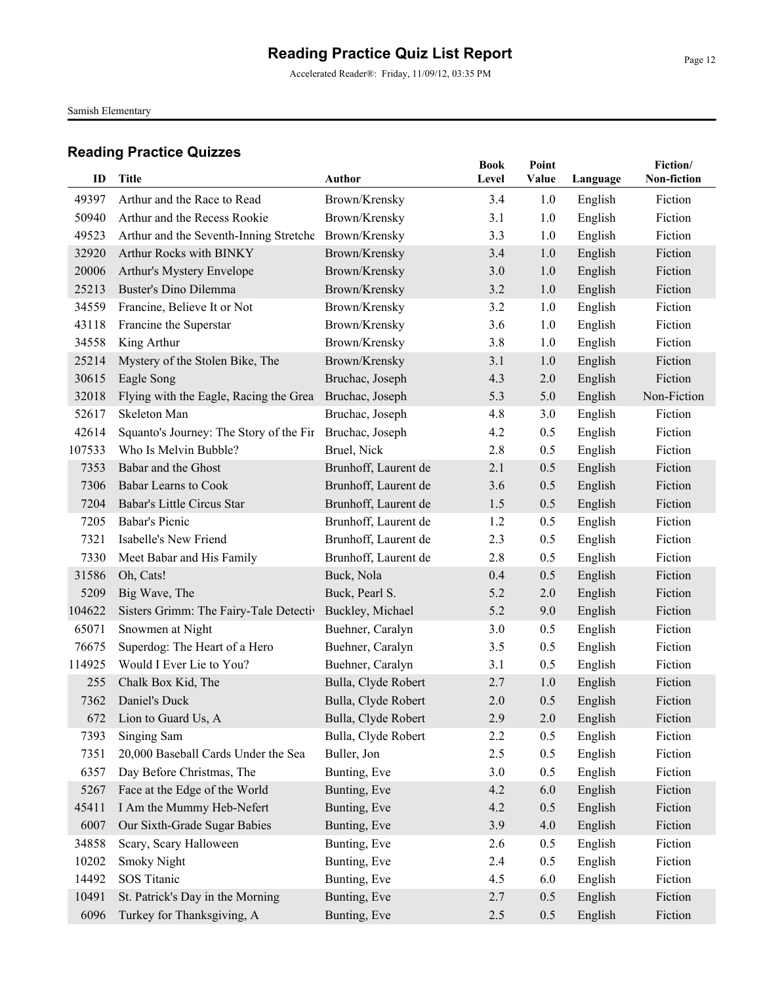Accelerated Reader®: Friday, 11/09/12, 03:35 PM

Samish Elementary

| ID     | Title                                   | Author               | <b>Book</b><br>Level | Point<br>Value |          | Fiction/<br>Non-fiction |
|--------|-----------------------------------------|----------------------|----------------------|----------------|----------|-------------------------|
|        |                                         |                      |                      |                | Language |                         |
| 49397  | Arthur and the Race to Read             | Brown/Krensky        | 3.4                  | 1.0            | English  | Fiction                 |
| 50940  | Arthur and the Recess Rookie            | Brown/Krensky        | 3.1                  | 1.0            | English  | Fiction                 |
| 49523  | Arthur and the Seventh-Inning Stretche  | Brown/Krensky        | 3.3                  | 1.0            | English  | Fiction                 |
| 32920  | Arthur Rocks with BINKY                 | Brown/Krensky        | 3.4                  | 1.0            | English  | Fiction                 |
| 20006  | Arthur's Mystery Envelope               | Brown/Krensky        | 3.0                  | 1.0            | English  | Fiction                 |
| 25213  | Buster's Dino Dilemma                   | Brown/Krensky        | 3.2                  | 1.0            | English  | Fiction                 |
| 34559  | Francine, Believe It or Not             | Brown/Krensky        | 3.2                  | 1.0            | English  | Fiction                 |
| 43118  | Francine the Superstar                  | Brown/Krensky        | 3.6                  | 1.0            | English  | Fiction                 |
| 34558  | King Arthur                             | Brown/Krensky        | 3.8                  | 1.0            | English  | Fiction                 |
| 25214  | Mystery of the Stolen Bike, The         | Brown/Krensky        | 3.1                  | 1.0            | English  | Fiction                 |
| 30615  | Eagle Song                              | Bruchac, Joseph      | 4.3                  | 2.0            | English  | Fiction                 |
| 32018  | Flying with the Eagle, Racing the Grea  | Bruchac, Joseph      | 5.3                  | 5.0            | English  | Non-Fiction             |
| 52617  | Skeleton Man                            | Bruchac, Joseph      | 4.8                  | 3.0            | English  | Fiction                 |
| 42614  | Squanto's Journey: The Story of the Fir | Bruchac, Joseph      | 4.2                  | 0.5            | English  | Fiction                 |
| 107533 | Who Is Melvin Bubble?                   | Bruel, Nick          | 2.8                  | 0.5            | English  | Fiction                 |
| 7353   | Babar and the Ghost                     | Brunhoff, Laurent de | 2.1                  | 0.5            | English  | Fiction                 |
| 7306   | <b>Babar Learns to Cook</b>             | Brunhoff, Laurent de | 3.6                  | 0.5            | English  | Fiction                 |
| 7204   | Babar's Little Circus Star              | Brunhoff, Laurent de | 1.5                  | 0.5            | English  | Fiction                 |
| 7205   | <b>Babar's Picnic</b>                   | Brunhoff, Laurent de | 1.2                  | 0.5            | English  | Fiction                 |
| 7321   | Isabelle's New Friend                   | Brunhoff, Laurent de | 2.3                  | 0.5            | English  | Fiction                 |
| 7330   | Meet Babar and His Family               | Brunhoff, Laurent de | 2.8                  | 0.5            | English  | Fiction                 |
| 31586  | Oh, Cats!                               | Buck, Nola           | 0.4                  | 0.5            | English  | Fiction                 |
| 5209   | Big Wave, The                           | Buck, Pearl S.       | 5.2                  | 2.0            | English  | Fiction                 |
| 104622 | Sisters Grimm: The Fairy-Tale Detectiv  | Buckley, Michael     | 5.2                  | 9.0            | English  | Fiction                 |
| 65071  | Snowmen at Night                        | Buehner, Caralyn     | 3.0                  | 0.5            | English  | Fiction                 |
| 76675  | Superdog: The Heart of a Hero           | Buehner, Caralyn     | 3.5                  | 0.5            | English  | Fiction                 |
| 114925 | Would I Ever Lie to You?                | Buehner, Caralyn     | 3.1                  | 0.5            | English  | Fiction                 |
| 255    | Chalk Box Kid, The                      | Bulla, Clyde Robert  | 2.7                  | 1.0            | English  | Fiction                 |
| 7362   | Daniel's Duck                           | Bulla, Clyde Robert  | 2.0                  | 0.5            | English  | Fiction                 |
| 672    | Lion to Guard Us, A                     | Bulla, Clyde Robert  | 2.9                  | 2.0            | English  | Fiction                 |
| 7393   | Singing Sam                             | Bulla, Clyde Robert  | 2.2                  | 0.5            | English  | Fiction                 |
| 7351   | 20,000 Baseball Cards Under the Sea     | Buller, Jon          | 2.5                  | 0.5            | English  | Fiction                 |
| 6357   | Day Before Christmas, The               | Bunting, Eve         | 3.0                  | 0.5            | English  | Fiction                 |
| 5267   | Face at the Edge of the World           | Bunting, Eve         | 4.2                  | 6.0            | English  | Fiction                 |
| 45411  | I Am the Mummy Heb-Nefert               | Bunting, Eve         | 4.2                  | 0.5            | English  | Fiction                 |
| 6007   | Our Sixth-Grade Sugar Babies            | Bunting, Eve         | 3.9                  | 4.0            | English  | Fiction                 |
| 34858  | Scary, Scary Halloween                  | Bunting, Eve         | 2.6                  | 0.5            | English  | Fiction                 |
| 10202  | <b>Smoky Night</b>                      | Bunting, Eve         | 2.4                  | 0.5            | English  | Fiction                 |
| 14492  | <b>SOS</b> Titanic                      | Bunting, Eve         | 4.5                  | 6.0            | English  | Fiction                 |
| 10491  | St. Patrick's Day in the Morning        | Bunting, Eve         | 2.7                  | 0.5            | English  | Fiction                 |
| 6096   | Turkey for Thanksgiving, A              | Bunting, Eve         | 2.5                  | 0.5            | English  | Fiction                 |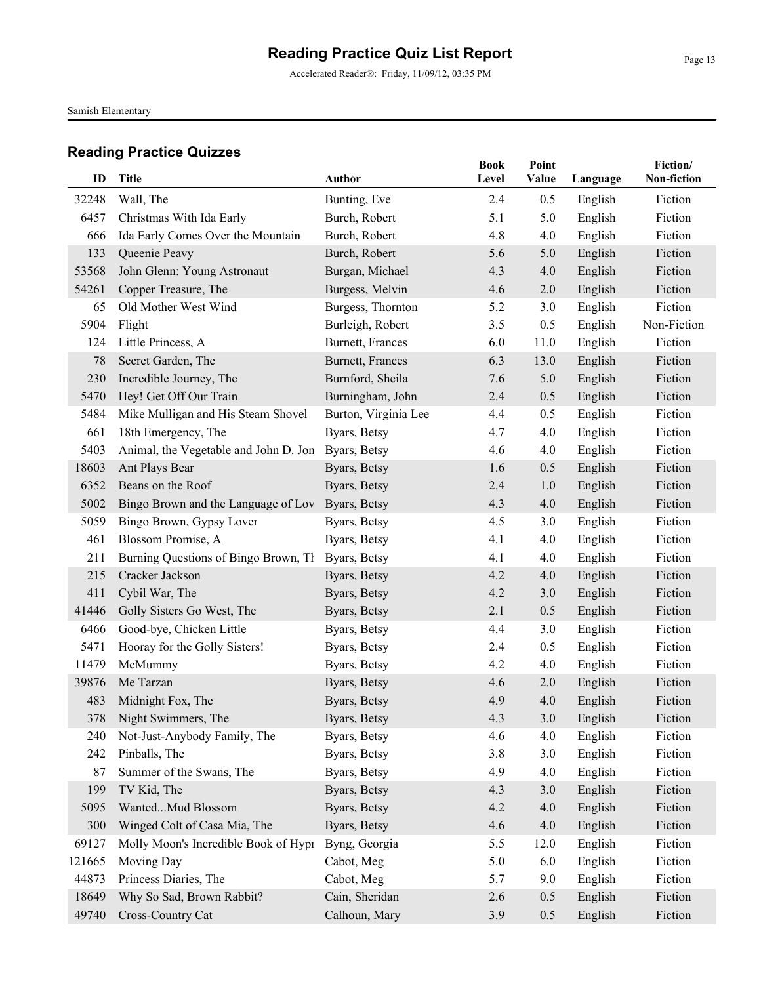Accelerated Reader®: Friday, 11/09/12, 03:35 PM

Samish Elementary

| ID     | Title                                                           | Author                       | <b>Book</b><br>Level | Point<br>Value | Language           | Fiction/<br>Non-fiction |
|--------|-----------------------------------------------------------------|------------------------------|----------------------|----------------|--------------------|-------------------------|
| 32248  | Wall, The                                                       | Bunting, Eve                 | 2.4                  | 0.5            | English            | Fiction                 |
| 6457   | Christmas With Ida Early                                        | Burch, Robert                | 5.1                  | 5.0            | English            | Fiction                 |
| 666    | Ida Early Comes Over the Mountain                               | Burch, Robert                | 4.8                  | 4.0            | English            | Fiction                 |
| 133    | Queenie Peavy                                                   | Burch, Robert                | 5.6                  | 5.0            | English            | Fiction                 |
| 53568  | John Glenn: Young Astronaut                                     | Burgan, Michael              | 4.3                  | 4.0            | English            | Fiction                 |
| 54261  | Copper Treasure, The                                            | Burgess, Melvin              | 4.6                  | 2.0            | English            | Fiction                 |
| 65     | Old Mother West Wind                                            | Burgess, Thornton            | 5.2                  | 3.0            | English            | Fiction                 |
| 5904   | Flight                                                          | Burleigh, Robert             | 3.5                  | 0.5            | English            | Non-Fiction             |
| 124    | Little Princess, A                                              | Burnett, Frances             | 6.0                  | 11.0           | English            | Fiction                 |
| 78     | Secret Garden, The                                              | Burnett, Frances             | 6.3                  | 13.0           | English            | Fiction                 |
| 230    | Incredible Journey, The                                         | Burnford, Sheila             | 7.6                  | 5.0            | English            | Fiction                 |
| 5470   | Hey! Get Off Our Train                                          | Burningham, John             | 2.4                  | 0.5            | English            | Fiction                 |
| 5484   | Mike Mulligan and His Steam Shovel                              | Burton, Virginia Lee         | 4.4                  | 0.5            | English            | Fiction                 |
| 661    | 18th Emergency, The                                             | Byars, Betsy                 | 4.7                  | 4.0            | English            | Fiction                 |
| 5403   | Animal, the Vegetable and John D. Jon Byars, Betsy              |                              | 4.6                  | 4.0            | English            | Fiction                 |
| 18603  | Ant Plays Bear                                                  | Byars, Betsy                 | 1.6                  | 0.5            | English            | Fiction                 |
| 6352   | Beans on the Roof                                               |                              | 2.4                  | 1.0            |                    | Fiction                 |
| 5002   |                                                                 | Byars, Betsy<br>Byars, Betsy | 4.3                  | 4.0            | English<br>English | Fiction                 |
| 5059   | Bingo Brown and the Language of Lov<br>Bingo Brown, Gypsy Lover |                              | 4.5                  | 3.0            | English            | Fiction                 |
| 461    | Blossom Promise, A                                              | Byars, Betsy<br>Byars, Betsy | 4.1                  | 4.0            | English            | Fiction                 |
| 211    | Burning Questions of Bingo Brown, Th                            | Byars, Betsy                 | 4.1                  | 4.0            | English            | Fiction                 |
| 215    | Cracker Jackson                                                 | Byars, Betsy                 | 4.2                  | 4.0            | English            | Fiction                 |
| 411    | Cybil War, The                                                  | Byars, Betsy                 | 4.2                  | 3.0            | English            | Fiction                 |
| 41446  | Golly Sisters Go West, The                                      |                              | 2.1                  | 0.5            |                    | Fiction                 |
| 6466   | Good-bye, Chicken Little                                        | Byars, Betsy<br>Byars, Betsy | 4.4                  | 3.0            | English<br>English | Fiction                 |
| 5471   | Hooray for the Golly Sisters!                                   | Byars, Betsy                 | 2.4                  | 0.5            | English            | Fiction                 |
| 11479  | McMummy                                                         | Byars, Betsy                 | 4.2                  | 4.0            | English            | Fiction                 |
| 39876  | Me Tarzan                                                       | Byars, Betsy                 | 4.6                  | 2.0            | English            | Fiction                 |
| 483    | Midnight Fox, The                                               | Byars, Betsy                 | 4.9                  | 4.0            | English            | Fiction                 |
|        | 378 Night Swimmers, The                                         | Byars, Betsy                 | 4.3                  | 3.0            | English            | Fiction                 |
| 240    | Not-Just-Anybody Family, The                                    | Byars, Betsy                 | 4.6                  | 4.0            | English            | Fiction                 |
| 242    | Pinballs, The                                                   | Byars, Betsy                 | 3.8                  | 3.0            | English            | Fiction                 |
| 87     | Summer of the Swans, The                                        | Byars, Betsy                 | 4.9                  | 4.0            | English            | Fiction                 |
| 199    | TV Kid, The                                                     | Byars, Betsy                 | 4.3                  | 3.0            | English            | Fiction                 |
| 5095   | WantedMud Blossom                                               | Byars, Betsy                 | 4.2                  | 4.0            | English            | Fiction                 |
| 300    | Winged Colt of Casa Mia, The                                    | Byars, Betsy                 | 4.6                  | 4.0            | English            | Fiction                 |
| 69127  | Molly Moon's Incredible Book of Hypr                            | Byng, Georgia                | 5.5                  | 12.0           | English            | Fiction                 |
| 121665 | Moving Day                                                      | Cabot, Meg                   | 5.0                  | 6.0            | English            | Fiction                 |
| 44873  | Princess Diaries, The                                           | Cabot, Meg                   | 5.7                  | 9.0            | English            | Fiction                 |
| 18649  | Why So Sad, Brown Rabbit?                                       | Cain, Sheridan               | 2.6                  | 0.5            | English            | Fiction                 |
| 49740  | Cross-Country Cat                                               | Calhoun, Mary                | 3.9                  | 0.5            | English            | Fiction                 |
|        |                                                                 |                              |                      |                |                    |                         |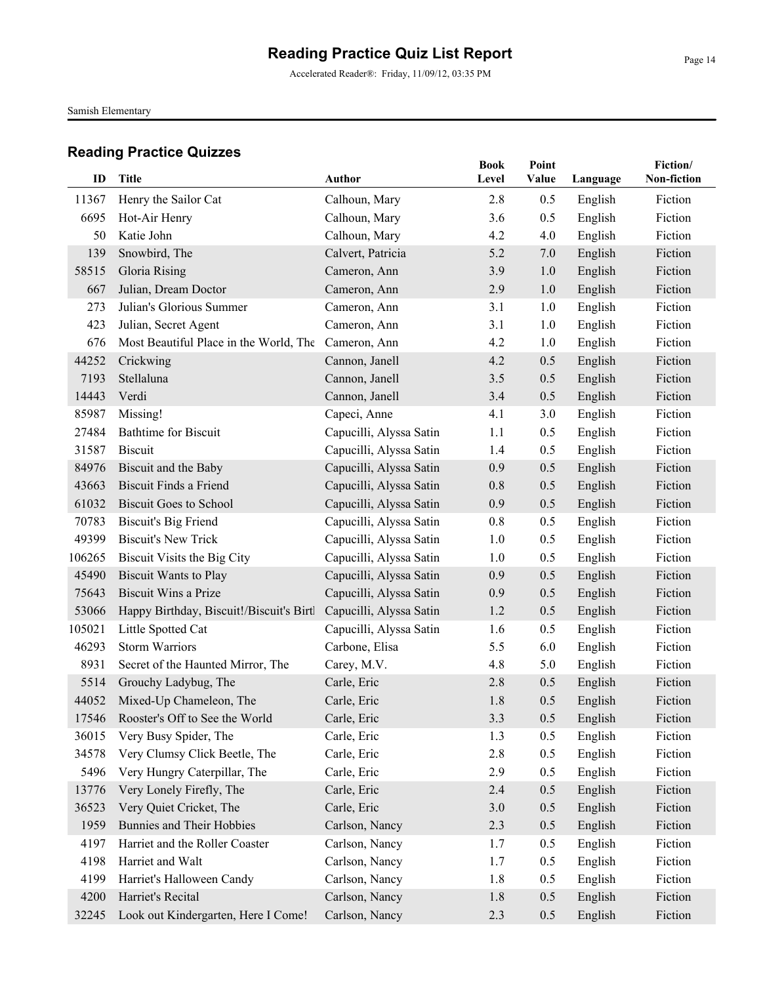Accelerated Reader®: Friday, 11/09/12, 03:35 PM

Samish Elementary

| ID     | <b>Title</b>                             | Author                  | <b>Book</b><br>Level | Point<br>Value |          | Fiction/<br>Non-fiction |
|--------|------------------------------------------|-------------------------|----------------------|----------------|----------|-------------------------|
|        |                                          |                         |                      |                | Language |                         |
| 11367  | Henry the Sailor Cat                     | Calhoun, Mary           | 2.8                  | 0.5            | English  | Fiction                 |
| 6695   | Hot-Air Henry                            | Calhoun, Mary           | 3.6                  | 0.5            | English  | Fiction                 |
| 50     | Katie John                               | Calhoun, Mary           | 4.2                  | 4.0            | English  | Fiction                 |
| 139    | Snowbird, The                            | Calvert, Patricia       | 5.2                  | 7.0            | English  | Fiction                 |
| 58515  | Gloria Rising                            | Cameron, Ann            | 3.9                  | 1.0            | English  | Fiction                 |
| 667    | Julian, Dream Doctor                     | Cameron, Ann            | 2.9                  | 1.0            | English  | Fiction                 |
| 273    | Julian's Glorious Summer                 | Cameron, Ann            | 3.1                  | 1.0            | English  | Fiction                 |
| 423    | Julian, Secret Agent                     | Cameron, Ann            | 3.1                  | 1.0            | English  | Fiction                 |
| 676    | Most Beautiful Place in the World, The   | Cameron, Ann            | 4.2                  | 1.0            | English  | Fiction                 |
| 44252  | Crickwing                                | Cannon, Janell          | 4.2                  | 0.5            | English  | Fiction                 |
| 7193   | Stellaluna                               | Cannon, Janell          | 3.5                  | 0.5            | English  | Fiction                 |
| 14443  | Verdi                                    | Cannon, Janell          | 3.4                  | 0.5            | English  | Fiction                 |
| 85987  | Missing!                                 | Capeci, Anne            | 4.1                  | 3.0            | English  | Fiction                 |
| 27484  | <b>Bathtime for Biscuit</b>              | Capucilli, Alyssa Satin | 1.1                  | 0.5            | English  | Fiction                 |
| 31587  | <b>Biscuit</b>                           | Capucilli, Alyssa Satin | 1.4                  | 0.5            | English  | Fiction                 |
| 84976  | Biscuit and the Baby                     | Capucilli, Alyssa Satin | 0.9                  | 0.5            | English  | Fiction                 |
| 43663  | <b>Biscuit Finds a Friend</b>            | Capucilli, Alyssa Satin | 0.8                  | 0.5            | English  | Fiction                 |
| 61032  | <b>Biscuit Goes to School</b>            | Capucilli, Alyssa Satin | 0.9                  | 0.5            | English  | Fiction                 |
| 70783  | <b>Biscuit's Big Friend</b>              | Capucilli, Alyssa Satin | 0.8                  | 0.5            | English  | Fiction                 |
| 49399  | <b>Biscuit's New Trick</b>               | Capucilli, Alyssa Satin | 1.0                  | 0.5            | English  | Fiction                 |
| 106265 | Biscuit Visits the Big City              | Capucilli, Alyssa Satin | 1.0                  | 0.5            | English  | Fiction                 |
| 45490  | <b>Biscuit Wants to Play</b>             | Capucilli, Alyssa Satin | 0.9                  | 0.5            | English  | Fiction                 |
| 75643  | <b>Biscuit Wins a Prize</b>              | Capucilli, Alyssa Satin | 0.9                  | 0.5            | English  | Fiction                 |
| 53066  | Happy Birthday, Biscuit!/Biscuit's Birtl | Capucilli, Alyssa Satin | 1.2                  | 0.5            | English  | Fiction                 |
| 105021 | Little Spotted Cat                       | Capucilli, Alyssa Satin | 1.6                  | 0.5            | English  | Fiction                 |
| 46293  | <b>Storm Warriors</b>                    | Carbone, Elisa          | 5.5                  | 6.0            | English  | Fiction                 |
| 8931   | Secret of the Haunted Mirror, The        | Carey, M.V.             | 4.8                  | 5.0            | English  | Fiction                 |
| 5514   | Grouchy Ladybug, The                     | Carle, Eric             | 2.8                  | 0.5            | English  | Fiction                 |
| 44052  | Mixed-Up Chameleon, The                  | Carle, Eric             | 1.8                  | 0.5            | English  | Fiction                 |
|        | 17546 Rooster's Off to See the World     | Carle, Eric             | 3.3                  | 0.5            | English  | Fiction                 |
| 36015  | Very Busy Spider, The                    | Carle, Eric             | 1.3                  | 0.5            | English  | Fiction                 |
| 34578  | Very Clumsy Click Beetle, The            | Carle, Eric             | 2.8                  | 0.5            | English  | Fiction                 |
| 5496   | Very Hungry Caterpillar, The             | Carle, Eric             | 2.9                  | 0.5            | English  | Fiction                 |
| 13776  | Very Lonely Firefly, The                 | Carle, Eric             | 2.4                  | 0.5            | English  | Fiction                 |
| 36523  | Very Quiet Cricket, The                  | Carle, Eric             | 3.0                  | 0.5            | English  | Fiction                 |
| 1959   | Bunnies and Their Hobbies                | Carlson, Nancy          | 2.3                  | 0.5            | English  | Fiction                 |
| 4197   | Harriet and the Roller Coaster           | Carlson, Nancy          | 1.7                  | 0.5            | English  | Fiction                 |
| 4198   | Harriet and Walt                         | Carlson, Nancy          | 1.7                  | 0.5            | English  | Fiction                 |
| 4199   | Harriet's Halloween Candy                | Carlson, Nancy          | 1.8                  | 0.5            | English  | Fiction                 |
| 4200   | Harriet's Recital                        | Carlson, Nancy          | 1.8                  | 0.5            | English  | Fiction                 |
| 32245  | Look out Kindergarten, Here I Come!      | Carlson, Nancy          | 2.3                  | 0.5            | English  | Fiction                 |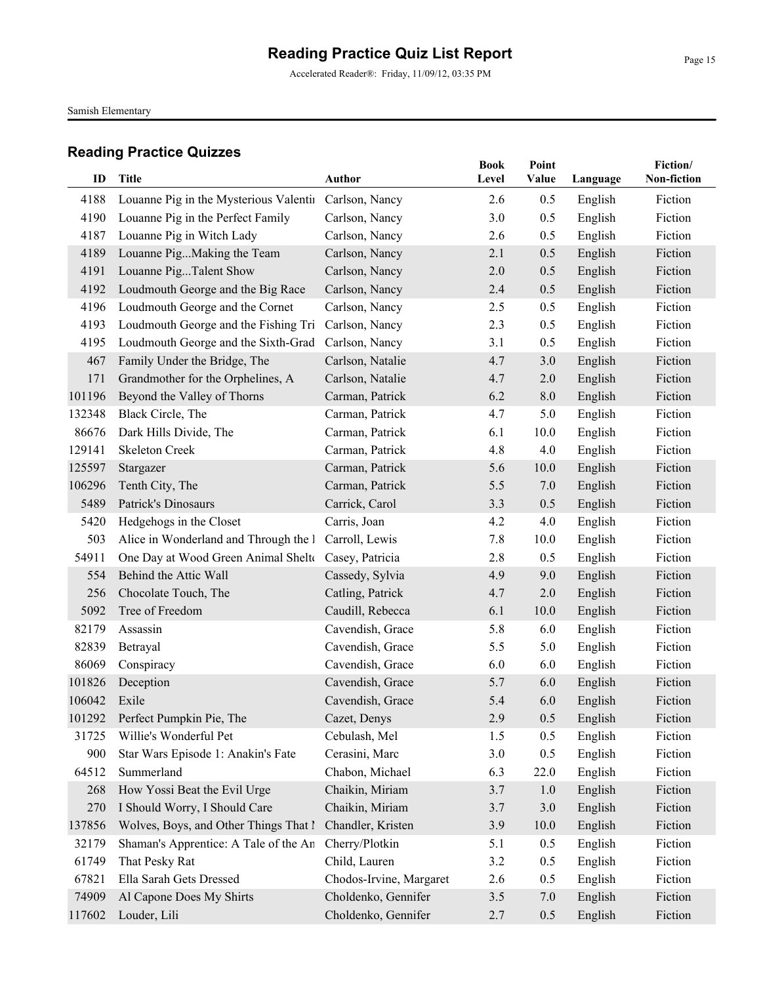Accelerated Reader®: Friday, 11/09/12, 03:35 PM

Samish Elementary

|        |                                                      |                         | <b>Book</b> | Point |          | Fiction/    |
|--------|------------------------------------------------------|-------------------------|-------------|-------|----------|-------------|
| ID     | Title                                                | <b>Author</b>           | Level       | Value | Language | Non-fiction |
| 4188   | Louanne Pig in the Mysterious Valentii               | Carlson, Nancy          | 2.6         | 0.5   | English  | Fiction     |
| 4190   | Louanne Pig in the Perfect Family                    | Carlson, Nancy          | 3.0         | 0.5   | English  | Fiction     |
| 4187   | Louanne Pig in Witch Lady                            | Carlson, Nancy          | 2.6         | 0.5   | English  | Fiction     |
| 4189   | Louanne PigMaking the Team                           | Carlson, Nancy          | 2.1         | 0.5   | English  | Fiction     |
| 4191   | Louanne PigTalent Show                               | Carlson, Nancy          | 2.0         | 0.5   | English  | Fiction     |
| 4192   | Loudmouth George and the Big Race                    | Carlson, Nancy          | 2.4         | 0.5   | English  | Fiction     |
| 4196   | Loudmouth George and the Cornet                      | Carlson, Nancy          | 2.5         | 0.5   | English  | Fiction     |
| 4193   | Loudmouth George and the Fishing Tri                 | Carlson, Nancy          | 2.3         | 0.5   | English  | Fiction     |
| 4195   | Loudmouth George and the Sixth-Grad                  | Carlson, Nancy          | 3.1         | 0.5   | English  | Fiction     |
| 467    | Family Under the Bridge, The                         | Carlson, Natalie        | 4.7         | 3.0   | English  | Fiction     |
| 171    | Grandmother for the Orphelines, A                    | Carlson, Natalie        | 4.7         | 2.0   | English  | Fiction     |
| 101196 | Beyond the Valley of Thorns                          | Carman, Patrick         | 6.2         | 8.0   | English  | Fiction     |
| 132348 | Black Circle, The                                    | Carman, Patrick         | 4.7         | 5.0   | English  | Fiction     |
| 86676  | Dark Hills Divide, The                               | Carman, Patrick         | 6.1         | 10.0  | English  | Fiction     |
| 129141 | <b>Skeleton Creek</b>                                | Carman, Patrick         | 4.8         | 4.0   | English  | Fiction     |
| 125597 | Stargazer                                            | Carman, Patrick         | 5.6         | 10.0  | English  | Fiction     |
| 106296 | Tenth City, The                                      | Carman, Patrick         | 5.5         | 7.0   | English  | Fiction     |
| 5489   | Patrick's Dinosaurs                                  | Carrick, Carol          | 3.3         | 0.5   | English  | Fiction     |
| 5420   | Hedgehogs in the Closet                              | Carris, Joan            | 4.2         | 4.0   | English  | Fiction     |
| 503    | Alice in Wonderland and Through the I Carroll, Lewis |                         | 7.8         | 10.0  | English  | Fiction     |
| 54911  | One Day at Wood Green Animal Shelt Casey, Patricia   |                         | 2.8         | 0.5   | English  | Fiction     |
| 554    | Behind the Attic Wall                                | Cassedy, Sylvia         | 4.9         | 9.0   | English  | Fiction     |
| 256    | Chocolate Touch, The                                 | Catling, Patrick        | 4.7         | 2.0   | English  | Fiction     |
| 5092   | Tree of Freedom                                      | Caudill, Rebecca        | 6.1         | 10.0  | English  | Fiction     |
| 82179  | Assassin                                             | Cavendish, Grace        | 5.8         | 6.0   | English  | Fiction     |
| 82839  | Betrayal                                             | Cavendish, Grace        | 5.5         | 5.0   | English  | Fiction     |
| 86069  | Conspiracy                                           | Cavendish, Grace        | 6.0         | 6.0   | English  | Fiction     |
| 101826 | Deception                                            | Cavendish, Grace        | 5.7         | 6.0   | English  | Fiction     |
| 106042 | Exile                                                | Cavendish, Grace        | 5.4         | 6.0   | English  | Fiction     |
|        | 101292 Perfect Pumpkin Pie, The                      | Cazet, Denys            | 2.9         | 0.5   | English  | Fiction     |
| 31725  | Willie's Wonderful Pet                               | Cebulash, Mel           | 1.5         | 0.5   | English  | Fiction     |
| 900    | Star Wars Episode 1: Anakin's Fate                   | Cerasini, Marc          | 3.0         | 0.5   | English  | Fiction     |
| 64512  | Summerland                                           | Chabon, Michael         | 6.3         | 22.0  | English  | Fiction     |
| 268    | How Yossi Beat the Evil Urge                         | Chaikin, Miriam         | 3.7         | 1.0   | English  | Fiction     |
| 270    | I Should Worry, I Should Care                        | Chaikin, Miriam         | 3.7         | 3.0   | English  | Fiction     |
| 137856 | Wolves, Boys, and Other Things That I                | Chandler, Kristen       | 3.9         | 10.0  | English  | Fiction     |
| 32179  | Shaman's Apprentice: A Tale of the An                | Cherry/Plotkin          | 5.1         | 0.5   | English  | Fiction     |
| 61749  | That Pesky Rat                                       | Child, Lauren           | 3.2         | 0.5   | English  | Fiction     |
| 67821  | Ella Sarah Gets Dressed                              | Chodos-Irvine, Margaret | 2.6         | 0.5   | English  | Fiction     |
| 74909  | Al Capone Does My Shirts                             | Choldenko, Gennifer     | 3.5         | 7.0   | English  | Fiction     |
| 117602 | Louder, Lili                                         | Choldenko, Gennifer     | 2.7         | 0.5   | English  | Fiction     |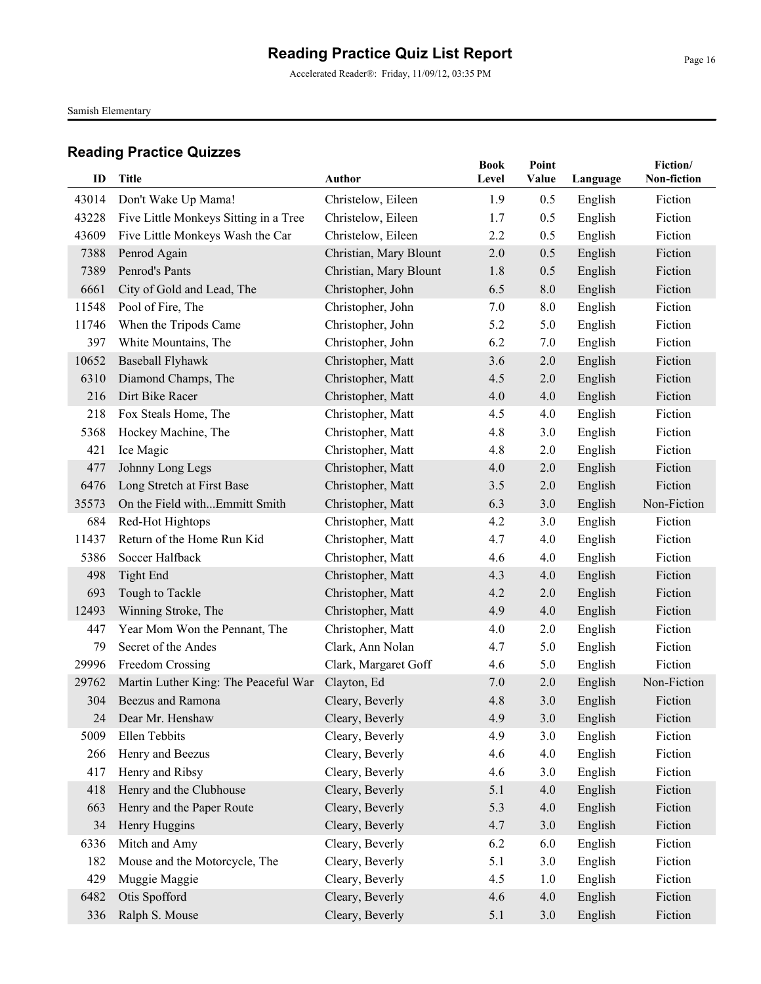Accelerated Reader®: Friday, 11/09/12, 03:35 PM

Samish Elementary

| ID    | Title                                 | Author                 | <b>Book</b><br>Level | Point<br>Value | Language | Fiction/<br>Non-fiction |
|-------|---------------------------------------|------------------------|----------------------|----------------|----------|-------------------------|
| 43014 | Don't Wake Up Mama!                   | Christelow, Eileen     | 1.9                  | 0.5            | English  | Fiction                 |
| 43228 | Five Little Monkeys Sitting in a Tree | Christelow, Eileen     | 1.7                  | 0.5            | English  | Fiction                 |
| 43609 | Five Little Monkeys Wash the Car      | Christelow, Eileen     | 2.2                  | 0.5            | English  | Fiction                 |
| 7388  | Penrod Again                          | Christian, Mary Blount | 2.0                  | 0.5            | English  | Fiction                 |
| 7389  | Penrod's Pants                        | Christian, Mary Blount | 1.8                  | 0.5            | English  | Fiction                 |
| 6661  | City of Gold and Lead, The            | Christopher, John      | 6.5                  | 8.0            | English  | Fiction                 |
| 11548 | Pool of Fire, The                     | Christopher, John      | 7.0                  | 8.0            | English  | Fiction                 |
| 11746 | When the Tripods Came                 | Christopher, John      | 5.2                  | 5.0            | English  | Fiction                 |
| 397   | White Mountains, The                  | Christopher, John      | 6.2                  | 7.0            | English  | Fiction                 |
| 10652 | <b>Baseball Flyhawk</b>               | Christopher, Matt      | 3.6                  | 2.0            | English  | Fiction                 |
| 6310  | Diamond Champs, The                   | Christopher, Matt      | 4.5                  | 2.0            | English  | Fiction                 |
| 216   | Dirt Bike Racer                       | Christopher, Matt      | 4.0                  | 4.0            | English  | Fiction                 |
| 218   | Fox Steals Home, The                  | Christopher, Matt      | 4.5                  | 4.0            | English  | Fiction                 |
| 5368  | Hockey Machine, The                   | Christopher, Matt      | 4.8                  | 3.0            | English  | Fiction                 |
| 421   | Ice Magic                             | Christopher, Matt      | 4.8                  | 2.0            | English  | Fiction                 |
| 477   | Johnny Long Legs                      | Christopher, Matt      | 4.0                  | 2.0            | English  | Fiction                 |
| 6476  | Long Stretch at First Base            | Christopher, Matt      | 3.5                  | 2.0            | English  | Fiction                 |
| 35573 | On the Field withEmmitt Smith         | Christopher, Matt      | 6.3                  | 3.0            | English  | Non-Fiction             |
| 684   | Red-Hot Hightops                      | Christopher, Matt      | 4.2                  | 3.0            | English  | Fiction                 |
| 11437 | Return of the Home Run Kid            | Christopher, Matt      | 4.7                  | 4.0            | English  | Fiction                 |
| 5386  | Soccer Halfback                       | Christopher, Matt      | 4.6                  | 4.0            | English  | Fiction                 |
| 498   | <b>Tight End</b>                      | Christopher, Matt      | 4.3                  | 4.0            | English  | Fiction                 |
| 693   | Tough to Tackle                       | Christopher, Matt      | 4.2                  | 2.0            | English  | Fiction                 |
| 12493 | Winning Stroke, The                   | Christopher, Matt      | 4.9                  | 4.0            | English  | Fiction                 |
| 447   | Year Mom Won the Pennant, The         | Christopher, Matt      | 4.0                  | 2.0            | English  | Fiction                 |
| 79    | Secret of the Andes                   | Clark, Ann Nolan       | 4.7                  | 5.0            | English  | Fiction                 |
| 29996 | Freedom Crossing                      | Clark, Margaret Goff   | 4.6                  | 5.0            | English  | Fiction                 |
| 29762 | Martin Luther King: The Peaceful War  | Clayton, Ed            | 7.0                  | 2.0            | English  | Non-Fiction             |
| 304   | <b>Beezus and Ramona</b>              | Cleary, Beverly        | 4.8                  | 3.0            | English  | Fiction                 |
| 24    | Dear Mr. Henshaw                      | Cleary, Beverly        | 4.9                  | 3.0            | English  | Fiction                 |
| 5009  | Ellen Tebbits                         | Cleary, Beverly        | 4.9                  | 3.0            | English  | Fiction                 |
| 266   | Henry and Beezus                      | Cleary, Beverly        | 4.6                  | 4.0            | English  | Fiction                 |
| 417   | Henry and Ribsy                       | Cleary, Beverly        | 4.6                  | 3.0            | English  | Fiction                 |
| 418   | Henry and the Clubhouse               | Cleary, Beverly        | 5.1                  | 4.0            | English  | Fiction                 |
| 663   | Henry and the Paper Route             | Cleary, Beverly        | 5.3                  | 4.0            | English  | Fiction                 |
| 34    | Henry Huggins                         | Cleary, Beverly        | 4.7                  | 3.0            | English  | Fiction                 |
| 6336  | Mitch and Amy                         | Cleary, Beverly        | 6.2                  | 6.0            | English  | Fiction                 |
| 182   | Mouse and the Motorcycle, The         | Cleary, Beverly        | 5.1                  | 3.0            | English  | Fiction                 |
| 429   | Muggie Maggie                         | Cleary, Beverly        | 4.5                  | 1.0            | English  | Fiction                 |
| 6482  | Otis Spofford                         | Cleary, Beverly        | 4.6                  | 4.0            | English  | Fiction                 |
| 336   | Ralph S. Mouse                        | Cleary, Beverly        | 5.1                  | 3.0            | English  | Fiction                 |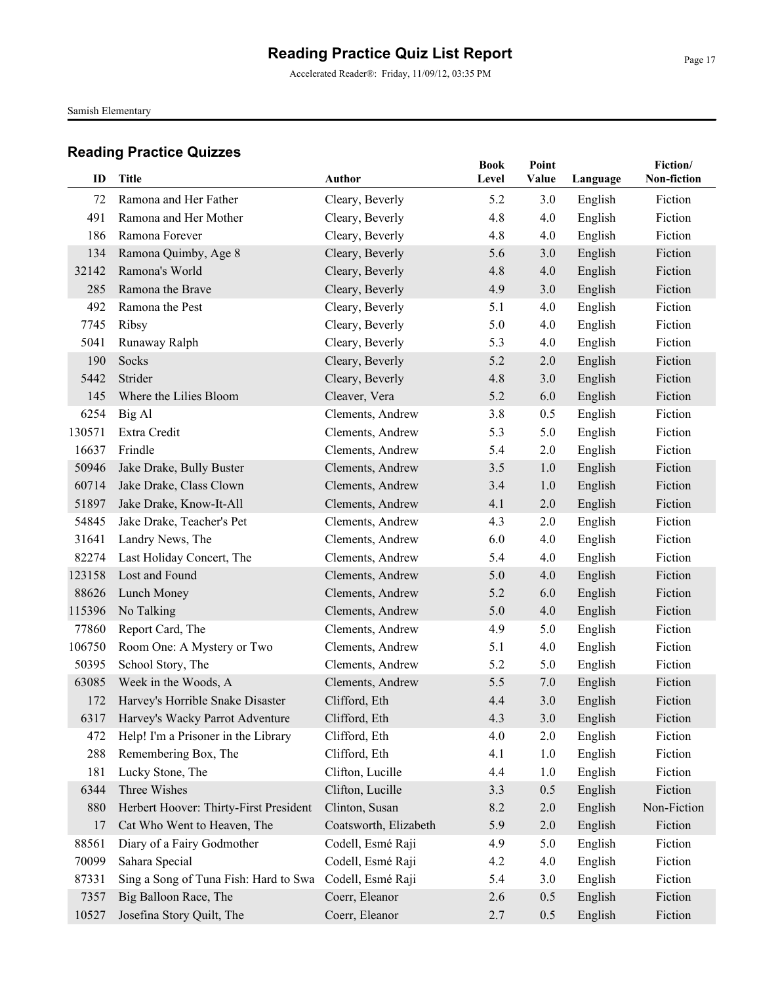Accelerated Reader®: Friday, 11/09/12, 03:35 PM

Samish Elementary

| ID     | <b>Title</b>                           | <b>Author</b>         | <b>Book</b> | Point |          | Fiction/<br>Non-fiction |
|--------|----------------------------------------|-----------------------|-------------|-------|----------|-------------------------|
|        |                                        |                       | Level       | Value | Language |                         |
| 72     | Ramona and Her Father                  | Cleary, Beverly       | 5.2         | 3.0   | English  | Fiction                 |
| 491    | Ramona and Her Mother                  | Cleary, Beverly       | 4.8         | 4.0   | English  | Fiction                 |
| 186    | Ramona Forever                         | Cleary, Beverly       | 4.8         | 4.0   | English  | Fiction                 |
| 134    | Ramona Quimby, Age 8                   | Cleary, Beverly       | 5.6         | 3.0   | English  | Fiction                 |
| 32142  | Ramona's World                         | Cleary, Beverly       | 4.8         | 4.0   | English  | Fiction                 |
| 285    | Ramona the Brave                       | Cleary, Beverly       | 4.9         | 3.0   | English  | Fiction                 |
| 492    | Ramona the Pest                        | Cleary, Beverly       | 5.1         | 4.0   | English  | Fiction                 |
| 7745   | Ribsy                                  | Cleary, Beverly       | 5.0         | 4.0   | English  | Fiction                 |
| 5041   | Runaway Ralph                          | Cleary, Beverly       | 5.3         | 4.0   | English  | Fiction                 |
| 190    | Socks                                  | Cleary, Beverly       | 5.2         | 2.0   | English  | Fiction                 |
| 5442   | Strider                                | Cleary, Beverly       | 4.8         | 3.0   | English  | Fiction                 |
| 145    | Where the Lilies Bloom                 | Cleaver, Vera         | 5.2         | 6.0   | English  | Fiction                 |
| 6254   | Big Al                                 | Clements, Andrew      | 3.8         | 0.5   | English  | Fiction                 |
| 130571 | Extra Credit                           | Clements, Andrew      | 5.3         | 5.0   | English  | Fiction                 |
| 16637  | Frindle                                | Clements, Andrew      | 5.4         | 2.0   | English  | Fiction                 |
| 50946  | Jake Drake, Bully Buster               | Clements, Andrew      | 3.5         | 1.0   | English  | Fiction                 |
| 60714  | Jake Drake, Class Clown                | Clements, Andrew      | 3.4         | 1.0   | English  | Fiction                 |
| 51897  | Jake Drake, Know-It-All                | Clements, Andrew      | 4.1         | 2.0   | English  | Fiction                 |
| 54845  | Jake Drake, Teacher's Pet              | Clements, Andrew      | 4.3         | 2.0   | English  | Fiction                 |
| 31641  | Landry News, The                       | Clements, Andrew      | 6.0         | 4.0   | English  | Fiction                 |
| 82274  | Last Holiday Concert, The              | Clements, Andrew      | 5.4         | 4.0   | English  | Fiction                 |
| 123158 | Lost and Found                         | Clements, Andrew      | 5.0         | 4.0   | English  | Fiction                 |
| 88626  | Lunch Money                            | Clements, Andrew      | 5.2         | 6.0   | English  | Fiction                 |
| 115396 | No Talking                             | Clements, Andrew      | 5.0         | 4.0   | English  | Fiction                 |
| 77860  | Report Card, The                       | Clements, Andrew      | 4.9         | 5.0   | English  | Fiction                 |
| 106750 | Room One: A Mystery or Two             | Clements, Andrew      | 5.1         | 4.0   | English  | Fiction                 |
| 50395  | School Story, The                      | Clements, Andrew      | 5.2         | 5.0   | English  | Fiction                 |
| 63085  | Week in the Woods, A                   | Clements, Andrew      | 5.5         | 7.0   | English  | Fiction                 |
| 172    | Harvey's Horrible Snake Disaster       | Clifford, Eth         | 4.4         | 3.0   | English  | Fiction                 |
|        | 6317 Harvey's Wacky Parrot Adventure   | Clifford, Eth         | 4.3         | 3.0   | English  | Fiction                 |
| 472    | Help! I'm a Prisoner in the Library    | Clifford, Eth         | 4.0         | 2.0   | English  | Fiction                 |
| 288    | Remembering Box, The                   | Clifford, Eth         | 4.1         | 1.0   | English  | Fiction                 |
| 181    | Lucky Stone, The                       | Clifton, Lucille      | 4.4         | 1.0   | English  | Fiction                 |
| 6344   | Three Wishes                           | Clifton, Lucille      | 3.3         | 0.5   | English  | Fiction                 |
| 880    | Herbert Hoover: Thirty-First President | Clinton, Susan        | 8.2         | $2.0$ | English  | Non-Fiction             |
| 17     | Cat Who Went to Heaven, The            | Coatsworth, Elizabeth | 5.9         | $2.0$ | English  | Fiction                 |
| 88561  | Diary of a Fairy Godmother             | Codell, Esmé Raji     | 4.9         | 5.0   | English  | Fiction                 |
| 70099  | Sahara Special                         | Codell, Esmé Raji     | 4.2         | 4.0   | English  | Fiction                 |
| 87331  | Sing a Song of Tuna Fish: Hard to Swa  | Codell, Esmé Raji     | 5.4         | 3.0   | English  | Fiction                 |
| 7357   | Big Balloon Race, The                  | Coerr, Eleanor        | 2.6         | 0.5   | English  | Fiction                 |
| 10527  | Josefina Story Quilt, The              | Coerr, Eleanor        | 2.7         | 0.5   | English  | Fiction                 |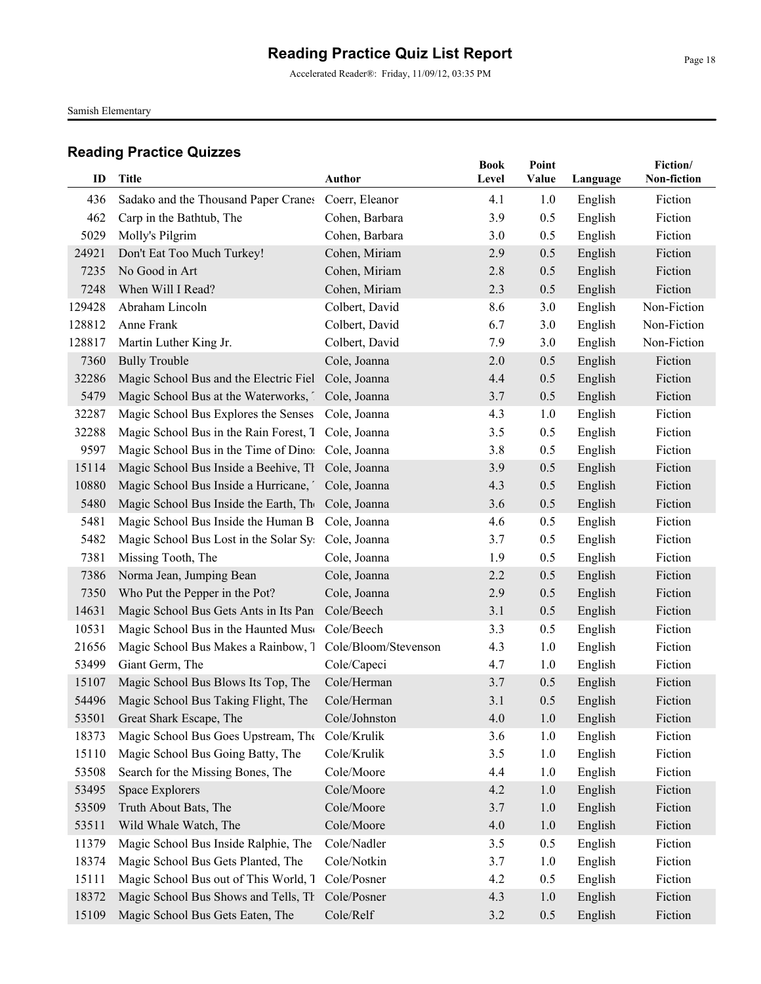Accelerated Reader®: Friday, 11/09/12, 03:35 PM

Samish Elementary

| ID     | <b>Title</b>                           | <b>Author</b>        | <b>Book</b><br>Level | Point<br>Value | Language | Fiction/<br>Non-fiction |
|--------|----------------------------------------|----------------------|----------------------|----------------|----------|-------------------------|
|        |                                        |                      |                      |                |          |                         |
| 436    | Sadako and the Thousand Paper Cranes   | Coerr, Eleanor       | 4.1                  | 1.0            | English  | Fiction                 |
| 462    | Carp in the Bathtub, The               | Cohen, Barbara       | 3.9                  | 0.5            | English  | Fiction                 |
| 5029   | Molly's Pilgrim                        | Cohen, Barbara       | 3.0                  | 0.5            | English  | Fiction                 |
| 24921  | Don't Eat Too Much Turkey!             | Cohen, Miriam        | 2.9                  | 0.5            | English  | Fiction                 |
| 7235   | No Good in Art                         | Cohen, Miriam        | 2.8                  | 0.5            | English  | Fiction                 |
| 7248   | When Will I Read?                      | Cohen, Miriam        | 2.3                  | 0.5            | English  | Fiction                 |
| 129428 | Abraham Lincoln                        | Colbert, David       | 8.6                  | 3.0            | English  | Non-Fiction             |
| 128812 | Anne Frank                             | Colbert, David       | 6.7                  | 3.0            | English  | Non-Fiction             |
| 128817 | Martin Luther King Jr.                 | Colbert, David       | 7.9                  | 3.0            | English  | Non-Fiction             |
| 7360   | <b>Bully Trouble</b>                   | Cole, Joanna         | 2.0                  | 0.5            | English  | Fiction                 |
| 32286  | Magic School Bus and the Electric Fiel | Cole, Joanna         | 4.4                  | 0.5            | English  | Fiction                 |
| 5479   | Magic School Bus at the Waterworks,    | Cole, Joanna         | 3.7                  | 0.5            | English  | Fiction                 |
| 32287  | Magic School Bus Explores the Senses   | Cole, Joanna         | 4.3                  | 1.0            | English  | Fiction                 |
| 32288  | Magic School Bus in the Rain Forest, T | Cole, Joanna         | 3.5                  | 0.5            | English  | Fiction                 |
| 9597   | Magic School Bus in the Time of Dinos  | Cole, Joanna         | 3.8                  | 0.5            | English  | Fiction                 |
| 15114  | Magic School Bus Inside a Beehive, Th  | Cole, Joanna         | 3.9                  | 0.5            | English  | Fiction                 |
| 10880  | Magic School Bus Inside a Hurricane,   | Cole, Joanna         | 4.3                  | 0.5            | English  | Fiction                 |
| 5480   | Magic School Bus Inside the Earth, The | Cole, Joanna         | 3.6                  | 0.5            | English  | Fiction                 |
| 5481   | Magic School Bus Inside the Human B    | Cole, Joanna         | 4.6                  | 0.5            | English  | Fiction                 |
| 5482   | Magic School Bus Lost in the Solar Sy  | Cole, Joanna         | 3.7                  | 0.5            | English  | Fiction                 |
| 7381   | Missing Tooth, The                     | Cole, Joanna         | 1.9                  | 0.5            | English  | Fiction                 |
| 7386   | Norma Jean, Jumping Bean               | Cole, Joanna         | 2.2                  | 0.5            | English  | Fiction                 |
| 7350   | Who Put the Pepper in the Pot?         | Cole, Joanna         | 2.9                  | 0.5            | English  | Fiction                 |
| 14631  | Magic School Bus Gets Ants in Its Pan  | Cole/Beech           | 3.1                  | 0.5            | English  | Fiction                 |
| 10531  | Magic School Bus in the Haunted Muse   | Cole/Beech           | 3.3                  | 0.5            | English  | Fiction                 |
| 21656  | Magic School Bus Makes a Rainbow, 7    | Cole/Bloom/Stevenson | 4.3                  | 1.0            | English  | Fiction                 |
| 53499  | Giant Germ, The                        | Cole/Capeci          | 4.7                  | 1.0            | English  | Fiction                 |
| 15107  | Magic School Bus Blows Its Top, The    | Cole/Herman          | 3.7                  | 0.5            | English  | Fiction                 |
| 54496  | Magic School Bus Taking Flight, The    | Cole/Herman          | 3.1                  | 0.5            | English  | Fiction                 |
| 53501  | Great Shark Escape, The                | Cole/Johnston        | 4.0                  | $1.0$          | English  | Fiction                 |
| 18373  | Magic School Bus Goes Upstream, The    | Cole/Krulik          | 3.6                  | 1.0            | English  | Fiction                 |
| 15110  | Magic School Bus Going Batty, The      | Cole/Krulik          | 3.5                  | 1.0            | English  | Fiction                 |
| 53508  | Search for the Missing Bones, The      | Cole/Moore           | 4.4                  | 1.0            | English  | Fiction                 |
| 53495  | Space Explorers                        | Cole/Moore           | 4.2                  | 1.0            | English  | Fiction                 |
| 53509  | Truth About Bats, The                  | Cole/Moore           | 3.7                  | 1.0            | English  | Fiction                 |
| 53511  | Wild Whale Watch, The                  | Cole/Moore           | 4.0                  | $1.0$          | English  | Fiction                 |
| 11379  | Magic School Bus Inside Ralphie, The   | Cole/Nadler          | 3.5                  | 0.5            | English  | Fiction                 |
| 18374  | Magic School Bus Gets Planted, The     | Cole/Notkin          | 3.7                  | 1.0            | English  | Fiction                 |
| 15111  | Magic School Bus out of This World, T  | Cole/Posner          | 4.2                  | 0.5            | English  | Fiction                 |
| 18372  | Magic School Bus Shows and Tells, Th   | Cole/Posner          | 4.3                  | 1.0            | English  | Fiction                 |
| 15109  | Magic School Bus Gets Eaten, The       | Cole/Relf            | 3.2                  | 0.5            | English  | Fiction                 |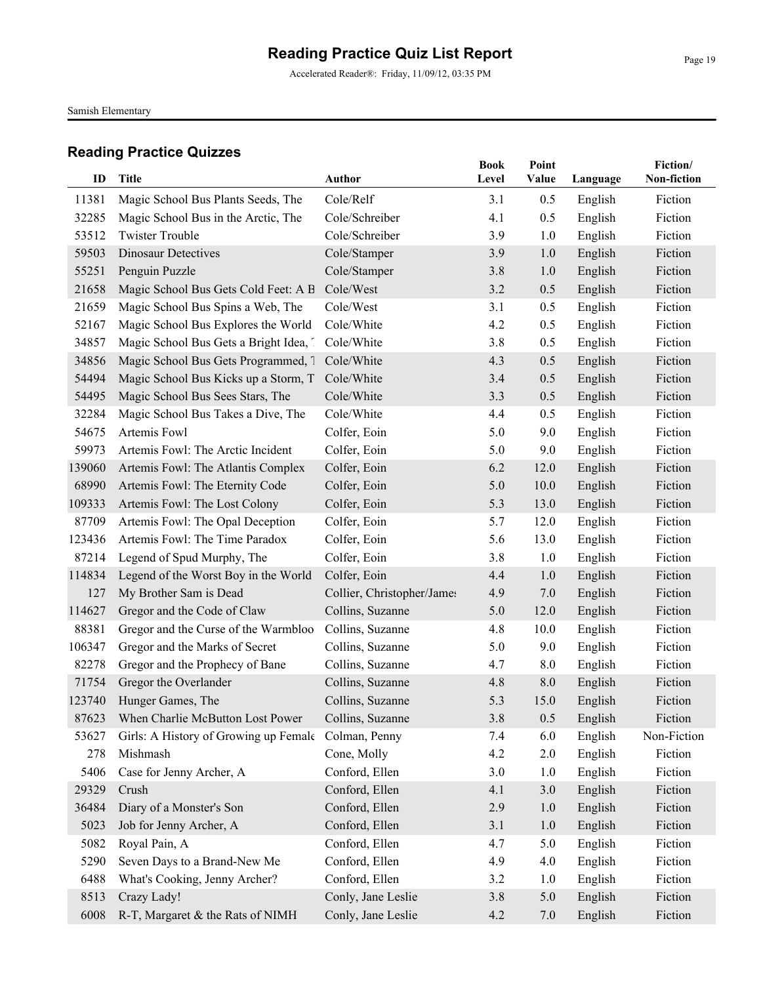Accelerated Reader®: Friday, 11/09/12, 03:35 PM

Samish Elementary

|        |                                                |                            | <b>Book</b> | Point |          | Fiction/    |
|--------|------------------------------------------------|----------------------------|-------------|-------|----------|-------------|
| ID     | <b>Title</b>                                   | <b>Author</b>              | Level       | Value | Language | Non-fiction |
| 11381  | Magic School Bus Plants Seeds, The             | Cole/Relf                  | 3.1         | 0.5   | English  | Fiction     |
| 32285  | Magic School Bus in the Arctic, The            | Cole/Schreiber             | 4.1         | 0.5   | English  | Fiction     |
| 53512  | <b>Twister Trouble</b>                         | Cole/Schreiber             | 3.9         | 1.0   | English  | Fiction     |
| 59503  | <b>Dinosaur Detectives</b>                     | Cole/Stamper               | 3.9         | 1.0   | English  | Fiction     |
| 55251  | Penguin Puzzle                                 | Cole/Stamper               | 3.8         | 1.0   | English  | Fiction     |
| 21658  | Magic School Bus Gets Cold Feet: A B           | Cole/West                  | 3.2         | 0.5   | English  | Fiction     |
| 21659  | Magic School Bus Spins a Web, The              | Cole/West                  | 3.1         | 0.5   | English  | Fiction     |
| 52167  | Magic School Bus Explores the World            | Cole/White                 | 4.2         | 0.5   | English  | Fiction     |
| 34857  | Magic School Bus Gets a Bright Idea, 1         | Cole/White                 | 3.8         | 0.5   | English  | Fiction     |
| 34856  | Magic School Bus Gets Programmed, 1 Cole/White |                            | 4.3         | 0.5   | English  | Fiction     |
| 54494  | Magic School Bus Kicks up a Storm, T           | Cole/White                 | 3.4         | 0.5   | English  | Fiction     |
| 54495  | Magic School Bus Sees Stars, The               | Cole/White                 | 3.3         | 0.5   | English  | Fiction     |
| 32284  | Magic School Bus Takes a Dive, The             | Cole/White                 | 4.4         | 0.5   | English  | Fiction     |
| 54675  | Artemis Fowl                                   | Colfer, Eoin               | 5.0         | 9.0   | English  | Fiction     |
| 59973  | Artemis Fowl: The Arctic Incident              | Colfer, Eoin               | 5.0         | 9.0   | English  | Fiction     |
| 139060 | Artemis Fowl: The Atlantis Complex             | Colfer, Eoin               | 6.2         | 12.0  | English  | Fiction     |
| 68990  | Artemis Fowl: The Eternity Code                | Colfer, Eoin               | 5.0         | 10.0  | English  | Fiction     |
| 109333 | Artemis Fowl: The Lost Colony                  | Colfer, Eoin               | 5.3         | 13.0  | English  | Fiction     |
| 87709  | Artemis Fowl: The Opal Deception               | Colfer, Eoin               | 5.7         | 12.0  | English  | Fiction     |
| 123436 | Artemis Fowl: The Time Paradox                 | Colfer, Eoin               | 5.6         | 13.0  | English  | Fiction     |
| 87214  | Legend of Spud Murphy, The                     | Colfer, Eoin               | 3.8         | 1.0   | English  | Fiction     |
| 114834 | Legend of the Worst Boy in the World           | Colfer, Eoin               | 4.4         | 1.0   | English  | Fiction     |
| 127    | My Brother Sam is Dead                         | Collier, Christopher/James | 4.9         | 7.0   | English  | Fiction     |
| 114627 | Gregor and the Code of Claw                    | Collins, Suzanne           | 5.0         | 12.0  | English  | Fiction     |
| 88381  | Gregor and the Curse of the Warmbloo           | Collins, Suzanne           | 4.8         | 10.0  | English  | Fiction     |
| 106347 | Gregor and the Marks of Secret                 | Collins, Suzanne           | 5.0         | 9.0   | English  | Fiction     |
| 82278  | Gregor and the Prophecy of Bane                | Collins, Suzanne           | 4.7         | 8.0   | English  | Fiction     |
| 71754  | Gregor the Overlander                          | Collins, Suzanne           | 4.8         | 8.0   | English  | Fiction     |
| 123740 | Hunger Games, The                              | Collins, Suzanne           | 5.3         | 15.0  | English  | Fiction     |
| 87623  | When Charlie McButton Lost Power               | Collins, Suzanne           | $3.8$       | 0.5   | English  | Fiction     |
| 53627  | Girls: A History of Growing up Female          | Colman, Penny              | 7.4         | 6.0   | English  | Non-Fiction |
| 278    | Mishmash                                       | Cone, Molly                | 4.2         | 2.0   | English  | Fiction     |
| 5406   | Case for Jenny Archer, A                       | Conford, Ellen             | 3.0         | 1.0   | English  | Fiction     |
| 29329  | Crush                                          | Conford, Ellen             | 4.1         | 3.0   | English  | Fiction     |
| 36484  | Diary of a Monster's Son                       | Conford, Ellen             | 2.9         | 1.0   | English  | Fiction     |
| 5023   | Job for Jenny Archer, A                        | Conford, Ellen             | 3.1         | 1.0   | English  | Fiction     |
| 5082   | Royal Pain, A                                  | Conford, Ellen             | 4.7         | 5.0   | English  | Fiction     |
| 5290   | Seven Days to a Brand-New Me                   | Conford, Ellen             | 4.9         | 4.0   | English  | Fiction     |
| 6488   | What's Cooking, Jenny Archer?                  | Conford, Ellen             | 3.2         | 1.0   | English  | Fiction     |
| 8513   | Crazy Lady!                                    | Conly, Jane Leslie         | 3.8         | 5.0   | English  | Fiction     |
| 6008   | R-T, Margaret & the Rats of NIMH               | Conly, Jane Leslie         | 4.2         | 7.0   | English  | Fiction     |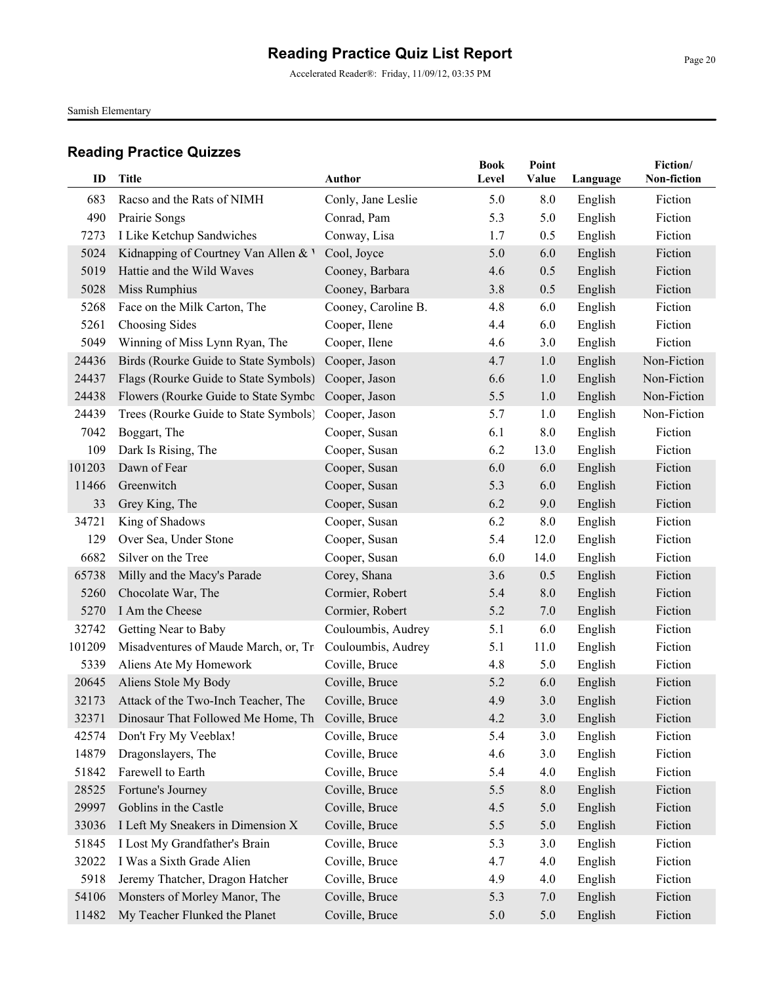Accelerated Reader®: Friday, 11/09/12, 03:35 PM

Samish Elementary

| ID     | <b>Title</b>                                      | <b>Author</b>       | <b>Book</b><br>Level | Point<br>Value | Language | Fiction/<br>Non-fiction |
|--------|---------------------------------------------------|---------------------|----------------------|----------------|----------|-------------------------|
| 683    | Racso and the Rats of NIMH                        | Conly, Jane Leslie  | 5.0                  | 8.0            | English  | Fiction                 |
| 490    | Prairie Songs                                     | Conrad, Pam         | 5.3                  | 5.0            | English  | Fiction                 |
| 7273   | I Like Ketchup Sandwiches                         | Conway, Lisa        | 1.7                  | 0.5            | English  | Fiction                 |
| 5024   | Kidnapping of Courtney Van Allen & V              | Cool, Joyce         | 5.0                  | 6.0            | English  | Fiction                 |
| 5019   | Hattie and the Wild Waves                         | Cooney, Barbara     | 4.6                  | 0.5            | English  | Fiction                 |
| 5028   | Miss Rumphius                                     | Cooney, Barbara     | 3.8                  | 0.5            | English  | Fiction                 |
| 5268   | Face on the Milk Carton, The                      | Cooney, Caroline B. | 4.8                  | 6.0            | English  | Fiction                 |
| 5261   | Choosing Sides                                    | Cooper, Ilene       | 4.4                  | 6.0            | English  | Fiction                 |
| 5049   | Winning of Miss Lynn Ryan, The                    | Cooper, Ilene       | 4.6                  | 3.0            | English  | Fiction                 |
| 24436  | Birds (Rourke Guide to State Symbols)             | Cooper, Jason       | 4.7                  | 1.0            | English  | Non-Fiction             |
| 24437  | Flags (Rourke Guide to State Symbols)             | Cooper, Jason       | 6.6                  | 1.0            | English  | Non-Fiction             |
| 24438  | Flowers (Rourke Guide to State Symbo              | Cooper, Jason       | 5.5                  | 1.0            | English  | Non-Fiction             |
| 24439  | Trees (Rourke Guide to State Symbols)             | Cooper, Jason       | 5.7                  | 1.0            | English  | Non-Fiction             |
| 7042   | Boggart, The                                      | Cooper, Susan       | 6.1                  | 8.0            | English  | Fiction                 |
| 109    | Dark Is Rising, The                               | Cooper, Susan       | 6.2                  | 13.0           | English  | Fiction                 |
| 101203 | Dawn of Fear                                      | Cooper, Susan       | 6.0                  | 6.0            | English  | Fiction                 |
| 11466  | Greenwitch                                        | Cooper, Susan       | 5.3                  | 6.0            | English  | Fiction                 |
| 33     | Grey King, The                                    | Cooper, Susan       | 6.2                  | 9.0            | English  | Fiction                 |
| 34721  | King of Shadows                                   | Cooper, Susan       | 6.2                  | 8.0            | English  | Fiction                 |
| 129    | Over Sea, Under Stone                             | Cooper, Susan       | 5.4                  | 12.0           | English  | Fiction                 |
| 6682   | Silver on the Tree                                | Cooper, Susan       | 6.0                  | 14.0           | English  | Fiction                 |
| 65738  | Milly and the Macy's Parade                       | Corey, Shana        | 3.6                  | 0.5            | English  | Fiction                 |
| 5260   | Chocolate War, The                                | Cormier, Robert     | 5.4                  | 8.0            | English  | Fiction                 |
| 5270   | I Am the Cheese                                   | Cormier, Robert     | 5.2                  | 7.0            | English  | Fiction                 |
| 32742  | Getting Near to Baby                              | Couloumbis, Audrey  | 5.1                  | 6.0            | English  | Fiction                 |
| 101209 | Misadventures of Maude March, or, Tro             | Couloumbis, Audrey  | 5.1                  | 11.0           | English  | Fiction                 |
| 5339   | Aliens Ate My Homework                            | Coville, Bruce      | 4.8                  | 5.0            | English  | Fiction                 |
| 20645  | Aliens Stole My Body                              | Coville, Bruce      | 5.2                  | 6.0            | English  | Fiction                 |
| 32173  | Attack of the Two-Inch Teacher, The               | Coville, Bruce      | 4.9                  | 3.0            | English  | Fiction                 |
| 32371  | Dinosaur That Followed Me Home, Th Coville, Bruce |                     | 4.2                  | 3.0            | English  | Fiction                 |
| 42574  | Don't Fry My Veeblax!                             | Coville, Bruce      | 5.4                  | 3.0            | English  | Fiction                 |
| 14879  | Dragonslayers, The                                | Coville, Bruce      | 4.6                  | 3.0            | English  | Fiction                 |
| 51842  | Farewell to Earth                                 | Coville, Bruce      | 5.4                  | 4.0            | English  | Fiction                 |
| 28525  | Fortune's Journey                                 | Coville, Bruce      | 5.5                  | 8.0            | English  | Fiction                 |
| 29997  | Goblins in the Castle                             | Coville, Bruce      | 4.5                  | 5.0            | English  | Fiction                 |
| 33036  | I Left My Sneakers in Dimension X                 | Coville, Bruce      | 5.5                  | 5.0            | English  | Fiction                 |
| 51845  | I Lost My Grandfather's Brain                     | Coville, Bruce      | 5.3                  | 3.0            | English  | Fiction                 |
| 32022  | I Was a Sixth Grade Alien                         | Coville, Bruce      | 4.7                  | 4.0            | English  | Fiction                 |
| 5918   | Jeremy Thatcher, Dragon Hatcher                   | Coville, Bruce      | 4.9                  | 4.0            | English  | Fiction                 |
| 54106  | Monsters of Morley Manor, The                     | Coville, Bruce      | 5.3                  | 7.0            | English  | Fiction                 |
| 11482  | My Teacher Flunked the Planet                     | Coville, Bruce      | 5.0                  | 5.0            | English  | Fiction                 |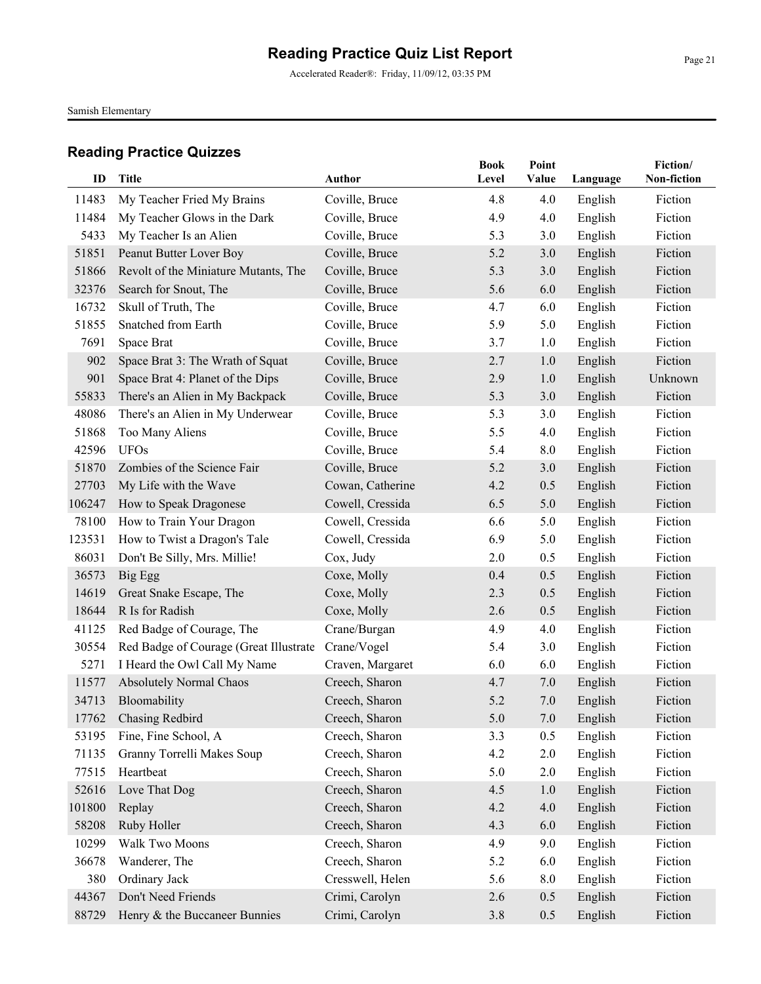Accelerated Reader®: Friday, 11/09/12, 03:35 PM

Samish Elementary

| ID     | <b>Title</b>                           | <b>Author</b>    | <b>Book</b><br>Level | Point<br>Value |          | Fiction/<br>Non-fiction |
|--------|----------------------------------------|------------------|----------------------|----------------|----------|-------------------------|
|        |                                        |                  |                      |                | Language |                         |
| 11483  | My Teacher Fried My Brains             | Coville, Bruce   | 4.8                  | 4.0            | English  | Fiction                 |
| 11484  | My Teacher Glows in the Dark           | Coville, Bruce   | 4.9                  | 4.0            | English  | Fiction                 |
| 5433   | My Teacher Is an Alien                 | Coville, Bruce   | 5.3                  | 3.0            | English  | Fiction                 |
| 51851  | Peanut Butter Lover Boy                | Coville, Bruce   | 5.2                  | 3.0            | English  | Fiction                 |
| 51866  | Revolt of the Miniature Mutants, The   | Coville, Bruce   | 5.3                  | 3.0            | English  | Fiction                 |
| 32376  | Search for Snout, The                  | Coville, Bruce   | 5.6                  | 6.0            | English  | Fiction                 |
| 16732  | Skull of Truth, The                    | Coville, Bruce   | 4.7                  | 6.0            | English  | Fiction                 |
| 51855  | Snatched from Earth                    | Coville, Bruce   | 5.9                  | 5.0            | English  | Fiction                 |
| 7691   | Space Brat                             | Coville, Bruce   | 3.7                  | 1.0            | English  | Fiction                 |
| 902    | Space Brat 3: The Wrath of Squat       | Coville, Bruce   | 2.7                  | 1.0            | English  | Fiction                 |
| 901    | Space Brat 4: Planet of the Dips       | Coville, Bruce   | 2.9                  | 1.0            | English  | Unknown                 |
| 55833  | There's an Alien in My Backpack        | Coville, Bruce   | 5.3                  | 3.0            | English  | Fiction                 |
| 48086  | There's an Alien in My Underwear       | Coville, Bruce   | 5.3                  | 3.0            | English  | Fiction                 |
| 51868  | Too Many Aliens                        | Coville, Bruce   | 5.5                  | 4.0            | English  | Fiction                 |
| 42596  | <b>UFOs</b>                            | Coville, Bruce   | 5.4                  | 8.0            | English  | Fiction                 |
| 51870  | Zombies of the Science Fair            | Coville, Bruce   | 5.2                  | 3.0            | English  | Fiction                 |
| 27703  | My Life with the Wave                  | Cowan, Catherine | 4.2                  | 0.5            | English  | Fiction                 |
| 106247 | How to Speak Dragonese                 | Cowell, Cressida | 6.5                  | 5.0            | English  | Fiction                 |
| 78100  | How to Train Your Dragon               | Cowell, Cressida | 6.6                  | 5.0            | English  | Fiction                 |
| 123531 | How to Twist a Dragon's Tale           | Cowell, Cressida | 6.9                  | 5.0            | English  | Fiction                 |
| 86031  | Don't Be Silly, Mrs. Millie!           | Cox, Judy        | 2.0                  | 0.5            | English  | Fiction                 |
| 36573  | Big Egg                                | Coxe, Molly      | 0.4                  | 0.5            | English  | Fiction                 |
| 14619  | Great Snake Escape, The                | Coxe, Molly      | 2.3                  | 0.5            | English  | Fiction                 |
| 18644  | R Is for Radish                        | Coxe, Molly      | 2.6                  | 0.5            | English  | Fiction                 |
| 41125  | Red Badge of Courage, The              | Crane/Burgan     | 4.9                  | 4.0            | English  | Fiction                 |
| 30554  | Red Badge of Courage (Great Illustrate | Crane/Vogel      | 5.4                  | 3.0            | English  | Fiction                 |
| 5271   | I Heard the Owl Call My Name           | Craven, Margaret | 6.0                  | 6.0            | English  | Fiction                 |
| 11577  | Absolutely Normal Chaos                | Creech, Sharon   | 4.7                  | 7.0            | English  | Fiction                 |
| 34713  | Bloomability                           | Creech, Sharon   | 5.2                  | 7.0            | English  | Fiction                 |
| 17762  | <b>Chasing Redbird</b>                 | Creech, Sharon   | 5.0                  | $7.0\,$        | English  | Fiction                 |
| 53195  | Fine, Fine School, A                   | Creech, Sharon   | 3.3                  | 0.5            | English  | Fiction                 |
| 71135  | Granny Torrelli Makes Soup             | Creech, Sharon   | 4.2                  | $2.0\,$        | English  | Fiction                 |
| 77515  | Heartbeat                              | Creech, Sharon   | 5.0                  | 2.0            | English  | Fiction                 |
| 52616  | Love That Dog                          | Creech, Sharon   | 4.5                  | 1.0            | English  | Fiction                 |
| 101800 | Replay                                 | Creech, Sharon   | 4.2                  | 4.0            | English  | Fiction                 |
| 58208  | Ruby Holler                            | Creech, Sharon   | 4.3                  | 6.0            | English  | Fiction                 |
| 10299  | Walk Two Moons                         | Creech, Sharon   | 4.9                  | 9.0            | English  | Fiction                 |
| 36678  | Wanderer, The                          | Creech, Sharon   | 5.2                  | 6.0            | English  | Fiction                 |
| 380    | Ordinary Jack                          | Cresswell, Helen | 5.6                  | 8.0            | English  | Fiction                 |
| 44367  | Don't Need Friends                     | Crimi, Carolyn   | 2.6                  | 0.5            | English  | Fiction                 |
| 88729  | Henry & the Buccaneer Bunnies          | Crimi, Carolyn   | 3.8                  | 0.5            | English  | Fiction                 |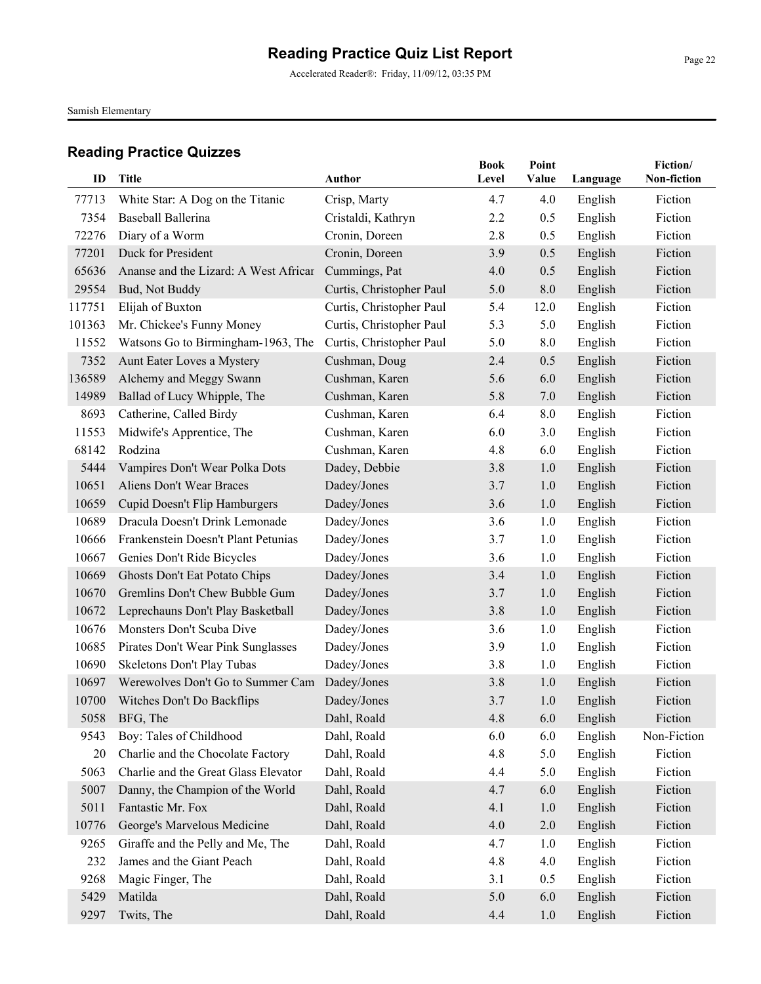Accelerated Reader®: Friday, 11/09/12, 03:35 PM

Samish Elementary

| ID     | <b>Title</b>                          | Author                   | <b>Book</b><br>Level | Point<br>Value | Language           | Fiction/<br>Non-fiction |
|--------|---------------------------------------|--------------------------|----------------------|----------------|--------------------|-------------------------|
| 77713  | White Star: A Dog on the Titanic      | Crisp, Marty             | 4.7                  | 4.0            |                    | Fiction                 |
| 7354   | Baseball Ballerina                    | Cristaldi, Kathryn       | 2.2                  | 0.5            | English<br>English | Fiction                 |
| 72276  | Diary of a Worm                       | Cronin, Doreen           | 2.8                  | 0.5            | English            | Fiction                 |
| 77201  | Duck for President                    | Cronin, Doreen           | 3.9                  | 0.5            | English            | Fiction                 |
| 65636  | Ananse and the Lizard: A West Africar | Cummings, Pat            | 4.0                  | 0.5            | English            | Fiction                 |
| 29554  | Bud, Not Buddy                        | Curtis, Christopher Paul | 5.0                  | 8.0            | English            | Fiction                 |
| 117751 | Elijah of Buxton                      | Curtis, Christopher Paul | 5.4                  | 12.0           | English            | Fiction                 |
| 101363 | Mr. Chickee's Funny Money             | Curtis, Christopher Paul | 5.3                  | 5.0            | English            | Fiction                 |
| 11552  | Watsons Go to Birmingham-1963, The    | Curtis, Christopher Paul | 5.0                  | 8.0            | English            | Fiction                 |
| 7352   | Aunt Eater Loves a Mystery            | Cushman, Doug            | 2.4                  | 0.5            | English            | Fiction                 |
| 136589 | Alchemy and Meggy Swann               | Cushman, Karen           | 5.6                  | 6.0            | English            | Fiction                 |
| 14989  | Ballad of Lucy Whipple, The           | Cushman, Karen           | 5.8                  | 7.0            | English            | Fiction                 |
| 8693   | Catherine, Called Birdy               | Cushman, Karen           | 6.4                  | 8.0            | English            | Fiction                 |
| 11553  | Midwife's Apprentice, The             | Cushman, Karen           | 6.0                  | 3.0            | English            | Fiction                 |
| 68142  | Rodzina                               | Cushman, Karen           | 4.8                  | 6.0            | English            | Fiction                 |
| 5444   | Vampires Don't Wear Polka Dots        | Dadey, Debbie            | 3.8                  | 1.0            | English            | Fiction                 |
| 10651  | Aliens Don't Wear Braces              | Dadey/Jones              | 3.7                  | 1.0            | English            | Fiction                 |
| 10659  | Cupid Doesn't Flip Hamburgers         | Dadey/Jones              | 3.6                  | 1.0            | English            | Fiction                 |
| 10689  | Dracula Doesn't Drink Lemonade        | Dadey/Jones              | 3.6                  | 1.0            | English            | Fiction                 |
| 10666  | Frankenstein Doesn't Plant Petunias   | Dadey/Jones              | 3.7                  | 1.0            | English            | Fiction                 |
| 10667  | Genies Don't Ride Bicycles            | Dadey/Jones              | 3.6                  | 1.0            | English            | Fiction                 |
| 10669  | Ghosts Don't Eat Potato Chips         | Dadey/Jones              | 3.4                  | 1.0            | English            | Fiction                 |
| 10670  | Gremlins Don't Chew Bubble Gum        | Dadey/Jones              | 3.7                  | 1.0            | English            | Fiction                 |
| 10672  | Leprechauns Don't Play Basketball     | Dadey/Jones              | 3.8                  | 1.0            | English            | Fiction                 |
| 10676  | Monsters Don't Scuba Dive             | Dadey/Jones              | 3.6                  | 1.0            | English            | Fiction                 |
| 10685  | Pirates Don't Wear Pink Sunglasses    | Dadey/Jones              | 3.9                  | 1.0            | English            | Fiction                 |
| 10690  | Skeletons Don't Play Tubas            | Dadey/Jones              | 3.8                  | 1.0            | English            | Fiction                 |
| 10697  | Werewolves Don't Go to Summer Cam     | Dadey/Jones              | 3.8                  | 1.0            | English            | Fiction                 |
| 10700  | Witches Don't Do Backflips            | Dadey/Jones              | 3.7                  | 1.0            | English            | Fiction                 |
| 5058   | BFG, The                              | Dahl, Roald              | 4.8                  | 6.0            | English            | Fiction                 |
| 9543   | Boy: Tales of Childhood               | Dahl, Roald              | 6.0                  | 6.0            | English            | Non-Fiction             |
| 20     | Charlie and the Chocolate Factory     | Dahl, Roald              | 4.8                  | 5.0            | English            | Fiction                 |
| 5063   | Charlie and the Great Glass Elevator  | Dahl, Roald              | 4.4                  | 5.0            | English            | Fiction                 |
| 5007   | Danny, the Champion of the World      | Dahl, Roald              | 4.7                  | 6.0            | English            | Fiction                 |
| 5011   | Fantastic Mr. Fox                     | Dahl, Roald              | 4.1                  | 1.0            | English            | Fiction                 |
| 10776  | George's Marvelous Medicine           | Dahl, Roald              | 4.0                  | 2.0            | English            | Fiction                 |
| 9265   | Giraffe and the Pelly and Me, The     | Dahl, Roald              | 4.7                  | 1.0            | English            | Fiction                 |
| 232    | James and the Giant Peach             | Dahl, Roald              | 4.8                  | 4.0            | English            | Fiction                 |
| 9268   | Magic Finger, The                     | Dahl, Roald              | 3.1                  | 0.5            | English            | Fiction                 |
| 5429   | Matilda                               | Dahl, Roald              | 5.0                  | 6.0            | English            | Fiction                 |
| 9297   | Twits, The                            | Dahl, Roald              | 4.4                  | 1.0            | English            | Fiction                 |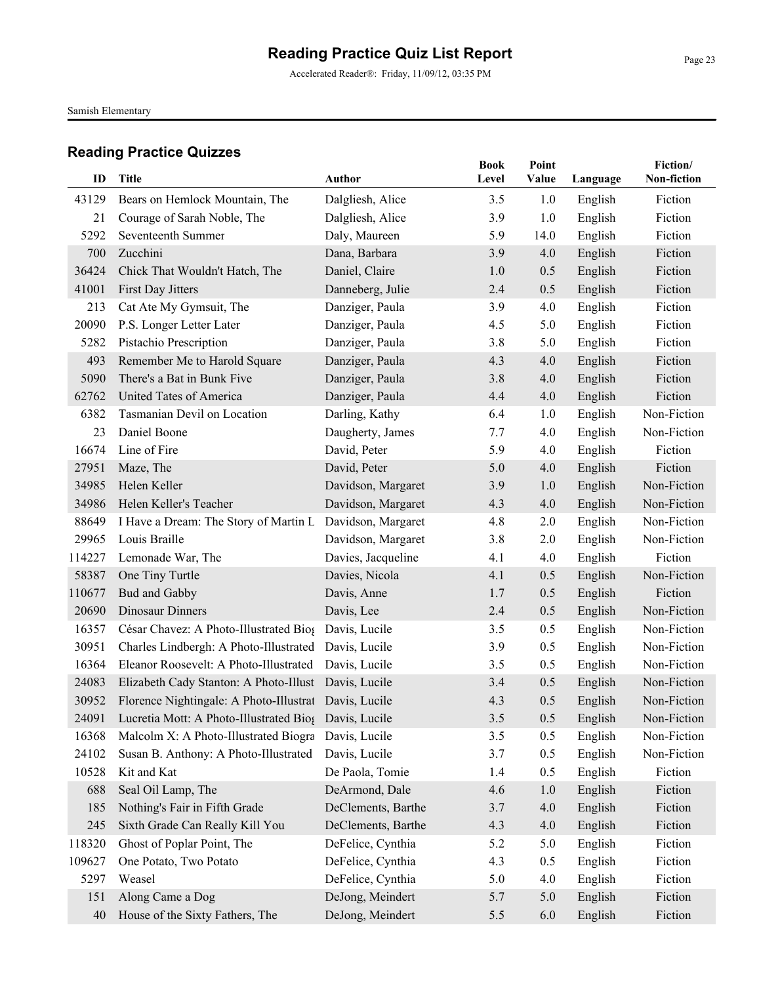Accelerated Reader®: Friday, 11/09/12, 03:35 PM

Samish Elementary

| ID            | <b>Title</b>                                                  | <b>Author</b>                        | <b>Book</b><br>Level | Point<br>Value | Language           | Fiction/<br>Non-fiction    |
|---------------|---------------------------------------------------------------|--------------------------------------|----------------------|----------------|--------------------|----------------------------|
|               |                                                               |                                      |                      |                |                    |                            |
| 43129<br>21   | Bears on Hemlock Mountain, The<br>Courage of Sarah Noble, The | Dalgliesh, Alice<br>Dalgliesh, Alice | 3.5<br>3.9           | 1.0<br>1.0     | English<br>English | Fiction<br>Fiction         |
| 5292          | Seventeenth Summer                                            | Daly, Maureen                        | 5.9                  | 14.0           | English            | Fiction                    |
| 700           | Zucchini                                                      | Dana, Barbara                        | 3.9                  | 4.0            | English            | Fiction                    |
| 36424         | Chick That Wouldn't Hatch, The                                | Daniel, Claire                       | 1.0                  | 0.5            | English            | Fiction                    |
| 41001         | First Day Jitters                                             | Danneberg, Julie                     | 2.4                  | 0.5            | English            | Fiction                    |
| 213           | Cat Ate My Gymsuit, The                                       | Danziger, Paula                      | 3.9                  | 4.0            | English            | Fiction                    |
| 20090         | P.S. Longer Letter Later                                      | Danziger, Paula                      | 4.5                  | 5.0            | English            | Fiction                    |
| 5282          | Pistachio Prescription                                        | Danziger, Paula                      | 3.8                  | 5.0            | English            | Fiction                    |
| 493           | Remember Me to Harold Square                                  | Danziger, Paula                      | 4.3                  | 4.0            | English            | Fiction                    |
| 5090          | There's a Bat in Bunk Five                                    | Danziger, Paula                      | 3.8                  | 4.0            | English            | Fiction                    |
|               | United Tates of America                                       |                                      | 4.4                  | 4.0            |                    | Fiction                    |
| 62762<br>6382 | Tasmanian Devil on Location                                   | Danziger, Paula<br>Darling, Kathy    | 6.4                  | 1.0            | English            | Non-Fiction                |
| 23            | Daniel Boone                                                  |                                      | 7.7                  |                | English            | Non-Fiction                |
| 16674         | Line of Fire                                                  | Daugherty, James<br>David, Peter     | 5.9                  | 4.0<br>4.0     | English            | Fiction                    |
| 27951         | Maze, The                                                     | David, Peter                         |                      | 4.0            | English            | Fiction                    |
|               |                                                               |                                      | 5.0                  |                | English            |                            |
| 34985         | Helen Keller<br>Helen Keller's Teacher                        | Davidson, Margaret                   | 3.9                  | 1.0            | English            | Non-Fiction<br>Non-Fiction |
| 34986         |                                                               | Davidson, Margaret                   | 4.3                  | 4.0            | English            |                            |
| 88649         | I Have a Dream: The Story of Martin L                         | Davidson, Margaret                   | 4.8                  | 2.0            | English            | Non-Fiction                |
| 29965         | Louis Braille                                                 | Davidson, Margaret                   | 3.8                  | 2.0            | English            | Non-Fiction                |
| 114227        | Lemonade War, The                                             | Davies, Jacqueline                   | 4.1                  | 4.0            | English            | Fiction                    |
| 58387         | One Tiny Turtle                                               | Davies, Nicola                       | 4.1                  | 0.5            | English            | Non-Fiction                |
| 110677        | Bud and Gabby                                                 | Davis, Anne                          | 1.7                  | 0.5            | English            | Fiction                    |
| 20690         | Dinosaur Dinners                                              | Davis, Lee                           | 2.4                  | 0.5            | English            | Non-Fiction                |
| 16357         | César Chavez: A Photo-Illustrated Bios Davis, Lucile          |                                      | 3.5                  | 0.5            | English            | Non-Fiction                |
| 30951         | Charles Lindbergh: A Photo-Illustrated Davis, Lucile          |                                      | 3.9                  | 0.5            | English            | Non-Fiction                |
| 16364         | Eleanor Roosevelt: A Photo-Illustrated Davis, Lucile          |                                      | 3.5                  | 0.5            | English            | Non-Fiction                |
| 24083         | Elizabeth Cady Stanton: A Photo-Illust Davis, Lucile          |                                      | 3.4                  | 0.5            | English            | Non-Fiction                |
| 30952         | Florence Nightingale: A Photo-Illustrat Davis, Lucile         |                                      | 4.3                  | 0.5            | English            | Non-Fiction                |
| 24091         | Lucretia Mott: A Photo-Illustrated Biog Davis, Lucile         |                                      | $3.5\,$              | 0.5            | English            | Non-Fiction                |
| 16368         | Malcolm X: A Photo-Illustrated Biogra                         | Davis, Lucile                        | 3.5                  | 0.5            | English            | Non-Fiction                |
| 24102         | Susan B. Anthony: A Photo-Illustrated                         | Davis, Lucile                        | 3.7                  | 0.5            | English            | Non-Fiction                |
| 10528         | Kit and Kat                                                   | De Paola, Tomie                      | 1.4                  | 0.5            | English            | Fiction                    |
| 688           | Seal Oil Lamp, The                                            | DeArmond, Dale                       | 4.6                  | 1.0            | English            | Fiction                    |
| 185           | Nothing's Fair in Fifth Grade                                 | DeClements, Barthe                   | 3.7                  | 4.0            | English            | Fiction                    |
| 245           | Sixth Grade Can Really Kill You                               | DeClements, Barthe                   | 4.3                  | 4.0            | English            | Fiction                    |
| 118320        | Ghost of Poplar Point, The                                    | DeFelice, Cynthia                    | 5.2                  | 5.0            | English            | Fiction                    |
| 109627        | One Potato, Two Potato                                        | DeFelice, Cynthia                    | 4.3                  | 0.5            | English            | Fiction                    |
| 5297          | Weasel                                                        | DeFelice, Cynthia                    | 5.0                  | 4.0            | English            | Fiction                    |
| 151           | Along Came a Dog                                              | DeJong, Meindert                     | 5.7                  | 5.0            | English            | Fiction                    |
| 40            | House of the Sixty Fathers, The                               | DeJong, Meindert                     | 5.5                  | 6.0            | English            | Fiction                    |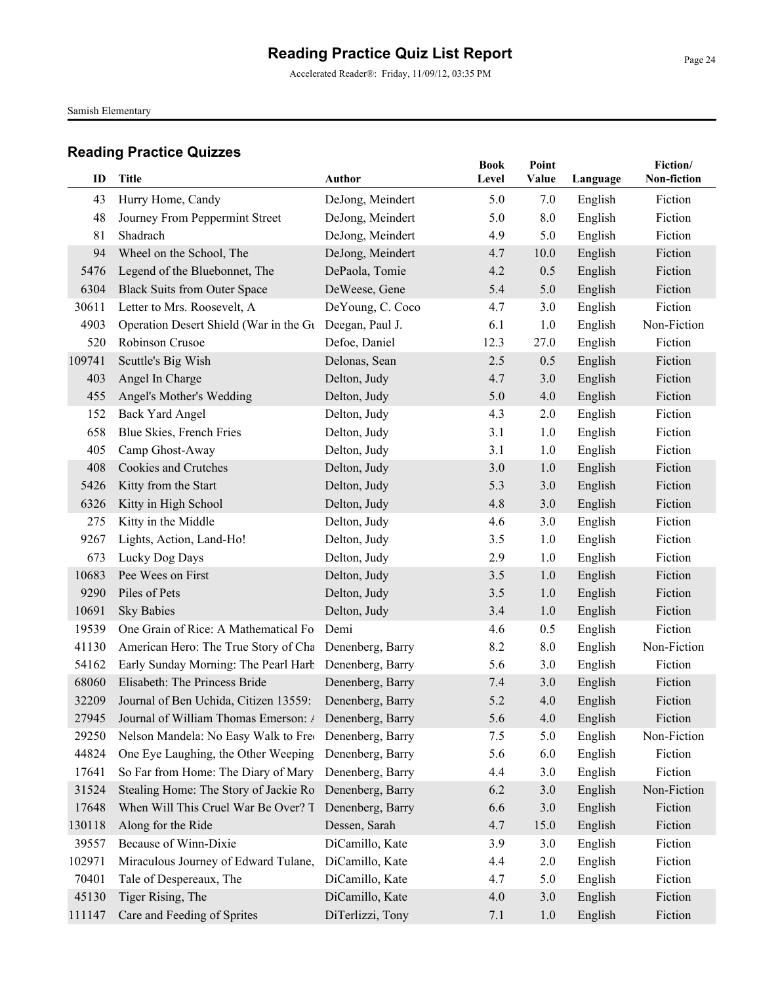Accelerated Reader®: Friday, 11/09/12, 03:35 PM

Samish Elementary

|        |                                                             |                  | <b>Book</b> | Point |          | Fiction/    |
|--------|-------------------------------------------------------------|------------------|-------------|-------|----------|-------------|
| ID     | <b>Title</b>                                                | <b>Author</b>    | Level       | Value | Language | Non-fiction |
| 43     | Hurry Home, Candy                                           | DeJong, Meindert | 5.0         | 7.0   | English  | Fiction     |
| 48     | Journey From Peppermint Street                              | DeJong, Meindert | 5.0         | 8.0   | English  | Fiction     |
| 81     | Shadrach                                                    | DeJong, Meindert | 4.9         | 5.0   | English  | Fiction     |
| 94     | Wheel on the School, The                                    | DeJong, Meindert | 4.7         | 10.0  | English  | Fiction     |
| 5476   | Legend of the Bluebonnet, The                               | DePaola, Tomie   | 4.2         | 0.5   | English  | Fiction     |
| 6304   | <b>Black Suits from Outer Space</b>                         | DeWeese, Gene    | 5.4         | 5.0   | English  | Fiction     |
| 30611  | Letter to Mrs. Roosevelt, A                                 | DeYoung, C. Coco | 4.7         | 3.0   | English  | Fiction     |
| 4903   | Operation Desert Shield (War in the Gu                      | Deegan, Paul J.  | 6.1         | 1.0   | English  | Non-Fiction |
| 520    | Robinson Crusoe                                             | Defoe, Daniel    | 12.3        | 27.0  | English  | Fiction     |
| 109741 | Scuttle's Big Wish                                          | Delonas, Sean    | 2.5         | 0.5   | English  | Fiction     |
| 403    | Angel In Charge                                             | Delton, Judy     | 4.7         | 3.0   | English  | Fiction     |
| 455    | Angel's Mother's Wedding                                    | Delton, Judy     | 5.0         | 4.0   | English  | Fiction     |
| 152    | <b>Back Yard Angel</b>                                      | Delton, Judy     | 4.3         | 2.0   | English  | Fiction     |
| 658    | Blue Skies, French Fries                                    | Delton, Judy     | 3.1         | 1.0   | English  | Fiction     |
| 405    | Camp Ghost-Away                                             | Delton, Judy     | 3.1         | 1.0   | English  | Fiction     |
| 408    | Cookies and Crutches                                        | Delton, Judy     | 3.0         | 1.0   | English  | Fiction     |
| 5426   | Kitty from the Start                                        | Delton, Judy     | 5.3         | 3.0   | English  | Fiction     |
| 6326   | Kitty in High School                                        | Delton, Judy     | 4.8         | 3.0   | English  | Fiction     |
| 275    | Kitty in the Middle                                         | Delton, Judy     | 4.6         | 3.0   | English  | Fiction     |
| 9267   | Lights, Action, Land-Ho!                                    | Delton, Judy     | 3.5         | 1.0   | English  | Fiction     |
| 673    | Lucky Dog Days                                              | Delton, Judy     | 2.9         | 1.0   | English  | Fiction     |
| 10683  | Pee Wees on First                                           | Delton, Judy     | 3.5         | 1.0   | English  | Fiction     |
| 9290   | Piles of Pets                                               | Delton, Judy     | 3.5         | 1.0   | English  | Fiction     |
| 10691  | <b>Sky Babies</b>                                           | Delton, Judy     | 3.4         | 1.0   | English  | Fiction     |
| 19539  | One Grain of Rice: A Mathematical Fo                        | Demi             | 4.6         | 0.5   | English  | Fiction     |
| 41130  | American Hero: The True Story of Cha Denenberg, Barry       |                  | 8.2         | 8.0   | English  | Non-Fiction |
| 54162  | Early Sunday Morning: The Pearl Harb Denenberg, Barry       |                  | 5.6         | 3.0   | English  | Fiction     |
| 68060  | Elisabeth: The Princess Bride                               | Denenberg, Barry | 7.4         | 3.0   | English  | Fiction     |
| 32209  | Journal of Ben Uchida, Citizen 13559:                       | Denenberg, Barry | 5.2         | 4.0   | English  | Fiction     |
|        | 27945 Journal of William Thomas Emerson: / Denenberg, Barry |                  | 5.6         | 4.0   | English  | Fiction     |
| 29250  | Nelson Mandela: No Easy Walk to Free Denenberg, Barry       |                  | 7.5         | 5.0   | English  | Non-Fiction |
| 44824  | One Eye Laughing, the Other Weeping                         | Denenberg, Barry | 5.6         | 6.0   | English  | Fiction     |
| 17641  | So Far from Home: The Diary of Mary                         | Denenberg, Barry | 4.4         | 3.0   | English  | Fiction     |
| 31524  | Stealing Home: The Story of Jackie Ro                       | Denenberg, Barry | 6.2         | 3.0   | English  | Non-Fiction |
| 17648  | When Will This Cruel War Be Over? T                         | Denenberg, Barry | 6.6         | 3.0   | English  | Fiction     |
| 130118 | Along for the Ride                                          | Dessen, Sarah    | 4.7         | 15.0  | English  | Fiction     |
| 39557  | Because of Winn-Dixie                                       | DiCamillo, Kate  | 3.9         | 3.0   | English  | Fiction     |
| 102971 | Miraculous Journey of Edward Tulane,                        | DiCamillo, Kate  | 4.4         | 2.0   | English  | Fiction     |
| 70401  | Tale of Despereaux, The                                     | DiCamillo, Kate  | 4.7         | 5.0   | English  | Fiction     |
| 45130  | Tiger Rising, The                                           | DiCamillo, Kate  | 4.0         | 3.0   | English  | Fiction     |
| 111147 | Care and Feeding of Sprites                                 | DiTerlizzi, Tony | 7.1         | 1.0   | English  | Fiction     |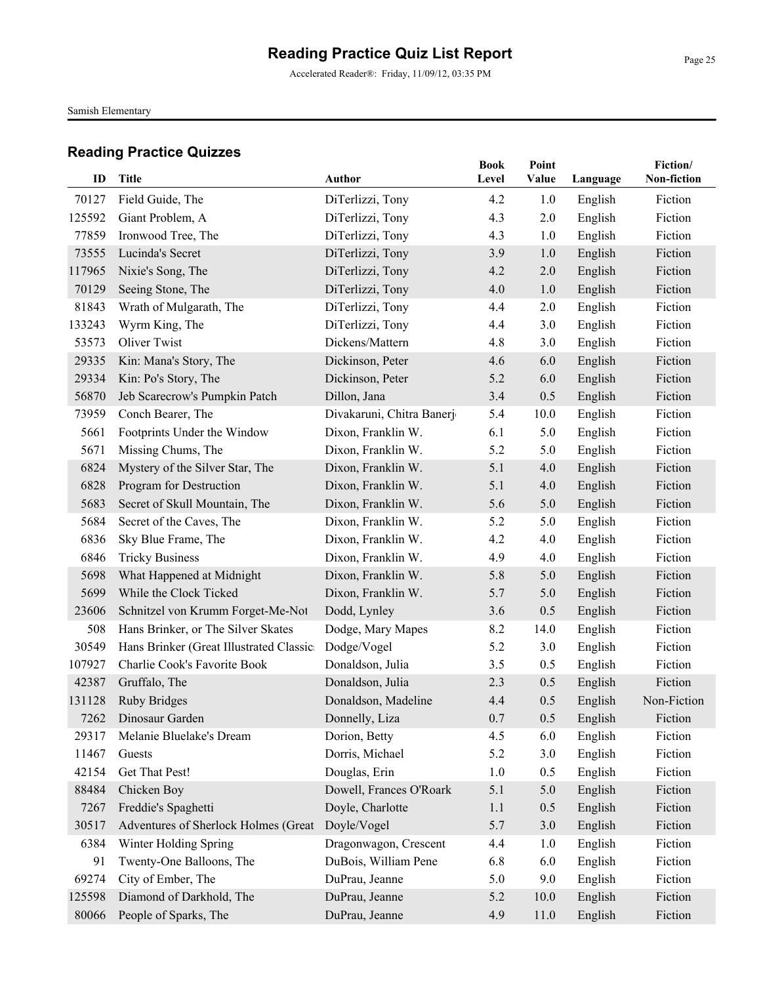Accelerated Reader®: Friday, 11/09/12, 03:35 PM

Samish Elementary

| ID     | Title                                    | Author                    | <b>Book</b><br>Level | Point<br>Value |          | Fiction/<br>Non-fiction |
|--------|------------------------------------------|---------------------------|----------------------|----------------|----------|-------------------------|
|        |                                          |                           |                      |                | Language |                         |
| 70127  | Field Guide, The                         | DiTerlizzi, Tony          | 4.2                  | 1.0            | English  | Fiction                 |
| 125592 | Giant Problem, A                         | DiTerlizzi, Tony          | 4.3                  | 2.0            | English  | Fiction                 |
| 77859  | Ironwood Tree, The                       | DiTerlizzi, Tony          | 4.3                  | 1.0            | English  | Fiction                 |
| 73555  | Lucinda's Secret                         | DiTerlizzi, Tony          | 3.9                  | 1.0            | English  | Fiction                 |
| 117965 | Nixie's Song, The                        | DiTerlizzi, Tony          | 4.2                  | 2.0            | English  | Fiction                 |
| 70129  | Seeing Stone, The                        | DiTerlizzi, Tony          | 4.0                  | 1.0            | English  | Fiction                 |
| 81843  | Wrath of Mulgarath, The                  | DiTerlizzi, Tony          | 4.4                  | 2.0            | English  | Fiction                 |
| 133243 | Wyrm King, The                           | DiTerlizzi, Tony          | 4.4                  | 3.0            | English  | Fiction                 |
| 53573  | <b>Oliver Twist</b>                      | Dickens/Mattern           | 4.8                  | 3.0            | English  | Fiction                 |
| 29335  | Kin: Mana's Story, The                   | Dickinson, Peter          | 4.6                  | 6.0            | English  | Fiction                 |
| 29334  | Kin: Po's Story, The                     | Dickinson, Peter          | 5.2                  | 6.0            | English  | Fiction                 |
| 56870  | Jeb Scarecrow's Pumpkin Patch            | Dillon, Jana              | 3.4                  | 0.5            | English  | Fiction                 |
| 73959  | Conch Bearer, The                        | Divakaruni, Chitra Banerj | 5.4                  | 10.0           | English  | Fiction                 |
| 5661   | Footprints Under the Window              | Dixon, Franklin W.        | 6.1                  | 5.0            | English  | Fiction                 |
| 5671   | Missing Chums, The                       | Dixon, Franklin W.        | 5.2                  | 5.0            | English  | Fiction                 |
| 6824   | Mystery of the Silver Star, The          | Dixon, Franklin W.        | 5.1                  | 4.0            | English  | Fiction                 |
| 6828   | Program for Destruction                  | Dixon, Franklin W.        | 5.1                  | 4.0            | English  | Fiction                 |
| 5683   | Secret of Skull Mountain, The            | Dixon, Franklin W.        | 5.6                  | 5.0            | English  | Fiction                 |
| 5684   | Secret of the Caves, The                 | Dixon, Franklin W.        | 5.2                  | 5.0            | English  | Fiction                 |
| 6836   | Sky Blue Frame, The                      | Dixon, Franklin W.        | 4.2                  | 4.0            | English  | Fiction                 |
| 6846   | <b>Tricky Business</b>                   | Dixon, Franklin W.        | 4.9                  | 4.0            | English  | Fiction                 |
| 5698   | What Happened at Midnight                | Dixon, Franklin W.        | 5.8                  | 5.0            | English  | Fiction                 |
| 5699   | While the Clock Ticked                   | Dixon, Franklin W.        | 5.7                  | 5.0            | English  | Fiction                 |
| 23606  | Schnitzel von Krumm Forget-Me-Not        | Dodd, Lynley              | 3.6                  | 0.5            | English  | Fiction                 |
| 508    | Hans Brinker, or The Silver Skates       | Dodge, Mary Mapes         | 8.2                  | 14.0           | English  | Fiction                 |
| 30549  | Hans Brinker (Great Illustrated Classic: | Dodge/Vogel               | 5.2                  | 3.0            | English  | Fiction                 |
| 107927 | Charlie Cook's Favorite Book             | Donaldson, Julia          | 3.5                  | 0.5            | English  | Fiction                 |
| 42387  | Gruffalo, The                            | Donaldson, Julia          | 2.3                  | 0.5            | English  | Fiction                 |
| 131128 | <b>Ruby Bridges</b>                      | Donaldson, Madeline       | 4.4                  | 0.5            | English  | Non-Fiction             |
|        | 7262 Dinosaur Garden                     | Donnelly, Liza            | 0.7                  | 0.5            | English  | Fiction                 |
| 29317  | Melanie Bluelake's Dream                 | Dorion, Betty             | 4.5                  | 6.0            | English  | Fiction                 |
| 11467  | Guests                                   | Dorris, Michael           | 5.2                  | 3.0            | English  | Fiction                 |
| 42154  | Get That Pest!                           | Douglas, Erin             | 1.0                  | 0.5            | English  | Fiction                 |
| 88484  | Chicken Boy                              | Dowell, Frances O'Roark   | 5.1                  | 5.0            | English  | Fiction                 |
| 7267   | Freddie's Spaghetti                      | Doyle, Charlotte          | 1.1                  | 0.5            | English  | Fiction                 |
| 30517  | Adventures of Sherlock Holmes (Great     | Doyle/Vogel               | 5.7                  | 3.0            | English  | Fiction                 |
| 6384   | Winter Holding Spring                    | Dragonwagon, Crescent     | 4.4                  | 1.0            | English  | Fiction                 |
| 91     | Twenty-One Balloons, The                 | DuBois, William Pene      | 6.8                  | 6.0            | English  | Fiction                 |
| 69274  | City of Ember, The                       | DuPrau, Jeanne            | 5.0                  | 9.0            | English  | Fiction                 |
| 125598 | Diamond of Darkhold, The                 | DuPrau, Jeanne            | 5.2                  | 10.0           | English  | Fiction                 |
| 80066  | People of Sparks, The                    | DuPrau, Jeanne            | 4.9                  | 11.0           | English  | Fiction                 |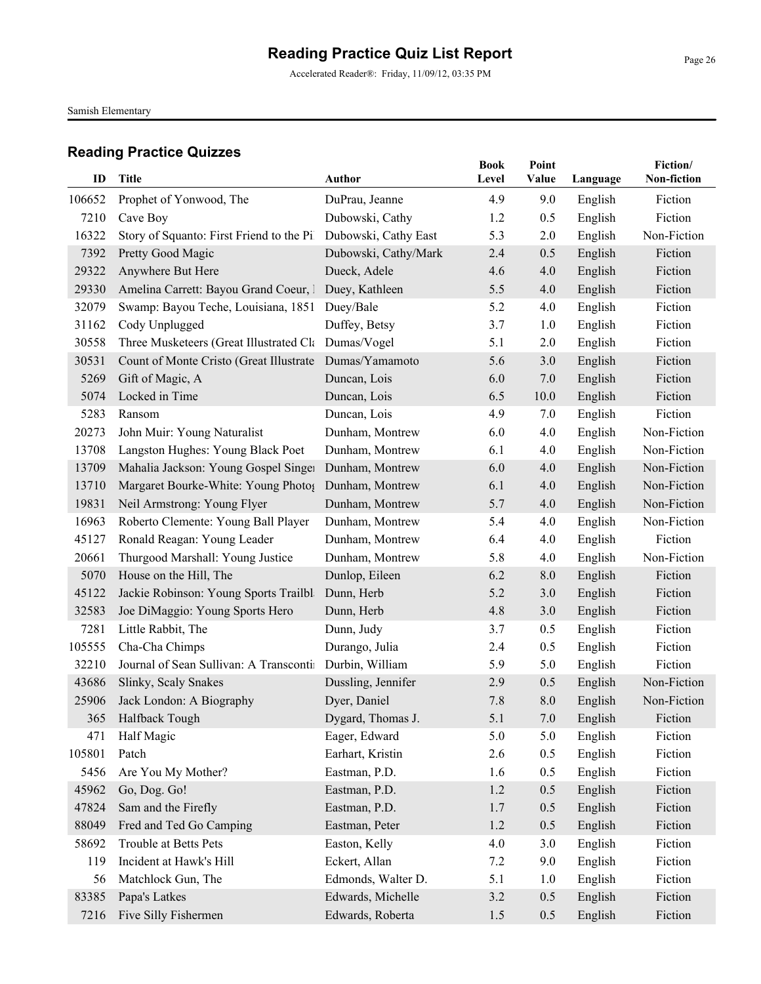Accelerated Reader®: Friday, 11/09/12, 03:35 PM

Samish Elementary

| ID            | <b>Title</b>                                                                 | <b>Author</b>                        | <b>Book</b><br>Level | Point<br>Value | Language | Fiction/<br>Non-fiction |
|---------------|------------------------------------------------------------------------------|--------------------------------------|----------------------|----------------|----------|-------------------------|
|               |                                                                              |                                      |                      |                |          |                         |
| 106652        | Prophet of Yonwood, The                                                      | DuPrau, Jeanne                       | 4.9                  | 9.0            | English  | Fiction<br>Fiction      |
| 7210          | Cave Boy                                                                     | Dubowski, Cathy                      | 1.2                  | 0.5            | English  |                         |
| 16322         | Story of Squanto: First Friend to the Pil                                    | Dubowski, Cathy East                 | 5.3                  | 2.0            | English  | Non-Fiction             |
| 7392<br>29322 | Pretty Good Magic                                                            | Dubowski, Cathy/Mark<br>Dueck, Adele | 2.4<br>4.6           | 0.5<br>4.0     | English  | Fiction<br>Fiction      |
| 29330         | Anywhere But Here                                                            |                                      |                      | 4.0            | English  | Fiction                 |
| 32079         | Amelina Carrett: Bayou Grand Coeur, 1<br>Swamp: Bayou Teche, Louisiana, 1851 | Duey, Kathleen                       | 5.5<br>5.2           |                | English  | Fiction                 |
|               |                                                                              | Duey/Bale                            |                      | 4.0            | English  |                         |
| 31162         | Cody Unplugged                                                               | Duffey, Betsy                        | 3.7                  | 1.0            | English  | Fiction                 |
| 30558         | Three Musketeers (Great Illustrated Cla Dumas/Vogel                          |                                      | 5.1                  | 2.0            | English  | Fiction                 |
| 30531         | Count of Monte Cristo (Great Illustrate Dumas/Yamamoto                       |                                      | 5.6                  | 3.0            | English  | Fiction                 |
| 5269          | Gift of Magic, A                                                             | Duncan, Lois                         | 6.0                  | 7.0            | English  | Fiction                 |
| 5074          | Locked in Time                                                               | Duncan, Lois                         | 6.5                  | 10.0           | English  | Fiction                 |
| 5283          | Ransom                                                                       | Duncan, Lois                         | 4.9                  | 7.0            | English  | Fiction                 |
| 20273         | John Muir: Young Naturalist                                                  | Dunham, Montrew                      | 6.0                  | 4.0            | English  | Non-Fiction             |
| 13708         | Langston Hughes: Young Black Poet                                            | Dunham, Montrew                      | 6.1                  | 4.0            | English  | Non-Fiction             |
| 13709         | Mahalia Jackson: Young Gospel Singer                                         | Dunham, Montrew                      | 6.0                  | 4.0            | English  | Non-Fiction             |
| 13710         | Margaret Bourke-White: Young Photos Dunham, Montrew                          |                                      | 6.1                  | 4.0            | English  | Non-Fiction             |
| 19831         | Neil Armstrong: Young Flyer                                                  | Dunham, Montrew                      | 5.7                  | 4.0            | English  | Non-Fiction             |
| 16963         | Roberto Clemente: Young Ball Player                                          | Dunham, Montrew                      | 5.4                  | 4.0            | English  | Non-Fiction             |
| 45127         | Ronald Reagan: Young Leader                                                  | Dunham, Montrew                      | 6.4                  | 4.0            | English  | Fiction                 |
| 20661         | Thurgood Marshall: Young Justice                                             | Dunham, Montrew                      | 5.8                  | 4.0            | English  | Non-Fiction             |
| 5070          | House on the Hill, The                                                       | Dunlop, Eileen                       | 6.2                  | 8.0            | English  | Fiction                 |
| 45122         | Jackie Robinson: Young Sports Trailbla                                       | Dunn, Herb                           | 5.2                  | 3.0            | English  | Fiction                 |
| 32583         | Joe DiMaggio: Young Sports Hero                                              | Dunn, Herb                           | 4.8                  | 3.0            | English  | Fiction                 |
| 7281          | Little Rabbit, The                                                           | Dunn, Judy                           | 3.7                  | 0.5            | English  | Fiction                 |
| 105555        | Cha-Cha Chimps                                                               | Durango, Julia                       | 2.4                  | 0.5            | English  | Fiction                 |
| 32210         | Journal of Sean Sullivan: A Transcontin Durbin, William                      |                                      | 5.9                  | 5.0            | English  | Fiction                 |
| 43686         | Slinky, Scaly Snakes                                                         | Dussling, Jennifer                   | 2.9                  | 0.5            | English  | Non-Fiction             |
| 25906         | Jack London: A Biography                                                     | Dyer, Daniel                         | 7.8                  | 8.0            | English  | Non-Fiction             |
| 365           | Halfback Tough                                                               | Dygard, Thomas J.                    | 5.1                  | $7.0\,$        | English  | Fiction                 |
| 471           | Half Magic                                                                   | Eager, Edward                        | 5.0                  | 5.0            | English  | Fiction                 |
| 105801        | Patch                                                                        | Earhart, Kristin                     | 2.6                  | 0.5            | English  | Fiction                 |
| 5456          | Are You My Mother?                                                           | Eastman, P.D.                        | 1.6                  | 0.5            | English  | Fiction                 |
| 45962         | Go, Dog. Go!                                                                 | Eastman, P.D.                        | 1.2                  | 0.5            | English  | Fiction                 |
| 47824         | Sam and the Firefly                                                          | Eastman, P.D.                        | 1.7                  | 0.5            | English  | Fiction                 |
| 88049         | Fred and Ted Go Camping                                                      | Eastman, Peter                       | 1.2                  | 0.5            | English  | Fiction                 |
| 58692         | Trouble at Betts Pets                                                        | Easton, Kelly                        | 4.0                  | 3.0            | English  | Fiction                 |
| 119           | Incident at Hawk's Hill                                                      | Eckert, Allan                        | 7.2                  | 9.0            | English  | Fiction                 |
| 56            | Matchlock Gun, The                                                           | Edmonds, Walter D.                   | 5.1                  | 1.0            | English  | Fiction                 |
| 83385         | Papa's Latkes                                                                | Edwards, Michelle                    | 3.2                  | 0.5            | English  | Fiction                 |
| 7216          | Five Silly Fishermen                                                         | Edwards, Roberta                     | 1.5                  | 0.5            | English  | Fiction                 |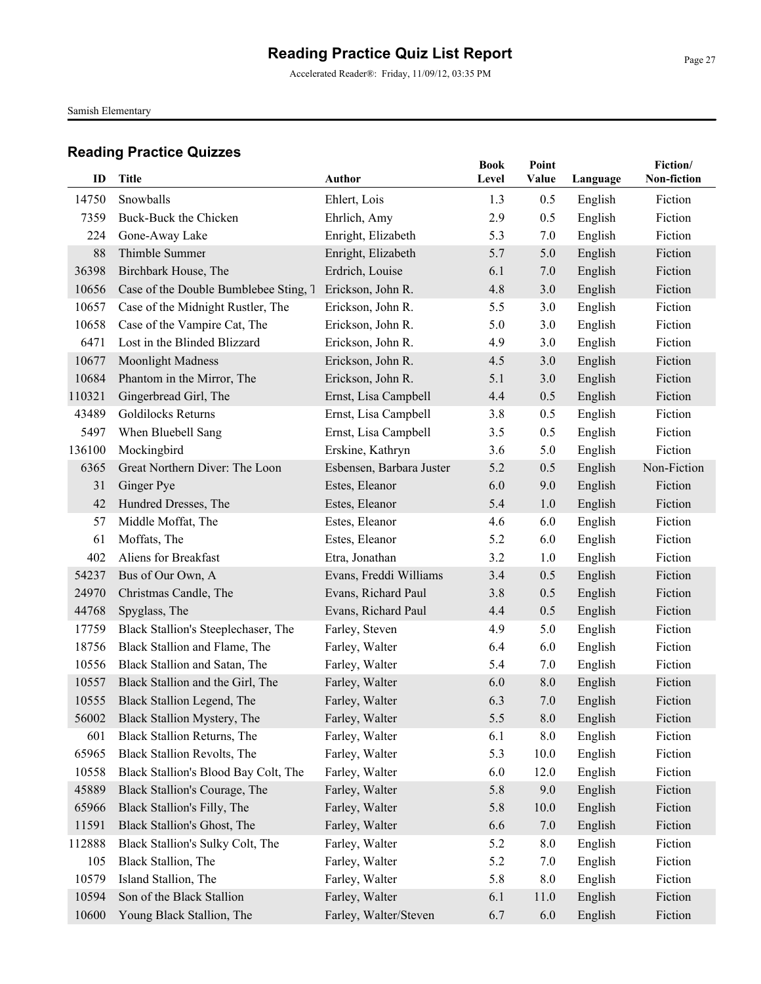Accelerated Reader®: Friday, 11/09/12, 03:35 PM

Samish Elementary

| ID     | <b>Title</b>                          | <b>Author</b>            | <b>Book</b><br>Level | Point<br>Value | Language | Fiction/<br>Non-fiction |
|--------|---------------------------------------|--------------------------|----------------------|----------------|----------|-------------------------|
|        |                                       |                          |                      |                |          |                         |
| 14750  | Snowballs                             | Ehlert, Lois             | 1.3                  | 0.5            | English  | Fiction                 |
| 7359   | Buck-Buck the Chicken                 | Ehrlich, Amy             | 2.9                  | 0.5            | English  | Fiction                 |
| 224    | Gone-Away Lake                        | Enright, Elizabeth       | 5.3                  | 7.0            | English  | Fiction                 |
| 88     | Thimble Summer                        | Enright, Elizabeth       | 5.7                  | 5.0            | English  | Fiction                 |
| 36398  | Birchbark House, The                  | Erdrich, Louise          | 6.1                  | 7.0            | English  | Fiction                 |
| 10656  | Case of the Double Bumblebee Sting, 7 | Erickson, John R.        | 4.8                  | 3.0            | English  | Fiction                 |
| 10657  | Case of the Midnight Rustler, The     | Erickson, John R.        | 5.5                  | 3.0            | English  | Fiction                 |
| 10658  | Case of the Vampire Cat, The          | Erickson, John R.        | 5.0                  | 3.0            | English  | Fiction                 |
| 6471   | Lost in the Blinded Blizzard          | Erickson, John R.        | 4.9                  | 3.0            | English  | Fiction                 |
| 10677  | <b>Moonlight Madness</b>              | Erickson, John R.        | 4.5                  | 3.0            | English  | Fiction                 |
| 10684  | Phantom in the Mirror, The            | Erickson, John R.        | 5.1                  | 3.0            | English  | Fiction                 |
| 110321 | Gingerbread Girl, The                 | Ernst, Lisa Campbell     | 4.4                  | 0.5            | English  | Fiction                 |
| 43489  | Goldilocks Returns                    | Ernst, Lisa Campbell     | 3.8                  | 0.5            | English  | Fiction                 |
| 5497   | When Bluebell Sang                    | Ernst, Lisa Campbell     | 3.5                  | 0.5            | English  | Fiction                 |
| 136100 | Mockingbird                           | Erskine, Kathryn         | 3.6                  | 5.0            | English  | Fiction                 |
| 6365   | Great Northern Diver: The Loon        | Esbensen, Barbara Juster | 5.2                  | 0.5            | English  | Non-Fiction             |
| 31     | Ginger Pye                            | Estes, Eleanor           | 6.0                  | 9.0            | English  | Fiction                 |
| 42     | Hundred Dresses, The                  | Estes, Eleanor           | 5.4                  | 1.0            | English  | Fiction                 |
| 57     | Middle Moffat, The                    | Estes, Eleanor           | 4.6                  | 6.0            | English  | Fiction                 |
| 61     | Moffats, The                          | Estes, Eleanor           | 5.2                  | 6.0            | English  | Fiction                 |
| 402    | Aliens for Breakfast                  | Etra, Jonathan           | 3.2                  | 1.0            | English  | Fiction                 |
| 54237  | Bus of Our Own, A                     | Evans, Freddi Williams   | 3.4                  | 0.5            | English  | Fiction                 |
| 24970  | Christmas Candle, The                 | Evans, Richard Paul      | 3.8                  | 0.5            | English  | Fiction                 |
| 44768  | Spyglass, The                         | Evans, Richard Paul      | 4.4                  | 0.5            | English  | Fiction                 |
| 17759  | Black Stallion's Steeplechaser, The   | Farley, Steven           | 4.9                  | 5.0            | English  | Fiction                 |
| 18756  | Black Stallion and Flame, The         | Farley, Walter           | 6.4                  | 6.0            | English  | Fiction                 |
| 10556  | Black Stallion and Satan, The         | Farley, Walter           | 5.4                  | 7.0            | English  | Fiction                 |
| 10557  | Black Stallion and the Girl, The      | Farley, Walter           | 6.0                  | 8.0            | English  | Fiction                 |
| 10555  | Black Stallion Legend, The            | Farley, Walter           | 6.3                  | 7.0            | English  | Fiction                 |
|        | 56002 Black Stallion Mystery, The     | Farley, Walter           | 5.5                  | 8.0            | English  | Fiction                 |
| 601    | Black Stallion Returns, The           | Farley, Walter           | 6.1                  | 8.0            | English  | Fiction                 |
| 65965  | Black Stallion Revolts, The           | Farley, Walter           | 5.3                  | 10.0           | English  | Fiction                 |
| 10558  | Black Stallion's Blood Bay Colt, The  | Farley, Walter           | 6.0                  | 12.0           | English  | Fiction                 |
| 45889  | Black Stallion's Courage, The         | Farley, Walter           | 5.8                  | 9.0            | English  | Fiction                 |
| 65966  | Black Stallion's Filly, The           | Farley, Walter           | 5.8                  | 10.0           | English  | Fiction                 |
| 11591  | Black Stallion's Ghost, The           | Farley, Walter           | 6.6                  | 7.0            | English  | Fiction                 |
| 112888 | Black Stallion's Sulky Colt, The      | Farley, Walter           | 5.2                  | 8.0            | English  | Fiction                 |
| 105    | Black Stallion, The                   | Farley, Walter           | 5.2                  | 7.0            | English  | Fiction                 |
| 10579  | Island Stallion, The                  | Farley, Walter           | 5.8                  | 8.0            | English  | Fiction                 |
| 10594  | Son of the Black Stallion             | Farley, Walter           | 6.1                  | 11.0           | English  | Fiction                 |
| 10600  | Young Black Stallion, The             | Farley, Walter/Steven    | 6.7                  | 6.0            | English  | Fiction                 |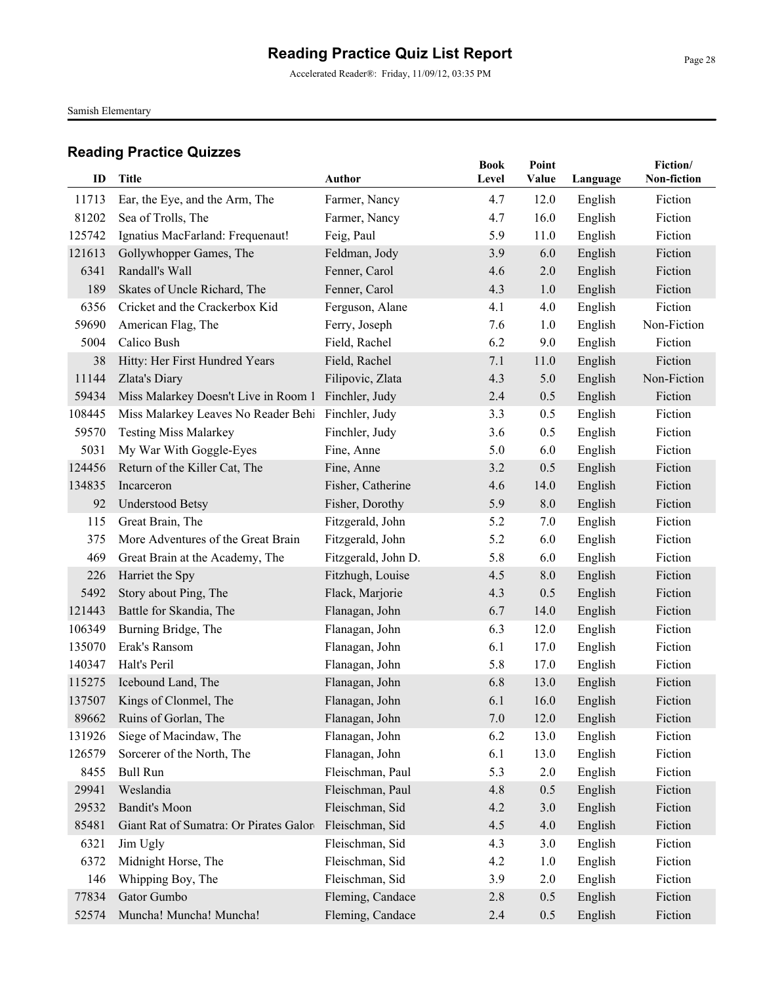Accelerated Reader®: Friday, 11/09/12, 03:35 PM

Samish Elementary

| ID     | <b>Title</b>                           | <b>Author</b>       | <b>Book</b><br>Level | Point<br>Value |          | Fiction/<br>Non-fiction |
|--------|----------------------------------------|---------------------|----------------------|----------------|----------|-------------------------|
|        |                                        |                     |                      |                | Language |                         |
| 11713  | Ear, the Eye, and the Arm, The         | Farmer, Nancy       | 4.7                  | 12.0           | English  | Fiction                 |
| 81202  | Sea of Trolls, The                     | Farmer, Nancy       | 4.7                  | 16.0           | English  | Fiction                 |
| 125742 | Ignatius MacFarland: Frequenaut!       | Feig, Paul          | 5.9                  | 11.0           | English  | Fiction                 |
| 121613 | Gollywhopper Games, The                | Feldman, Jody       | 3.9                  | 6.0            | English  | Fiction                 |
| 6341   | Randall's Wall                         | Fenner, Carol       | 4.6                  | 2.0            | English  | Fiction                 |
| 189    | Skates of Uncle Richard, The           | Fenner, Carol       | 4.3                  | 1.0            | English  | Fiction                 |
| 6356   | Cricket and the Crackerbox Kid         | Ferguson, Alane     | 4.1                  | 4.0            | English  | Fiction                 |
| 59690  | American Flag, The                     | Ferry, Joseph       | 7.6                  | 1.0            | English  | Non-Fiction             |
| 5004   | Calico Bush                            | Field, Rachel       | 6.2                  | 9.0            | English  | Fiction                 |
| 38     | Hitty: Her First Hundred Years         | Field, Rachel       | 7.1                  | 11.0           | English  | Fiction                 |
| 11144  | Zlata's Diary                          | Filipovic, Zlata    | 4.3                  | 5.0            | English  | Non-Fiction             |
| 59434  | Miss Malarkey Doesn't Live in Room 1   | Finchler, Judy      | 2.4                  | 0.5            | English  | Fiction                 |
| 108445 | Miss Malarkey Leaves No Reader Behi    | Finchler, Judy      | 3.3                  | 0.5            | English  | Fiction                 |
| 59570  | <b>Testing Miss Malarkey</b>           | Finchler, Judy      | 3.6                  | 0.5            | English  | Fiction                 |
| 5031   | My War With Goggle-Eyes                | Fine, Anne          | 5.0                  | 6.0            | English  | Fiction                 |
| 124456 | Return of the Killer Cat, The          | Fine, Anne          | 3.2                  | 0.5            | English  | Fiction                 |
| 134835 | Incarceron                             | Fisher, Catherine   | 4.6                  | 14.0           | English  | Fiction                 |
| 92     | <b>Understood Betsy</b>                | Fisher, Dorothy     | 5.9                  | 8.0            | English  | Fiction                 |
| 115    | Great Brain, The                       | Fitzgerald, John    | 5.2                  | 7.0            | English  | Fiction                 |
| 375    | More Adventures of the Great Brain     | Fitzgerald, John    | 5.2                  | 6.0            | English  | Fiction                 |
| 469    | Great Brain at the Academy, The        | Fitzgerald, John D. | 5.8                  | 6.0            | English  | Fiction                 |
| 226    | Harriet the Spy                        | Fitzhugh, Louise    | 4.5                  | 8.0            | English  | Fiction                 |
| 5492   | Story about Ping, The                  | Flack, Marjorie     | 4.3                  | 0.5            | English  | Fiction                 |
| 121443 | Battle for Skandia, The                | Flanagan, John      | 6.7                  | 14.0           | English  | Fiction                 |
| 106349 | Burning Bridge, The                    | Flanagan, John      | 6.3                  | 12.0           | English  | Fiction                 |
| 135070 | Erak's Ransom                          | Flanagan, John      | 6.1                  | 17.0           | English  | Fiction                 |
| 140347 | Halt's Peril                           | Flanagan, John      | 5.8                  | 17.0           | English  | Fiction                 |
| 115275 | Icebound Land, The                     | Flanagan, John      | 6.8                  | 13.0           | English  | Fiction                 |
| 137507 | Kings of Clonmel, The                  | Flanagan, John      | 6.1                  | 16.0           | English  | Fiction                 |
|        | 89662 Ruins of Gorlan, The             | Flanagan, John      | $7.0\,$              | 12.0           | English  | Fiction                 |
| 131926 | Siege of Macindaw, The                 | Flanagan, John      | 6.2                  | 13.0           | English  | Fiction                 |
| 126579 | Sorcerer of the North, The             | Flanagan, John      | 6.1                  | 13.0           | English  | Fiction                 |
| 8455   | <b>Bull Run</b>                        | Fleischman, Paul    | 5.3                  | 2.0            | English  | Fiction                 |
| 29941  | Weslandia                              | Fleischman, Paul    | 4.8                  | 0.5            | English  | Fiction                 |
| 29532  | <b>Bandit's Moon</b>                   | Fleischman, Sid     | 4.2                  | 3.0            | English  | Fiction                 |
| 85481  | Giant Rat of Sumatra: Or Pirates Galor | Fleischman, Sid     | 4.5                  | 4.0            | English  | Fiction                 |
| 6321   | Jim Ugly                               | Fleischman, Sid     | 4.3                  | 3.0            | English  | Fiction                 |
| 6372   | Midnight Horse, The                    | Fleischman, Sid     | 4.2                  | 1.0            | English  | Fiction                 |
| 146    | Whipping Boy, The                      | Fleischman, Sid     | 3.9                  | 2.0            | English  | Fiction                 |
| 77834  | Gator Gumbo                            | Fleming, Candace    | 2.8                  | 0.5            | English  | Fiction                 |
| 52574  | Muncha! Muncha! Muncha!                | Fleming, Candace    | 2.4                  | 0.5            | English  | Fiction                 |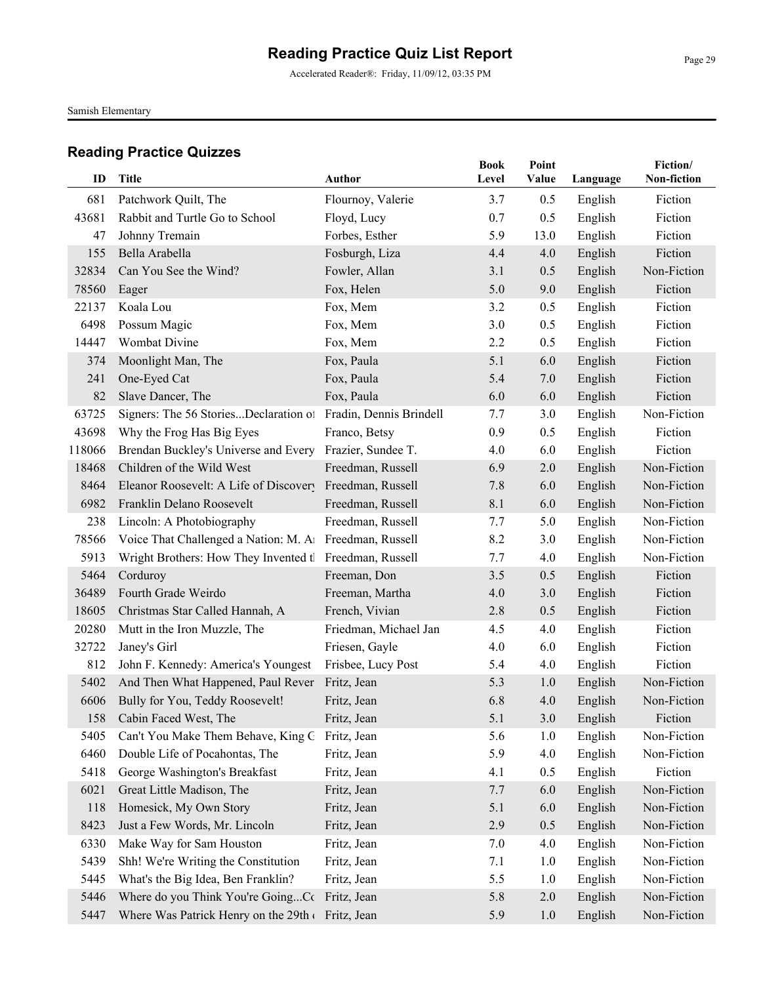Accelerated Reader®: Friday, 11/09/12, 03:35 PM

Samish Elementary

| ID     | <b>Title</b>                                             | Author                  | <b>Book</b><br>Level | Point<br>Value | Language | Fiction/<br>Non-fiction |
|--------|----------------------------------------------------------|-------------------------|----------------------|----------------|----------|-------------------------|
| 681    | Patchwork Quilt, The                                     | Flournoy, Valerie       | 3.7                  | 0.5            | English  | Fiction                 |
| 43681  | Rabbit and Turtle Go to School                           | Floyd, Lucy             | 0.7                  | 0.5            | English  | Fiction                 |
| 47     | Johnny Tremain                                           | Forbes, Esther          | 5.9                  | 13.0           | English  | Fiction                 |
| 155    | Bella Arabella                                           | Fosburgh, Liza          | 4.4                  | 4.0            | English  | Fiction                 |
| 32834  | Can You See the Wind?                                    | Fowler, Allan           | 3.1                  | 0.5            | English  | Non-Fiction             |
| 78560  | Eager                                                    | Fox, Helen              | 5.0                  | 9.0            | English  | Fiction                 |
| 22137  | Koala Lou                                                | Fox, Mem                | 3.2                  | 0.5            | English  | Fiction                 |
| 6498   | Possum Magic                                             | Fox, Mem                | 3.0                  | 0.5            | English  | Fiction                 |
| 14447  | Wombat Divine                                            | Fox, Mem                | 2.2                  | 0.5            | English  | Fiction                 |
| 374    | Moonlight Man, The                                       | Fox, Paula              | 5.1                  | 6.0            | English  | Fiction                 |
| 241    | One-Eyed Cat                                             | Fox, Paula              | 5.4                  | 7.0            | English  | Fiction                 |
| 82     | Slave Dancer, The                                        | Fox, Paula              | 6.0                  | 6.0            | English  | Fiction                 |
| 63725  | Signers: The 56 StoriesDeclaration of                    | Fradin, Dennis Brindell | 7.7                  | 3.0            | English  | Non-Fiction             |
| 43698  | Why the Frog Has Big Eyes                                | Franco, Betsy           | 0.9                  | 0.5            | English  | Fiction                 |
| 118066 | Brendan Buckley's Universe and Every Frazier, Sundee T.  |                         | 4.0                  | 6.0            | English  | Fiction                 |
| 18468  | Children of the Wild West                                | Freedman, Russell       | 6.9                  | 2.0            | English  | Non-Fiction             |
| 8464   | Eleanor Roosevelt: A Life of Discovery Freedman, Russell |                         | 7.8                  | 6.0            | English  | Non-Fiction             |
| 6982   | Franklin Delano Roosevelt                                | Freedman, Russell       | 8.1                  | 6.0            | English  | Non-Fiction             |
| 238    | Lincoln: A Photobiography                                | Freedman, Russell       | 7.7                  | 5.0            | English  | Non-Fiction             |
| 78566  | Voice That Challenged a Nation: M. A1 Freedman, Russell  |                         | 8.2                  | 3.0            | English  | Non-Fiction             |
| 5913   | Wright Brothers: How They Invented tl Freedman, Russell  |                         | 7.7                  | 4.0            | English  | Non-Fiction             |
| 5464   | Corduroy                                                 | Freeman, Don            | 3.5                  | 0.5            | English  | Fiction                 |
| 36489  | Fourth Grade Weirdo                                      | Freeman, Martha         | 4.0                  | 3.0            | English  | Fiction                 |
| 18605  | Christmas Star Called Hannah, A                          | French, Vivian          | 2.8                  | 0.5            | English  | Fiction                 |
| 20280  | Mutt in the Iron Muzzle, The                             | Friedman, Michael Jan   | 4.5                  | 4.0            | English  | Fiction                 |
| 32722  | Janey's Girl                                             | Friesen, Gayle          | 4.0                  | 6.0            | English  | Fiction                 |
| 812    | John F. Kennedy: America's Youngest                      | Frisbee, Lucy Post      | 5.4                  | 4.0            | English  | Fiction                 |
| 5402   | And Then What Happened, Paul Rever                       | Fritz, Jean             | 5.3                  | 1.0            | English  | Non-Fiction             |
| 6606   | Bully for You, Teddy Roosevelt!                          | Fritz, Jean             | 6.8                  | 4.0            | English  | Non-Fiction             |
| 158    | Cabin Faced West, The                                    | Fritz, Jean             | 5.1                  | 3.0            | English  | Fiction                 |
| 5405   | Can't You Make Them Behave, King G                       | Fritz, Jean             | 5.6                  | 1.0            | English  | Non-Fiction             |
| 6460   | Double Life of Pocahontas, The                           | Fritz, Jean             | 5.9                  | 4.0            | English  | Non-Fiction             |
| 5418   | George Washington's Breakfast                            | Fritz, Jean             | 4.1                  | 0.5            | English  | Fiction                 |
| 6021   | Great Little Madison, The                                | Fritz, Jean             | 7.7                  | 6.0            | English  | Non-Fiction             |
| 118    | Homesick, My Own Story                                   | Fritz, Jean             | 5.1                  | 6.0            | English  | Non-Fiction             |
| 8423   | Just a Few Words, Mr. Lincoln                            | Fritz, Jean             | 2.9                  | 0.5            | English  | Non-Fiction             |
| 6330   | Make Way for Sam Houston                                 | Fritz, Jean             | 7.0                  | 4.0            | English  | Non-Fiction             |
| 5439   | Shh! We're Writing the Constitution                      | Fritz, Jean             | 7.1                  | 1.0            | English  | Non-Fiction             |
| 5445   | What's the Big Idea, Ben Franklin?                       | Fritz, Jean             | 5.5                  | 1.0            | English  | Non-Fiction             |
| 5446   | Where do you Think You're GoingCc Fritz, Jean            |                         | 5.8                  | 2.0            | English  | Non-Fiction             |
| 5447   | Where Was Patrick Henry on the 29th (Fritz, Jean         |                         | 5.9                  | 1.0            | English  | Non-Fiction             |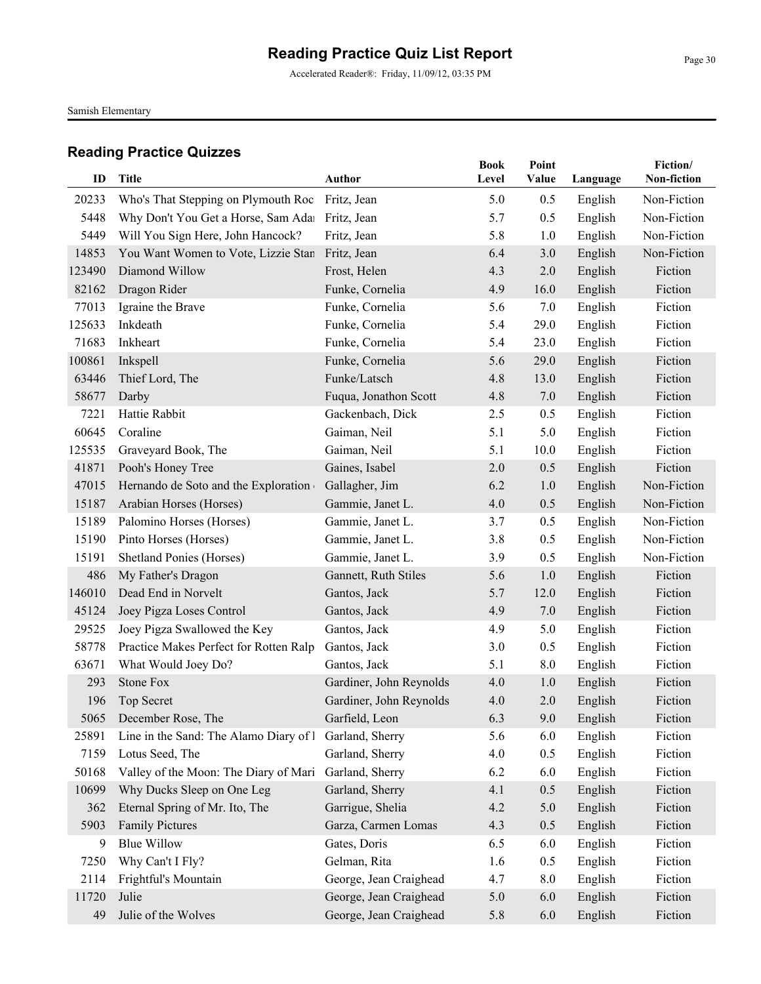Accelerated Reader®: Friday, 11/09/12, 03:35 PM

Samish Elementary

| ID     | <b>Title</b>                           | <b>Author</b>           | <b>Book</b><br>Level | Point<br>Value | Language | Fiction/<br>Non-fiction |
|--------|----------------------------------------|-------------------------|----------------------|----------------|----------|-------------------------|
|        |                                        |                         |                      |                |          |                         |
| 20233  | Who's That Stepping on Plymouth Roc    | Fritz, Jean             | 5.0                  | 0.5            | English  | Non-Fiction             |
| 5448   | Why Don't You Get a Horse, Sam Adai    | Fritz, Jean             | 5.7                  | 0.5            | English  | Non-Fiction             |
| 5449   | Will You Sign Here, John Hancock?      | Fritz, Jean             | 5.8                  | 1.0            | English  | Non-Fiction             |
| 14853  | You Want Women to Vote, Lizzie Stan    | Fritz, Jean             | 6.4                  | 3.0            | English  | Non-Fiction             |
| 123490 | Diamond Willow                         | Frost, Helen            | 4.3                  | 2.0            | English  | Fiction                 |
| 82162  | Dragon Rider                           | Funke, Cornelia         | 4.9                  | 16.0           | English  | Fiction                 |
| 77013  | Igraine the Brave                      | Funke, Cornelia         | 5.6                  | 7.0            | English  | Fiction                 |
| 125633 | Inkdeath                               | Funke, Cornelia         | 5.4                  | 29.0           | English  | Fiction                 |
| 71683  | Inkheart                               | Funke, Cornelia         | 5.4                  | 23.0           | English  | Fiction                 |
| 100861 | Inkspell                               | Funke, Cornelia         | 5.6                  | 29.0           | English  | Fiction                 |
| 63446  | Thief Lord, The                        | Funke/Latsch            | 4.8                  | 13.0           | English  | Fiction                 |
| 58677  | Darby                                  | Fuqua, Jonathon Scott   | 4.8                  | 7.0            | English  | Fiction                 |
| 7221   | Hattie Rabbit                          | Gackenbach, Dick        | 2.5                  | 0.5            | English  | Fiction                 |
| 60645  | Coraline                               | Gaiman, Neil            | 5.1                  | 5.0            | English  | Fiction                 |
| 125535 | Graveyard Book, The                    | Gaiman, Neil            | 5.1                  | 10.0           | English  | Fiction                 |
| 41871  | Pooh's Honey Tree                      | Gaines, Isabel          | 2.0                  | 0.5            | English  | Fiction                 |
| 47015  | Hernando de Soto and the Exploration   | Gallagher, Jim          | 6.2                  | 1.0            | English  | Non-Fiction             |
| 15187  | Arabian Horses (Horses)                | Gammie, Janet L.        | 4.0                  | 0.5            | English  | Non-Fiction             |
| 15189  | Palomino Horses (Horses)               | Gammie, Janet L.        | 3.7                  | 0.5            | English  | Non-Fiction             |
| 15190  | Pinto Horses (Horses)                  | Gammie, Janet L.        | 3.8                  | 0.5            | English  | Non-Fiction             |
| 15191  | Shetland Ponies (Horses)               | Gammie, Janet L.        | 3.9                  | 0.5            | English  | Non-Fiction             |
| 486    | My Father's Dragon                     | Gannett, Ruth Stiles    | 5.6                  | 1.0            | English  | Fiction                 |
| 146010 | Dead End in Norvelt                    | Gantos, Jack            | 5.7                  | 12.0           | English  | Fiction                 |
| 45124  | Joey Pigza Loses Control               | Gantos, Jack            | 4.9                  | 7.0            | English  | Fiction                 |
| 29525  | Joey Pigza Swallowed the Key           | Gantos, Jack            | 4.9                  | 5.0            | English  | Fiction                 |
| 58778  | Practice Makes Perfect for Rotten Ralp | Gantos, Jack            | 3.0                  | 0.5            | English  | Fiction                 |
| 63671  | What Would Joey Do?                    | Gantos, Jack            | 5.1                  | 8.0            | English  | Fiction                 |
| 293    | <b>Stone Fox</b>                       | Gardiner, John Reynolds | 4.0                  | 1.0            | English  | Fiction                 |
| 196    | <b>Top Secret</b>                      | Gardiner, John Reynolds | 4.0                  | 2.0            | English  | Fiction                 |
|        | 5065 December Rose, The                | Garfield, Leon          | 6.3                  | 9.0            | English  | Fiction                 |
| 25891  | Line in the Sand: The Alamo Diary of I | Garland, Sherry         | 5.6                  | 6.0            | English  | Fiction                 |
| 7159   | Lotus Seed, The                        | Garland, Sherry         | 4.0                  | 0.5            | English  | Fiction                 |
| 50168  | Valley of the Moon: The Diary of Mari  | Garland, Sherry         | 6.2                  | 6.0            | English  | Fiction                 |
| 10699  | Why Ducks Sleep on One Leg             | Garland, Sherry         | 4.1                  | 0.5            | English  | Fiction                 |
| 362    | Eternal Spring of Mr. Ito, The         | Garrigue, Shelia        | 4.2                  | 5.0            | English  | Fiction                 |
| 5903   | <b>Family Pictures</b>                 | Garza, Carmen Lomas     | 4.3                  | 0.5            | English  | Fiction                 |
| 9      | <b>Blue Willow</b>                     | Gates, Doris            | 6.5                  | 6.0            | English  | Fiction                 |
| 7250   | Why Can't I Fly?                       | Gelman, Rita            | 1.6                  | 0.5            | English  | Fiction                 |
| 2114   | Frightful's Mountain                   | George, Jean Craighead  | 4.7                  | 8.0            | English  | Fiction                 |
| 11720  | Julie                                  | George, Jean Craighead  | 5.0                  | 6.0            | English  | Fiction                 |
| 49     | Julie of the Wolves                    | George, Jean Craighead  | 5.8                  | 6.0            | English  | Fiction                 |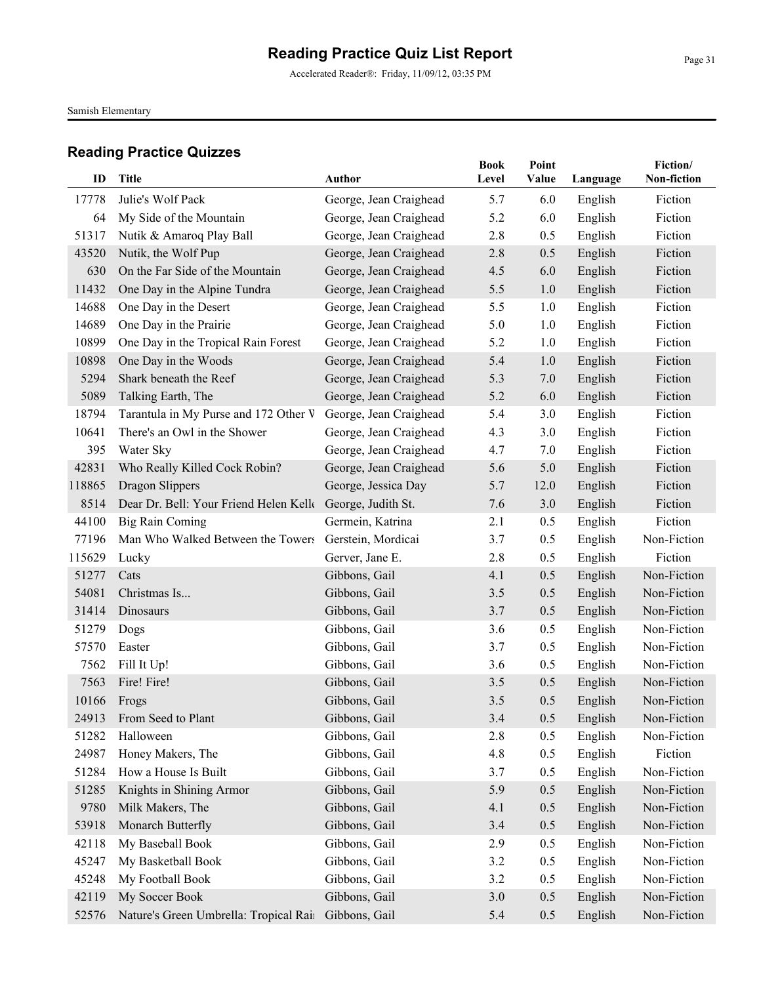Accelerated Reader®: Friday, 11/09/12, 03:35 PM

Samish Elementary

| ID     | <b>Title</b>                           | Author                 | <b>Book</b><br>Level | Point<br>Value | Language | Fiction/<br>Non-fiction |
|--------|----------------------------------------|------------------------|----------------------|----------------|----------|-------------------------|
| 17778  | Julie's Wolf Pack                      | George, Jean Craighead | 5.7                  | 6.0            | English  | Fiction                 |
| 64     | My Side of the Mountain                | George, Jean Craighead | 5.2                  | 6.0            | English  | Fiction                 |
| 51317  | Nutik & Amaroq Play Ball               | George, Jean Craighead | 2.8                  | 0.5            | English  | Fiction                 |
| 43520  | Nutik, the Wolf Pup                    | George, Jean Craighead | 2.8                  | 0.5            | English  | Fiction                 |
| 630    | On the Far Side of the Mountain        | George, Jean Craighead | 4.5                  | 6.0            | English  | Fiction                 |
| 11432  | One Day in the Alpine Tundra           | George, Jean Craighead | 5.5                  | 1.0            | English  | Fiction                 |
| 14688  | One Day in the Desert                  | George, Jean Craighead | 5.5                  | 1.0            | English  | Fiction                 |
| 14689  | One Day in the Prairie                 | George, Jean Craighead | 5.0                  | 1.0            | English  | Fiction                 |
| 10899  | One Day in the Tropical Rain Forest    | George, Jean Craighead | 5.2                  | 1.0            | English  | Fiction                 |
| 10898  | One Day in the Woods                   | George, Jean Craighead | 5.4                  | 1.0            | English  | Fiction                 |
| 5294   | Shark beneath the Reef                 | George, Jean Craighead | 5.3                  | 7.0            | English  | Fiction                 |
| 5089   | Talking Earth, The                     | George, Jean Craighead | 5.2                  | 6.0            | English  | Fiction                 |
| 18794  | Tarantula in My Purse and 172 Other V  | George, Jean Craighead | 5.4                  | 3.0            | English  | Fiction                 |
| 10641  | There's an Owl in the Shower           | George, Jean Craighead | 4.3                  | 3.0            | English  | Fiction                 |
| 395    | Water Sky                              | George, Jean Craighead | 4.7                  | 7.0            | English  | Fiction                 |
| 42831  | Who Really Killed Cock Robin?          | George, Jean Craighead | 5.6                  | 5.0            | English  | Fiction                 |
| 118865 | Dragon Slippers                        | George, Jessica Day    | 5.7                  | 12.0           | English  | Fiction                 |
| 8514   | Dear Dr. Bell: Your Friend Helen Kelle | George, Judith St.     | 7.6                  | 3.0            | English  | Fiction                 |
| 44100  | <b>Big Rain Coming</b>                 | Germein, Katrina       | 2.1                  | 0.5            | English  | Fiction                 |
| 77196  | Man Who Walked Between the Towers      | Gerstein, Mordicai     | 3.7                  | 0.5            | English  | Non-Fiction             |
| 115629 | Lucky                                  | Gerver, Jane E.        | 2.8                  | 0.5            | English  | Fiction                 |
| 51277  | Cats                                   | Gibbons, Gail          | 4.1                  | 0.5            | English  | Non-Fiction             |
| 54081  | Christmas Is                           | Gibbons, Gail          | 3.5                  | 0.5            | English  | Non-Fiction             |
| 31414  | Dinosaurs                              | Gibbons, Gail          | 3.7                  | 0.5            | English  | Non-Fiction             |
| 51279  | Dogs                                   | Gibbons, Gail          | 3.6                  | 0.5            | English  | Non-Fiction             |
| 57570  | Easter                                 | Gibbons, Gail          | 3.7                  | 0.5            | English  | Non-Fiction             |
| 7562   | Fill It Up!                            | Gibbons, Gail          | 3.6                  | 0.5            | English  | Non-Fiction             |
| 7563   | Fire! Fire!                            | Gibbons, Gail          | 3.5                  | 0.5            | English  | Non-Fiction             |
| 10166  | Frogs                                  | Gibbons, Gail          | 3.5                  | 0.5            | English  | Non-Fiction             |
|        | 24913 From Seed to Plant               | Gibbons, Gail          | 3.4                  | 0.5            | English  | Non-Fiction             |
| 51282  | Halloween                              | Gibbons, Gail          | 2.8                  | 0.5            | English  | Non-Fiction             |
| 24987  | Honey Makers, The                      | Gibbons, Gail          | 4.8                  | 0.5            | English  | Fiction                 |
| 51284  | How a House Is Built                   | Gibbons, Gail          | 3.7                  | 0.5            | English  | Non-Fiction             |
| 51285  | Knights in Shining Armor               | Gibbons, Gail          | 5.9                  | 0.5            | English  | Non-Fiction             |
| 9780   | Milk Makers, The                       | Gibbons, Gail          | 4.1                  | 0.5            | English  | Non-Fiction             |
| 53918  | Monarch Butterfly                      | Gibbons, Gail          | 3.4                  | 0.5            | English  | Non-Fiction             |
| 42118  | My Baseball Book                       | Gibbons, Gail          | 2.9                  | 0.5            | English  | Non-Fiction             |
| 45247  | My Basketball Book                     | Gibbons, Gail          | 3.2                  | 0.5            | English  | Non-Fiction             |
| 45248  | My Football Book                       | Gibbons, Gail          | 3.2                  | 0.5            | English  | Non-Fiction             |
| 42119  | My Soccer Book                         | Gibbons, Gail          | 3.0                  | 0.5            | English  | Non-Fiction             |
| 52576  | Nature's Green Umbrella: Tropical Rain | Gibbons, Gail          | 5.4                  | 0.5            | English  | Non-Fiction             |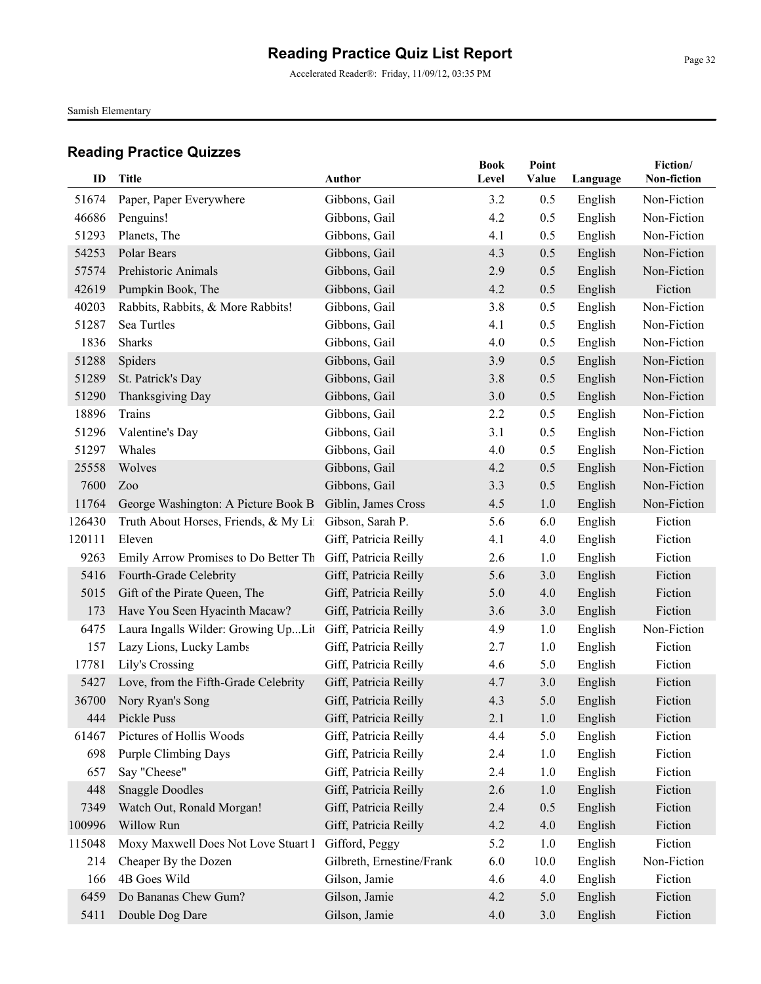Accelerated Reader®: Friday, 11/09/12, 03:35 PM

Samish Elementary

|        |                                       |                           | <b>Book</b> | Point |          | Fiction/    |
|--------|---------------------------------------|---------------------------|-------------|-------|----------|-------------|
| ID     | <b>Title</b>                          | <b>Author</b>             | Level       | Value | Language | Non-fiction |
| 51674  | Paper, Paper Everywhere               | Gibbons, Gail             | 3.2         | 0.5   | English  | Non-Fiction |
| 46686  | Penguins!                             | Gibbons, Gail             | 4.2         | 0.5   | English  | Non-Fiction |
| 51293  | Planets, The                          | Gibbons, Gail             | 4.1         | 0.5   | English  | Non-Fiction |
| 54253  | Polar Bears                           | Gibbons, Gail             | 4.3         | 0.5   | English  | Non-Fiction |
| 57574  | Prehistoric Animals                   | Gibbons, Gail             | 2.9         | 0.5   | English  | Non-Fiction |
| 42619  | Pumpkin Book, The                     | Gibbons, Gail             | 4.2         | 0.5   | English  | Fiction     |
| 40203  | Rabbits, Rabbits, & More Rabbits!     | Gibbons, Gail             | 3.8         | 0.5   | English  | Non-Fiction |
| 51287  | Sea Turtles                           | Gibbons, Gail             | 4.1         | 0.5   | English  | Non-Fiction |
| 1836   | <b>Sharks</b>                         | Gibbons, Gail             | 4.0         | 0.5   | English  | Non-Fiction |
| 51288  | Spiders                               | Gibbons, Gail             | 3.9         | 0.5   | English  | Non-Fiction |
| 51289  | St. Patrick's Day                     | Gibbons, Gail             | 3.8         | 0.5   | English  | Non-Fiction |
| 51290  | Thanksgiving Day                      | Gibbons, Gail             | 3.0         | 0.5   | English  | Non-Fiction |
| 18896  | Trains                                | Gibbons, Gail             | 2.2         | 0.5   | English  | Non-Fiction |
| 51296  | Valentine's Day                       | Gibbons, Gail             | 3.1         | 0.5   | English  | Non-Fiction |
| 51297  | Whales                                | Gibbons, Gail             | 4.0         | 0.5   | English  | Non-Fiction |
| 25558  | Wolves                                | Gibbons, Gail             | 4.2         | 0.5   | English  | Non-Fiction |
| 7600   | Zoo                                   | Gibbons, Gail             | 3.3         | 0.5   | English  | Non-Fiction |
| 11764  | George Washington: A Picture Book B   | Giblin, James Cross       | 4.5         | 1.0   | English  | Non-Fiction |
| 126430 | Truth About Horses, Friends, & My Lit | Gibson, Sarah P.          | 5.6         | 6.0   | English  | Fiction     |
| 120111 | Eleven                                | Giff, Patricia Reilly     | 4.1         | 4.0   | English  | Fiction     |
| 9263   | Emily Arrow Promises to Do Better Th  | Giff, Patricia Reilly     | 2.6         | 1.0   | English  | Fiction     |
| 5416   | Fourth-Grade Celebrity                | Giff, Patricia Reilly     | 5.6         | 3.0   | English  | Fiction     |
| 5015   | Gift of the Pirate Queen, The         | Giff, Patricia Reilly     | 5.0         | 4.0   | English  | Fiction     |
| 173    | Have You Seen Hyacinth Macaw?         | Giff, Patricia Reilly     | 3.6         | 3.0   | English  | Fiction     |
| 6475   | Laura Ingalls Wilder: Growing UpLit   | Giff, Patricia Reilly     | 4.9         | 1.0   | English  | Non-Fiction |
| 157    | Lazy Lions, Lucky Lambs               | Giff, Patricia Reilly     | 2.7         | 1.0   | English  | Fiction     |
| 17781  | Lily's Crossing                       | Giff, Patricia Reilly     | 4.6         | 5.0   | English  | Fiction     |
| 5427   | Love, from the Fifth-Grade Celebrity  | Giff, Patricia Reilly     | 4.7         | 3.0   | English  | Fiction     |
| 36700  | Nory Ryan's Song                      | Giff, Patricia Reilly     | 4.3         | 5.0   | English  | Fiction     |
| 444    | Pickle Puss                           | Giff, Patricia Reilly     | 2.1         | 1.0   | English  | Fiction     |
| 61467  | Pictures of Hollis Woods              | Giff, Patricia Reilly     | 4.4         | 5.0   | English  | Fiction     |
| 698    | <b>Purple Climbing Days</b>           | Giff, Patricia Reilly     | 2.4         | 1.0   | English  | Fiction     |
| 657    | Say "Cheese"                          | Giff, Patricia Reilly     | 2.4         | 1.0   | English  | Fiction     |
| 448    | <b>Snaggle Doodles</b>                | Giff, Patricia Reilly     | 2.6         | 1.0   | English  | Fiction     |
| 7349   | Watch Out, Ronald Morgan!             | Giff, Patricia Reilly     | 2.4         | 0.5   | English  | Fiction     |
| 100996 | Willow Run                            | Giff, Patricia Reilly     | 4.2         | 4.0   | English  | Fiction     |
| 115048 | Moxy Maxwell Does Not Love Stuart I   | Gifford, Peggy            | 5.2         | 1.0   | English  | Fiction     |
| 214    | Cheaper By the Dozen                  | Gilbreth, Ernestine/Frank | 6.0         | 10.0  | English  | Non-Fiction |
| 166    | 4B Goes Wild                          | Gilson, Jamie             | 4.6         | 4.0   | English  | Fiction     |
| 6459   | Do Bananas Chew Gum?                  | Gilson, Jamie             | 4.2         | 5.0   | English  | Fiction     |
| 5411   | Double Dog Dare                       | Gilson, Jamie             | 4.0         | 3.0   | English  | Fiction     |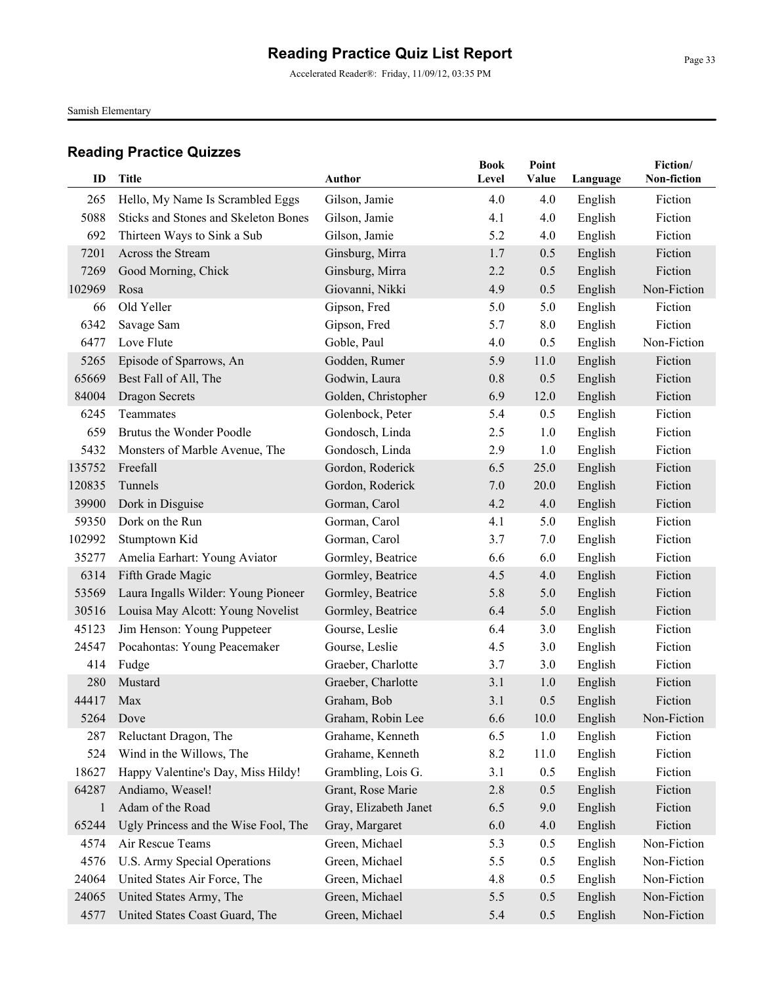Accelerated Reader®: Friday, 11/09/12, 03:35 PM

Samish Elementary

| ID     | <b>Title</b>                         | <b>Author</b>         | <b>Book</b><br>Level | Point<br>Value | Language | Fiction/<br>Non-fiction |
|--------|--------------------------------------|-----------------------|----------------------|----------------|----------|-------------------------|
|        |                                      |                       |                      |                |          |                         |
| 265    | Hello, My Name Is Scrambled Eggs     | Gilson, Jamie         | 4.0                  | 4.0            | English  | Fiction                 |
| 5088   | Sticks and Stones and Skeleton Bones | Gilson, Jamie         | 4.1                  | 4.0            | English  | Fiction                 |
| 692    | Thirteen Ways to Sink a Sub          | Gilson, Jamie         | 5.2                  | 4.0            | English  | Fiction                 |
| 7201   | Across the Stream                    | Ginsburg, Mirra       | 1.7                  | 0.5            | English  | Fiction                 |
| 7269   | Good Morning, Chick                  | Ginsburg, Mirra       | 2.2                  | 0.5            | English  | Fiction                 |
| 102969 | Rosa                                 | Giovanni, Nikki       | 4.9                  | 0.5            | English  | Non-Fiction             |
| 66     | Old Yeller                           | Gipson, Fred          | 5.0                  | 5.0            | English  | Fiction                 |
| 6342   | Savage Sam                           | Gipson, Fred          | 5.7                  | 8.0            | English  | Fiction                 |
| 6477   | Love Flute                           | Goble, Paul           | 4.0                  | 0.5            | English  | Non-Fiction             |
| 5265   | Episode of Sparrows, An              | Godden, Rumer         | 5.9                  | 11.0           | English  | Fiction                 |
| 65669  | Best Fall of All, The                | Godwin, Laura         | 0.8                  | 0.5            | English  | Fiction                 |
| 84004  | <b>Dragon Secrets</b>                | Golden, Christopher   | 6.9                  | 12.0           | English  | Fiction                 |
| 6245   | Teammates                            | Golenbock, Peter      | 5.4                  | 0.5            | English  | Fiction                 |
| 659    | Brutus the Wonder Poodle             | Gondosch, Linda       | 2.5                  | 1.0            | English  | Fiction                 |
| 5432   | Monsters of Marble Avenue, The       | Gondosch, Linda       | 2.9                  | 1.0            | English  | Fiction                 |
| 135752 | Freefall                             | Gordon, Roderick      | 6.5                  | 25.0           | English  | Fiction                 |
| 120835 | Tunnels                              | Gordon, Roderick      | 7.0                  | 20.0           | English  | Fiction                 |
| 39900  | Dork in Disguise                     | Gorman, Carol         | 4.2                  | 4.0            | English  | Fiction                 |
| 59350  | Dork on the Run                      | Gorman, Carol         | 4.1                  | 5.0            | English  | Fiction                 |
| 102992 | Stumptown Kid                        | Gorman, Carol         | 3.7                  | 7.0            | English  | Fiction                 |
| 35277  | Amelia Earhart: Young Aviator        | Gormley, Beatrice     | 6.6                  | 6.0            | English  | Fiction                 |
| 6314   | Fifth Grade Magic                    | Gormley, Beatrice     | 4.5                  | 4.0            | English  | Fiction                 |
| 53569  | Laura Ingalls Wilder: Young Pioneer  | Gormley, Beatrice     | 5.8                  | 5.0            | English  | Fiction                 |
| 30516  | Louisa May Alcott: Young Novelist    | Gormley, Beatrice     | 6.4                  | 5.0            | English  | Fiction                 |
| 45123  | Jim Henson: Young Puppeteer          | Gourse, Leslie        | 6.4                  | 3.0            | English  | Fiction                 |
| 24547  | Pocahontas: Young Peacemaker         | Gourse, Leslie        | 4.5                  | 3.0            | English  | Fiction                 |
| 414    | Fudge                                | Graeber, Charlotte    | 3.7                  | 3.0            | English  | Fiction                 |
| 280    | Mustard                              | Graeber, Charlotte    | 3.1                  | 1.0            | English  | Fiction                 |
| 44417  | Max                                  | Graham, Bob           | 3.1                  | 0.5            | English  | Fiction                 |
| 5264   | Dove                                 | Graham, Robin Lee     | 6.6                  | 10.0           | English  | Non-Fiction             |
| 287    | Reluctant Dragon, The                | Grahame, Kenneth      | 6.5                  | 1.0            | English  | Fiction                 |
| 524    | Wind in the Willows, The             | Grahame, Kenneth      | 8.2                  | 11.0           | English  | Fiction                 |
| 18627  | Happy Valentine's Day, Miss Hildy!   | Grambling, Lois G.    | 3.1                  | 0.5            | English  | Fiction                 |
| 64287  | Andiamo, Weasel!                     | Grant, Rose Marie     | 2.8                  | 0.5            | English  | Fiction                 |
| 1      | Adam of the Road                     | Gray, Elizabeth Janet | 6.5                  | 9.0            | English  | Fiction                 |
| 65244  | Ugly Princess and the Wise Fool, The | Gray, Margaret        | 6.0                  | 4.0            | English  | Fiction                 |
| 4574   | Air Rescue Teams                     | Green, Michael        | 5.3                  | 0.5            | English  | Non-Fiction             |
| 4576   | U.S. Army Special Operations         | Green, Michael        | 5.5                  | 0.5            | English  | Non-Fiction             |
| 24064  | United States Air Force, The         | Green, Michael        | 4.8                  | 0.5            | English  | Non-Fiction             |
| 24065  | United States Army, The              | Green, Michael        | 5.5                  | 0.5            | English  | Non-Fiction             |
| 4577   | United States Coast Guard, The       | Green, Michael        | 5.4                  | 0.5            | English  | Non-Fiction             |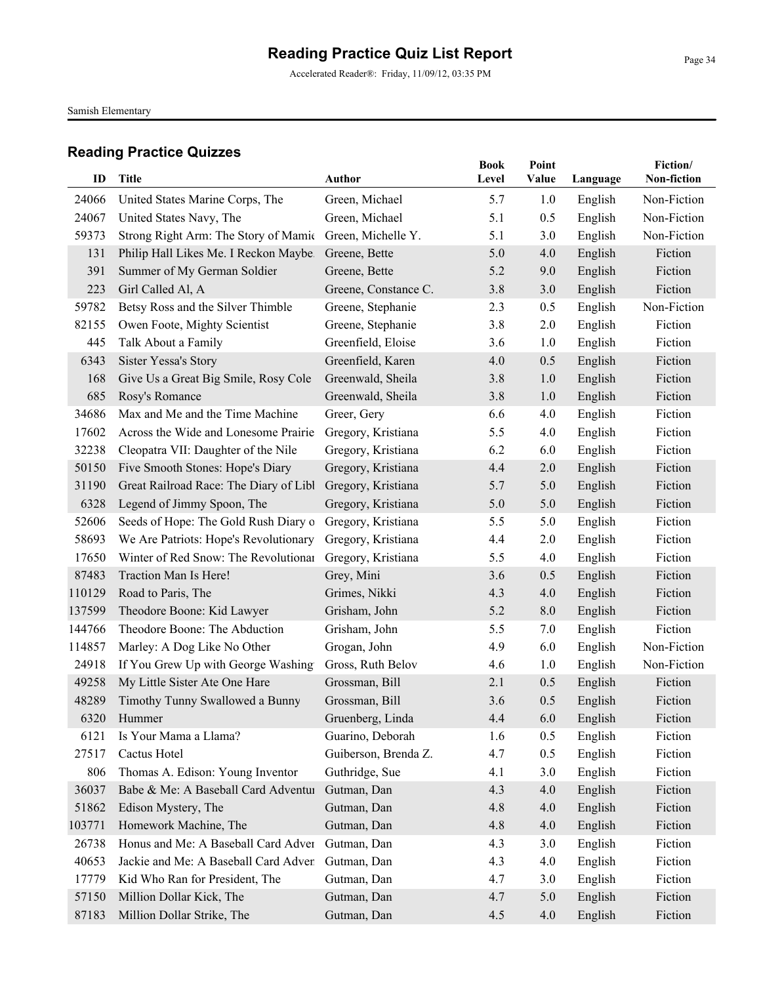Accelerated Reader®: Friday, 11/09/12, 03:35 PM

Samish Elementary

|        |                                        |                      | <b>Book</b> | Point |          | Fiction/    |
|--------|----------------------------------------|----------------------|-------------|-------|----------|-------------|
| ID     | <b>Title</b>                           | <b>Author</b>        | Level       | Value | Language | Non-fiction |
| 24066  | United States Marine Corps, The        | Green, Michael       | 5.7         | 1.0   | English  | Non-Fiction |
| 24067  | United States Navy, The                | Green, Michael       | 5.1         | 0.5   | English  | Non-Fiction |
| 59373  | Strong Right Arm: The Story of Mamie   | Green, Michelle Y.   | 5.1         | 3.0   | English  | Non-Fiction |
| 131    | Philip Hall Likes Me. I Reckon Maybe   | Greene, Bette        | 5.0         | 4.0   | English  | Fiction     |
| 391    | Summer of My German Soldier            | Greene, Bette        | 5.2         | 9.0   | English  | Fiction     |
| 223    | Girl Called Al, A                      | Greene, Constance C. | 3.8         | 3.0   | English  | Fiction     |
| 59782  | Betsy Ross and the Silver Thimble      | Greene, Stephanie    | 2.3         | 0.5   | English  | Non-Fiction |
| 82155  | Owen Foote, Mighty Scientist           | Greene, Stephanie    | 3.8         | 2.0   | English  | Fiction     |
| 445    | Talk About a Family                    | Greenfield, Eloise   | 3.6         | 1.0   | English  | Fiction     |
| 6343   | Sister Yessa's Story                   | Greenfield, Karen    | 4.0         | 0.5   | English  | Fiction     |
| 168    | Give Us a Great Big Smile, Rosy Cole   | Greenwald, Sheila    | 3.8         | 1.0   | English  | Fiction     |
| 685    | Rosy's Romance                         | Greenwald, Sheila    | 3.8         | 1.0   | English  | Fiction     |
| 34686  | Max and Me and the Time Machine        | Greer, Gery          | 6.6         | 4.0   | English  | Fiction     |
| 17602  | Across the Wide and Lonesome Prairie   | Gregory, Kristiana   | 5.5         | 4.0   | English  | Fiction     |
| 32238  | Cleopatra VII: Daughter of the Nile    | Gregory, Kristiana   | 6.2         | 6.0   | English  | Fiction     |
| 50150  | Five Smooth Stones: Hope's Diary       | Gregory, Kristiana   | 4.4         | 2.0   | English  | Fiction     |
| 31190  | Great Railroad Race: The Diary of Libl | Gregory, Kristiana   | 5.7         | 5.0   | English  | Fiction     |
| 6328   | Legend of Jimmy Spoon, The             | Gregory, Kristiana   | 5.0         | 5.0   | English  | Fiction     |
| 52606  | Seeds of Hope: The Gold Rush Diary o   | Gregory, Kristiana   | 5.5         | 5.0   | English  | Fiction     |
| 58693  | We Are Patriots: Hope's Revolutionary  | Gregory, Kristiana   | 4.4         | 2.0   | English  | Fiction     |
| 17650  | Winter of Red Snow: The Revolutionar   | Gregory, Kristiana   | 5.5         | 4.0   | English  | Fiction     |
| 87483  | Traction Man Is Here!                  | Grey, Mini           | 3.6         | 0.5   | English  | Fiction     |
| 110129 | Road to Paris, The                     | Grimes, Nikki        | 4.3         | 4.0   | English  | Fiction     |
| 137599 | Theodore Boone: Kid Lawyer             | Grisham, John        | 5.2         | 8.0   | English  | Fiction     |
| 144766 | Theodore Boone: The Abduction          | Grisham, John        | 5.5         | 7.0   | English  | Fiction     |
| 114857 | Marley: A Dog Like No Other            | Grogan, John         | 4.9         | 6.0   | English  | Non-Fiction |
| 24918  | If You Grew Up with George Washing     | Gross, Ruth Belov    | 4.6         | 1.0   | English  | Non-Fiction |
| 49258  | My Little Sister Ate One Hare          | Grossman, Bill       | 2.1         | 0.5   | English  | Fiction     |
| 48289  | Timothy Tunny Swallowed a Bunny        | Grossman, Bill       | 3.6         | 0.5   | English  | Fiction     |
| 6320   | Hummer                                 | Gruenberg, Linda     | 4.4         | 6.0   | English  | Fiction     |
| 6121   | Is Your Mama a Llama?                  | Guarino, Deborah     | 1.6         | 0.5   | English  | Fiction     |
| 27517  | Cactus Hotel                           | Guiberson, Brenda Z. | 4.7         | 0.5   | English  | Fiction     |
| 806    | Thomas A. Edison: Young Inventor       | Guthridge, Sue       | 4.1         | 3.0   | English  | Fiction     |
| 36037  | Babe & Me: A Baseball Card Adventur    | Gutman, Dan          | 4.3         | 4.0   | English  | Fiction     |
| 51862  | Edison Mystery, The                    | Gutman, Dan          | 4.8         | 4.0   | English  | Fiction     |
| 103771 | Homework Machine, The                  | Gutman, Dan          | 4.8         | 4.0   | English  | Fiction     |
| 26738  | Honus and Me: A Baseball Card Adver    | Gutman, Dan          | 4.3         | 3.0   | English  | Fiction     |
| 40653  | Jackie and Me: A Baseball Card Adven   | Gutman, Dan          | 4.3         | 4.0   | English  | Fiction     |
| 17779  | Kid Who Ran for President, The         | Gutman, Dan          | 4.7         | 3.0   | English  | Fiction     |
| 57150  | Million Dollar Kick, The               | Gutman, Dan          | 4.7         | 5.0   | English  | Fiction     |
| 87183  | Million Dollar Strike, The             | Gutman, Dan          | 4.5         | 4.0   | English  | Fiction     |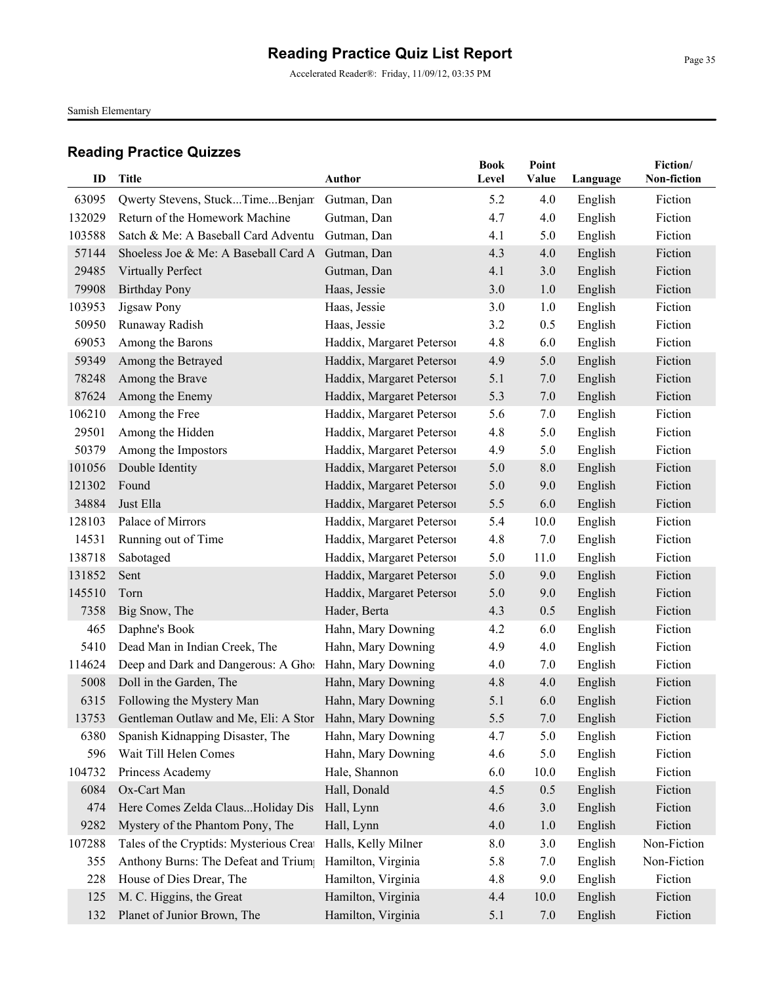Accelerated Reader®: Friday, 11/09/12, 03:35 PM

Samish Elementary

| ID     | Title                                                         | Author                    | <b>Book</b><br>Level | Point<br>Value | Language | Fiction/<br>Non-fiction |
|--------|---------------------------------------------------------------|---------------------------|----------------------|----------------|----------|-------------------------|
|        |                                                               |                           |                      |                |          |                         |
| 63095  | Qwerty Stevens, StuckTimeBenjam                               | Gutman, Dan               | 5.2                  | 4.0            | English  | Fiction                 |
| 132029 | Return of the Homework Machine                                | Gutman, Dan               | 4.7                  | 4.0            | English  | Fiction                 |
| 103588 | Satch & Me: A Baseball Card Adventu                           | Gutman, Dan               | 4.1                  | 5.0            | English  | Fiction                 |
| 57144  | Shoeless Joe & Me: A Baseball Card A                          | Gutman, Dan               | 4.3                  | 4.0            | English  | Fiction                 |
| 29485  | <b>Virtually Perfect</b>                                      | Gutman, Dan               | 4.1                  | 3.0            | English  | Fiction                 |
| 79908  | <b>Birthday Pony</b>                                          | Haas, Jessie              | 3.0                  | 1.0            | English  | Fiction                 |
| 103953 | Jigsaw Pony                                                   | Haas, Jessie              | 3.0                  | 1.0            | English  | Fiction                 |
| 50950  | Runaway Radish                                                | Haas, Jessie              | 3.2                  | 0.5            | English  | Fiction                 |
| 69053  | Among the Barons                                              | Haddix, Margaret Petersoi | 4.8                  | 6.0            | English  | Fiction                 |
| 59349  | Among the Betrayed                                            | Haddix, Margaret Petersoi | 4.9                  | 5.0            | English  | Fiction                 |
| 78248  | Among the Brave                                               | Haddix, Margaret Petersoi | 5.1                  | 7.0            | English  | Fiction                 |
| 87624  | Among the Enemy                                               | Haddix, Margaret Peterson | 5.3                  | 7.0            | English  | Fiction                 |
| 106210 | Among the Free                                                | Haddix, Margaret Petersoi | 5.6                  | 7.0            | English  | Fiction                 |
| 29501  | Among the Hidden                                              | Haddix, Margaret Petersoi | 4.8                  | 5.0            | English  | Fiction                 |
| 50379  | Among the Impostors                                           | Haddix, Margaret Peterson | 4.9                  | 5.0            | English  | Fiction                 |
| 101056 | Double Identity                                               | Haddix, Margaret Petersoi | 5.0                  | 8.0            | English  | Fiction                 |
| 121302 | Found                                                         | Haddix, Margaret Peterson | 5.0                  | 9.0            | English  | Fiction                 |
| 34884  | Just Ella                                                     | Haddix, Margaret Petersoi | 5.5                  | 6.0            | English  | Fiction                 |
| 128103 | Palace of Mirrors                                             | Haddix, Margaret Peterson | 5.4                  | 10.0           | English  | Fiction                 |
| 14531  | Running out of Time                                           | Haddix, Margaret Petersoi | 4.8                  | 7.0            | English  | Fiction                 |
| 138718 | Sabotaged                                                     | Haddix, Margaret Peterson | 5.0                  | 11.0           | English  | Fiction                 |
| 131852 | Sent                                                          | Haddix, Margaret Peterson | 5.0                  | 9.0            | English  | Fiction                 |
| 145510 | Torn                                                          | Haddix, Margaret Petersoi | 5.0                  | 9.0            | English  | Fiction                 |
| 7358   | Big Snow, The                                                 | Hader, Berta              | 4.3                  | 0.5            | English  | Fiction                 |
| 465    | Daphne's Book                                                 | Hahn, Mary Downing        | 4.2                  | 6.0            | English  | Fiction                 |
| 5410   | Dead Man in Indian Creek, The                                 | Hahn, Mary Downing        | 4.9                  | 4.0            | English  | Fiction                 |
| 114624 | Deep and Dark and Dangerous: A Ghos Hahn, Mary Downing        |                           | 4.0                  | 7.0            | English  | Fiction                 |
| 5008   | Doll in the Garden, The                                       | Hahn, Mary Downing        | 4.8                  | 4.0            | English  | Fiction                 |
| 6315   | Following the Mystery Man                                     | Hahn, Mary Downing        | 5.1                  | 6.0            | English  | Fiction                 |
|        | 13753 Gentleman Outlaw and Me, Eli: A Stor Hahn, Mary Downing |                           | 5.5                  | 7.0            | English  | Fiction                 |
| 6380   | Spanish Kidnapping Disaster, The                              | Hahn, Mary Downing        | 4.7                  | 5.0            | English  | Fiction                 |
| 596    | Wait Till Helen Comes                                         | Hahn, Mary Downing        | 4.6                  | 5.0            | English  | Fiction                 |
| 104732 | Princess Academy                                              | Hale, Shannon             | 6.0                  | 10.0           | English  | Fiction                 |
| 6084   | Ox-Cart Man                                                   | Hall, Donald              | 4.5                  | 0.5            | English  | Fiction                 |
| 474    | Here Comes Zelda ClausHoliday Dis                             | Hall, Lynn                | 4.6                  | 3.0            | English  | Fiction                 |
| 9282   | Mystery of the Phantom Pony, The                              | Hall, Lynn                | 4.0                  | 1.0            | English  | Fiction                 |
| 107288 | Tales of the Cryptids: Mysterious Creat                       | Halls, Kelly Milner       | 8.0                  | 3.0            | English  | Non-Fiction             |
| 355    | Anthony Burns: The Defeat and Trium                           | Hamilton, Virginia        | 5.8                  | 7.0            | English  | Non-Fiction             |
| 228    | House of Dies Drear, The                                      | Hamilton, Virginia        | 4.8                  | 9.0            | English  | Fiction                 |
| 125    | M. C. Higgins, the Great                                      | Hamilton, Virginia        | 4.4                  | 10.0           | English  | Fiction                 |
| 132    | Planet of Junior Brown, The                                   | Hamilton, Virginia        | 5.1                  | 7.0            | English  | Fiction                 |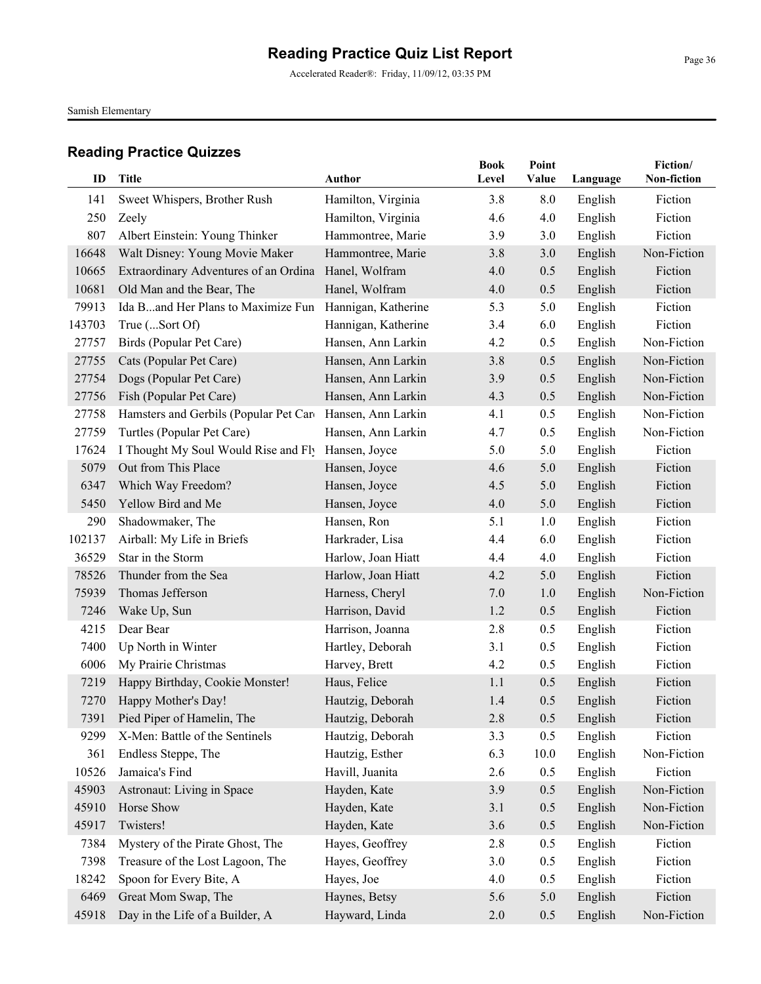Accelerated Reader®: Friday, 11/09/12, 03:35 PM

Samish Elementary

| ID     | <b>Title</b>                                              | <b>Author</b>       | <b>Book</b><br>Level | Point<br>Value | Language | Fiction/<br>Non-fiction |
|--------|-----------------------------------------------------------|---------------------|----------------------|----------------|----------|-------------------------|
| 141    | Sweet Whispers, Brother Rush                              | Hamilton, Virginia  | 3.8                  | 8.0            | English  | Fiction                 |
| 250    | Zeely                                                     | Hamilton, Virginia  | 4.6                  | 4.0            | English  | Fiction                 |
| 807    | Albert Einstein: Young Thinker                            | Hammontree, Marie   | 3.9                  | 3.0            | English  | Fiction                 |
| 16648  | Walt Disney: Young Movie Maker                            | Hammontree, Marie   | 3.8                  | 3.0            | English  | Non-Fiction             |
| 10665  | Extraordinary Adventures of an Ordina Hanel, Wolfram      |                     | 4.0                  | 0.5            | English  | Fiction                 |
| 10681  | Old Man and the Bear, The                                 | Hanel, Wolfram      | 4.0                  | 0.5            | English  | Fiction                 |
| 79913  | Ida Band Her Plans to Maximize Fun                        | Hannigan, Katherine | 5.3                  | 5.0            | English  | Fiction                 |
| 143703 | True (Sort Of)                                            | Hannigan, Katherine | 3.4                  | 6.0            | English  | Fiction                 |
| 27757  | Birds (Popular Pet Care)                                  | Hansen, Ann Larkin  | 4.2                  | 0.5            | English  | Non-Fiction             |
| 27755  | Cats (Popular Pet Care)                                   | Hansen, Ann Larkin  | 3.8                  | 0.5            | English  | Non-Fiction             |
| 27754  | Dogs (Popular Pet Care)                                   | Hansen, Ann Larkin  | 3.9                  | 0.5            | English  | Non-Fiction             |
| 27756  | Fish (Popular Pet Care)                                   | Hansen, Ann Larkin  | 4.3                  | 0.5            | English  | Non-Fiction             |
| 27758  | Hamsters and Gerbils (Popular Pet Care Hansen, Ann Larkin |                     | 4.1                  | 0.5            | English  | Non-Fiction             |
| 27759  | Turtles (Popular Pet Care)                                | Hansen, Ann Larkin  | 4.7                  | 0.5            | English  | Non-Fiction             |
| 17624  | I Thought My Soul Would Rise and Fly                      | Hansen, Joyce       | 5.0                  | 5.0            | English  | Fiction                 |
| 5079   | Out from This Place                                       | Hansen, Joyce       | 4.6                  | 5.0            | English  | Fiction                 |
| 6347   | Which Way Freedom?                                        | Hansen, Joyce       | 4.5                  | 5.0            | English  | Fiction                 |
| 5450   | Yellow Bird and Me                                        | Hansen, Joyce       | 4.0                  | 5.0            | English  | Fiction                 |
| 290    | Shadowmaker, The                                          | Hansen, Ron         | 5.1                  | 1.0            | English  | Fiction                 |
| 102137 | Airball: My Life in Briefs                                | Harkrader, Lisa     | 4.4                  | 6.0            | English  | Fiction                 |
| 36529  | Star in the Storm                                         | Harlow, Joan Hiatt  | 4.4                  | 4.0            | English  | Fiction                 |
| 78526  | Thunder from the Sea                                      | Harlow, Joan Hiatt  | 4.2                  | 5.0            | English  | Fiction                 |
| 75939  | Thomas Jefferson                                          | Harness, Cheryl     | 7.0                  | 1.0            | English  | Non-Fiction             |
| 7246   | Wake Up, Sun                                              | Harrison, David     | 1.2                  | 0.5            | English  | Fiction                 |
| 4215   | Dear Bear                                                 | Harrison, Joanna    | 2.8                  | 0.5            | English  | Fiction                 |
| 7400   | Up North in Winter                                        | Hartley, Deborah    | 3.1                  | 0.5            | English  | Fiction                 |
| 6006   | My Prairie Christmas                                      | Harvey, Brett       | 4.2                  | 0.5            | English  | Fiction                 |
| 7219   | Happy Birthday, Cookie Monster!                           | Haus, Felice        | 1.1                  | 0.5            | English  | Fiction                 |
| 7270   | Happy Mother's Day!                                       | Hautzig, Deborah    | 1.4                  | 0.5            | English  | Fiction                 |
| 7391   | Pied Piper of Hamelin, The                                | Hautzig, Deborah    | 2.8                  | 0.5            | English  | Fiction                 |
| 9299   | X-Men: Battle of the Sentinels                            | Hautzig, Deborah    | 3.3                  | 0.5            | English  | Fiction                 |
| 361    | Endless Steppe, The                                       | Hautzig, Esther     | 6.3                  | 10.0           | English  | Non-Fiction             |
| 10526  | Jamaica's Find                                            | Havill, Juanita     | 2.6                  | 0.5            | English  | Fiction                 |
| 45903  | Astronaut: Living in Space                                | Hayden, Kate        | 3.9                  | 0.5            | English  | Non-Fiction             |
| 45910  | Horse Show                                                | Hayden, Kate        | 3.1                  | 0.5            | English  | Non-Fiction             |
| 45917  | Twisters!                                                 | Hayden, Kate        | 3.6                  | 0.5            | English  | Non-Fiction             |
| 7384   | Mystery of the Pirate Ghost, The                          | Hayes, Geoffrey     | 2.8                  | 0.5            | English  | Fiction                 |
| 7398   | Treasure of the Lost Lagoon, The                          | Hayes, Geoffrey     | 3.0                  | 0.5            | English  | Fiction                 |
| 18242  | Spoon for Every Bite, A                                   | Hayes, Joe          | 4.0                  | 0.5            | English  | Fiction                 |
| 6469   | Great Mom Swap, The                                       | Haynes, Betsy       | 5.6                  | 5.0            | English  | Fiction                 |
| 45918  | Day in the Life of a Builder, A                           | Hayward, Linda      | 2.0                  | 0.5            | English  | Non-Fiction             |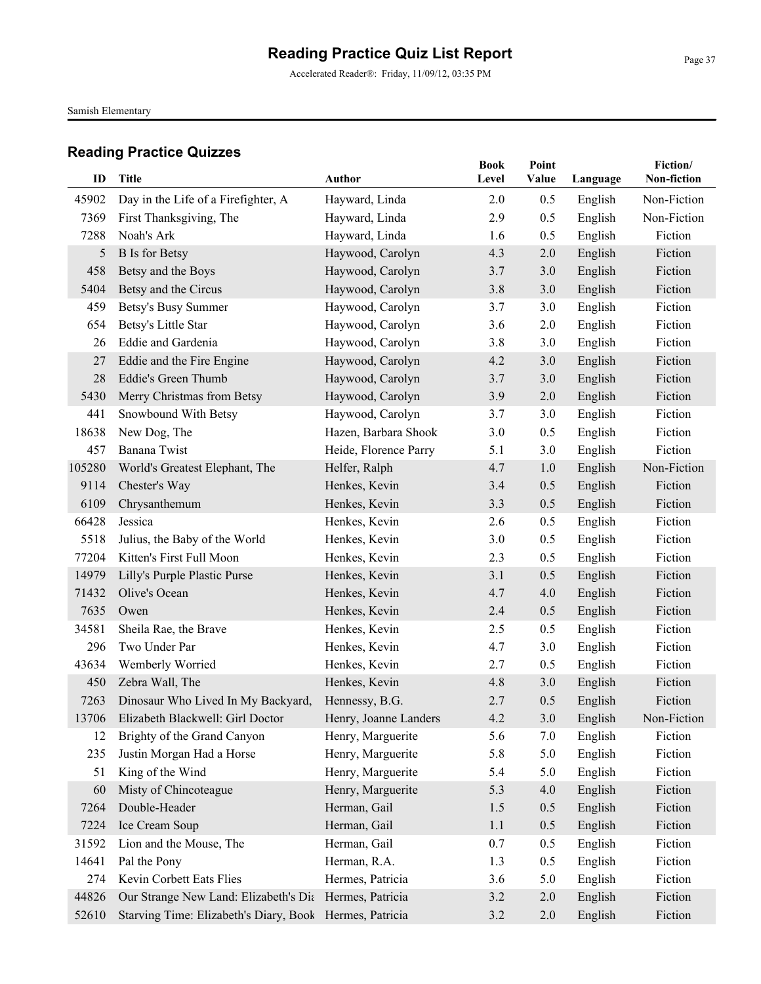Accelerated Reader®: Friday, 11/09/12, 03:35 PM

Samish Elementary

| ID     | Title                                                   | <b>Author</b>         | <b>Book</b><br>Level | Point<br>Value | Language | Fiction/<br>Non-fiction |
|--------|---------------------------------------------------------|-----------------------|----------------------|----------------|----------|-------------------------|
| 45902  | Day in the Life of a Firefighter, A                     | Hayward, Linda        | 2.0                  | 0.5            | English  | Non-Fiction             |
| 7369   | First Thanksgiving, The                                 | Hayward, Linda        | 2.9                  | 0.5            | English  | Non-Fiction             |
| 7288   | Noah's Ark                                              | Hayward, Linda        | 1.6                  | 0.5            | English  | Fiction                 |
| 5      | <b>B</b> Is for Betsy                                   | Haywood, Carolyn      | 4.3                  | 2.0            | English  | Fiction                 |
| 458    | Betsy and the Boys                                      | Haywood, Carolyn      | 3.7                  | 3.0            | English  | Fiction                 |
| 5404   | Betsy and the Circus                                    | Haywood, Carolyn      | 3.8                  | 3.0            | English  | Fiction                 |
| 459    | Betsy's Busy Summer                                     | Haywood, Carolyn      | 3.7                  | 3.0            | English  | Fiction                 |
| 654    | Betsy's Little Star                                     | Haywood, Carolyn      | 3.6                  | 2.0            | English  | Fiction                 |
| 26     | Eddie and Gardenia                                      | Haywood, Carolyn      | 3.8                  | 3.0            | English  | Fiction                 |
| 27     | Eddie and the Fire Engine                               | Haywood, Carolyn      | 4.2                  | $3.0$          | English  | Fiction                 |
| 28     | Eddie's Green Thumb                                     | Haywood, Carolyn      | 3.7                  | 3.0            | English  | Fiction                 |
| 5430   | Merry Christmas from Betsy                              | Haywood, Carolyn      | 3.9                  | 2.0            | English  | Fiction                 |
| 441    | Snowbound With Betsy                                    | Haywood, Carolyn      | 3.7                  | 3.0            | English  | Fiction                 |
| 18638  | New Dog, The                                            | Hazen, Barbara Shook  | 3.0                  | 0.5            | English  | Fiction                 |
| 457    | Banana Twist                                            | Heide, Florence Parry | 5.1                  | 3.0            | English  | Fiction                 |
| 105280 | World's Greatest Elephant, The                          | Helfer, Ralph         | 4.7                  | 1.0            | English  | Non-Fiction             |
| 9114   | Chester's Way                                           | Henkes, Kevin         | 3.4                  | 0.5            | English  | Fiction                 |
| 6109   | Chrysanthemum                                           | Henkes, Kevin         | 3.3                  | 0.5            | English  | Fiction                 |
| 66428  | Jessica                                                 | Henkes, Kevin         | 2.6                  | 0.5            | English  | Fiction                 |
| 5518   | Julius, the Baby of the World                           | Henkes, Kevin         | 3.0                  | 0.5            | English  | Fiction                 |
| 77204  | Kitten's First Full Moon                                | Henkes, Kevin         | 2.3                  | 0.5            | English  | Fiction                 |
| 14979  | Lilly's Purple Plastic Purse                            | Henkes, Kevin         | 3.1                  | 0.5            | English  | Fiction                 |
| 71432  | Olive's Ocean                                           | Henkes, Kevin         | 4.7                  | 4.0            | English  | Fiction                 |
| 7635   | Owen                                                    | Henkes, Kevin         | 2.4                  | 0.5            | English  | Fiction                 |
| 34581  | Sheila Rae, the Brave                                   | Henkes, Kevin         | 2.5                  | 0.5            | English  | Fiction                 |
| 296    | Two Under Par                                           | Henkes, Kevin         | 4.7                  | 3.0            | English  | Fiction                 |
| 43634  | Wemberly Worried                                        | Henkes, Kevin         | 2.7                  | 0.5            | English  | Fiction                 |
| 450    | Zebra Wall, The                                         | Henkes, Kevin         | 4.8                  | 3.0            | English  | Fiction                 |
| 7263   | Dinosaur Who Lived In My Backyard,                      | Hennessy, B.G.        | 2.7                  | 0.5            | English  | Fiction                 |
|        | 13706 Elizabeth Blackwell: Girl Doctor                  | Henry, Joanne Landers | 4.2                  | 3.0            | English  | Non-Fiction             |
| 12     | Brighty of the Grand Canyon                             | Henry, Marguerite     | 5.6                  | 7.0            | English  | Fiction                 |
| 235    | Justin Morgan Had a Horse                               | Henry, Marguerite     | 5.8                  | 5.0            | English  | Fiction                 |
| 51     | King of the Wind                                        | Henry, Marguerite     | 5.4                  | 5.0            | English  | Fiction                 |
| 60     | Misty of Chincoteague                                   | Henry, Marguerite     | 5.3                  | 4.0            | English  | Fiction                 |
| 7264   | Double-Header                                           | Herman, Gail          | 1.5                  | 0.5            | English  | Fiction                 |
| 7224   | Ice Cream Soup                                          | Herman, Gail          | 1.1                  | 0.5            | English  | Fiction                 |
| 31592  | Lion and the Mouse, The                                 | Herman, Gail          | 0.7                  | 0.5            | English  | Fiction                 |
| 14641  | Pal the Pony                                            | Herman, R.A.          | 1.3                  | 0.5            | English  | Fiction                 |
| 274    | Kevin Corbett Eats Flies                                | Hermes, Patricia      | 3.6                  | 5.0            | English  | Fiction                 |
| 44826  | Our Strange New Land: Elizabeth's Dia Hermes, Patricia  |                       | 3.2                  | 2.0            | English  | Fiction                 |
| 52610  | Starving Time: Elizabeth's Diary, Book Hermes, Patricia |                       | 3.2                  | $2.0$          | English  | Fiction                 |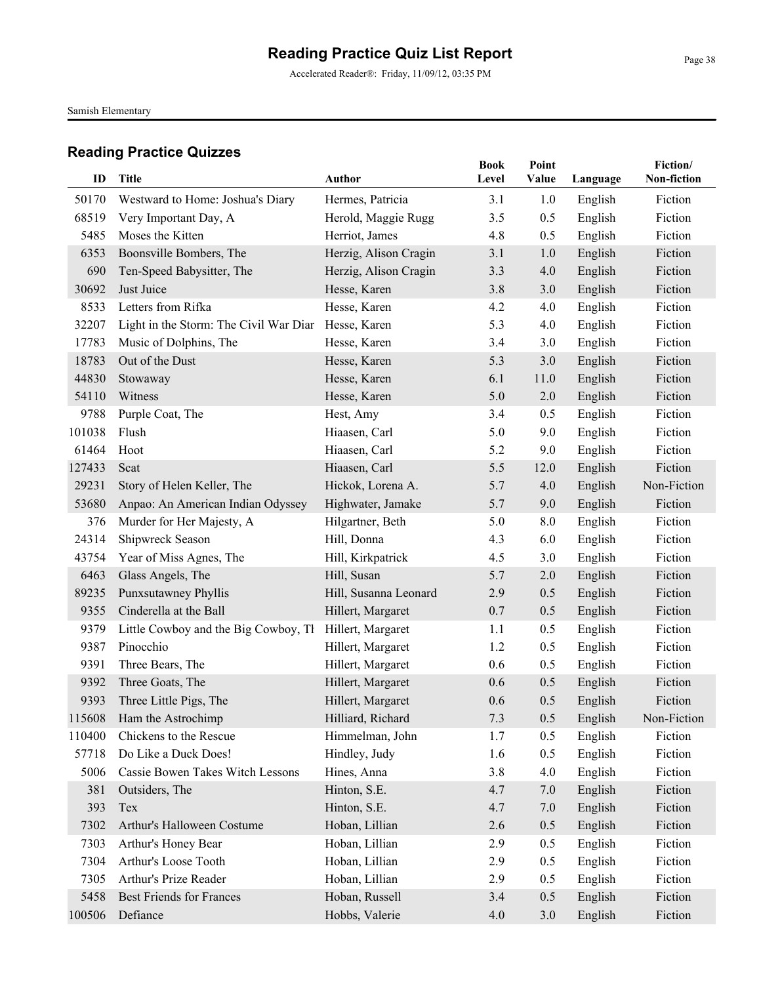Accelerated Reader®: Friday, 11/09/12, 03:35 PM

Samish Elementary

| ID     | <b>Title</b>                           | <b>Author</b>         | <b>Book</b><br>Level | Point<br>Value | Language | Fiction/<br>Non-fiction |
|--------|----------------------------------------|-----------------------|----------------------|----------------|----------|-------------------------|
|        |                                        |                       |                      |                |          |                         |
| 50170  | Westward to Home: Joshua's Diary       | Hermes, Patricia      | 3.1                  | 1.0            | English  | Fiction                 |
| 68519  | Very Important Day, A                  | Herold, Maggie Rugg   | 3.5                  | 0.5            | English  | Fiction                 |
| 5485   | Moses the Kitten                       | Herriot, James        | 4.8                  | 0.5            | English  | Fiction                 |
| 6353   | Boonsville Bombers, The                | Herzig, Alison Cragin | 3.1                  | 1.0            | English  | Fiction                 |
| 690    | Ten-Speed Babysitter, The              | Herzig, Alison Cragin | 3.3                  | 4.0            | English  | Fiction                 |
| 30692  | Just Juice                             | Hesse, Karen          | 3.8                  | 3.0            | English  | Fiction                 |
| 8533   | Letters from Rifka                     | Hesse, Karen          | 4.2                  | 4.0            | English  | Fiction                 |
| 32207  | Light in the Storm: The Civil War Diar | Hesse, Karen          | 5.3                  | 4.0            | English  | Fiction                 |
| 17783  | Music of Dolphins, The                 | Hesse, Karen          | 3.4                  | 3.0            | English  | Fiction                 |
| 18783  | Out of the Dust                        | Hesse, Karen          | 5.3                  | 3.0            | English  | Fiction                 |
| 44830  | Stowaway                               | Hesse, Karen          | 6.1                  | 11.0           | English  | Fiction                 |
| 54110  | Witness                                | Hesse, Karen          | 5.0                  | 2.0            | English  | Fiction                 |
| 9788   | Purple Coat, The                       | Hest, Amy             | 3.4                  | 0.5            | English  | Fiction                 |
| 101038 | Flush                                  | Hiaasen, Carl         | 5.0                  | 9.0            | English  | Fiction                 |
| 61464  | Hoot                                   | Hiaasen, Carl         | 5.2                  | 9.0            | English  | Fiction                 |
| 127433 | Scat                                   | Hiaasen, Carl         | 5.5                  | 12.0           | English  | Fiction                 |
| 29231  | Story of Helen Keller, The             | Hickok, Lorena A.     | 5.7                  | 4.0            | English  | Non-Fiction             |
| 53680  | Anpao: An American Indian Odyssey      | Highwater, Jamake     | 5.7                  | 9.0            | English  | Fiction                 |
| 376    | Murder for Her Majesty, A              | Hilgartner, Beth      | 5.0                  | 8.0            | English  | Fiction                 |
| 24314  | Shipwreck Season                       | Hill, Donna           | 4.3                  | 6.0            | English  | Fiction                 |
| 43754  | Year of Miss Agnes, The                | Hill, Kirkpatrick     | 4.5                  | 3.0            | English  | Fiction                 |
| 6463   | Glass Angels, The                      | Hill, Susan           | 5.7                  | 2.0            | English  | Fiction                 |
| 89235  | Punxsutawney Phyllis                   | Hill, Susanna Leonard | 2.9                  | 0.5            | English  | Fiction                 |
| 9355   | Cinderella at the Ball                 | Hillert, Margaret     | 0.7                  | 0.5            | English  | Fiction                 |
| 9379   | Little Cowboy and the Big Cowboy, Th   | Hillert, Margaret     | 1.1                  | 0.5            | English  | Fiction                 |
| 9387   | Pinocchio                              | Hillert, Margaret     | 1.2                  | 0.5            | English  | Fiction                 |
| 9391   | Three Bears, The                       | Hillert, Margaret     | 0.6                  | 0.5            | English  | Fiction                 |
| 9392   | Three Goats, The                       | Hillert, Margaret     | 0.6                  | 0.5            | English  | Fiction                 |
| 9393   | Three Little Pigs, The                 | Hillert, Margaret     | 0.6                  | 0.5            | English  | Fiction                 |
|        | 115608 Ham the Astrochimp              | Hilliard, Richard     | 7.3                  | 0.5            | English  | Non-Fiction             |
| 110400 | Chickens to the Rescue                 | Himmelman, John       | 1.7                  | 0.5            | English  | Fiction                 |
| 57718  | Do Like a Duck Does!                   | Hindley, Judy         | 1.6                  | 0.5            | English  | Fiction                 |
| 5006   | Cassie Bowen Takes Witch Lessons       | Hines, Anna           | 3.8                  | 4.0            | English  | Fiction                 |
| 381    | Outsiders, The                         | Hinton, S.E.          | 4.7                  | 7.0            | English  | Fiction                 |
| 393    | Tex                                    | Hinton, S.E.          | 4.7                  | 7.0            | English  | Fiction                 |
| 7302   | Arthur's Halloween Costume             | Hoban, Lillian        | 2.6                  | 0.5            | English  | Fiction                 |
| 7303   | Arthur's Honey Bear                    | Hoban, Lillian        | 2.9                  | 0.5            | English  | Fiction                 |
| 7304   | Arthur's Loose Tooth                   | Hoban, Lillian        | 2.9                  | 0.5            | English  | Fiction                 |
| 7305   | Arthur's Prize Reader                  | Hoban, Lillian        | 2.9                  | 0.5            | English  | Fiction                 |
| 5458   | <b>Best Friends for Frances</b>        | Hoban, Russell        | 3.4                  | 0.5            | English  | Fiction                 |
| 100506 | Defiance                               | Hobbs, Valerie        | 4.0                  | 3.0            | English  | Fiction                 |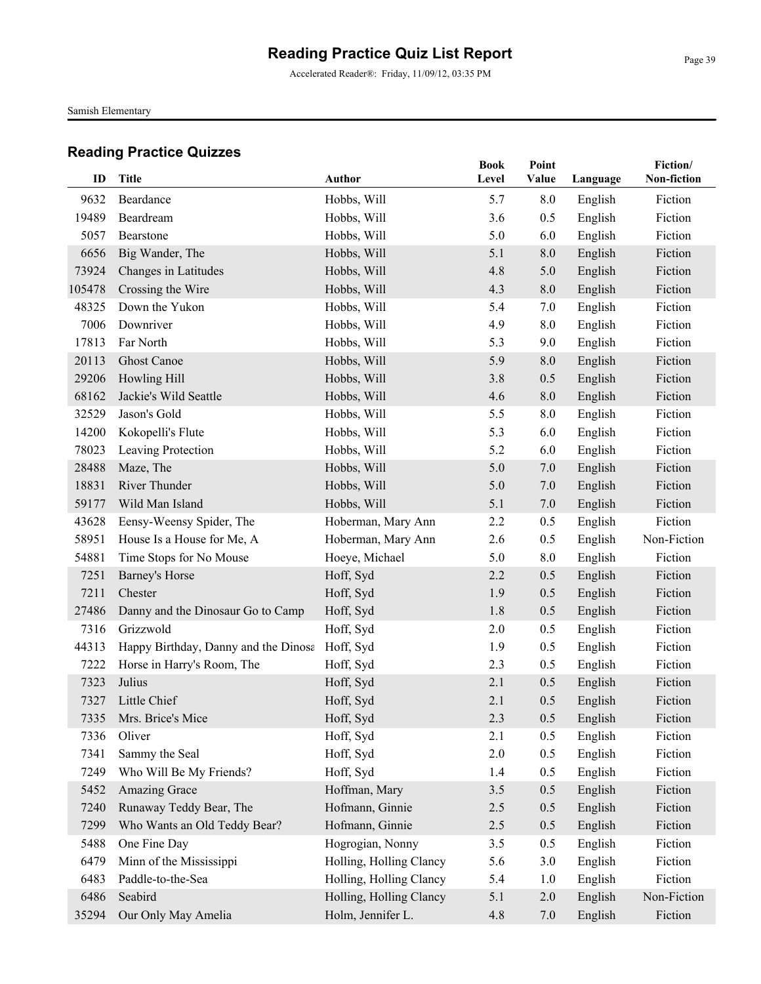Accelerated Reader®: Friday, 11/09/12, 03:35 PM

Samish Elementary

|        |                                      |                         | <b>Book</b> | Point   |          | Fiction/    |
|--------|--------------------------------------|-------------------------|-------------|---------|----------|-------------|
| ID     | <b>Title</b>                         | <b>Author</b>           | Level       | Value   | Language | Non-fiction |
| 9632   | Beardance                            | Hobbs, Will             | 5.7         | 8.0     | English  | Fiction     |
| 19489  | Beardream                            | Hobbs, Will             | 3.6         | 0.5     | English  | Fiction     |
| 5057   | Bearstone                            | Hobbs, Will             | 5.0         | 6.0     | English  | Fiction     |
| 6656   | Big Wander, The                      | Hobbs, Will             | 5.1         | $8.0\,$ | English  | Fiction     |
| 73924  | Changes in Latitudes                 | Hobbs, Will             | 4.8         | 5.0     | English  | Fiction     |
| 105478 | Crossing the Wire                    | Hobbs, Will             | 4.3         | 8.0     | English  | Fiction     |
| 48325  | Down the Yukon                       | Hobbs, Will             | 5.4         | 7.0     | English  | Fiction     |
| 7006   | Downriver                            | Hobbs, Will             | 4.9         | 8.0     | English  | Fiction     |
| 17813  | Far North                            | Hobbs, Will             | 5.3         | 9.0     | English  | Fiction     |
| 20113  | <b>Ghost Canoe</b>                   | Hobbs, Will             | 5.9         | 8.0     | English  | Fiction     |
| 29206  | Howling Hill                         | Hobbs, Will             | 3.8         | 0.5     | English  | Fiction     |
| 68162  | Jackie's Wild Seattle                | Hobbs, Will             | 4.6         | 8.0     | English  | Fiction     |
| 32529  | Jason's Gold                         | Hobbs, Will             | 5.5         | 8.0     | English  | Fiction     |
| 14200  | Kokopelli's Flute                    | Hobbs, Will             | 5.3         | 6.0     | English  | Fiction     |
| 78023  | Leaving Protection                   | Hobbs, Will             | 5.2         | 6.0     | English  | Fiction     |
| 28488  | Maze, The                            | Hobbs, Will             | 5.0         | 7.0     | English  | Fiction     |
| 18831  | River Thunder                        | Hobbs, Will             | 5.0         | 7.0     | English  | Fiction     |
| 59177  | Wild Man Island                      | Hobbs, Will             | 5.1         | 7.0     | English  | Fiction     |
| 43628  | Eensy-Weensy Spider, The             | Hoberman, Mary Ann      | 2.2         | 0.5     | English  | Fiction     |
| 58951  | House Is a House for Me, A           | Hoberman, Mary Ann      | 2.6         | 0.5     | English  | Non-Fiction |
| 54881  | Time Stops for No Mouse              | Hoeye, Michael          | 5.0         | 8.0     | English  | Fiction     |
| 7251   | <b>Barney's Horse</b>                | Hoff, Syd               | 2.2         | 0.5     | English  | Fiction     |
| 7211   | Chester                              | Hoff, Syd               | 1.9         | 0.5     | English  | Fiction     |
| 27486  | Danny and the Dinosaur Go to Camp    | Hoff, Syd               | 1.8         | 0.5     | English  | Fiction     |
| 7316   | Grizzwold                            | Hoff, Syd               | 2.0         | 0.5     | English  | Fiction     |
| 44313  | Happy Birthday, Danny and the Dinosa | Hoff, Syd               | 1.9         | 0.5     | English  | Fiction     |
| 7222   | Horse in Harry's Room, The           | Hoff, Syd               | 2.3         | 0.5     | English  | Fiction     |
| 7323   | Julius                               | Hoff, Syd               | 2.1         | 0.5     | English  | Fiction     |
| 7327   | Little Chief                         | Hoff, Syd               | 2.1         | 0.5     | English  | Fiction     |
|        | 7335 Mrs. Brice's Mice               | Hoff, Syd               | 2.3         | 0.5     | English  | Fiction     |
| 7336   | Oliver                               | Hoff, Syd               | 2.1         | 0.5     | English  | Fiction     |
| 7341   | Sammy the Seal                       | Hoff, Syd               | 2.0         | 0.5     | English  | Fiction     |
| 7249   | Who Will Be My Friends?              | Hoff, Syd               | 1.4         | 0.5     | English  | Fiction     |
| 5452   | Amazing Grace                        | Hoffman, Mary           | 3.5         | 0.5     | English  | Fiction     |
| 7240   | Runaway Teddy Bear, The              | Hofmann, Ginnie         | 2.5         | 0.5     | English  | Fiction     |
| 7299   | Who Wants an Old Teddy Bear?         | Hofmann, Ginnie         | 2.5         | 0.5     | English  | Fiction     |
| 5488   | One Fine Day                         | Hogrogian, Nonny        | 3.5         | 0.5     | English  | Fiction     |
| 6479   | Minn of the Mississippi              | Holling, Holling Clancy | 5.6         | 3.0     | English  | Fiction     |
| 6483   | Paddle-to-the-Sea                    | Holling, Holling Clancy | 5.4         | 1.0     | English  | Fiction     |
| 6486   | Seabird                              | Holling, Holling Clancy | 5.1         | $2.0\,$ | English  | Non-Fiction |
| 35294  | Our Only May Amelia                  | Holm, Jennifer L.       | 4.8         | 7.0     | English  | Fiction     |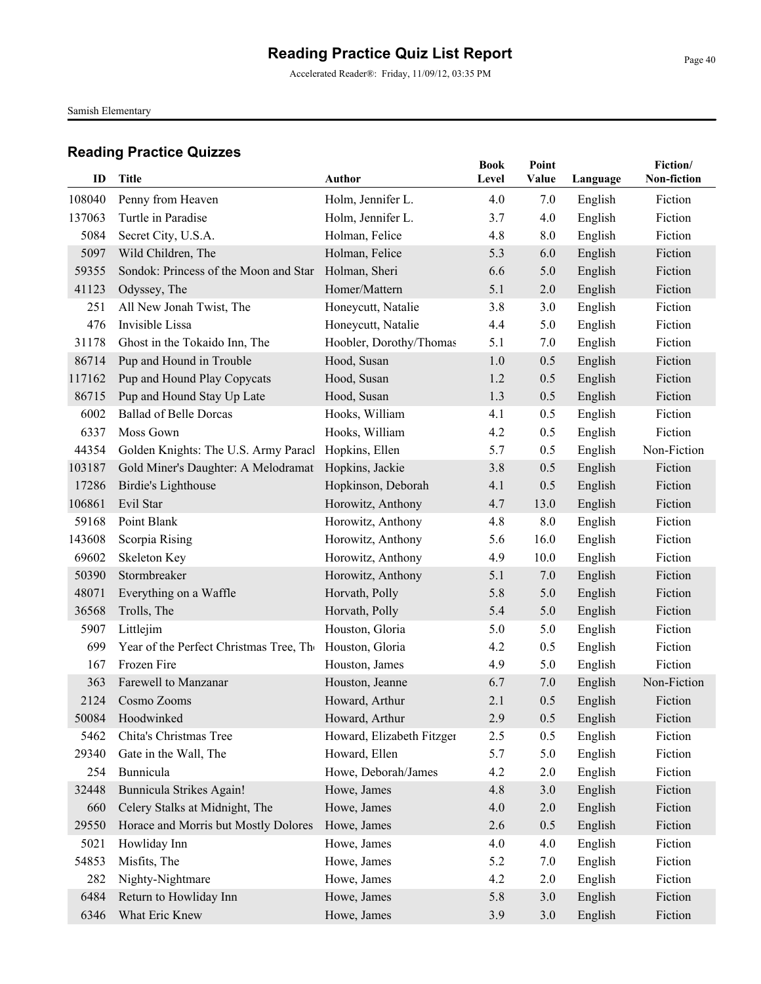Accelerated Reader®: Friday, 11/09/12, 03:35 PM

Samish Elementary

| ID     | <b>Title</b>                            | <b>Author</b>             | <b>Book</b><br>Level | Point<br>Value | Language | Fiction/<br>Non-fiction |
|--------|-----------------------------------------|---------------------------|----------------------|----------------|----------|-------------------------|
| 108040 | Penny from Heaven                       | Holm, Jennifer L.         | 4.0                  | 7.0            | English  | Fiction                 |
| 137063 | Turtle in Paradise                      | Holm, Jennifer L.         | 3.7                  | 4.0            | English  | Fiction                 |
| 5084   | Secret City, U.S.A.                     | Holman, Felice            | 4.8                  | 8.0            | English  | Fiction                 |
| 5097   | Wild Children, The                      | Holman, Felice            | 5.3                  | 6.0            | English  | Fiction                 |
| 59355  | Sondok: Princess of the Moon and Star   | Holman, Sheri             | 6.6                  | 5.0            | English  | Fiction                 |
| 41123  | Odyssey, The                            | Homer/Mattern             | 5.1                  | 2.0            | English  | Fiction                 |
| 251    | All New Jonah Twist, The                | Honeycutt, Natalie        | 3.8                  | 3.0            | English  | Fiction                 |
| 476    | Invisible Lissa                         | Honeycutt, Natalie        | 4.4                  | 5.0            | English  | Fiction                 |
| 31178  | Ghost in the Tokaido Inn, The           | Hoobler, Dorothy/Thomas   | 5.1                  | 7.0            | English  | Fiction                 |
| 86714  | Pup and Hound in Trouble                | Hood, Susan               | 1.0                  | 0.5            | English  | Fiction                 |
| 117162 | Pup and Hound Play Copycats             | Hood, Susan               | 1.2                  | 0.5            | English  | Fiction                 |
| 86715  | Pup and Hound Stay Up Late              | Hood, Susan               | 1.3                  | 0.5            | English  | Fiction                 |
| 6002   | <b>Ballad of Belle Dorcas</b>           | Hooks, William            | 4.1                  | 0.5            | English  | Fiction                 |
| 6337   | Moss Gown                               | Hooks, William            | 4.2                  | 0.5            | English  | Fiction                 |
| 44354  | Golden Knights: The U.S. Army Paracl    | Hopkins, Ellen            | 5.7                  | 0.5            | English  | Non-Fiction             |
| 103187 | Gold Miner's Daughter: A Melodramat     | Hopkins, Jackie           | 3.8                  | 0.5            | English  | Fiction                 |
| 17286  | Birdie's Lighthouse                     | Hopkinson, Deborah        | 4.1                  | 0.5            | English  | Fiction                 |
| 106861 | Evil Star                               | Horowitz, Anthony         | 4.7                  | 13.0           | English  | Fiction                 |
| 59168  | Point Blank                             | Horowitz, Anthony         | 4.8                  | 8.0            | English  | Fiction                 |
| 143608 | Scorpia Rising                          | Horowitz, Anthony         | 5.6                  | 16.0           | English  | Fiction                 |
| 69602  | Skeleton Key                            | Horowitz, Anthony         | 4.9                  | 10.0           | English  | Fiction                 |
| 50390  | Stormbreaker                            | Horowitz, Anthony         | 5.1                  | 7.0            | English  | Fiction                 |
| 48071  | Everything on a Waffle                  | Horvath, Polly            | 5.8                  | 5.0            | English  | Fiction                 |
| 36568  | Trolls, The                             | Horvath, Polly            | 5.4                  | 5.0            | English  | Fiction                 |
| 5907   | Littlejim                               | Houston, Gloria           | 5.0                  | 5.0            | English  | Fiction                 |
| 699    | Year of the Perfect Christmas Tree, The | Houston, Gloria           | 4.2                  | 0.5            | English  | Fiction                 |
| 167    | Frozen Fire                             | Houston, James            | 4.9                  | 5.0            | English  | Fiction                 |
| 363    | Farewell to Manzanar                    | Houston, Jeanne           | 6.7                  | 7.0            | English  | Non-Fiction             |
| 2124   | Cosmo Zooms                             | Howard, Arthur            | 2.1                  | 0.5            | English  | Fiction                 |
|        | 50084 Hoodwinked                        | Howard, Arthur            | 2.9                  | 0.5            | English  | Fiction                 |
| 5462   | Chita's Christmas Tree                  | Howard, Elizabeth Fitzger | 2.5                  | 0.5            | English  | Fiction                 |
| 29340  | Gate in the Wall, The                   | Howard, Ellen             | 5.7                  | 5.0            | English  | Fiction                 |
| 254    | Bunnicula                               | Howe, Deborah/James       | 4.2                  | 2.0            | English  | Fiction                 |
| 32448  | Bunnicula Strikes Again!                | Howe, James               | 4.8                  | 3.0            | English  | Fiction                 |
| 660    | Celery Stalks at Midnight, The          | Howe, James               | 4.0                  | 2.0            | English  | Fiction                 |
| 29550  | Horace and Morris but Mostly Dolores    | Howe, James               | 2.6                  | 0.5            | English  | Fiction                 |
| 5021   | Howliday Inn                            | Howe, James               | 4.0                  | 4.0            | English  | Fiction                 |
| 54853  | Misfits, The                            | Howe, James               | 5.2                  | 7.0            | English  | Fiction                 |
| 282    | Nighty-Nightmare                        | Howe, James               | 4.2                  | 2.0            | English  | Fiction                 |
| 6484   | Return to Howliday Inn                  | Howe, James               | 5.8                  | 3.0            | English  | Fiction                 |
| 6346   | What Eric Knew                          | Howe, James               | 3.9                  | 3.0            | English  | Fiction                 |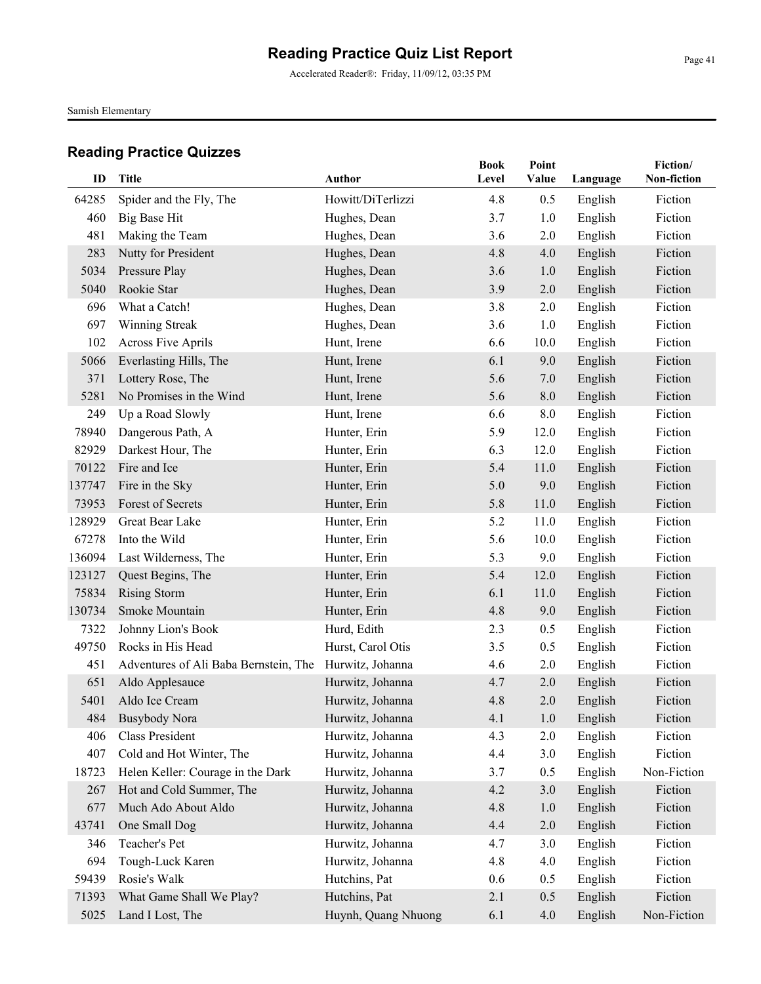Accelerated Reader®: Friday, 11/09/12, 03:35 PM

Samish Elementary

| ID     | <b>Title</b>                          | <b>Author</b>       | <b>Book</b><br>Level | Point<br>Value | Language | Fiction/<br>Non-fiction |
|--------|---------------------------------------|---------------------|----------------------|----------------|----------|-------------------------|
| 64285  | Spider and the Fly, The               | Howitt/DiTerlizzi   | 4.8                  | 0.5            | English  | Fiction                 |
| 460    | Big Base Hit                          | Hughes, Dean        | 3.7                  | 1.0            | English  | Fiction                 |
| 481    | Making the Team                       | Hughes, Dean        | 3.6                  | 2.0            | English  | Fiction                 |
| 283    | Nutty for President                   | Hughes, Dean        | 4.8                  | 4.0            | English  | Fiction                 |
| 5034   | Pressure Play                         | Hughes, Dean        | 3.6                  | 1.0            | English  | Fiction                 |
| 5040   | Rookie Star                           | Hughes, Dean        | 3.9                  | 2.0            | English  | Fiction                 |
| 696    | What a Catch!                         | Hughes, Dean        | 3.8                  | 2.0            | English  | Fiction                 |
| 697    | Winning Streak                        | Hughes, Dean        | 3.6                  | 1.0            | English  | Fiction                 |
| 102    | <b>Across Five Aprils</b>             | Hunt, Irene         | 6.6                  | 10.0           | English  | Fiction                 |
| 5066   | Everlasting Hills, The                | Hunt, Irene         | 6.1                  | 9.0            | English  | Fiction                 |
| 371    | Lottery Rose, The                     | Hunt, Irene         | 5.6                  | 7.0            | English  | Fiction                 |
| 5281   | No Promises in the Wind               | Hunt, Irene         | 5.6                  | 8.0            | English  | Fiction                 |
| 249    | Up a Road Slowly                      | Hunt, Irene         | 6.6                  | 8.0            | English  | Fiction                 |
| 78940  | Dangerous Path, A                     | Hunter, Erin        | 5.9                  | 12.0           | English  | Fiction                 |
| 82929  | Darkest Hour, The                     | Hunter, Erin        | 6.3                  | 12.0           | English  | Fiction                 |
| 70122  | Fire and Ice                          | Hunter, Erin        | 5.4                  | 11.0           | English  | Fiction                 |
| 137747 | Fire in the Sky                       | Hunter, Erin        | 5.0                  | 9.0            | English  | Fiction                 |
| 73953  | Forest of Secrets                     | Hunter, Erin        | 5.8                  | 11.0           | English  | Fiction                 |
| 128929 | Great Bear Lake                       | Hunter, Erin        | 5.2                  | 11.0           | English  | Fiction                 |
| 67278  | Into the Wild                         | Hunter, Erin        | 5.6                  | 10.0           | English  | Fiction                 |
| 136094 | Last Wilderness, The                  | Hunter, Erin        | 5.3                  | 9.0            | English  | Fiction                 |
| 123127 | Quest Begins, The                     | Hunter, Erin        | 5.4                  | 12.0           | English  | Fiction                 |
| 75834  | <b>Rising Storm</b>                   | Hunter, Erin        | 6.1                  | 11.0           | English  | Fiction                 |
| 130734 | Smoke Mountain                        | Hunter, Erin        | 4.8                  | 9.0            | English  | Fiction                 |
| 7322   | Johnny Lion's Book                    | Hurd, Edith         | 2.3                  | 0.5            | English  | Fiction                 |
| 49750  | Rocks in His Head                     | Hurst, Carol Otis   | 3.5                  | 0.5            | English  | Fiction                 |
| 451    | Adventures of Ali Baba Bernstein, The | Hurwitz, Johanna    | 4.6                  | 2.0            | English  | Fiction                 |
| 651    | Aldo Applesauce                       | Hurwitz, Johanna    | 4.7                  | 2.0            | English  | Fiction                 |
| 5401   | Aldo Ice Cream                        | Hurwitz, Johanna    | 4.8                  | 2.0            | English  | Fiction                 |
| 484    | <b>Busybody Nora</b>                  | Hurwitz, Johanna    | 4.1                  | 1.0            | English  | Fiction                 |
| 406    | Class President                       | Hurwitz, Johanna    | 4.3                  | 2.0            | English  | Fiction                 |
| 407    | Cold and Hot Winter, The              | Hurwitz, Johanna    | 4.4                  | 3.0            | English  | Fiction                 |
| 18723  | Helen Keller: Courage in the Dark     | Hurwitz, Johanna    | 3.7                  | 0.5            | English  | Non-Fiction             |
| 267    | Hot and Cold Summer, The              | Hurwitz, Johanna    | 4.2                  | 3.0            | English  | Fiction                 |
| 677    | Much Ado About Aldo                   | Hurwitz, Johanna    | 4.8                  | 1.0            | English  | Fiction                 |
| 43741  | One Small Dog                         | Hurwitz, Johanna    | 4.4                  | 2.0            | English  | Fiction                 |
| 346    | Teacher's Pet                         | Hurwitz, Johanna    | 4.7                  | 3.0            | English  | Fiction                 |
| 694    | Tough-Luck Karen                      | Hurwitz, Johanna    | 4.8                  | 4.0            | English  | Fiction                 |
| 59439  | Rosie's Walk                          | Hutchins, Pat       | 0.6                  | 0.5            | English  | Fiction                 |
| 71393  | What Game Shall We Play?              | Hutchins, Pat       | 2.1                  | 0.5            | English  | Fiction                 |
| 5025   | Land I Lost, The                      | Huynh, Quang Nhuong | 6.1                  | 4.0            | English  | Non-Fiction             |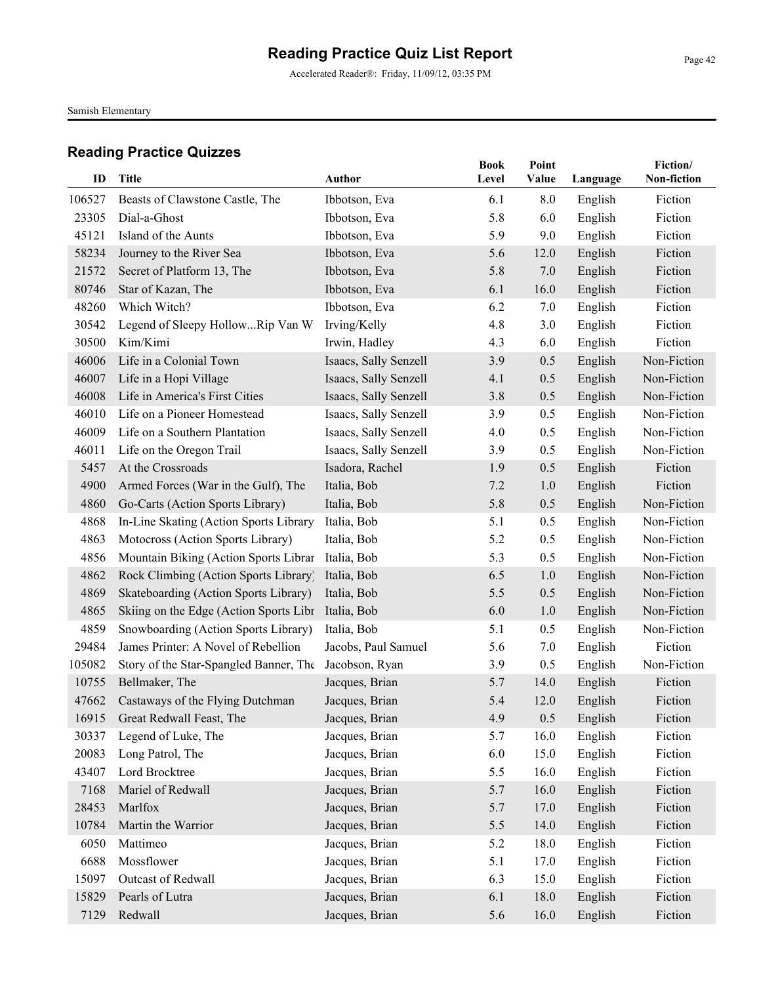Accelerated Reader®: Friday, 11/09/12, 03:35 PM

Samish Elementary

| ID     | <b>Title</b>                           | <b>Author</b>         | <b>Book</b><br>Level | Point<br>Value |          | Fiction/<br>Non-fiction |
|--------|----------------------------------------|-----------------------|----------------------|----------------|----------|-------------------------|
|        |                                        |                       |                      |                | Language |                         |
| 106527 | Beasts of Clawstone Castle, The        | Ibbotson, Eva         | 6.1                  | 8.0            | English  | Fiction                 |
| 23305  | Dial-a-Ghost                           | Ibbotson, Eva         | 5.8                  | 6.0            | English  | Fiction                 |
| 45121  | Island of the Aunts                    | Ibbotson, Eva         | 5.9                  | 9.0            | English  | Fiction                 |
| 58234  | Journey to the River Sea               | Ibbotson, Eva         | 5.6                  | 12.0           | English  | Fiction                 |
| 21572  | Secret of Platform 13, The             | Ibbotson, Eva         | 5.8                  | 7.0            | English  | Fiction                 |
| 80746  | Star of Kazan, The                     | Ibbotson, Eva         | 6.1                  | 16.0           | English  | Fiction                 |
| 48260  | Which Witch?                           | Ibbotson, Eva         | 6.2                  | 7.0            | English  | Fiction                 |
| 30542  | Legend of Sleepy HollowRip Van Wi      | Irving/Kelly          | 4.8                  | 3.0            | English  | Fiction                 |
| 30500  | Kim/Kimi                               | Irwin, Hadley         | 4.3                  | 6.0            | English  | Fiction                 |
| 46006  | Life in a Colonial Town                | Isaacs, Sally Senzell | 3.9                  | 0.5            | English  | Non-Fiction             |
| 46007  | Life in a Hopi Village                 | Isaacs, Sally Senzell | 4.1                  | 0.5            | English  | Non-Fiction             |
| 46008  | Life in America's First Cities         | Isaacs, Sally Senzell | 3.8                  | 0.5            | English  | Non-Fiction             |
| 46010  | Life on a Pioneer Homestead            | Isaacs, Sally Senzell | 3.9                  | 0.5            | English  | Non-Fiction             |
| 46009  | Life on a Southern Plantation          | Isaacs, Sally Senzell | 4.0                  | 0.5            | English  | Non-Fiction             |
| 46011  | Life on the Oregon Trail               | Isaacs, Sally Senzell | 3.9                  | 0.5            | English  | Non-Fiction             |
| 5457   | At the Crossroads                      | Isadora, Rachel       | 1.9                  | 0.5            | English  | Fiction                 |
| 4900   | Armed Forces (War in the Gulf), The    | Italia, Bob           | 7.2                  | 1.0            | English  | Fiction                 |
| 4860   | Go-Carts (Action Sports Library)       | Italia, Bob           | 5.8                  | 0.5            | English  | Non-Fiction             |
| 4868   | In-Line Skating (Action Sports Library | Italia, Bob           | 5.1                  | 0.5            | English  | Non-Fiction             |
| 4863   | Motocross (Action Sports Library)      | Italia, Bob           | 5.2                  | 0.5            | English  | Non-Fiction             |
| 4856   | Mountain Biking (Action Sports Librar  | Italia, Bob           | 5.3                  | 0.5            | English  | Non-Fiction             |
| 4862   | Rock Climbing (Action Sports Library)  | Italia, Bob           | 6.5                  | 1.0            | English  | Non-Fiction             |
| 4869   | Skateboarding (Action Sports Library)  | Italia, Bob           | 5.5                  | 0.5            | English  | Non-Fiction             |
| 4865   | Skiing on the Edge (Action Sports Libr | Italia, Bob           | 6.0                  | 1.0            | English  | Non-Fiction             |
| 4859   | Snowboarding (Action Sports Library)   | Italia, Bob           | 5.1                  | 0.5            | English  | Non-Fiction             |
| 29484  | James Printer: A Novel of Rebellion    | Jacobs, Paul Samuel   | 5.6                  | 7.0            | English  | Fiction                 |
| 105082 | Story of the Star-Spangled Banner, The | Jacobson, Ryan        | 3.9                  | 0.5            | English  | Non-Fiction             |
| 10755  | Bellmaker, The                         | Jacques, Brian        | 5.7                  | 14.0           | English  | Fiction                 |
| 47662  | Castaways of the Flying Dutchman       | Jacques, Brian        | 5.4                  | 12.0           | English  | Fiction                 |
|        | 16915 Great Redwall Feast, The         | Jacques, Brian        | 4.9                  | 0.5            | English  | Fiction                 |
| 30337  | Legend of Luke, The                    | Jacques, Brian        | 5.7                  | 16.0           | English  | Fiction                 |
| 20083  | Long Patrol, The                       | Jacques, Brian        | 6.0                  | 15.0           | English  | Fiction                 |
| 43407  | Lord Brocktree                         | Jacques, Brian        | 5.5                  | 16.0           | English  | Fiction                 |
| 7168   | Mariel of Redwall                      | Jacques, Brian        | 5.7                  | 16.0           | English  | Fiction                 |
| 28453  | Marlfox                                | Jacques, Brian        | 5.7                  | 17.0           | English  | Fiction                 |
| 10784  | Martin the Warrior                     | Jacques, Brian        | 5.5                  | 14.0           | English  | Fiction                 |
| 6050   | Mattimeo                               | Jacques, Brian        | 5.2                  | 18.0           | English  | Fiction                 |
| 6688   | Mossflower                             | Jacques, Brian        | 5.1                  | 17.0           | English  | Fiction                 |
| 15097  | Outcast of Redwall                     | Jacques, Brian        | 6.3                  | 15.0           | English  | Fiction                 |
| 15829  | Pearls of Lutra                        | Jacques, Brian        | 6.1                  | 18.0           | English  | Fiction                 |
| 7129   | Redwall                                | Jacques, Brian        | 5.6                  | 16.0           | English  | Fiction                 |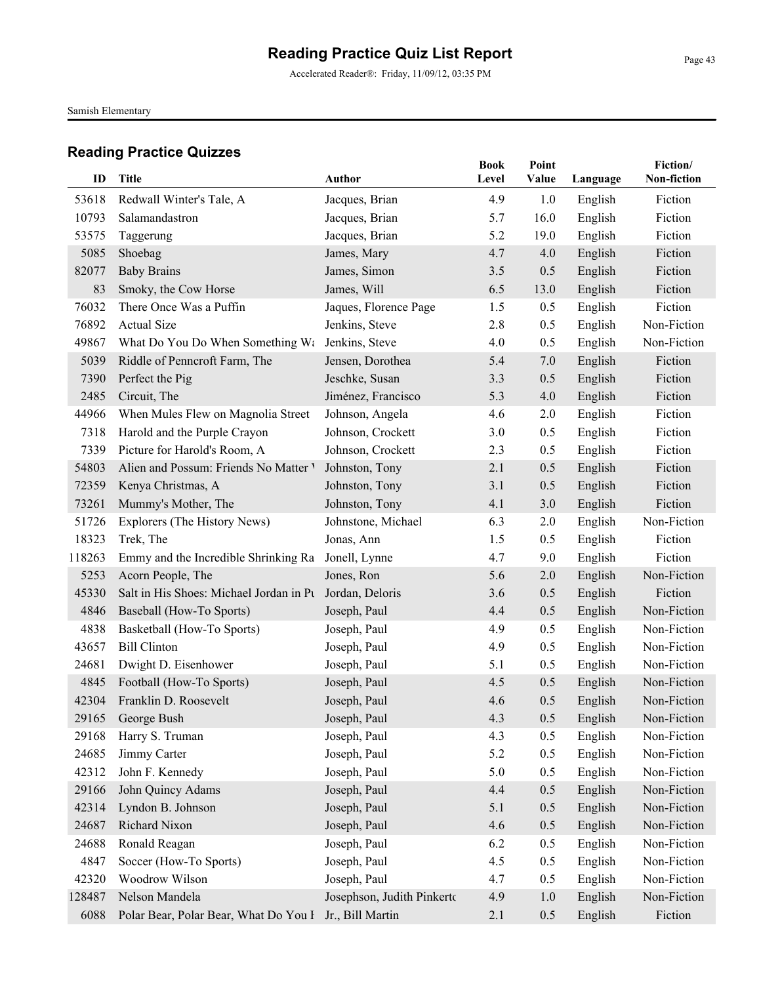Accelerated Reader®: Friday, 11/09/12, 03:35 PM

Samish Elementary

| ID     | Title                                   | Author                     | <b>Book</b><br>Level | Point<br>Value | Language | Fiction/<br>Non-fiction |
|--------|-----------------------------------------|----------------------------|----------------------|----------------|----------|-------------------------|
| 53618  | Redwall Winter's Tale, A                | Jacques, Brian             | 4.9                  | 1.0            | English  | Fiction                 |
| 10793  | Salamandastron                          | Jacques, Brian             | 5.7                  | 16.0           | English  | Fiction                 |
| 53575  | Taggerung                               | Jacques, Brian             | 5.2                  | 19.0           | English  | Fiction                 |
| 5085   | Shoebag                                 | James, Mary                | 4.7                  | 4.0            | English  | Fiction                 |
| 82077  | <b>Baby Brains</b>                      | James, Simon               | 3.5                  | 0.5            | English  | Fiction                 |
| 83     | Smoky, the Cow Horse                    | James, Will                | 6.5                  | 13.0           | English  | Fiction                 |
| 76032  | There Once Was a Puffin                 | Jaques, Florence Page      | 1.5                  | 0.5            | English  | Fiction                 |
| 76892  | <b>Actual Size</b>                      | Jenkins, Steve             | 2.8                  | 0.5            | English  | Non-Fiction             |
| 49867  | What Do You Do When Something Wa        | Jenkins, Steve             | 4.0                  | 0.5            | English  | Non-Fiction             |
| 5039   | Riddle of Penncroft Farm, The           | Jensen, Dorothea           | 5.4                  | 7.0            | English  | Fiction                 |
| 7390   | Perfect the Pig                         | Jeschke, Susan             | 3.3                  | 0.5            | English  | Fiction                 |
| 2485   | Circuit, The                            | Jiménez, Francisco         | 5.3                  | 4.0            | English  | Fiction                 |
| 44966  | When Mules Flew on Magnolia Street      | Johnson, Angela            | 4.6                  | 2.0            | English  | Fiction                 |
| 7318   | Harold and the Purple Crayon            | Johnson, Crockett          | 3.0                  | 0.5            | English  | Fiction                 |
| 7339   | Picture for Harold's Room, A            | Johnson, Crockett          | 2.3                  | 0.5            | English  | Fiction                 |
| 54803  | Alien and Possum: Friends No Matter V   | Johnston, Tony             | 2.1                  | 0.5            | English  | Fiction                 |
| 72359  | Kenya Christmas, A                      | Johnston, Tony             | 3.1                  | 0.5            | English  | Fiction                 |
| 73261  | Mummy's Mother, The                     | Johnston, Tony             | 4.1                  | 3.0            | English  | Fiction                 |
| 51726  | Explorers (The History News)            | Johnstone, Michael         | 6.3                  | 2.0            | English  | Non-Fiction             |
| 18323  | Trek, The                               | Jonas, Ann                 | 1.5                  | 0.5            | English  | Fiction                 |
| 118263 | Emmy and the Incredible Shrinking Ra    | Jonell, Lynne              | 4.7                  | 9.0            | English  | Fiction                 |
| 5253   | Acorn People, The                       | Jones, Ron                 | 5.6                  | 2.0            | English  | Non-Fiction             |
| 45330  | Salt in His Shoes: Michael Jordan in Pu | Jordan, Deloris            | 3.6                  | 0.5            | English  | Fiction                 |
| 4846   | Baseball (How-To Sports)                | Joseph, Paul               | 4.4                  | 0.5            | English  | Non-Fiction             |
| 4838   | Basketball (How-To Sports)              | Joseph, Paul               | 4.9                  | 0.5            | English  | Non-Fiction             |
| 43657  | <b>Bill Clinton</b>                     | Joseph, Paul               | 4.9                  | 0.5            | English  | Non-Fiction             |
| 24681  | Dwight D. Eisenhower                    | Joseph, Paul               | 5.1                  | 0.5            | English  | Non-Fiction             |
| 4845   | Football (How-To Sports)                | Joseph, Paul               | 4.5                  | 0.5            | English  | Non-Fiction             |
| 42304  | Franklin D. Roosevelt                   | Joseph, Paul               | 4.6                  | 0.5            | English  | Non-Fiction             |
|        | 29165 George Bush                       | Joseph, Paul               | 4.3                  | 0.5            | English  | Non-Fiction             |
| 29168  | Harry S. Truman                         | Joseph, Paul               | 4.3                  | 0.5            | English  | Non-Fiction             |
| 24685  | Jimmy Carter                            | Joseph, Paul               | 5.2                  | 0.5            | English  | Non-Fiction             |
| 42312  | John F. Kennedy                         | Joseph, Paul               | 5.0                  | 0.5            | English  | Non-Fiction             |
| 29166  | John Quincy Adams                       | Joseph, Paul               | 4.4                  | 0.5            | English  | Non-Fiction             |
| 42314  | Lyndon B. Johnson                       | Joseph, Paul               | 5.1                  | 0.5            | English  | Non-Fiction             |
| 24687  | Richard Nixon                           | Joseph, Paul               | 4.6                  | 0.5            | English  | Non-Fiction             |
| 24688  | Ronald Reagan                           | Joseph, Paul               | 6.2                  | 0.5            | English  | Non-Fiction             |
| 4847   | Soccer (How-To Sports)                  | Joseph, Paul               | 4.5                  | 0.5            | English  | Non-Fiction             |
| 42320  | Woodrow Wilson                          | Joseph, Paul               | 4.7                  | 0.5            | English  | Non-Fiction             |
| 128487 | Nelson Mandela                          | Josephson, Judith Pinkerto | 4.9                  | 1.0            | English  | Non-Fiction             |
| 6088   | Polar Bear, Polar Bear, What Do You I   | Jr., Bill Martin           | 2.1                  | 0.5            | English  | Fiction                 |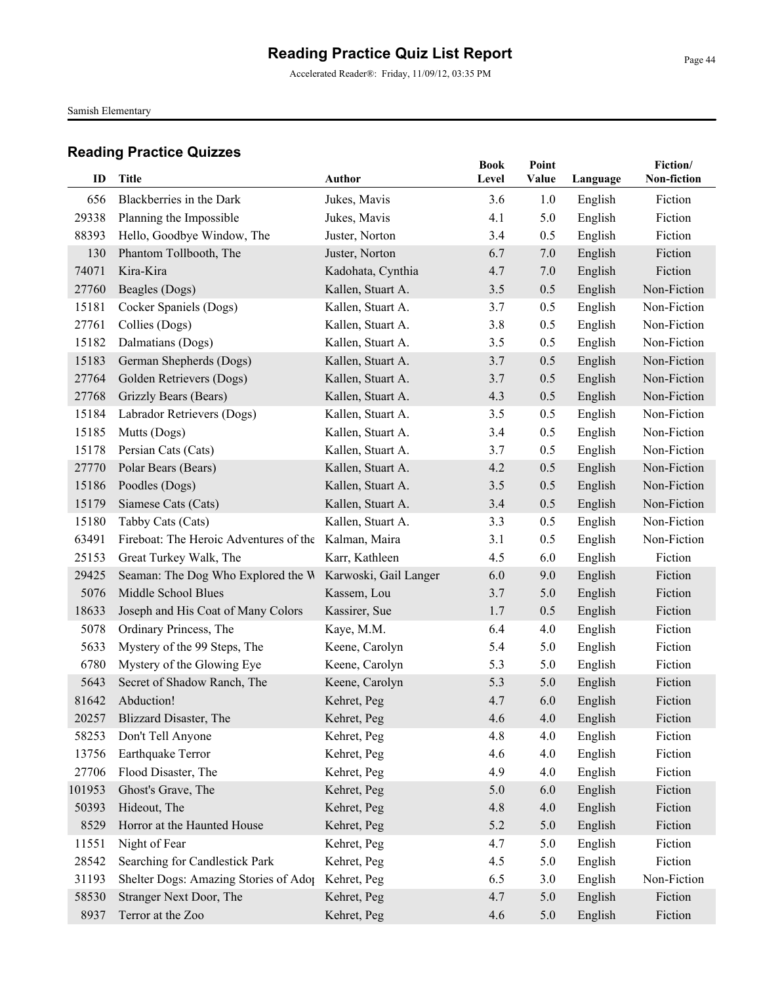Accelerated Reader®: Friday, 11/09/12, 03:35 PM

Samish Elementary

| ID     | <b>Title</b>                                         | Author                | <b>Book</b><br>Level | Point<br>Value | Language | Fiction/<br>Non-fiction |
|--------|------------------------------------------------------|-----------------------|----------------------|----------------|----------|-------------------------|
| 656    | Blackberries in the Dark                             | Jukes, Mavis          | 3.6                  | 1.0            | English  | Fiction                 |
| 29338  | Planning the Impossible                              | Jukes, Mavis          | 4.1                  | 5.0            | English  | Fiction                 |
| 88393  | Hello, Goodbye Window, The                           | Juster, Norton        | 3.4                  | 0.5            | English  | Fiction                 |
| 130    | Phantom Tollbooth, The                               | Juster, Norton        | 6.7                  | 7.0            | English  | Fiction                 |
| 74071  | Kira-Kira                                            | Kadohata, Cynthia     | 4.7                  | 7.0            | English  | Fiction                 |
| 27760  | Beagles (Dogs)                                       | Kallen, Stuart A.     | 3.5                  | 0.5            | English  | Non-Fiction             |
| 15181  | Cocker Spaniels (Dogs)                               | Kallen, Stuart A.     | 3.7                  | 0.5            | English  | Non-Fiction             |
| 27761  | Collies (Dogs)                                       | Kallen, Stuart A.     | 3.8                  | 0.5            | English  | Non-Fiction             |
| 15182  | Dalmatians (Dogs)                                    | Kallen, Stuart A.     | 3.5                  | 0.5            | English  | Non-Fiction             |
| 15183  | German Shepherds (Dogs)                              | Kallen, Stuart A.     | 3.7                  | 0.5            | English  | Non-Fiction             |
| 27764  | Golden Retrievers (Dogs)                             | Kallen, Stuart A.     | 3.7                  | 0.5            | English  | Non-Fiction             |
| 27768  | Grizzly Bears (Bears)                                | Kallen, Stuart A.     | 4.3                  | 0.5            | English  | Non-Fiction             |
| 15184  | Labrador Retrievers (Dogs)                           | Kallen, Stuart A.     | 3.5                  | 0.5            | English  | Non-Fiction             |
| 15185  | Mutts (Dogs)                                         | Kallen, Stuart A.     | 3.4                  | 0.5            | English  | Non-Fiction             |
| 15178  | Persian Cats (Cats)                                  | Kallen, Stuart A.     | 3.7                  | 0.5            | English  | Non-Fiction             |
| 27770  | Polar Bears (Bears)                                  | Kallen, Stuart A.     | 4.2                  | 0.5            | English  | Non-Fiction             |
| 15186  | Poodles (Dogs)                                       | Kallen, Stuart A.     | 3.5                  | 0.5            | English  | Non-Fiction             |
| 15179  | Siamese Cats (Cats)                                  | Kallen, Stuart A.     | 3.4                  | 0.5            | English  | Non-Fiction             |
| 15180  | Tabby Cats (Cats)                                    | Kallen, Stuart A.     | 3.3                  | 0.5            | English  | Non-Fiction             |
| 63491  | Fireboat: The Heroic Adventures of the Kalman, Maira |                       | 3.1                  | 0.5            | English  | Non-Fiction             |
| 25153  | Great Turkey Walk, The                               | Karr, Kathleen        | 4.5                  | 6.0            | English  | Fiction                 |
| 29425  | Seaman: The Dog Who Explored the W                   | Karwoski, Gail Langer | 6.0                  | 9.0            | English  | Fiction                 |
| 5076   | Middle School Blues                                  | Kassem, Lou           | 3.7                  | 5.0            | English  | Fiction                 |
| 18633  | Joseph and His Coat of Many Colors                   | Kassirer, Sue         | 1.7                  | 0.5            | English  | Fiction                 |
| 5078   | Ordinary Princess, The                               | Kaye, M.M.            | 6.4                  | 4.0            | English  | Fiction                 |
| 5633   | Mystery of the 99 Steps, The                         | Keene, Carolyn        | 5.4                  | 5.0            | English  | Fiction                 |
| 6780   | Mystery of the Glowing Eye                           | Keene, Carolyn        | 5.3                  | 5.0            | English  | Fiction                 |
| 5643   | Secret of Shadow Ranch, The                          | Keene, Carolyn        | 5.3                  | 5.0            | English  | Fiction                 |
| 81642  | Abduction!                                           | Kehret, Peg           | 4.7                  | 6.0            | English  | Fiction                 |
|        | 20257 Blizzard Disaster, The                         | Kehret, Peg           | 4.6                  | 4.0            | English  | Fiction                 |
| 58253  | Don't Tell Anyone                                    | Kehret, Peg           | 4.8                  | 4.0            | English  | Fiction                 |
| 13756  | Earthquake Terror                                    | Kehret, Peg           | 4.6                  | 4.0            | English  | Fiction                 |
| 27706  | Flood Disaster, The                                  | Kehret, Peg           | 4.9                  | 4.0            | English  | Fiction                 |
| 101953 | Ghost's Grave, The                                   | Kehret, Peg           | 5.0                  | 6.0            | English  | Fiction                 |
| 50393  | Hideout, The                                         | Kehret, Peg           | 4.8                  | 4.0            | English  | Fiction                 |
| 8529   | Horror at the Haunted House                          | Kehret, Peg           | 5.2                  | 5.0            | English  | Fiction                 |
| 11551  | Night of Fear                                        | Kehret, Peg           | 4.7                  | 5.0            | English  | Fiction                 |
| 28542  | Searching for Candlestick Park                       | Kehret, Peg           | 4.5                  | 5.0            | English  | Fiction                 |
| 31193  | Shelter Dogs: Amazing Stories of Adop                | Kehret, Peg           | 6.5                  | 3.0            | English  | Non-Fiction             |
| 58530  | Stranger Next Door, The                              | Kehret, Peg           | 4.7                  | 5.0            | English  | Fiction                 |
| 8937   | Terror at the Zoo                                    | Kehret, Peg           | 4.6                  | 5.0            | English  | Fiction                 |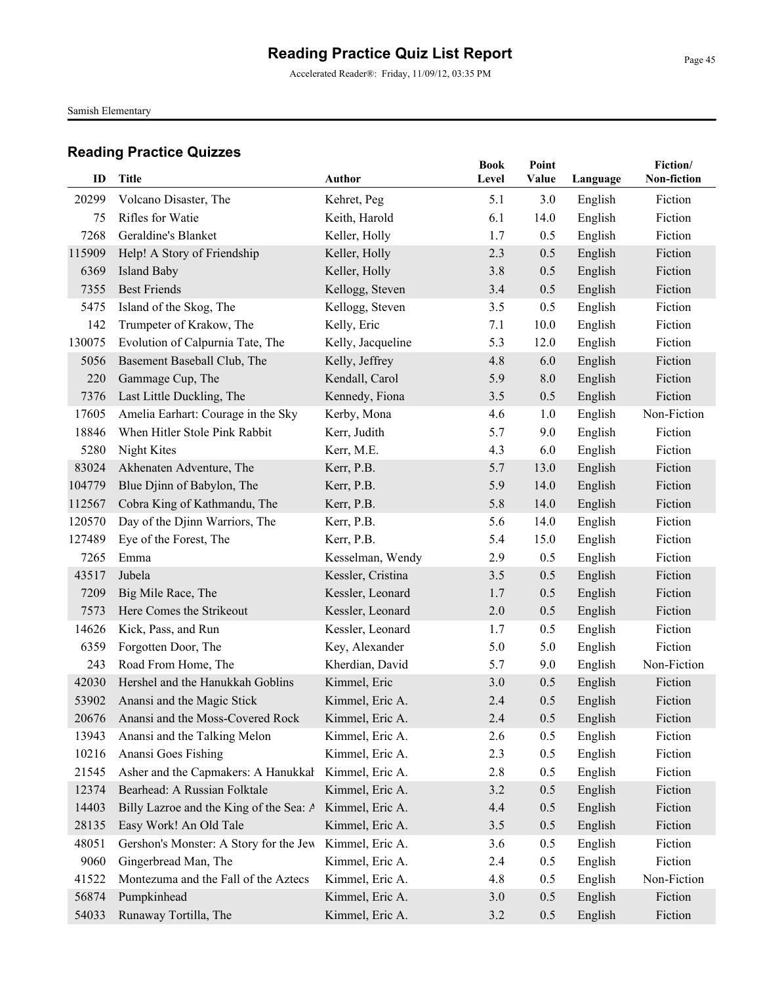Accelerated Reader®: Friday, 11/09/12, 03:35 PM

Samish Elementary

| ID         | Title                                      | Author                         | <b>Book</b><br>Level | Point<br>Value | Language           | Fiction/<br>Non-fiction |
|------------|--------------------------------------------|--------------------------------|----------------------|----------------|--------------------|-------------------------|
|            |                                            |                                |                      |                |                    |                         |
| 20299      | Volcano Disaster, The<br>Rifles for Watie  | Kehret, Peg                    | 5.1<br>6.1           | 3.0<br>14.0    | English            | Fiction<br>Fiction      |
| 75<br>7268 | Geraldine's Blanket                        | Keith, Harold                  | 1.7                  | 0.5            | English            | Fiction                 |
| 115909     |                                            | Keller, Holly                  | 2.3                  |                | English<br>English | Fiction                 |
| 6369       | Help! A Story of Friendship<br>Island Baby | Keller, Holly<br>Keller, Holly | 3.8                  | 0.5<br>0.5     |                    | Fiction                 |
| 7355       | <b>Best Friends</b>                        | Kellogg, Steven                | 3.4                  | 0.5            | English            | Fiction                 |
| 5475       | Island of the Skog, The                    |                                | 3.5                  | 0.5            | English            | Fiction                 |
| 142        | Trumpeter of Krakow, The                   | Kellogg, Steven<br>Kelly, Eric | 7.1                  | 10.0           | English            | Fiction                 |
|            |                                            |                                |                      |                | English            |                         |
| 130075     | Evolution of Calpurnia Tate, The           | Kelly, Jacqueline              | 5.3                  | 12.0           | English            | Fiction                 |
| 5056       | Basement Baseball Club, The                | Kelly, Jeffrey                 | 4.8                  | 6.0            | English            | Fiction                 |
| 220        | Gammage Cup, The                           | Kendall, Carol                 | 5.9                  | 8.0            | English            | Fiction                 |
| 7376       | Last Little Duckling, The                  | Kennedy, Fiona                 | 3.5                  | 0.5            | English            | Fiction                 |
| 17605      | Amelia Earhart: Courage in the Sky         | Kerby, Mona                    | 4.6                  | 1.0            | English            | Non-Fiction             |
| 18846      | When Hitler Stole Pink Rabbit              | Kerr, Judith                   | 5.7                  | 9.0            | English            | Fiction                 |
| 5280       | Night Kites                                | Kerr, M.E.                     | 4.3                  | 6.0            | English            | Fiction                 |
| 83024      | Akhenaten Adventure, The                   | Kerr, P.B.                     | 5.7                  | 13.0           | English            | Fiction                 |
| 104779     | Blue Djinn of Babylon, The                 | Kerr, P.B.                     | 5.9                  | 14.0           | English            | Fiction                 |
| 112567     | Cobra King of Kathmandu, The               | Kerr, P.B.                     | 5.8                  | 14.0           | English            | Fiction                 |
| 120570     | Day of the Djinn Warriors, The             | Kerr, P.B.                     | 5.6                  | 14.0           | English            | Fiction                 |
| 127489     | Eye of the Forest, The                     | Kerr, P.B.                     | 5.4                  | 15.0           | English            | Fiction                 |
| 7265       | Emma                                       | Kesselman, Wendy               | 2.9                  | 0.5            | English            | Fiction                 |
| 43517      | Jubela                                     | Kessler, Cristina              | 3.5                  | 0.5            | English            | Fiction                 |
| 7209       | Big Mile Race, The                         | Kessler, Leonard               | 1.7                  | 0.5            | English            | Fiction                 |
| 7573       | Here Comes the Strikeout                   | Kessler, Leonard               | 2.0                  | 0.5            | English            | Fiction                 |
| 14626      | Kick, Pass, and Run                        | Kessler, Leonard               | 1.7                  | 0.5            | English            | Fiction                 |
| 6359       | Forgotten Door, The                        | Key, Alexander                 | 5.0                  | 5.0            | English            | Fiction                 |
| 243        | Road From Home, The                        | Kherdian, David                | 5.7                  | 9.0            | English            | Non-Fiction             |
| 42030      | Hershel and the Hanukkah Goblins           | Kimmel, Eric                   | 3.0                  | 0.5            | English            | Fiction                 |
| 53902      | Anansi and the Magic Stick                 | Kimmel, Eric A.                | 2.4                  | 0.5            | English            | Fiction                 |
|            | 20676 Anansi and the Moss-Covered Rock     | Kimmel, Eric A.                | 2.4                  | 0.5            | English            | Fiction                 |
| 13943      | Anansi and the Talking Melon               | Kimmel, Eric A.                | 2.6                  | 0.5            | English            | Fiction                 |
| 10216      | Anansi Goes Fishing                        | Kimmel, Eric A.                | 2.3                  | 0.5            | English            | Fiction                 |
| 21545      | Asher and the Capmakers: A Hanukkal        | Kimmel, Eric A.                | 2.8                  | 0.5            | English            | Fiction                 |
| 12374      | Bearhead: A Russian Folktale               | Kimmel, Eric A.                | 3.2                  | 0.5            | English            | Fiction                 |
| 14403      | Billy Lazroe and the King of the Sea: A    | Kimmel, Eric A.                | 4.4                  | 0.5            | English            | Fiction                 |
| 28135      | Easy Work! An Old Tale                     | Kimmel, Eric A.                | 3.5                  | 0.5            | English            | Fiction                 |
| 48051      | Gershon's Monster: A Story for the Jew     | Kimmel, Eric A.                | 3.6                  | 0.5            | English            | Fiction                 |
| 9060       | Gingerbread Man, The                       | Kimmel, Eric A.                | 2.4                  | 0.5            | English            | Fiction                 |
| 41522      | Montezuma and the Fall of the Aztecs       | Kimmel, Eric A.                | 4.8                  | 0.5            | English            | Non-Fiction             |
| 56874      | Pumpkinhead                                | Kimmel, Eric A.                | 3.0                  | 0.5            | English            | Fiction                 |
| 54033      | Runaway Tortilla, The                      | Kimmel, Eric A.                | 3.2                  | 0.5            | English            | Fiction                 |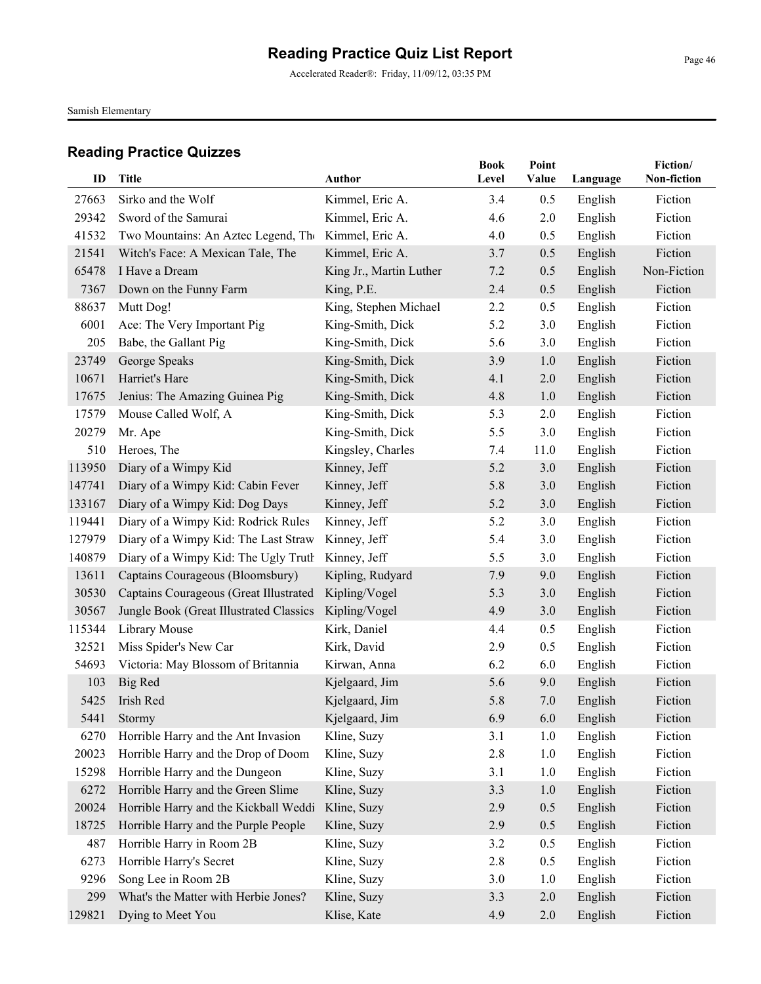Accelerated Reader®: Friday, 11/09/12, 03:35 PM

Samish Elementary

| ID     | <b>Title</b>                            | Author                  | <b>Book</b><br>Level | Point<br>Value | Language | Fiction/<br>Non-fiction |
|--------|-----------------------------------------|-------------------------|----------------------|----------------|----------|-------------------------|
| 27663  | Sirko and the Wolf                      | Kimmel, Eric A.         | 3.4                  | 0.5            | English  | Fiction                 |
| 29342  | Sword of the Samurai                    | Kimmel, Eric A.         | 4.6                  | 2.0            | English  | Fiction                 |
| 41532  | Two Mountains: An Aztec Legend, The     | Kimmel, Eric A.         | 4.0                  | 0.5            | English  | Fiction                 |
| 21541  | Witch's Face: A Mexican Tale, The       | Kimmel, Eric A.         | 3.7                  | 0.5            | English  | Fiction                 |
| 65478  | I Have a Dream                          | King Jr., Martin Luther | 7.2                  | 0.5            | English  | Non-Fiction             |
| 7367   | Down on the Funny Farm                  | King, P.E.              | 2.4                  | 0.5            | English  | Fiction                 |
| 88637  | Mutt Dog!                               | King, Stephen Michael   | 2.2                  | 0.5            | English  | Fiction                 |
| 6001   | Ace: The Very Important Pig             | King-Smith, Dick        | 5.2                  | 3.0            | English  | Fiction                 |
| 205    | Babe, the Gallant Pig                   | King-Smith, Dick        | 5.6                  | 3.0            | English  | Fiction                 |
| 23749  | George Speaks                           | King-Smith, Dick        | 3.9                  | 1.0            | English  | Fiction                 |
| 10671  | Harriet's Hare                          | King-Smith, Dick        | 4.1                  | 2.0            | English  | Fiction                 |
| 17675  | Jenius: The Amazing Guinea Pig          | King-Smith, Dick        | 4.8                  | 1.0            | English  | Fiction                 |
| 17579  | Mouse Called Wolf, A                    | King-Smith, Dick        | 5.3                  | 2.0            | English  | Fiction                 |
| 20279  | Mr. Ape                                 | King-Smith, Dick        | 5.5                  | 3.0            | English  | Fiction                 |
| 510    | Heroes, The                             | Kingsley, Charles       | 7.4                  | 11.0           | English  | Fiction                 |
| 113950 | Diary of a Wimpy Kid                    | Kinney, Jeff            | 5.2                  | 3.0            | English  | Fiction                 |
| 147741 | Diary of a Wimpy Kid: Cabin Fever       | Kinney, Jeff            | 5.8                  | 3.0            | English  | Fiction                 |
| 133167 | Diary of a Wimpy Kid: Dog Days          | Kinney, Jeff            | 5.2                  | 3.0            | English  | Fiction                 |
| 119441 | Diary of a Wimpy Kid: Rodrick Rules     | Kinney, Jeff            | 5.2                  | 3.0            | English  | Fiction                 |
| 127979 | Diary of a Wimpy Kid: The Last Straw    | Kinney, Jeff            | 5.4                  | 3.0            | English  | Fiction                 |
| 140879 | Diary of a Wimpy Kid: The Ugly Truth    | Kinney, Jeff            | 5.5                  | 3.0            | English  | Fiction                 |
| 13611  | Captains Courageous (Bloomsbury)        | Kipling, Rudyard        | 7.9                  | 9.0            | English  | Fiction                 |
| 30530  | Captains Courageous (Great Illustrated  | Kipling/Vogel           | 5.3                  | 3.0            | English  | Fiction                 |
| 30567  | Jungle Book (Great Illustrated Classics | Kipling/Vogel           | 4.9                  | 3.0            | English  | Fiction                 |
| 115344 | Library Mouse                           | Kirk, Daniel            | 4.4                  | 0.5            | English  | Fiction                 |
| 32521  | Miss Spider's New Car                   | Kirk, David             | 2.9                  | 0.5            | English  | Fiction                 |
| 54693  | Victoria: May Blossom of Britannia      | Kirwan, Anna            | 6.2                  | 6.0            | English  | Fiction                 |
| 103    | Big Red                                 | Kjelgaard, Jim          | 5.6                  | 9.0            | English  | Fiction                 |
| 5425   | Irish Red                               | Kjelgaard, Jim          | 5.8                  | 7.0            | English  | Fiction                 |
| 5441   | Stormy                                  | Kjelgaard, Jim          | 6.9                  | 6.0            | English  | Fiction                 |
| 6270   | Horrible Harry and the Ant Invasion     | Kline, Suzy             | 3.1                  | 1.0            | English  | Fiction                 |
| 20023  | Horrible Harry and the Drop of Doom     | Kline, Suzy             | 2.8                  | 1.0            | English  | Fiction                 |
| 15298  | Horrible Harry and the Dungeon          | Kline, Suzy             | 3.1                  | 1.0            | English  | Fiction                 |
| 6272   | Horrible Harry and the Green Slime      | Kline, Suzy             | 3.3                  | 1.0            | English  | Fiction                 |
| 20024  | Horrible Harry and the Kickball Weddi   | Kline, Suzy             | 2.9                  | 0.5            | English  | Fiction                 |
| 18725  | Horrible Harry and the Purple People    | Kline, Suzy             | 2.9                  | 0.5            | English  | Fiction                 |
| 487    | Horrible Harry in Room 2B               | Kline, Suzy             | 3.2                  | 0.5            | English  | Fiction                 |
| 6273   | Horrible Harry's Secret                 | Kline, Suzy             | 2.8                  | 0.5            | English  | Fiction                 |
| 9296   | Song Lee in Room 2B                     | Kline, Suzy             | 3.0                  | 1.0            | English  | Fiction                 |
| 299    | What's the Matter with Herbie Jones?    | Kline, Suzy             | 3.3                  | 2.0            | English  | Fiction                 |
| 129821 | Dying to Meet You                       | Klise, Kate             | 4.9                  | 2.0            | English  | Fiction                 |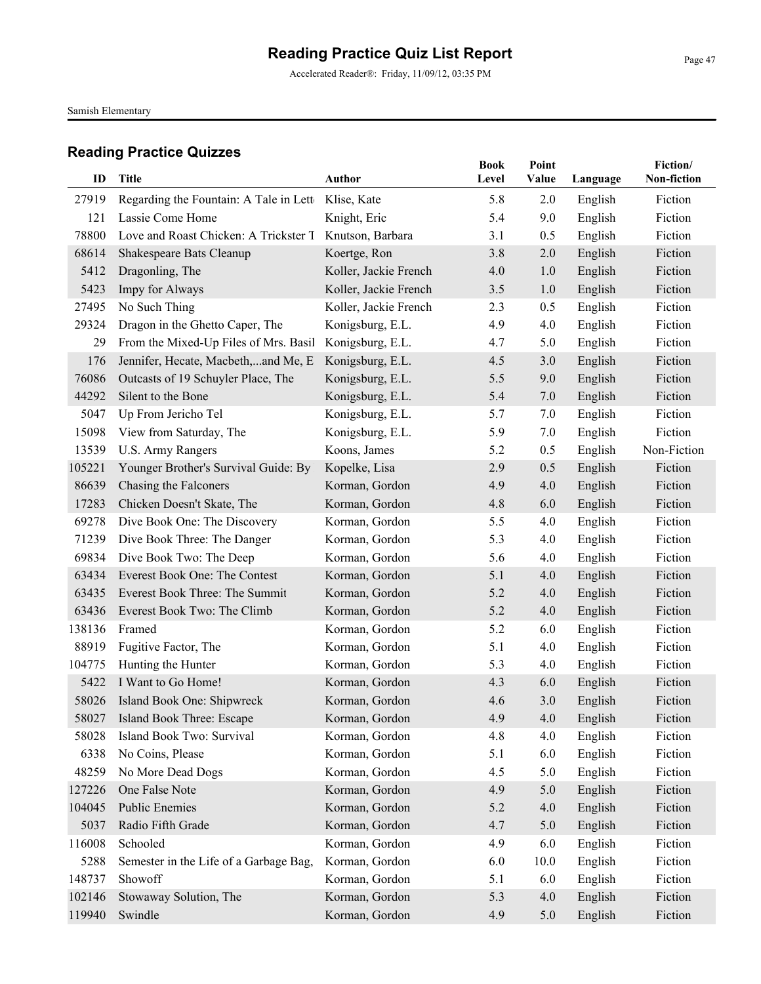Accelerated Reader®: Friday, 11/09/12, 03:35 PM

Samish Elementary

| ID            | Title                                                      | Author                                | <b>Book</b><br>Level | Point<br>Value | Language           | Fiction/<br>Non-fiction |
|---------------|------------------------------------------------------------|---------------------------------------|----------------------|----------------|--------------------|-------------------------|
|               |                                                            |                                       |                      |                |                    |                         |
| 27919<br>121  | Regarding the Fountain: A Tale in Lett<br>Lassie Come Home | Klise, Kate                           | 5.8<br>5.4           | 2.0<br>9.0     | English            | Fiction<br>Fiction      |
| 78800         | Love and Roast Chicken: A Trickster T                      | Knight, Eric<br>Knutson, Barbara      | 3.1                  | 0.5            | English            | Fiction                 |
|               |                                                            |                                       | 3.8                  |                | English            | Fiction                 |
| 68614<br>5412 | Shakespeare Bats Cleanup                                   | Koertge, Ron<br>Koller, Jackie French | 4.0                  | 2.0<br>1.0     | English            | Fiction                 |
| 5423          | Dragonling, The<br>Impy for Always                         | Koller, Jackie French                 | 3.5                  | 1.0            | English            | Fiction                 |
| 27495         | No Such Thing                                              | Koller, Jackie French                 | 2.3                  | 0.5            | English            | Fiction                 |
| 29324         | Dragon in the Ghetto Caper, The                            | Konigsburg, E.L.                      | 4.9                  | 4.0            | English<br>English | Fiction                 |
|               | From the Mixed-Up Files of Mrs. Basil                      |                                       |                      |                |                    |                         |
| 29            |                                                            | Konigsburg, E.L.                      | 4.7                  | 5.0            | English            | Fiction<br>Fiction      |
| 176           | Jennifer, Hecate, Macbeth,and Me, E                        | Konigsburg, E.L.                      | 4.5                  | 3.0            | English            | Fiction                 |
| 76086         | Outcasts of 19 Schuyler Place, The                         | Konigsburg, E.L.                      | 5.5                  | 9.0            | English            |                         |
| 44292         | Silent to the Bone                                         | Konigsburg, E.L.                      | 5.4                  | 7.0            | English            | Fiction                 |
| 5047          | Up From Jericho Tel                                        | Konigsburg, E.L.                      | 5.7                  | 7.0            | English            | Fiction                 |
| 15098         | View from Saturday, The                                    | Konigsburg, E.L.                      | 5.9                  | 7.0            | English            | Fiction                 |
| 13539         | U.S. Army Rangers                                          | Koons, James                          | 5.2                  | 0.5            | English            | Non-Fiction             |
| 105221        | Younger Brother's Survival Guide: By                       | Kopelke, Lisa                         | 2.9                  | 0.5            | English            | Fiction                 |
| 86639         | Chasing the Falconers                                      | Korman, Gordon                        | 4.9                  | 4.0            | English            | Fiction                 |
| 17283         | Chicken Doesn't Skate, The                                 | Korman, Gordon                        | 4.8                  | 6.0            | English            | Fiction                 |
| 69278         | Dive Book One: The Discovery                               | Korman, Gordon                        | 5.5                  | 4.0            | English            | Fiction                 |
| 71239         | Dive Book Three: The Danger                                | Korman, Gordon                        | 5.3                  | 4.0            | English            | Fiction                 |
| 69834         | Dive Book Two: The Deep                                    | Korman, Gordon                        | 5.6                  | 4.0            | English            | Fiction                 |
| 63434         | Everest Book One: The Contest                              | Korman, Gordon                        | 5.1                  | 4.0            | English            | Fiction                 |
| 63435         | Everest Book Three: The Summit                             | Korman, Gordon                        | 5.2                  | 4.0            | English            | Fiction                 |
| 63436         | Everest Book Two: The Climb                                | Korman, Gordon                        | 5.2                  | 4.0            | English            | Fiction                 |
| 138136        | Framed                                                     | Korman, Gordon                        | 5.2                  | 6.0            | English            | Fiction                 |
| 88919         | Fugitive Factor, The                                       | Korman, Gordon                        | 5.1                  | 4.0            | English            | Fiction                 |
| 104775        | Hunting the Hunter                                         | Korman, Gordon                        | 5.3                  | 4.0            | English            | Fiction                 |
| 5422          | I Want to Go Home!                                         | Korman, Gordon                        | 4.3                  | 6.0            | English            | Fiction                 |
| 58026         | Island Book One: Shipwreck                                 | Korman, Gordon                        | 4.6                  | 3.0            | English            | Fiction                 |
|               | 58027 Island Book Three: Escape                            | Korman, Gordon                        | 4.9                  | 4.0            | English            | Fiction                 |
| 58028         | Island Book Two: Survival                                  | Korman, Gordon                        | 4.8                  | 4.0            | English            | Fiction                 |
| 6338          | No Coins, Please                                           | Korman, Gordon                        | 5.1                  | 6.0            | English            | Fiction                 |
| 48259         | No More Dead Dogs                                          | Korman, Gordon                        | 4.5                  | 5.0            | English            | Fiction                 |
| 127226        | One False Note                                             | Korman, Gordon                        | 4.9                  | 5.0            | English            | Fiction                 |
| 104045        | Public Enemies                                             | Korman, Gordon                        | 5.2                  | 4.0            | English            | Fiction                 |
| 5037          | Radio Fifth Grade                                          | Korman, Gordon                        | 4.7                  | 5.0            | English            | Fiction                 |
| 116008        | Schooled                                                   | Korman, Gordon                        | 4.9                  | 6.0            | English            | Fiction                 |
| 5288          | Semester in the Life of a Garbage Bag,                     | Korman, Gordon                        | 6.0                  | 10.0           | English            | Fiction                 |
| 148737        | Showoff                                                    | Korman, Gordon                        | 5.1                  | 6.0            | English            | Fiction                 |
| 102146        | Stowaway Solution, The                                     | Korman, Gordon                        | 5.3                  | 4.0            | English            | Fiction                 |
| 119940        | Swindle                                                    | Korman, Gordon                        | 4.9                  | 5.0            | English            | Fiction                 |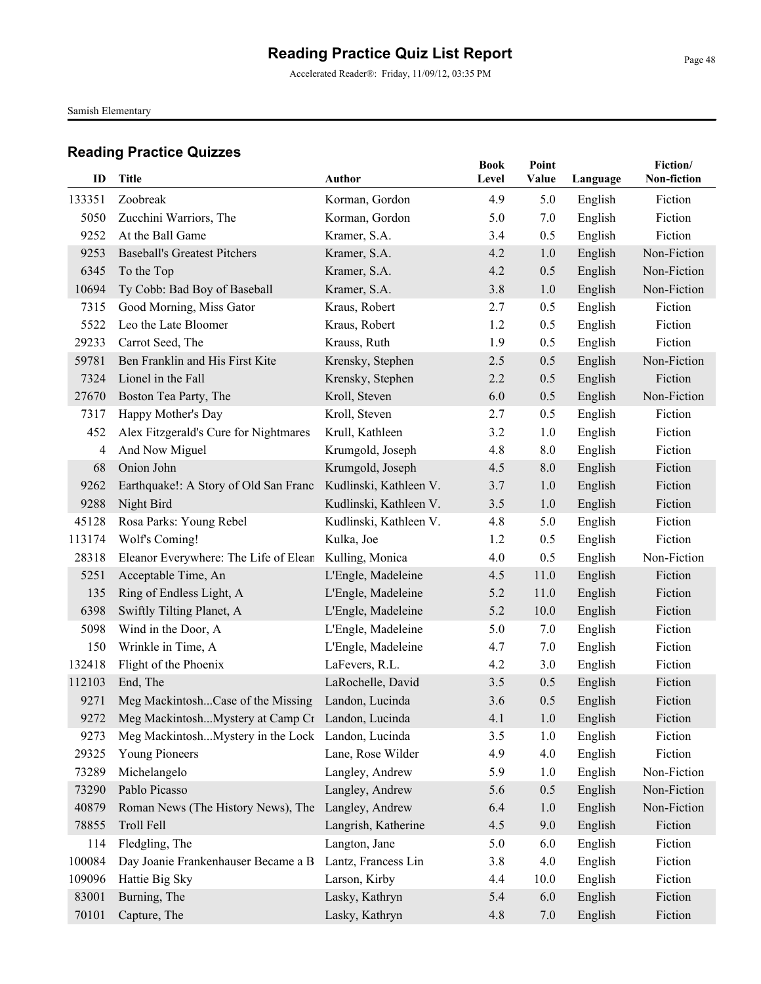Accelerated Reader®: Friday, 11/09/12, 03:35 PM

Samish Elementary

| ID          | <b>Title</b>                                          | Author                               | <b>Book</b><br>Level | Point<br>Value | Language           | Fiction/<br>Non-fiction |
|-------------|-------------------------------------------------------|--------------------------------------|----------------------|----------------|--------------------|-------------------------|
| 133351      | Zoobreak                                              | Korman, Gordon                       | 4.9                  | 5.0            | English            | Fiction                 |
| 5050        | Zucchini Warriors, The                                | Korman, Gordon                       | 5.0                  | 7.0            | English            | Fiction                 |
| 9252        | At the Ball Game                                      | Kramer, S.A.                         | 3.4                  | 0.5            | English            | Fiction                 |
| 9253        | <b>Baseball's Greatest Pitchers</b>                   | Kramer, S.A.                         | 4.2                  | 1.0            | English            | Non-Fiction             |
| 6345        | To the Top                                            | Kramer, S.A.                         | 4.2                  | 0.5            | English            | Non-Fiction             |
| 10694       | Ty Cobb: Bad Boy of Baseball                          | Kramer, S.A.                         | 3.8                  | 1.0            | English            | Non-Fiction             |
| 7315        | Good Morning, Miss Gator                              | Kraus, Robert                        | 2.7                  | 0.5            | English            | Fiction                 |
| 5522        | Leo the Late Bloomer                                  | Kraus, Robert                        | 1.2                  | 0.5            | English            | Fiction                 |
| 29233       | Carrot Seed, The                                      | Krauss, Ruth                         | 1.9                  | 0.5            |                    | Fiction                 |
| 59781       | Ben Franklin and His First Kite                       |                                      | 2.5                  | 0.5            | English            | Non-Fiction             |
| 7324        | Lionel in the Fall                                    | Krensky, Stephen<br>Krensky, Stephen | 2.2                  | 0.5            | English<br>English | Fiction                 |
| 27670       |                                                       |                                      | 6.0                  | 0.5            |                    | Non-Fiction             |
|             | Boston Tea Party, The                                 | Kroll, Steven                        | 2.7                  |                | English            | Fiction                 |
| 7317<br>452 | Happy Mother's Day                                    | Kroll, Steven                        |                      | 0.5            | English            | Fiction                 |
|             | Alex Fitzgerald's Cure for Nightmares                 | Krull, Kathleen                      | 3.2                  | 1.0            | English            | Fiction                 |
| 4           | And Now Miguel<br>Onion John                          | Krumgold, Joseph                     | 4.8                  | 8.0            | English<br>English |                         |
| 68          |                                                       | Krumgold, Joseph                     | 4.5                  | 8.0            |                    | Fiction                 |
| 9262        | Earthquake!: A Story of Old San Franc                 | Kudlinski, Kathleen V.               | 3.7                  | 1.0            | English            | Fiction                 |
| 9288        | Night Bird                                            | Kudlinski, Kathleen V.               | 3.5                  | 1.0            | English            | Fiction                 |
| 45128       | Rosa Parks: Young Rebel                               | Kudlinski, Kathleen V.               | 4.8                  | 5.0            | English            | Fiction                 |
| 113174      | Wolf's Coming!                                        | Kulka, Joe                           | 1.2                  | 0.5            | English            | Fiction                 |
| 28318       | Eleanor Everywhere: The Life of Elean                 | Kulling, Monica                      | 4.0                  | 0.5            | English            | Non-Fiction             |
| 5251        | Acceptable Time, An                                   | L'Engle, Madeleine                   | 4.5                  | 11.0           | English            | Fiction                 |
| 135         | Ring of Endless Light, A                              | L'Engle, Madeleine                   | 5.2                  | 11.0           | English            | Fiction                 |
| 6398        | Swiftly Tilting Planet, A                             | L'Engle, Madeleine                   | 5.2                  | 10.0           | English            | Fiction                 |
| 5098        | Wind in the Door, A                                   | L'Engle, Madeleine                   | 5.0                  | 7.0            | English            | Fiction                 |
| 150         | Wrinkle in Time, A                                    | L'Engle, Madeleine                   | 4.7                  | 7.0            | English            | Fiction                 |
| 132418      | Flight of the Phoenix                                 | LaFevers, R.L.                       | 4.2                  | 3.0            | English            | Fiction                 |
| 112103      | End, The                                              | LaRochelle, David                    | 3.5                  | 0.5            | English            | Fiction                 |
| 9271        | Meg MackintoshCase of the Missing                     | Landon, Lucinda                      | 3.6                  | 0.5            | English            | Fiction                 |
|             | 9272 Meg MackintoshMystery at Camp Cr Landon, Lucinda |                                      | 4.1                  | 1.0            | English            | Fiction                 |
| 9273        | Meg MackintoshMystery in the Lock Landon, Lucinda     |                                      | 3.5                  | 1.0            | English            | Fiction                 |
| 29325       | Young Pioneers                                        | Lane, Rose Wilder                    | 4.9                  | 4.0            | English            | Fiction                 |
| 73289       | Michelangelo                                          | Langley, Andrew                      | 5.9                  | 1.0            | English            | Non-Fiction             |
| 73290       | Pablo Picasso                                         | Langley, Andrew                      | 5.6                  | 0.5            | English            | Non-Fiction             |
| 40879       | Roman News (The History News), The                    | Langley, Andrew                      | 6.4                  | 1.0            | English            | Non-Fiction             |
| 78855       | Troll Fell                                            | Langrish, Katherine                  | 4.5                  | 9.0            | English            | Fiction                 |
| 114         | Fledgling, The                                        | Langton, Jane                        | 5.0                  | 6.0            | English            | Fiction                 |
| 100084      | Day Joanie Frankenhauser Became a B                   | Lantz, Francess Lin                  | 3.8                  | 4.0            | English            | Fiction                 |
| 109096      | Hattie Big Sky                                        | Larson, Kirby                        | 4.4                  | 10.0           | English            | Fiction                 |
| 83001       | Burning, The                                          | Lasky, Kathryn                       | 5.4                  | 6.0            | English            | Fiction                 |
| 70101       | Capture, The                                          | Lasky, Kathryn                       | 4.8                  | 7.0            | English            | Fiction                 |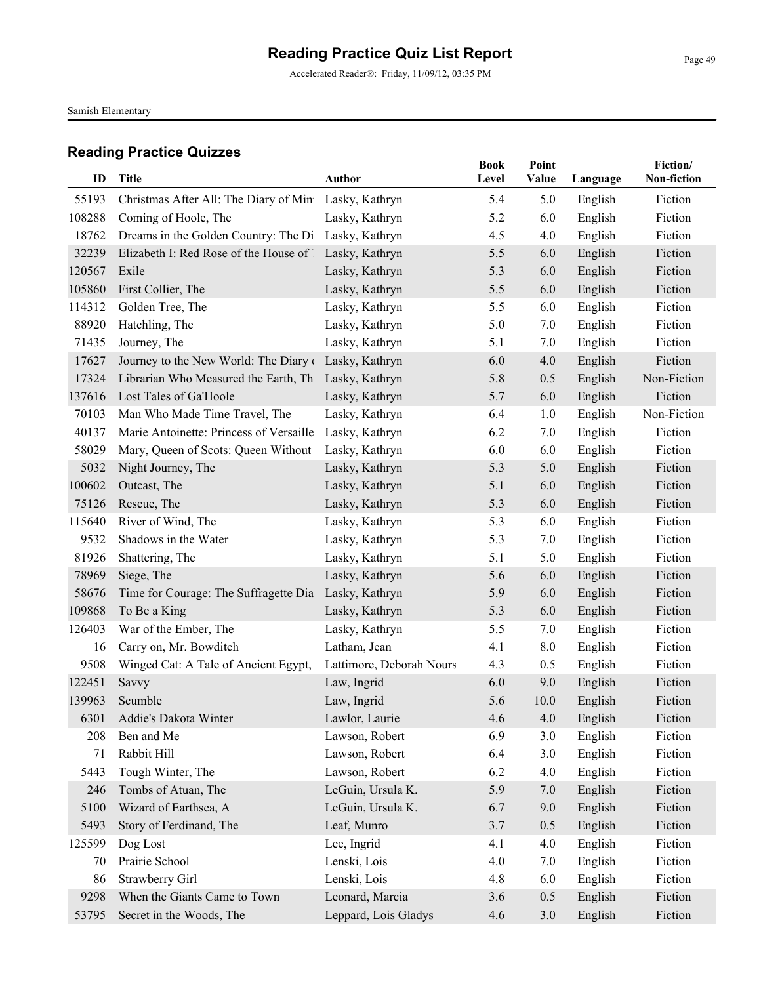Accelerated Reader®: Friday, 11/09/12, 03:35 PM

Samish Elementary

| ID     | Title                                                  | <b>Author</b>            | <b>Book</b><br>Level | Point<br>Value | Language | Fiction/<br>Non-fiction |
|--------|--------------------------------------------------------|--------------------------|----------------------|----------------|----------|-------------------------|
| 55193  | Christmas After All: The Diary of Mini Lasky, Kathryn  |                          | 5.4                  | 5.0            | English  | Fiction                 |
| 108288 | Coming of Hoole, The                                   | Lasky, Kathryn           | 5.2                  | 6.0            | English  | Fiction                 |
| 18762  | Dreams in the Golden Country: The Di Lasky, Kathryn    |                          | 4.5                  | 4.0            | English  | Fiction                 |
| 32239  | Elizabeth I: Red Rose of the House of 1 Lasky, Kathryn |                          | 5.5                  | 6.0            | English  | Fiction                 |
| 120567 | Exile                                                  | Lasky, Kathryn           | 5.3                  | 6.0            | English  | Fiction                 |
| 105860 | First Collier, The                                     | Lasky, Kathryn           | 5.5                  | 6.0            | English  | Fiction                 |
| 114312 | Golden Tree, The                                       | Lasky, Kathryn           | 5.5                  | 6.0            | English  | Fiction                 |
| 88920  | Hatchling, The                                         | Lasky, Kathryn           | 5.0                  | 7.0            | English  | Fiction                 |
| 71435  | Journey, The                                           | Lasky, Kathryn           | 5.1                  | 7.0            | English  | Fiction                 |
| 17627  | Journey to the New World: The Diary of                 | Lasky, Kathryn           | 6.0                  | 4.0            | English  | Fiction                 |
| 17324  | Librarian Who Measured the Earth, The                  | Lasky, Kathryn           | 5.8                  | 0.5            | English  | Non-Fiction             |
| 137616 | Lost Tales of Ga'Hoole                                 | Lasky, Kathryn           | 5.7                  | 6.0            | English  | Fiction                 |
| 70103  | Man Who Made Time Travel, The                          | Lasky, Kathryn           | 6.4                  | 1.0            | English  | Non-Fiction             |
| 40137  | Marie Antoinette: Princess of Versaille                | Lasky, Kathryn           | 6.2                  | 7.0            | English  | Fiction                 |
| 58029  | Mary, Queen of Scots: Queen Without                    | Lasky, Kathryn           | 6.0                  | 6.0            | English  | Fiction                 |
| 5032   | Night Journey, The                                     | Lasky, Kathryn           | 5.3                  | 5.0            | English  | Fiction                 |
| 100602 | Outcast, The                                           | Lasky, Kathryn           | 5.1                  | 6.0            | English  | Fiction                 |
| 75126  | Rescue, The                                            | Lasky, Kathryn           | 5.3                  | 6.0            | English  | Fiction                 |
| 115640 | River of Wind, The                                     | Lasky, Kathryn           | 5.3                  | 6.0            | English  | Fiction                 |
| 9532   | Shadows in the Water                                   | Lasky, Kathryn           | 5.3                  | 7.0            | English  | Fiction                 |
| 81926  | Shattering, The                                        | Lasky, Kathryn           | 5.1                  | 5.0            | English  | Fiction                 |
| 78969  | Siege, The                                             | Lasky, Kathryn           | 5.6                  | 6.0            | English  | Fiction                 |
| 58676  | Time for Courage: The Suffragette Dia                  | Lasky, Kathryn           | 5.9                  | 6.0            | English  | Fiction                 |
| 109868 | To Be a King                                           | Lasky, Kathryn           | 5.3                  | 6.0            | English  | Fiction                 |
| 126403 | War of the Ember, The                                  | Lasky, Kathryn           | 5.5                  | 7.0            | English  | Fiction                 |
| 16     | Carry on, Mr. Bowditch                                 | Latham, Jean             | 4.1                  | 8.0            | English  | Fiction                 |
| 9508   | Winged Cat: A Tale of Ancient Egypt,                   | Lattimore, Deborah Nours | 4.3                  | 0.5            | English  | Fiction                 |
| 122451 | Savvy                                                  | Law, Ingrid              | 6.0                  | 9.0            | English  | Fiction                 |
| 139963 | Scumble                                                | Law, Ingrid              | 5.6                  | 10.0           | English  | Fiction                 |
| 6301   | Addie's Dakota Winter                                  | Lawlor, Laurie           | 4.6                  | 4.0            | English  | Fiction                 |
| 208    | Ben and Me                                             | Lawson, Robert           | 6.9                  | 3.0            | English  | Fiction                 |
| 71     | Rabbit Hill                                            | Lawson, Robert           | 6.4                  | 3.0            | English  | Fiction                 |
| 5443   | Tough Winter, The                                      | Lawson, Robert           | 6.2                  | 4.0            | English  | Fiction                 |
| 246    | Tombs of Atuan, The                                    | LeGuin, Ursula K.        | 5.9                  | 7.0            | English  | Fiction                 |
| 5100   | Wizard of Earthsea, A                                  | LeGuin, Ursula K.        | 6.7                  | 9.0            | English  | Fiction                 |
| 5493   | Story of Ferdinand, The                                | Leaf, Munro              | 3.7                  | 0.5            | English  | Fiction                 |
| 125599 | Dog Lost                                               | Lee, Ingrid              | 4.1                  | 4.0            | English  | Fiction                 |
| 70     | Prairie School                                         | Lenski, Lois             | 4.0                  | 7.0            | English  | Fiction                 |
| 86     | Strawberry Girl                                        | Lenski, Lois             | 4.8                  | 6.0            | English  | Fiction                 |
| 9298   | When the Giants Came to Town                           | Leonard, Marcia          | 3.6                  | 0.5            | English  | Fiction                 |
| 53795  | Secret in the Woods, The                               | Leppard, Lois Gladys     | 4.6                  | 3.0            | English  | Fiction                 |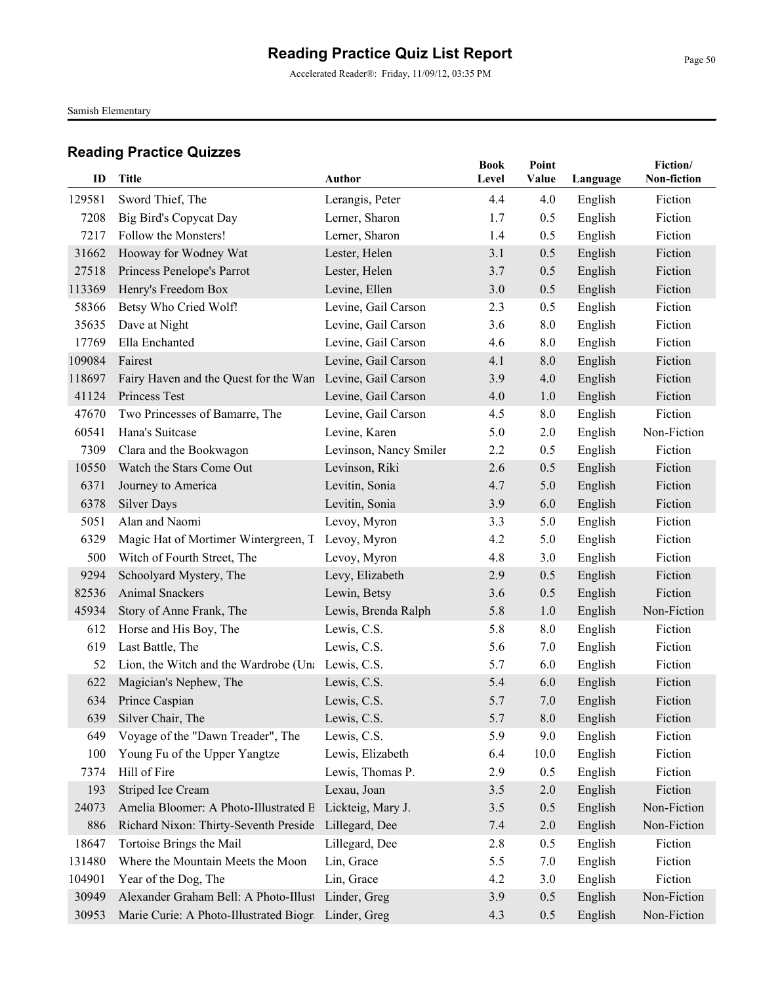Accelerated Reader®: Friday, 11/09/12, 03:35 PM

Samish Elementary

| ID     | Title                                                     | Author                 | <b>Book</b><br>Level | Point<br>Value | Language | Fiction/<br>Non-fiction |
|--------|-----------------------------------------------------------|------------------------|----------------------|----------------|----------|-------------------------|
| 129581 | Sword Thief, The                                          | Lerangis, Peter        | 4.4                  | 4.0            | English  | Fiction                 |
| 7208   | Big Bird's Copycat Day                                    | Lerner, Sharon         | 1.7                  | 0.5            | English  | Fiction                 |
| 7217   | Follow the Monsters!                                      | Lerner, Sharon         | 1.4                  | 0.5            | English  | Fiction                 |
| 31662  | Hooway for Wodney Wat                                     | Lester, Helen          | 3.1                  | 0.5            | English  | Fiction                 |
| 27518  | Princess Penelope's Parrot                                | Lester, Helen          | 3.7                  | 0.5            | English  | Fiction                 |
| 113369 | Henry's Freedom Box                                       | Levine, Ellen          | 3.0                  | 0.5            | English  | Fiction                 |
| 58366  | Betsy Who Cried Wolf!                                     | Levine, Gail Carson    | 2.3                  | 0.5            | English  | Fiction                 |
| 35635  | Dave at Night                                             | Levine, Gail Carson    | 3.6                  | 8.0            | English  | Fiction                 |
| 17769  | Ella Enchanted                                            | Levine, Gail Carson    | 4.6                  | 8.0            | English  | Fiction                 |
| 109084 | Fairest                                                   | Levine, Gail Carson    | 4.1                  | 8.0            | English  | Fiction                 |
| 118697 | Fairy Haven and the Quest for the Wan Levine, Gail Carson |                        | 3.9                  | 4.0            | English  | Fiction                 |
| 41124  | Princess Test                                             |                        | 4.0                  |                |          | Fiction                 |
| 47670  |                                                           | Levine, Gail Carson    | 4.5                  | 1.0<br>8.0     | English  | Fiction                 |
|        | Two Princesses of Bamarre, The                            | Levine, Gail Carson    |                      |                | English  | Non-Fiction             |
| 60541  | Hana's Suitcase                                           | Levine, Karen          | 5.0                  | 2.0            | English  |                         |
| 7309   | Clara and the Bookwagon<br>Watch the Stars Come Out       | Levinson, Nancy Smiler | 2.2                  | 0.5            | English  | Fiction                 |
| 10550  |                                                           | Levinson, Riki         | 2.6                  | 0.5            | English  | Fiction                 |
| 6371   | Journey to America                                        | Levitin, Sonia         | 4.7                  | 5.0            | English  | Fiction                 |
| 6378   | <b>Silver Days</b>                                        | Levitin, Sonia         | 3.9                  | 6.0            | English  | Fiction                 |
| 5051   | Alan and Naomi                                            | Levoy, Myron           | 3.3                  | 5.0            | English  | Fiction                 |
| 6329   | Magic Hat of Mortimer Wintergreen, T Levoy, Myron         |                        | 4.2                  | 5.0            | English  | Fiction                 |
| 500    | Witch of Fourth Street, The                               | Levoy, Myron           | 4.8                  | 3.0            | English  | Fiction                 |
| 9294   | Schoolyard Mystery, The                                   | Levy, Elizabeth        | 2.9                  | 0.5            | English  | Fiction                 |
| 82536  | <b>Animal Snackers</b>                                    | Lewin, Betsy           | 3.6                  | 0.5            | English  | Fiction                 |
| 45934  | Story of Anne Frank, The                                  | Lewis, Brenda Ralph    | 5.8                  | 1.0            | English  | Non-Fiction             |
| 612    | Horse and His Boy, The                                    | Lewis, C.S.            | 5.8                  | $8.0\,$        | English  | Fiction                 |
| 619    | Last Battle, The                                          | Lewis, C.S.            | 5.6                  | 7.0            | English  | Fiction                 |
| 52     | Lion, the Witch and the Wardrobe (Una Lewis, C.S.         |                        | 5.7                  | 6.0            | English  | Fiction                 |
| 622    | Magician's Nephew, The                                    | Lewis, C.S.            | 5.4                  | 6.0            | English  | Fiction                 |
| 634    | Prince Caspian                                            | Lewis, C.S.            | 5.7                  | 7.0            | English  | Fiction                 |
| 639    | Silver Chair, The                                         | Lewis, C.S.            | 5.7                  | 8.0            | English  | Fiction                 |
| 649    | Voyage of the "Dawn Treader", The                         | Lewis, C.S.            | 5.9                  | 9.0            | English  | Fiction                 |
| 100    | Young Fu of the Upper Yangtze                             | Lewis, Elizabeth       | 6.4                  | 10.0           | English  | Fiction                 |
| 7374   | Hill of Fire                                              | Lewis, Thomas P.       | 2.9                  | 0.5            | English  | Fiction                 |
| 193    | Striped Ice Cream                                         | Lexau, Joan            | 3.5                  | 2.0            | English  | Fiction                 |
| 24073  | Amelia Bloomer: A Photo-Illustrated B Lickteig, Mary J.   |                        | 3.5                  | 0.5            | English  | Non-Fiction             |
| 886    | Richard Nixon: Thirty-Seventh Preside                     | Lillegard, Dee         | 7.4                  | $2.0\,$        | English  | Non-Fiction             |
| 18647  | Tortoise Brings the Mail                                  | Lillegard, Dee         | 2.8                  | 0.5            | English  | Fiction                 |
| 131480 | Where the Mountain Meets the Moon                         | Lin, Grace             | 5.5                  | 7.0            | English  | Fiction                 |
| 104901 | Year of the Dog, The                                      | Lin, Grace             | 4.2                  | 3.0            | English  | Fiction                 |
| 30949  | Alexander Graham Bell: A Photo-Illust Linder, Greg        |                        | 3.9                  | 0.5            | English  | Non-Fiction             |
| 30953  | Marie Curie: A Photo-Illustrated Biogra Linder, Greg      |                        | 4.3                  | 0.5            | English  | Non-Fiction             |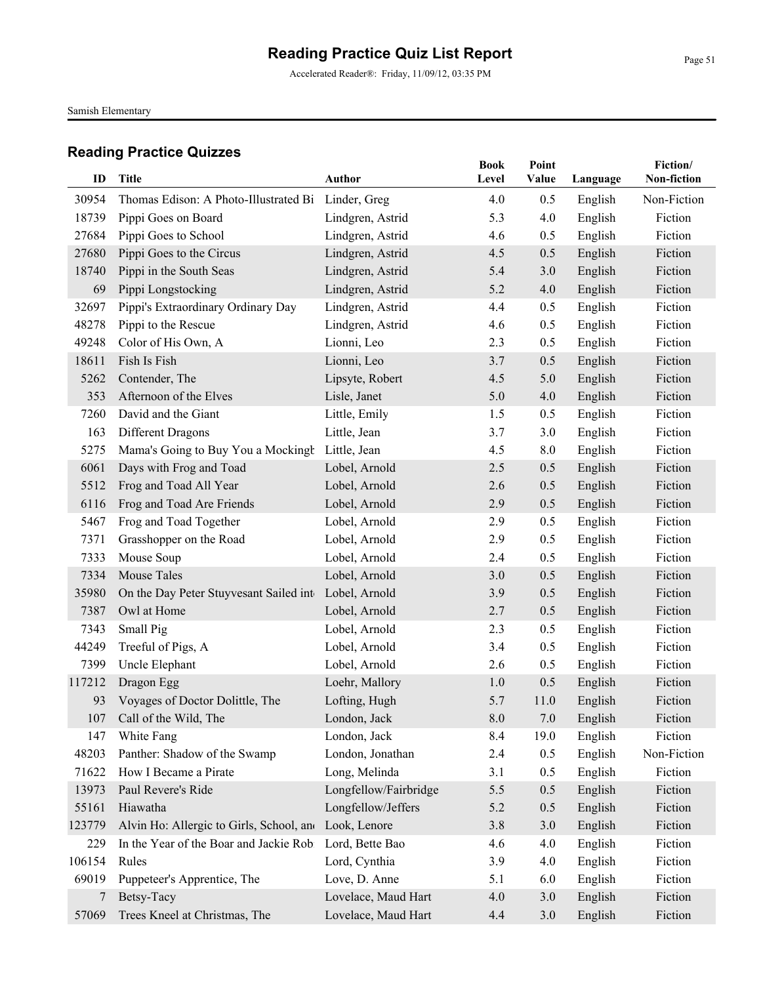Accelerated Reader®: Friday, 11/09/12, 03:35 PM

Samish Elementary

| ID     | <b>Title</b>                             | <b>Author</b>         | <b>Book</b><br>Level | Point<br>Value | Language | Fiction/<br>Non-fiction |
|--------|------------------------------------------|-----------------------|----------------------|----------------|----------|-------------------------|
| 30954  | Thomas Edison: A Photo-Illustrated Bi    | Linder, Greg          | 4.0                  | 0.5            | English  | Non-Fiction             |
| 18739  | Pippi Goes on Board                      | Lindgren, Astrid      | 5.3                  | 4.0            | English  | Fiction                 |
| 27684  | Pippi Goes to School                     | Lindgren, Astrid      | 4.6                  | 0.5            | English  | Fiction                 |
| 27680  | Pippi Goes to the Circus                 | Lindgren, Astrid      | 4.5                  | 0.5            | English  | Fiction                 |
| 18740  | Pippi in the South Seas                  | Lindgren, Astrid      | 5.4                  | 3.0            | English  | Fiction                 |
| 69     | Pippi Longstocking                       | Lindgren, Astrid      | 5.2                  | 4.0            | English  | Fiction                 |
| 32697  | Pippi's Extraordinary Ordinary Day       | Lindgren, Astrid      | 4.4                  | 0.5            | English  | Fiction                 |
| 48278  | Pippi to the Rescue                      | Lindgren, Astrid      | 4.6                  | 0.5            | English  | Fiction                 |
| 49248  | Color of His Own, A                      | Lionni, Leo           | 2.3                  | 0.5            | English  | Fiction                 |
| 18611  | Fish Is Fish                             | Lionni, Leo           | 3.7                  | 0.5            | English  | Fiction                 |
| 5262   | Contender, The                           | Lipsyte, Robert       | 4.5                  | 5.0            | English  | Fiction                 |
| 353    | Afternoon of the Elves                   | Lisle, Janet          | 5.0                  | 4.0            | English  | Fiction                 |
| 7260   | David and the Giant                      | Little, Emily         | 1.5                  | 0.5            | English  | Fiction                 |
| 163    | Different Dragons                        | Little, Jean          | 3.7                  | 3.0            | English  | Fiction                 |
| 5275   | Mama's Going to Buy You a Mockingh       | Little, Jean          | 4.5                  | 8.0            | English  | Fiction                 |
| 6061   | Days with Frog and Toad                  | Lobel, Arnold         | 2.5                  | 0.5            | English  | Fiction                 |
| 5512   | Frog and Toad All Year                   | Lobel, Arnold         | 2.6                  | 0.5            | English  | Fiction                 |
| 6116   | Frog and Toad Are Friends                | Lobel, Arnold         | 2.9                  | 0.5            | English  | Fiction                 |
| 5467   | Frog and Toad Together                   | Lobel, Arnold         | 2.9                  | 0.5            | English  | Fiction                 |
| 7371   | Grasshopper on the Road                  | Lobel, Arnold         | 2.9                  | 0.5            | English  | Fiction                 |
| 7333   | Mouse Soup                               | Lobel, Arnold         | 2.4                  | 0.5            | English  | Fiction                 |
| 7334   | Mouse Tales                              | Lobel, Arnold         | 3.0                  | 0.5            | English  | Fiction                 |
| 35980  | On the Day Peter Stuyvesant Sailed inte  | Lobel, Arnold         | 3.9                  | 0.5            | English  | Fiction                 |
| 7387   | Owl at Home                              | Lobel, Arnold         | 2.7                  | 0.5            | English  | Fiction                 |
| 7343   | Small Pig                                | Lobel, Arnold         | 2.3                  | 0.5            | English  | Fiction                 |
| 44249  | Treeful of Pigs, A                       | Lobel, Arnold         | 3.4                  | 0.5            | English  | Fiction                 |
| 7399   | Uncle Elephant                           | Lobel, Arnold         | 2.6                  | 0.5            | English  | Fiction                 |
| 117212 | Dragon Egg                               | Loehr, Mallory        | 1.0                  | 0.5            | English  | Fiction                 |
| 93     | Voyages of Doctor Dolittle, The          | Lofting, Hugh         | 5.7                  | 11.0           | English  | Fiction                 |
|        | 107 Call of the Wild, The                | London, Jack          | $\boldsymbol{8.0}$   | 7.0            | English  | Fiction                 |
| 147    | White Fang                               | London, Jack          | 8.4                  | 19.0           | English  | Fiction                 |
| 48203  | Panther: Shadow of the Swamp             | London, Jonathan      | 2.4                  | 0.5            | English  | Non-Fiction             |
| 71622  | How I Became a Pirate                    | Long, Melinda         | 3.1                  | 0.5            | English  | Fiction                 |
| 13973  | Paul Revere's Ride                       | Longfellow/Fairbridge | 5.5                  | 0.5            | English  | Fiction                 |
| 55161  | Hiawatha                                 | Longfellow/Jeffers    | 5.2                  | 0.5            | English  | Fiction                 |
| 123779 | Alvin Ho: Allergic to Girls, School, and | Look, Lenore          | 3.8                  | 3.0            | English  | Fiction                 |
| 229    | In the Year of the Boar and Jackie Robi  | Lord, Bette Bao       | 4.6                  | 4.0            | English  | Fiction                 |
| 106154 | Rules                                    | Lord, Cynthia         | 3.9                  | 4.0            | English  | Fiction                 |
| 69019  | Puppeteer's Apprentice, The              | Love, D. Anne         | 5.1                  | 6.0            | English  | Fiction                 |
| 7      | Betsy-Tacy                               | Lovelace, Maud Hart   | 4.0                  | 3.0            | English  | Fiction                 |
| 57069  | Trees Kneel at Christmas, The            | Lovelace, Maud Hart   | 4.4                  | 3.0            | English  | Fiction                 |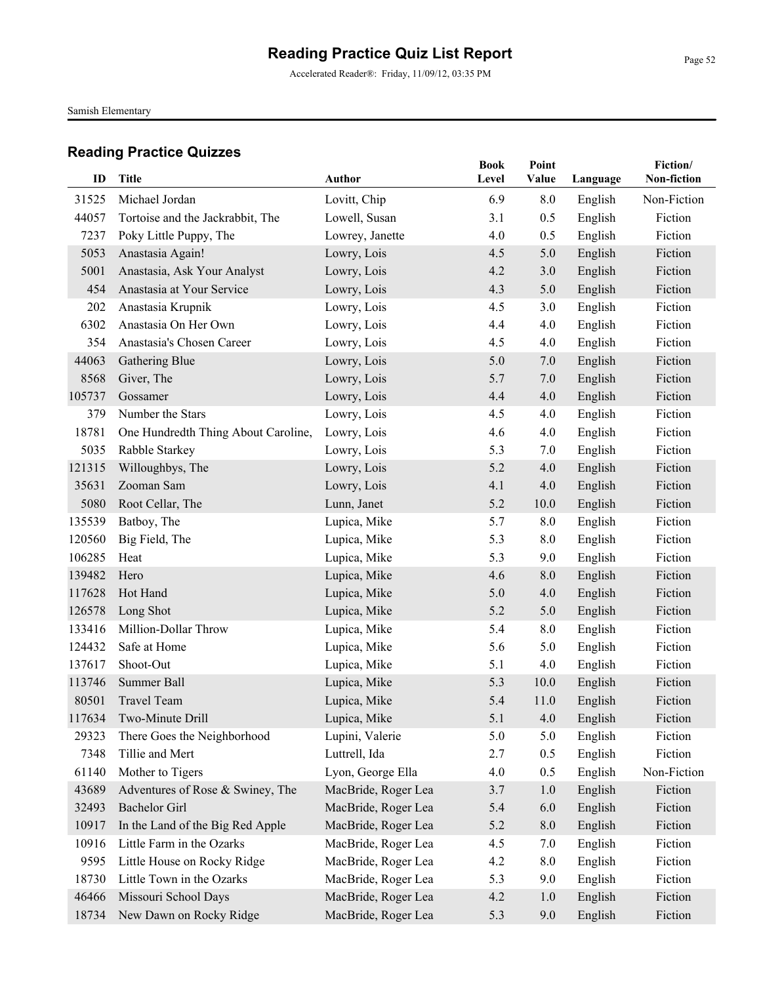Accelerated Reader®: Friday, 11/09/12, 03:35 PM

Samish Elementary

| ID     | <b>Title</b>                        | <b>Author</b>       | <b>Book</b><br>Level | Point<br>Value | Language | Fiction/<br>Non-fiction |
|--------|-------------------------------------|---------------------|----------------------|----------------|----------|-------------------------|
| 31525  | Michael Jordan                      | Lovitt, Chip        | 6.9                  | 8.0            | English  | Non-Fiction             |
| 44057  | Tortoise and the Jackrabbit, The    | Lowell, Susan       | 3.1                  | 0.5            | English  | Fiction                 |
| 7237   | Poky Little Puppy, The              | Lowrey, Janette     | 4.0                  | 0.5            | English  | Fiction                 |
| 5053   | Anastasia Again!                    | Lowry, Lois         | 4.5                  | 5.0            | English  | Fiction                 |
| 5001   | Anastasia, Ask Your Analyst         | Lowry, Lois         | 4.2                  | 3.0            | English  | Fiction                 |
| 454    | Anastasia at Your Service           | Lowry, Lois         | 4.3                  | 5.0            | English  | Fiction                 |
| 202    | Anastasia Krupnik                   | Lowry, Lois         | 4.5                  | 3.0            | English  | Fiction                 |
| 6302   | Anastasia On Her Own                | Lowry, Lois         | 4.4                  | 4.0            | English  | Fiction                 |
| 354    | Anastasia's Chosen Career           | Lowry, Lois         | 4.5                  | 4.0            | English  | Fiction                 |
| 44063  | Gathering Blue                      | Lowry, Lois         | 5.0                  | 7.0            | English  | Fiction                 |
| 8568   | Giver, The                          | Lowry, Lois         | 5.7                  | 7.0            | English  | Fiction                 |
| 105737 | Gossamer                            | Lowry, Lois         | 4.4                  | 4.0            | English  | Fiction                 |
| 379    | Number the Stars                    | Lowry, Lois         | 4.5                  | 4.0            | English  | Fiction                 |
| 18781  | One Hundredth Thing About Caroline, | Lowry, Lois         | 4.6                  | 4.0            | English  | Fiction                 |
| 5035   | Rabble Starkey                      | Lowry, Lois         | 5.3                  | 7.0            | English  | Fiction                 |
| 121315 | Willoughbys, The                    | Lowry, Lois         | 5.2                  | 4.0            | English  | Fiction                 |
| 35631  | Zooman Sam                          | Lowry, Lois         | 4.1                  | 4.0            | English  | Fiction                 |
| 5080   | Root Cellar, The                    | Lunn, Janet         | 5.2                  | 10.0           | English  | Fiction                 |
| 135539 | Batboy, The                         | Lupica, Mike        | 5.7                  | 8.0            | English  | Fiction                 |
| 120560 | Big Field, The                      | Lupica, Mike        | 5.3                  | 8.0            | English  | Fiction                 |
| 106285 | Heat                                | Lupica, Mike        | 5.3                  | 9.0            | English  | Fiction                 |
| 139482 | Hero                                | Lupica, Mike        | 4.6                  | 8.0            | English  | Fiction                 |
| 117628 | Hot Hand                            | Lupica, Mike        | 5.0                  | 4.0            | English  | Fiction                 |
| 126578 | Long Shot                           | Lupica, Mike        | 5.2                  | 5.0            | English  | Fiction                 |
| 133416 | Million-Dollar Throw                | Lupica, Mike        | 5.4                  | 8.0            | English  | Fiction                 |
| 124432 | Safe at Home                        | Lupica, Mike        | 5.6                  | 5.0            | English  | Fiction                 |
| 137617 | Shoot-Out                           | Lupica, Mike        | 5.1                  | 4.0            | English  | Fiction                 |
| 113746 | Summer Ball                         | Lupica, Mike        | 5.3                  | 10.0           | English  | Fiction                 |
| 80501  | <b>Travel Team</b>                  | Lupica, Mike        | 5.4                  | 11.0           | English  | Fiction                 |
| 117634 | Two-Minute Drill                    | Lupica, Mike        | 5.1                  | 4.0            | English  | Fiction                 |
| 29323  | There Goes the Neighborhood         | Lupini, Valerie     | 5.0                  | 5.0            | English  | Fiction                 |
| 7348   | Tillie and Mert                     | Luttrell, Ida       | 2.7                  | 0.5            | English  | Fiction                 |
| 61140  | Mother to Tigers                    | Lyon, George Ella   | 4.0                  | 0.5            | English  | Non-Fiction             |
| 43689  | Adventures of Rose & Swiney, The    | MacBride, Roger Lea | 3.7                  | 1.0            | English  | Fiction                 |
| 32493  | <b>Bachelor Girl</b>                | MacBride, Roger Lea | 5.4                  | 6.0            | English  | Fiction                 |
| 10917  | In the Land of the Big Red Apple    | MacBride, Roger Lea | 5.2                  | $8.0\,$        | English  | Fiction                 |
| 10916  | Little Farm in the Ozarks           | MacBride, Roger Lea | 4.5                  | 7.0            | English  | Fiction                 |
| 9595   | Little House on Rocky Ridge         | MacBride, Roger Lea | 4.2                  | 8.0            | English  | Fiction                 |
| 18730  | Little Town in the Ozarks           | MacBride, Roger Lea | 5.3                  | 9.0            | English  | Fiction                 |
| 46466  | Missouri School Days                | MacBride, Roger Lea | 4.2                  | 1.0            | English  | Fiction                 |
| 18734  | New Dawn on Rocky Ridge             | MacBride, Roger Lea | 5.3                  | 9.0            | English  | Fiction                 |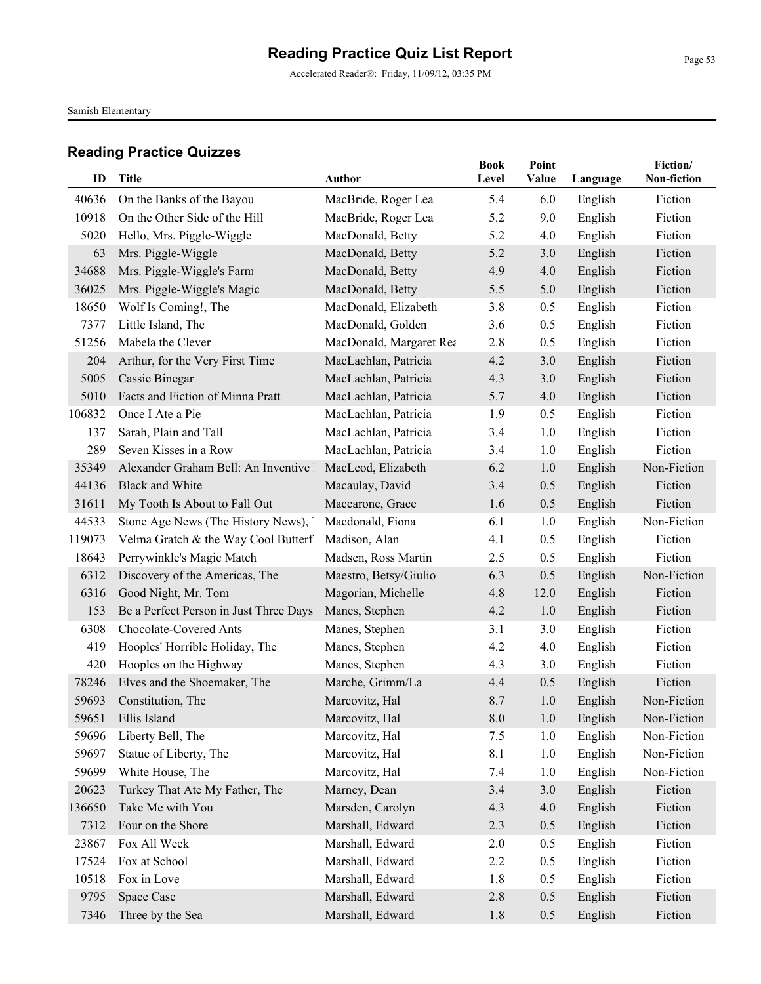Samish Elementary

| ID     | Title                                   | <b>Author</b>           | <b>Book</b><br>Level | Point<br>Value | Language | Fiction/<br>Non-fiction |
|--------|-----------------------------------------|-------------------------|----------------------|----------------|----------|-------------------------|
|        |                                         |                         |                      |                |          |                         |
| 40636  | On the Banks of the Bayou               | MacBride, Roger Lea     | 5.4                  | 6.0            | English  | Fiction                 |
| 10918  | On the Other Side of the Hill           | MacBride, Roger Lea     | 5.2                  | 9.0            | English  | Fiction                 |
| 5020   | Hello, Mrs. Piggle-Wiggle               | MacDonald, Betty        | 5.2                  | 4.0            | English  | Fiction                 |
| 63     | Mrs. Piggle-Wiggle                      | MacDonald, Betty        | 5.2                  | 3.0            | English  | Fiction                 |
| 34688  | Mrs. Piggle-Wiggle's Farm               | MacDonald, Betty        | 4.9                  | 4.0            | English  | Fiction                 |
| 36025  | Mrs. Piggle-Wiggle's Magic              | MacDonald, Betty        | 5.5                  | 5.0            | English  | Fiction                 |
| 18650  | Wolf Is Coming!, The                    | MacDonald, Elizabeth    | 3.8                  | 0.5            | English  | Fiction                 |
| 7377   | Little Island, The                      | MacDonald, Golden       | 3.6                  | 0.5            | English  | Fiction                 |
| 51256  | Mabela the Clever                       | MacDonald, Margaret Rea | 2.8                  | 0.5            | English  | Fiction                 |
| 204    | Arthur, for the Very First Time         | MacLachlan, Patricia    | 4.2                  | 3.0            | English  | Fiction                 |
| 5005   | Cassie Binegar                          | MacLachlan, Patricia    | 4.3                  | 3.0            | English  | Fiction                 |
| 5010   | Facts and Fiction of Minna Pratt        | MacLachlan, Patricia    | 5.7                  | 4.0            | English  | Fiction                 |
| 106832 | Once I Ate a Pie                        | MacLachlan, Patricia    | 1.9                  | 0.5            | English  | Fiction                 |
| 137    | Sarah, Plain and Tall                   | MacLachlan, Patricia    | 3.4                  | 1.0            | English  | Fiction                 |
| 289    | Seven Kisses in a Row                   | MacLachlan, Patricia    | 3.4                  | 1.0            | English  | Fiction                 |
| 35349  | Alexander Graham Bell: An Inventive 1   | MacLeod, Elizabeth      | 6.2                  | 1.0            | English  | Non-Fiction             |
| 44136  | <b>Black and White</b>                  | Macaulay, David         | 3.4                  | 0.5            | English  | Fiction                 |
| 31611  | My Tooth Is About to Fall Out           | Maccarone, Grace        | 1.6                  | 0.5            | English  | Fiction                 |
| 44533  | Stone Age News (The History News), 7    | Macdonald, Fiona        | 6.1                  | 1.0            | English  | Non-Fiction             |
| 119073 | Velma Gratch & the Way Cool Butterfl    | Madison, Alan           | 4.1                  | 0.5            | English  | Fiction                 |
| 18643  | Perrywinkle's Magic Match               | Madsen, Ross Martin     | 2.5                  | 0.5            | English  | Fiction                 |
| 6312   | Discovery of the Americas, The          | Maestro, Betsy/Giulio   | 6.3                  | 0.5            | English  | Non-Fiction             |
| 6316   | Good Night, Mr. Tom                     | Magorian, Michelle      | 4.8                  | 12.0           | English  | Fiction                 |
| 153    | Be a Perfect Person in Just Three Days! | Manes, Stephen          | 4.2                  | 1.0            | English  | Fiction                 |
| 6308   | Chocolate-Covered Ants                  | Manes, Stephen          | 3.1                  | 3.0            | English  | Fiction                 |
| 419    | Hooples' Horrible Holiday, The          | Manes, Stephen          | 4.2                  | 4.0            | English  | Fiction                 |
| 420    | Hooples on the Highway                  | Manes, Stephen          | 4.3                  | 3.0            | English  | Fiction                 |
| 78246  | Elves and the Shoemaker, The            | Marche, Grimm/La        | 4.4                  | 0.5            | English  | Fiction                 |
| 59693  | Constitution, The                       | Marcovitz, Hal          | 8.7                  | 1.0            | English  | Non-Fiction             |
| 59651  | Ellis Island                            | Marcovitz, Hal          | $\boldsymbol{8.0}$   | 1.0            | English  | Non-Fiction             |
| 59696  | Liberty Bell, The                       | Marcovitz, Hal          | 7.5                  | 1.0            | English  | Non-Fiction             |
| 59697  | Statue of Liberty, The                  | Marcovitz, Hal          | 8.1                  | 1.0            | English  | Non-Fiction             |
| 59699  | White House, The                        | Marcovitz, Hal          | 7.4                  | 1.0            | English  | Non-Fiction             |
| 20623  | Turkey That Ate My Father, The          | Marney, Dean            | 3.4                  | 3.0            | English  | Fiction                 |
| 136650 | Take Me with You                        | Marsden, Carolyn        | 4.3                  | 4.0            | English  | Fiction                 |
| 7312   | Four on the Shore                       | Marshall, Edward        | 2.3                  | 0.5            | English  | Fiction                 |
| 23867  | Fox All Week                            | Marshall, Edward        | 2.0                  | 0.5            | English  | Fiction                 |
| 17524  | Fox at School                           | Marshall, Edward        | 2.2                  | 0.5            | English  | Fiction                 |
| 10518  | Fox in Love                             | Marshall, Edward        | 1.8                  | 0.5            | English  | Fiction                 |
| 9795   | Space Case                              | Marshall, Edward        | 2.8                  | 0.5            | English  | Fiction                 |
| 7346   | Three by the Sea                        | Marshall, Edward        | 1.8                  | 0.5            | English  | Fiction                 |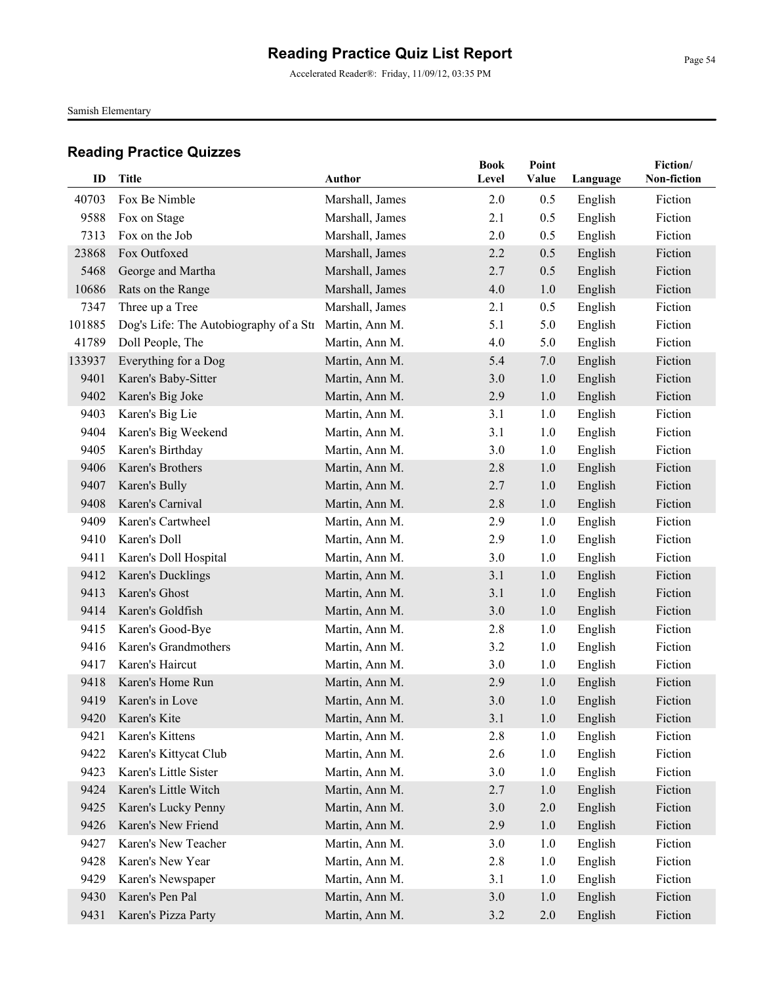Accelerated Reader®: Friday, 11/09/12, 03:35 PM

Samish Elementary

| ID     | <b>Title</b>                           | <b>Author</b>   | <b>Book</b> | Point   |          | Fiction/<br>Non-fiction |
|--------|----------------------------------------|-----------------|-------------|---------|----------|-------------------------|
|        |                                        |                 | Level       | Value   | Language |                         |
| 40703  | Fox Be Nimble                          | Marshall, James | 2.0         | 0.5     | English  | Fiction                 |
| 9588   | Fox on Stage                           | Marshall, James | 2.1         | 0.5     | English  | Fiction                 |
| 7313   | Fox on the Job                         | Marshall, James | 2.0         | 0.5     | English  | Fiction                 |
| 23868  | Fox Outfoxed                           | Marshall, James | 2.2         | 0.5     | English  | Fiction                 |
| 5468   | George and Martha                      | Marshall, James | 2.7         | 0.5     | English  | Fiction                 |
| 10686  | Rats on the Range                      | Marshall, James | 4.0         | 1.0     | English  | Fiction                 |
| 7347   | Three up a Tree                        | Marshall, James | 2.1         | 0.5     | English  | Fiction                 |
| 101885 | Dog's Life: The Autobiography of a Str | Martin, Ann M.  | 5.1         | 5.0     | English  | Fiction                 |
| 41789  | Doll People, The                       | Martin, Ann M.  | 4.0         | 5.0     | English  | Fiction                 |
| 133937 | Everything for a Dog                   | Martin, Ann M.  | 5.4         | 7.0     | English  | Fiction                 |
| 9401   | Karen's Baby-Sitter                    | Martin, Ann M.  | 3.0         | 1.0     | English  | Fiction                 |
| 9402   | Karen's Big Joke                       | Martin, Ann M.  | 2.9         | 1.0     | English  | Fiction                 |
| 9403   | Karen's Big Lie                        | Martin, Ann M.  | 3.1         | 1.0     | English  | Fiction                 |
| 9404   | Karen's Big Weekend                    | Martin, Ann M.  | 3.1         | 1.0     | English  | Fiction                 |
| 9405   | Karen's Birthday                       | Martin, Ann M.  | 3.0         | 1.0     | English  | Fiction                 |
| 9406   | Karen's Brothers                       | Martin, Ann M.  | 2.8         | 1.0     | English  | Fiction                 |
| 9407   | Karen's Bully                          | Martin, Ann M.  | 2.7         | 1.0     | English  | Fiction                 |
| 9408   | Karen's Carnival                       | Martin, Ann M.  | 2.8         | 1.0     | English  | Fiction                 |
| 9409   | Karen's Cartwheel                      | Martin, Ann M.  | 2.9         | 1.0     | English  | Fiction                 |
| 9410   | Karen's Doll                           | Martin, Ann M.  | 2.9         | 1.0     | English  | Fiction                 |
| 9411   | Karen's Doll Hospital                  | Martin, Ann M.  | 3.0         | 1.0     | English  | Fiction                 |
| 9412   | Karen's Ducklings                      | Martin, Ann M.  | 3.1         | 1.0     | English  | Fiction                 |
| 9413   | Karen's Ghost                          | Martin, Ann M.  | 3.1         | 1.0     | English  | Fiction                 |
| 9414   | Karen's Goldfish                       | Martin, Ann M.  | 3.0         | 1.0     | English  | Fiction                 |
| 9415   | Karen's Good-Bye                       | Martin, Ann M.  | 2.8         | 1.0     | English  | Fiction                 |
| 9416   | Karen's Grandmothers                   | Martin, Ann M.  | 3.2         | 1.0     | English  | Fiction                 |
| 9417   | Karen's Haircut                        | Martin, Ann M.  | 3.0         | 1.0     | English  | Fiction                 |
| 9418   | Karen's Home Run                       | Martin, Ann M.  | 2.9         | 1.0     | English  | Fiction                 |
| 9419   | Karen's in Love                        | Martin, Ann M.  | 3.0         | 1.0     | English  | Fiction                 |
|        | 9420 Karen's Kite                      | Martin, Ann M.  | 3.1         | 1.0     | English  | Fiction                 |
| 9421   | Karen's Kittens                        | Martin, Ann M.  | 2.8         | 1.0     | English  | Fiction                 |
| 9422   | Karen's Kittycat Club                  | Martin, Ann M.  | 2.6         | 1.0     | English  | Fiction                 |
| 9423   | Karen's Little Sister                  | Martin, Ann M.  | 3.0         | 1.0     | English  | Fiction                 |
| 9424   | Karen's Little Witch                   | Martin, Ann M.  | 2.7         | 1.0     | English  | Fiction                 |
| 9425   | Karen's Lucky Penny                    | Martin, Ann M.  | 3.0         | $2.0\,$ | English  | Fiction                 |
| 9426   | Karen's New Friend                     | Martin, Ann M.  | 2.9         | 1.0     | English  | Fiction                 |
| 9427   | Karen's New Teacher                    | Martin, Ann M.  | 3.0         | 1.0     | English  | Fiction                 |
| 9428   | Karen's New Year                       | Martin, Ann M.  | 2.8         | 1.0     | English  | Fiction                 |
| 9429   | Karen's Newspaper                      | Martin, Ann M.  | 3.1         | 1.0     | English  | Fiction                 |
| 9430   | Karen's Pen Pal                        | Martin, Ann M.  | 3.0         | 1.0     | English  | Fiction                 |
| 9431   | Karen's Pizza Party                    | Martin, Ann M.  | 3.2         | $2.0\,$ | English  | Fiction                 |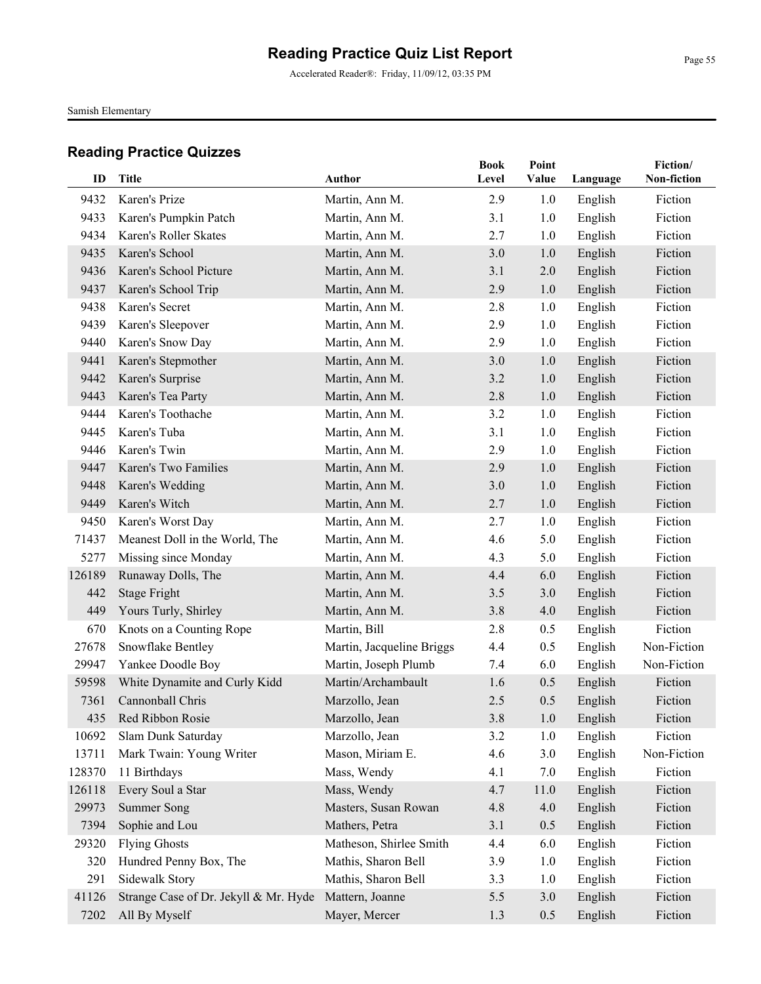Accelerated Reader®: Friday, 11/09/12, 03:35 PM

Samish Elementary

| ID     | <b>Title</b>                          | Author                    | <b>Book</b><br>Level | Point<br>Value | Language | Fiction/<br>Non-fiction |
|--------|---------------------------------------|---------------------------|----------------------|----------------|----------|-------------------------|
| 9432   | Karen's Prize                         | Martin, Ann M.            | 2.9                  | 1.0            | English  | Fiction                 |
| 9433   | Karen's Pumpkin Patch                 | Martin, Ann M.            | 3.1                  | 1.0            | English  | Fiction                 |
| 9434   | Karen's Roller Skates                 | Martin, Ann M.            | 2.7                  | 1.0            | English  | Fiction                 |
| 9435   | Karen's School                        | Martin, Ann M.            | 3.0                  | 1.0            | English  | Fiction                 |
| 9436   | Karen's School Picture                | Martin, Ann M.            | 3.1                  | 2.0            | English  | Fiction                 |
| 9437   | Karen's School Trip                   | Martin, Ann M.            | 2.9                  | 1.0            |          | Fiction                 |
| 9438   | Karen's Secret                        | Martin, Ann M.            | 2.8                  | 1.0            | English  | Fiction                 |
| 9439   |                                       |                           | 2.9                  | 1.0            | English  | Fiction                 |
|        | Karen's Sleepover                     | Martin, Ann M.            |                      |                | English  |                         |
| 9440   | Karen's Snow Day                      | Martin, Ann M.            | 2.9                  | 1.0            | English  | Fiction                 |
| 9441   | Karen's Stepmother                    | Martin, Ann M.            | 3.0                  | 1.0            | English  | Fiction                 |
| 9442   | Karen's Surprise                      | Martin, Ann M.            | 3.2                  | 1.0            | English  | Fiction                 |
| 9443   | Karen's Tea Party                     | Martin, Ann M.            | 2.8                  | 1.0            | English  | Fiction                 |
| 9444   | Karen's Toothache                     | Martin, Ann M.            | 3.2                  | 1.0            | English  | Fiction                 |
| 9445   | Karen's Tuba                          | Martin, Ann M.            | 3.1                  | 1.0            | English  | Fiction                 |
| 9446   | Karen's Twin                          | Martin, Ann M.            | 2.9                  | 1.0            | English  | Fiction                 |
| 9447   | Karen's Two Families                  | Martin, Ann M.            | 2.9                  | 1.0            | English  | Fiction                 |
| 9448   | Karen's Wedding                       | Martin, Ann M.            | 3.0                  | 1.0            | English  | Fiction                 |
| 9449   | Karen's Witch                         | Martin, Ann M.            | 2.7                  | 1.0            | English  | Fiction                 |
| 9450   | Karen's Worst Day                     | Martin, Ann M.            | 2.7                  | 1.0            | English  | Fiction                 |
| 71437  | Meanest Doll in the World, The        | Martin, Ann M.            | 4.6                  | 5.0            | English  | Fiction                 |
| 5277   | Missing since Monday                  | Martin, Ann M.            | 4.3                  | 5.0            | English  | Fiction                 |
| 126189 | Runaway Dolls, The                    | Martin, Ann M.            | 4.4                  | 6.0            | English  | Fiction                 |
| 442    | <b>Stage Fright</b>                   | Martin, Ann M.            | 3.5                  | 3.0            | English  | Fiction                 |
| 449    | Yours Turly, Shirley                  | Martin, Ann M.            | 3.8                  | 4.0            | English  | Fiction                 |
| 670    | Knots on a Counting Rope              | Martin, Bill              | 2.8                  | 0.5            | English  | Fiction                 |
| 27678  | Snowflake Bentley                     | Martin, Jacqueline Briggs | 4.4                  | 0.5            | English  | Non-Fiction             |
| 29947  | Yankee Doodle Boy                     | Martin, Joseph Plumb      | 7.4                  | 6.0            | English  | Non-Fiction             |
| 59598  | White Dynamite and Curly Kidd         | Martin/Archambault        | 1.6                  | 0.5            | English  | Fiction                 |
| 7361   | Cannonball Chris                      | Marzollo, Jean            | 2.5                  | 0.5            | English  | Fiction                 |
|        | 435 Red Ribbon Rosie                  | Marzollo, Jean            | $3.8$                | 1.0            | English  | Fiction                 |
| 10692  | Slam Dunk Saturday                    | Marzollo, Jean            | 3.2                  | 1.0            | English  | Fiction                 |
| 13711  | Mark Twain: Young Writer              | Mason, Miriam E.          | 4.6                  | 3.0            | English  | Non-Fiction             |
| 128370 | 11 Birthdays                          | Mass, Wendy               | 4.1                  | 7.0            | English  | Fiction                 |
| 126118 | Every Soul a Star                     | Mass, Wendy               | 4.7                  | 11.0           | English  | Fiction                 |
| 29973  | <b>Summer Song</b>                    | Masters, Susan Rowan      | 4.8                  | 4.0            | English  | Fiction                 |
| 7394   | Sophie and Lou                        | Mathers, Petra            | 3.1                  | 0.5            | English  | Fiction                 |
| 29320  | <b>Flying Ghosts</b>                  | Matheson, Shirlee Smith   | 4.4                  | 6.0            | English  | Fiction                 |
| 320    | Hundred Penny Box, The                | Mathis, Sharon Bell       | 3.9                  | 1.0            | English  | Fiction                 |
| 291    | Sidewalk Story                        | Mathis, Sharon Bell       | 3.3                  | 1.0            | English  | Fiction                 |
| 41126  | Strange Case of Dr. Jekyll & Mr. Hyde | Mattern, Joanne           | 5.5                  | 3.0            | English  | Fiction                 |
| 7202   | All By Myself                         | Mayer, Mercer             | 1.3                  | 0.5            | English  | Fiction                 |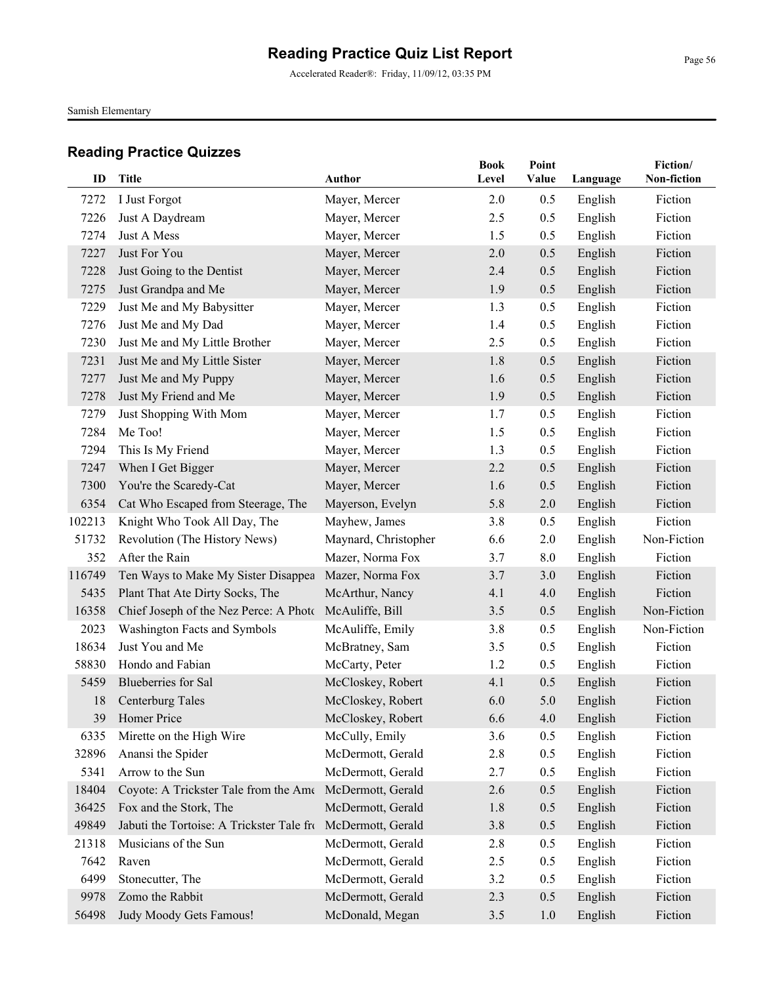Accelerated Reader®: Friday, 11/09/12, 03:35 PM

Samish Elementary

| ID     | <b>Title</b>                                           | Author               | <b>Book</b><br>Level | Point<br>Value |          | Fiction/<br>Non-fiction |
|--------|--------------------------------------------------------|----------------------|----------------------|----------------|----------|-------------------------|
|        |                                                        |                      |                      |                | Language |                         |
| 7272   | I Just Forgot                                          | Mayer, Mercer        | 2.0                  | 0.5            | English  | Fiction                 |
| 7226   | Just A Daydream                                        | Mayer, Mercer        | 2.5                  | 0.5            | English  | Fiction                 |
| 7274   | Just A Mess                                            | Mayer, Mercer        | 1.5                  | 0.5            | English  | Fiction                 |
| 7227   | Just For You                                           | Mayer, Mercer        | 2.0                  | 0.5            | English  | Fiction                 |
| 7228   | Just Going to the Dentist                              | Mayer, Mercer        | 2.4                  | 0.5            | English  | Fiction                 |
| 7275   | Just Grandpa and Me                                    | Mayer, Mercer        | 1.9                  | 0.5            | English  | Fiction                 |
| 7229   | Just Me and My Babysitter                              | Mayer, Mercer        | 1.3                  | 0.5            | English  | Fiction                 |
| 7276   | Just Me and My Dad                                     | Mayer, Mercer        | 1.4                  | 0.5            | English  | Fiction                 |
| 7230   | Just Me and My Little Brother                          | Mayer, Mercer        | 2.5                  | 0.5            | English  | Fiction                 |
| 7231   | Just Me and My Little Sister                           | Mayer, Mercer        | 1.8                  | 0.5            | English  | Fiction                 |
| 7277   | Just Me and My Puppy                                   | Mayer, Mercer        | 1.6                  | 0.5            | English  | Fiction                 |
| 7278   | Just My Friend and Me                                  | Mayer, Mercer        | 1.9                  | 0.5            | English  | Fiction                 |
| 7279   | Just Shopping With Mom                                 | Mayer, Mercer        | 1.7                  | 0.5            | English  | Fiction                 |
| 7284   | Me Too!                                                | Mayer, Mercer        | 1.5                  | 0.5            | English  | Fiction                 |
| 7294   | This Is My Friend                                      | Mayer, Mercer        | 1.3                  | 0.5            | English  | Fiction                 |
| 7247   | When I Get Bigger                                      | Mayer, Mercer        | 2.2                  | 0.5            | English  | Fiction                 |
| 7300   | You're the Scaredy-Cat                                 | Mayer, Mercer        | 1.6                  | 0.5            | English  | Fiction                 |
| 6354   | Cat Who Escaped from Steerage, The                     | Mayerson, Evelyn     | 5.8                  | 2.0            | English  | Fiction                 |
| 102213 | Knight Who Took All Day, The                           | Mayhew, James        | 3.8                  | 0.5            | English  | Fiction                 |
| 51732  | Revolution (The History News)                          | Maynard, Christopher | 6.6                  | 2.0            | English  | Non-Fiction             |
| 352    | After the Rain                                         | Mazer, Norma Fox     | 3.7                  | 8.0            | English  | Fiction                 |
| 116749 | Ten Ways to Make My Sister Disappea                    | Mazer, Norma Fox     | 3.7                  | 3.0            | English  | Fiction                 |
| 5435   | Plant That Ate Dirty Socks, The                        | McArthur, Nancy      | 4.1                  | 4.0            | English  | Fiction                 |
| 16358  | Chief Joseph of the Nez Perce: A Photo McAuliffe, Bill |                      | 3.5                  | 0.5            | English  | Non-Fiction             |
| 2023   | Washington Facts and Symbols                           | McAuliffe, Emily     | 3.8                  | 0.5            | English  | Non-Fiction             |
| 18634  | Just You and Me                                        | McBratney, Sam       | 3.5                  | 0.5            | English  | Fiction                 |
| 58830  | Hondo and Fabian                                       | McCarty, Peter       | 1.2                  | 0.5            | English  | Fiction                 |
| 5459   | Blueberries for Sal                                    | McCloskey, Robert    | 4.1                  | 0.5            | English  | Fiction                 |
| 18     | Centerburg Tales                                       | McCloskey, Robert    | 6.0                  | 5.0            | English  | Fiction                 |
|        | 39 Homer Price                                         | McCloskey, Robert    | 6.6                  | 4.0            | English  | Fiction                 |
| 6335   | Mirette on the High Wire                               | McCully, Emily       | 3.6                  | 0.5            | English  | Fiction                 |
| 32896  | Anansi the Spider                                      | McDermott, Gerald    | 2.8                  | 0.5            | English  | Fiction                 |
| 5341   | Arrow to the Sun                                       | McDermott, Gerald    | 2.7                  | 0.5            | English  | Fiction                 |
| 18404  | Coyote: A Trickster Tale from the Ame                  | McDermott, Gerald    | 2.6                  | 0.5            | English  | Fiction                 |
| 36425  | Fox and the Stork, The                                 | McDermott, Gerald    | 1.8                  | 0.5            | English  | Fiction                 |
| 49849  | Jabuti the Tortoise: A Trickster Tale from             | McDermott, Gerald    | 3.8                  | 0.5            | English  | Fiction                 |
| 21318  | Musicians of the Sun                                   | McDermott, Gerald    | 2.8                  | 0.5            | English  | Fiction                 |
| 7642   | Raven                                                  | McDermott, Gerald    | 2.5                  | 0.5            | English  | Fiction                 |
| 6499   | Stonecutter, The                                       | McDermott, Gerald    | 3.2                  | 0.5            | English  | Fiction                 |
| 9978   | Zomo the Rabbit                                        | McDermott, Gerald    | 2.3                  | 0.5            | English  | Fiction                 |
| 56498  | Judy Moody Gets Famous!                                | McDonald, Megan      | 3.5                  | 1.0            | English  | Fiction                 |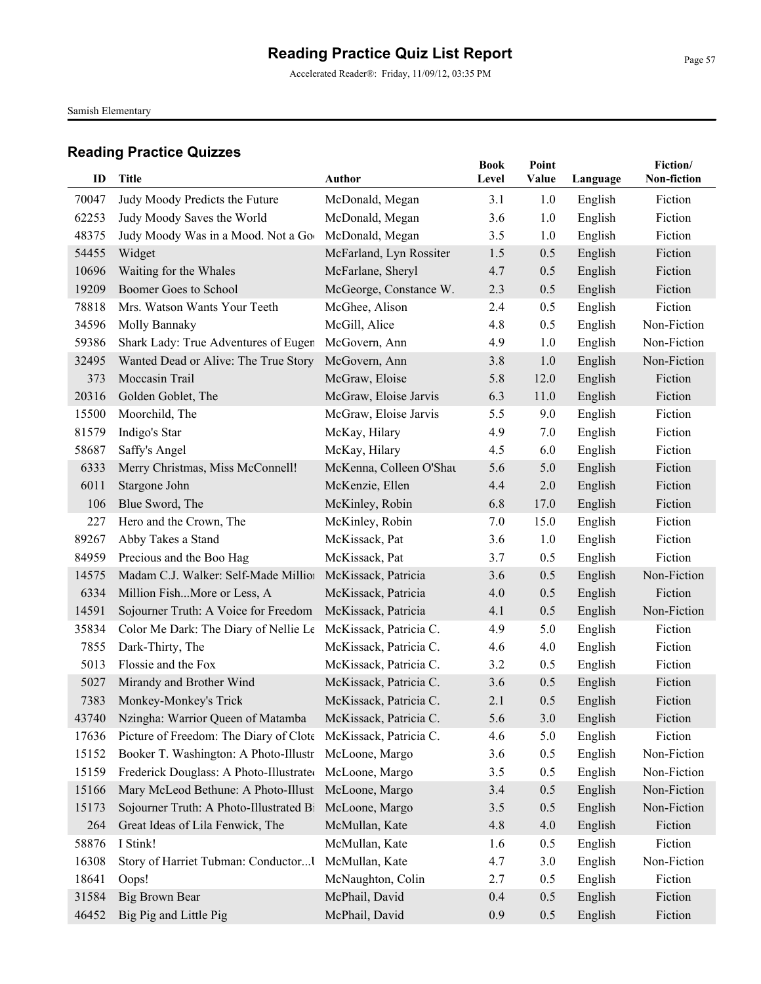Accelerated Reader®: Friday, 11/09/12, 03:35 PM

Samish Elementary

| ID    | <b>Title</b>                                                 | <b>Author</b>                      | <b>Book</b><br>Level | Point<br>Value | Language           | Fiction/<br>Non-fiction |
|-------|--------------------------------------------------------------|------------------------------------|----------------------|----------------|--------------------|-------------------------|
| 70047 |                                                              |                                    | 3.1                  | 1.0            |                    | Fiction                 |
| 62253 | Judy Moody Predicts the Future<br>Judy Moody Saves the World | McDonald, Megan<br>McDonald, Megan | 3.6                  | 1.0            | English<br>English | Fiction                 |
| 48375 | Judy Moody Was in a Mood. Not a Goo                          | McDonald, Megan                    | 3.5                  | 1.0            | English            | Fiction                 |
| 54455 | Widget                                                       | McFarland, Lyn Rossiter            | 1.5                  | 0.5            | English            | Fiction                 |
| 10696 | Waiting for the Whales                                       | McFarlane, Sheryl                  | 4.7                  | 0.5            | English            | Fiction                 |
| 19209 | Boomer Goes to School                                        | McGeorge, Constance W.             | 2.3                  | 0.5            | English            | Fiction                 |
| 78818 | Mrs. Watson Wants Your Teeth                                 | McGhee, Alison                     | 2.4                  | 0.5            | English            | Fiction                 |
| 34596 | Molly Bannaky                                                | McGill, Alice                      | 4.8                  | 0.5            | English            | Non-Fiction             |
| 59386 | Shark Lady: True Adventures of Eugen                         | McGovern, Ann                      | 4.9                  | 1.0            | English            | Non-Fiction             |
| 32495 | Wanted Dead or Alive: The True Story                         | McGovern, Ann                      | 3.8                  | 1.0            | English            | Non-Fiction             |
| 373   | Moccasin Trail                                               | McGraw, Eloise                     | 5.8                  | 12.0           | English            | Fiction                 |
| 20316 | Golden Goblet, The                                           | McGraw, Eloise Jarvis              | 6.3                  | 11.0           | English            | Fiction                 |
| 15500 | Moorchild, The                                               | McGraw, Eloise Jarvis              | 5.5                  | 9.0            | English            | Fiction                 |
| 81579 | Indigo's Star                                                | McKay, Hilary                      | 4.9                  | 7.0            | English            | Fiction                 |
| 58687 | Saffy's Angel                                                | McKay, Hilary                      | 4.5                  | 6.0            | English            | Fiction                 |
| 6333  | Merry Christmas, Miss McConnell!                             | McKenna, Colleen O'Shat            | 5.6                  | 5.0            | English            | Fiction                 |
| 6011  | Stargone John                                                | McKenzie, Ellen                    | 4.4                  | 2.0            | English            | Fiction                 |
| 106   | Blue Sword, The                                              | McKinley, Robin                    | 6.8                  | 17.0           | English            | Fiction                 |
| 227   | Hero and the Crown, The                                      | McKinley, Robin                    | 7.0                  | 15.0           | English            | Fiction                 |
| 89267 | Abby Takes a Stand                                           | McKissack, Pat                     | 3.6                  | 1.0            | English            | Fiction                 |
| 84959 | Precious and the Boo Hag                                     | McKissack, Pat                     | 3.7                  | 0.5            | English            | Fiction                 |
| 14575 | Madam C.J. Walker: Self-Made Millior McKissack, Patricia     |                                    | 3.6                  | 0.5            | English            | Non-Fiction             |
| 6334  | Million FishMore or Less, A                                  | McKissack, Patricia                | 4.0                  | 0.5            | English            | Fiction                 |
| 14591 | Sojourner Truth: A Voice for Freedom                         | McKissack, Patricia                | 4.1                  | 0.5            | English            | Non-Fiction             |
| 35834 | Color Me Dark: The Diary of Nellie Le                        | McKissack, Patricia C.             | 4.9                  | 5.0            | English            | Fiction                 |
| 7855  | Dark-Thirty, The                                             | McKissack, Patricia C.             | 4.6                  | 4.0            | English            | Fiction                 |
| 5013  | Flossie and the Fox                                          | McKissack, Patricia C.             | 3.2                  | 0.5            | English            | Fiction                 |
| 5027  | Mirandy and Brother Wind                                     | McKissack, Patricia C.             | 3.6                  | 0.5            | English            | Fiction                 |
| 7383  | Monkey-Monkey's Trick                                        | McKissack, Patricia C.             | 2.1                  | 0.5            | English            | Fiction                 |
| 43740 | Nzingha: Warrior Queen of Matamba                            | McKissack, Patricia C.             | 5.6                  | 3.0            | English            | Fiction                 |
| 17636 | Picture of Freedom: The Diary of Clote                       | McKissack, Patricia C.             | 4.6                  | 5.0            | English            | Fiction                 |
| 15152 | Booker T. Washington: A Photo-Illustr                        | McLoone, Margo                     | 3.6                  | 0.5            | English            | Non-Fiction             |
| 15159 | Frederick Douglass: A Photo-Illustrated                      | McLoone, Margo                     | 3.5                  | 0.5            | English            | Non-Fiction             |
| 15166 | Mary McLeod Bethune: A Photo-Illust                          | McLoone, Margo                     | 3.4                  | 0.5            | English            | Non-Fiction             |
| 15173 | Sojourner Truth: A Photo-Illustrated Bi                      | McLoone, Margo                     | 3.5                  | 0.5            | English            | Non-Fiction             |
| 264   | Great Ideas of Lila Fenwick, The                             | McMullan, Kate                     | 4.8                  | 4.0            | English            | Fiction                 |
| 58876 | I Stink!                                                     | McMullan, Kate                     | 1.6                  | 0.5            | English            | Fiction                 |
| 16308 | Story of Harriet Tubman: Conductor                           | McMullan, Kate                     | 4.7                  | 3.0            | English            | Non-Fiction             |
| 18641 | Oops!                                                        | McNaughton, Colin                  | 2.7                  | 0.5            | English            | Fiction                 |
| 31584 | <b>Big Brown Bear</b>                                        | McPhail, David                     | 0.4                  | 0.5            | English            | Fiction                 |
| 46452 | Big Pig and Little Pig                                       | McPhail, David                     | 0.9                  | 0.5            | English            | Fiction                 |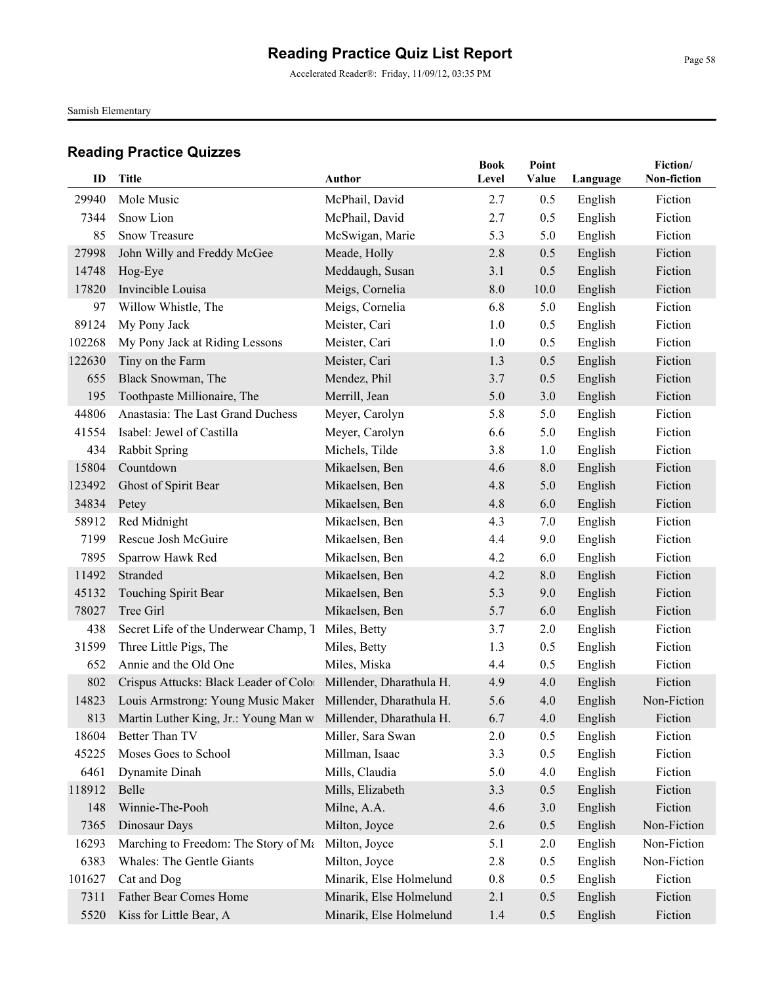Accelerated Reader®: Friday, 11/09/12, 03:35 PM

Samish Elementary

| ID     | <b>Title</b>                                                      | <b>Author</b>           | <b>Book</b><br>Level | Point<br>Value | Language | Fiction/<br>Non-fiction |
|--------|-------------------------------------------------------------------|-------------------------|----------------------|----------------|----------|-------------------------|
| 29940  | Mole Music                                                        | McPhail, David          | 2.7                  | 0.5            | English  | Fiction                 |
| 7344   | Snow Lion                                                         | McPhail, David          | 2.7                  | 0.5            | English  | Fiction                 |
| 85     | Snow Treasure                                                     | McSwigan, Marie         | 5.3                  | 5.0            | English  | Fiction                 |
| 27998  | John Willy and Freddy McGee                                       | Meade, Holly            | 2.8                  | 0.5            | English  | Fiction                 |
| 14748  | Hog-Eye                                                           | Meddaugh, Susan         | 3.1                  | 0.5            | English  | Fiction                 |
| 17820  | Invincible Louisa                                                 | Meigs, Cornelia         | 8.0                  | 10.0           | English  | Fiction                 |
| 97     | Willow Whistle, The                                               | Meigs, Cornelia         | 6.8                  | 5.0            | English  | Fiction                 |
| 89124  | My Pony Jack                                                      | Meister, Cari           | 1.0                  | 0.5            | English  | Fiction                 |
| 102268 | My Pony Jack at Riding Lessons                                    | Meister, Cari           | 1.0                  | 0.5            | English  | Fiction                 |
| 122630 | Tiny on the Farm                                                  | Meister, Cari           | 1.3                  | 0.5            | English  | Fiction                 |
| 655    | Black Snowman, The                                                | Mendez, Phil            | 3.7                  | 0.5            | English  | Fiction                 |
| 195    | Toothpaste Millionaire, The                                       | Merrill, Jean           | 5.0                  | 3.0            | English  | Fiction                 |
| 44806  | Anastasia: The Last Grand Duchess                                 | Meyer, Carolyn          | 5.8                  | 5.0            | English  | Fiction                 |
| 41554  | Isabel: Jewel of Castilla                                         | Meyer, Carolyn          | 6.6                  | 5.0            | English  | Fiction                 |
| 434    | <b>Rabbit Spring</b>                                              | Michels, Tilde          | 3.8                  | 1.0            | English  | Fiction                 |
| 15804  | Countdown                                                         | Mikaelsen, Ben          | 4.6                  | 8.0            | English  | Fiction                 |
| 123492 | Ghost of Spirit Bear                                              | Mikaelsen, Ben          | 4.8                  | 5.0            | English  | Fiction                 |
| 34834  | Petey                                                             | Mikaelsen, Ben          | 4.8                  | 6.0            | English  | Fiction                 |
| 58912  | Red Midnight                                                      | Mikaelsen, Ben          | 4.3                  | 7.0            | English  | Fiction                 |
| 7199   | Rescue Josh McGuire                                               | Mikaelsen, Ben          | 4.4                  | 9.0            | English  | Fiction                 |
| 7895   | Sparrow Hawk Red                                                  | Mikaelsen, Ben          | 4.2                  | 6.0            | English  | Fiction                 |
| 11492  | Stranded                                                          | Mikaelsen, Ben          | 4.2                  | 8.0            | English  | Fiction                 |
| 45132  | Touching Spirit Bear                                              | Mikaelsen, Ben          | 5.3                  | 9.0            | English  | Fiction                 |
| 78027  | Tree Girl                                                         | Mikaelsen, Ben          | 5.7                  | 6.0            | English  | Fiction                 |
| 438    | Secret Life of the Underwear Champ, T                             | Miles, Betty            | 3.7                  | 2.0            | English  | Fiction                 |
| 31599  | Three Little Pigs, The                                            | Miles, Betty            | 1.3                  | 0.5            | English  | Fiction                 |
| 652    | Annie and the Old One                                             | Miles, Miska            | 4.4                  | 0.5            | English  | Fiction                 |
| 802    | Crispus Attucks: Black Leader of Color Millender, Dharathula H.   |                         | 4.9                  | 4.0            | English  | Fiction                 |
| 14823  | Louis Armstrong: Young Music Maker Millender, Dharathula H.       |                         | 5.6                  | 4.0            | English  | Non-Fiction             |
|        | 813 Martin Luther King, Jr.: Young Man w Millender, Dharathula H. |                         | 6.7                  | 4.0            | English  | Fiction                 |
| 18604  | Better Than TV                                                    | Miller, Sara Swan       | 2.0                  | 0.5            | English  | Fiction                 |
| 45225  | Moses Goes to School                                              | Millman, Isaac          | 3.3                  | 0.5            | English  | Fiction                 |
| 6461   | Dynamite Dinah                                                    | Mills, Claudia          | 5.0                  | 4.0            | English  | Fiction                 |
| 118912 | Belle                                                             | Mills, Elizabeth        | 3.3                  | 0.5            | English  | Fiction                 |
| 148    | Winnie-The-Pooh                                                   | Milne, A.A.             | 4.6                  | 3.0            | English  | Fiction                 |
| 7365   | Dinosaur Days                                                     | Milton, Joyce           | 2.6                  | 0.5            | English  | Non-Fiction             |
| 16293  | Marching to Freedom: The Story of Ma                              | Milton, Joyce           | 5.1                  | 2.0            | English  | Non-Fiction             |
| 6383   | <b>Whales: The Gentle Giants</b>                                  | Milton, Joyce           | 2.8                  | 0.5            | English  | Non-Fiction             |
| 101627 | Cat and Dog                                                       | Minarik, Else Holmelund | 0.8                  | 0.5            | English  | Fiction                 |
| 7311   | Father Bear Comes Home                                            | Minarik, Else Holmelund | 2.1                  | 0.5            | English  | Fiction                 |
| 5520   | Kiss for Little Bear, A                                           | Minarik, Else Holmelund | 1.4                  | 0.5            | English  | Fiction                 |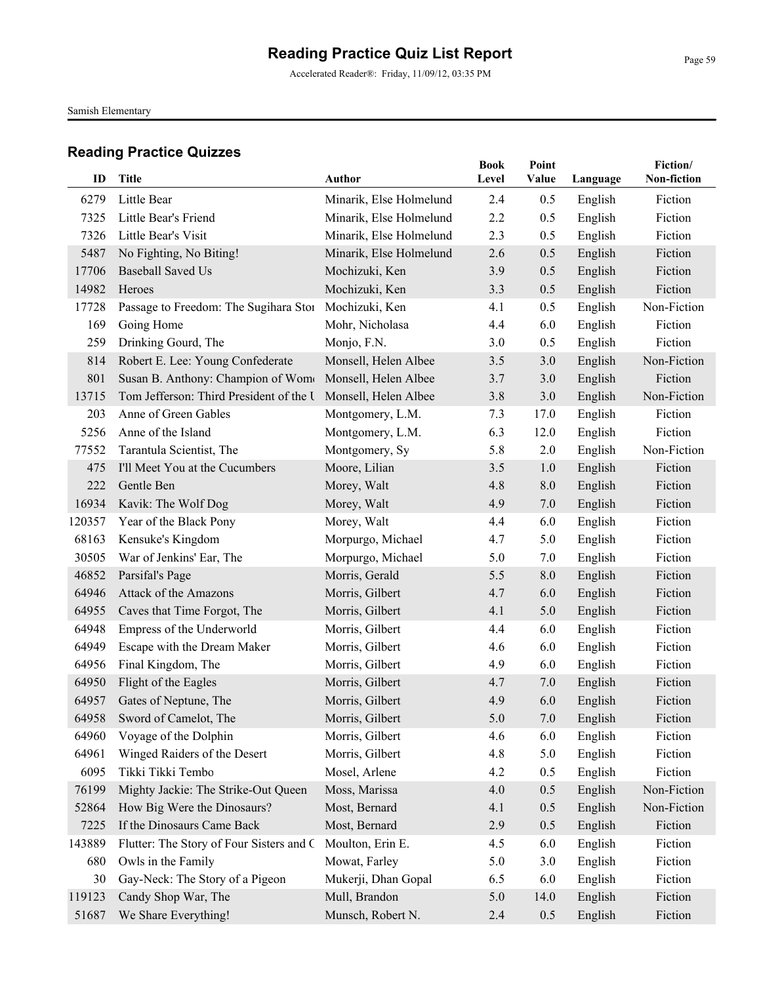Samish Elementary

| ID     | <b>Title</b>                             | Author                  | <b>Book</b><br>Level | Point<br>Value | Language | Fiction/<br>Non-fiction |
|--------|------------------------------------------|-------------------------|----------------------|----------------|----------|-------------------------|
| 6279   | Little Bear                              | Minarik, Else Holmelund | 2.4                  | 0.5            | English  | Fiction                 |
| 7325   | Little Bear's Friend                     | Minarik, Else Holmelund | 2.2                  | 0.5            | English  | Fiction                 |
| 7326   | Little Bear's Visit                      | Minarik, Else Holmelund | 2.3                  | 0.5            | English  | Fiction                 |
| 5487   | No Fighting, No Biting!                  | Minarik, Else Holmelund | 2.6                  | 0.5            | English  | Fiction                 |
| 17706  | <b>Baseball Saved Us</b>                 | Mochizuki, Ken          | 3.9                  | 0.5            | English  | Fiction                 |
| 14982  | Heroes                                   | Mochizuki, Ken          | 3.3                  | 0.5            | English  | Fiction                 |
| 17728  | Passage to Freedom: The Sugihara Stor    | Mochizuki, Ken          | 4.1                  | 0.5            | English  | Non-Fiction             |
| 169    | Going Home                               | Mohr, Nicholasa         | 4.4                  | 6.0            | English  | Fiction                 |
| 259    | Drinking Gourd, The                      | Monjo, F.N.             | 3.0                  | 0.5            | English  | Fiction                 |
| 814    | Robert E. Lee: Young Confederate         | Monsell, Helen Albee    | 3.5                  | 3.0            | English  | Non-Fiction             |
| 801    | Susan B. Anthony: Champion of Wome       | Monsell, Helen Albee    | 3.7                  | 3.0            | English  | Fiction                 |
| 13715  | Tom Jefferson: Third President of the U  | Monsell, Helen Albee    | 3.8                  | 3.0            | English  | Non-Fiction             |
| 203    | Anne of Green Gables                     | Montgomery, L.M.        | 7.3                  | 17.0           | English  | Fiction                 |
| 5256   | Anne of the Island                       | Montgomery, L.M.        | 6.3                  | 12.0           | English  | Fiction                 |
| 77552  | Tarantula Scientist, The                 | Montgomery, Sy          | 5.8                  | 2.0            | English  | Non-Fiction             |
| 475    | I'll Meet You at the Cucumbers           | Moore, Lilian           | 3.5                  | 1.0            | English  | Fiction                 |
| 222    | Gentle Ben                               | Morey, Walt             | 4.8                  | 8.0            | English  | Fiction                 |
| 16934  | Kavik: The Wolf Dog                      | Morey, Walt             | 4.9                  | 7.0            | English  | Fiction                 |
| 120357 | Year of the Black Pony                   | Morey, Walt             | 4.4                  | 6.0            | English  | Fiction                 |
| 68163  | Kensuke's Kingdom                        | Morpurgo, Michael       | 4.7                  | 5.0            | English  | Fiction                 |
| 30505  | War of Jenkins' Ear, The                 | Morpurgo, Michael       | 5.0                  | 7.0            | English  | Fiction                 |
| 46852  | Parsifal's Page                          | Morris, Gerald          | 5.5                  | 8.0            | English  | Fiction                 |
| 64946  | Attack of the Amazons                    | Morris, Gilbert         | 4.7                  | 6.0            | English  | Fiction                 |
| 64955  | Caves that Time Forgot, The              | Morris, Gilbert         | 4.1                  | 5.0            | English  | Fiction                 |
| 64948  | Empress of the Underworld                | Morris, Gilbert         | 4.4                  | 6.0            | English  | Fiction                 |
| 64949  | Escape with the Dream Maker              | Morris, Gilbert         | 4.6                  | 6.0            | English  | Fiction                 |
| 64956  | Final Kingdom, The                       | Morris, Gilbert         | 4.9                  | 6.0            | English  | Fiction                 |
| 64950  | Flight of the Eagles                     | Morris, Gilbert         | 4.7                  | 7.0            | English  | Fiction                 |
| 64957  | Gates of Neptune, The                    | Morris, Gilbert         | 4.9                  | 6.0            | English  | Fiction                 |
|        | 64958 Sword of Camelot, The              | Morris, Gilbert         | 5.0                  | 7.0            | English  | Fiction                 |
| 64960  | Voyage of the Dolphin                    | Morris, Gilbert         | 4.6                  | 6.0            | English  | Fiction                 |
| 64961  | Winged Raiders of the Desert             | Morris, Gilbert         | 4.8                  | 5.0            | English  | Fiction                 |
| 6095   | Tikki Tikki Tembo                        | Mosel, Arlene           | 4.2                  | 0.5            | English  | Fiction                 |
| 76199  | Mighty Jackie: The Strike-Out Queen      | Moss, Marissa           | 4.0                  | 0.5            | English  | Non-Fiction             |
| 52864  | How Big Were the Dinosaurs?              | Most, Bernard           | 4.1                  | 0.5            | English  | Non-Fiction             |
| 7225   | If the Dinosaurs Came Back               | Most, Bernard           | 2.9                  | 0.5            | English  | Fiction                 |
| 143889 | Flutter: The Story of Four Sisters and C | Moulton, Erin E.        | 4.5                  | 6.0            | English  | Fiction                 |
| 680    | Owls in the Family                       | Mowat, Farley           | 5.0                  | 3.0            | English  | Fiction                 |
| 30     | Gay-Neck: The Story of a Pigeon          | Mukerji, Dhan Gopal     | 6.5                  | 6.0            | English  | Fiction                 |
| 119123 | Candy Shop War, The                      | Mull, Brandon           | 5.0                  | 14.0           | English  | Fiction                 |
| 51687  | We Share Everything!                     | Munsch, Robert N.       | 2.4                  | 0.5            | English  | Fiction                 |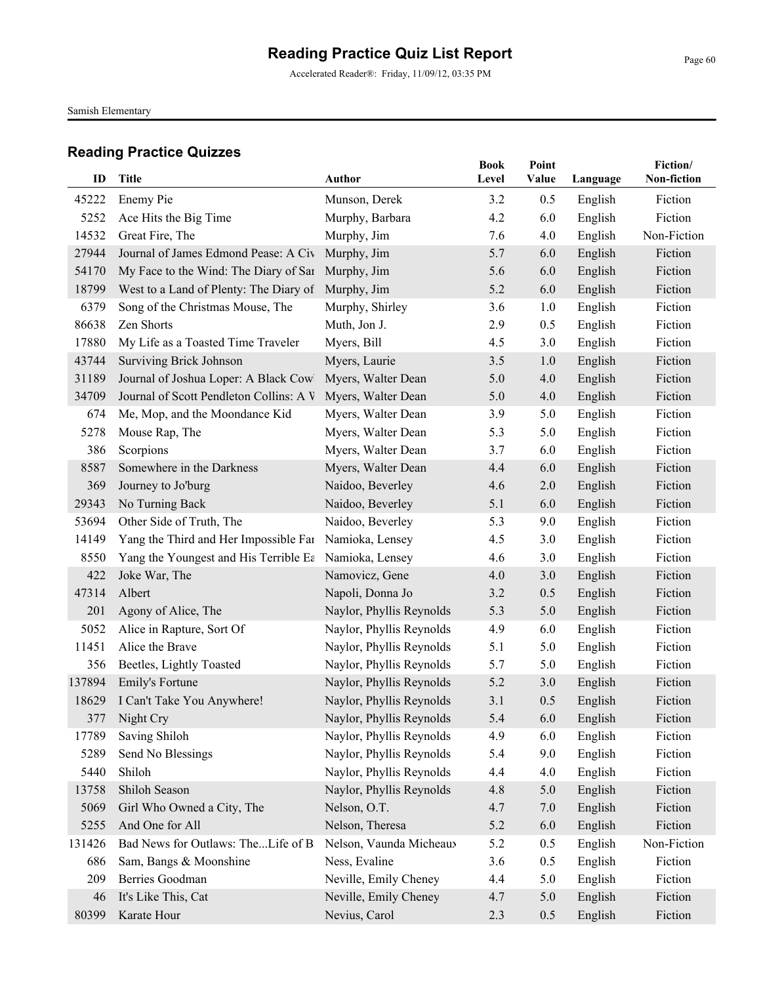Accelerated Reader®: Friday, 11/09/12, 03:35 PM

Samish Elementary

| ID     | <b>Title</b>                                          | <b>Author</b>            | <b>Book</b><br>Level | Point<br>Value | Language | Fiction/<br>Non-fiction |
|--------|-------------------------------------------------------|--------------------------|----------------------|----------------|----------|-------------------------|
| 45222  | Enemy Pie                                             | Munson, Derek            | 3.2                  | 0.5            | English  | Fiction                 |
| 5252   | Ace Hits the Big Time                                 | Murphy, Barbara          | 4.2                  | 6.0            | English  | Fiction                 |
| 14532  | Great Fire, The                                       | Murphy, Jim              | 7.6                  | 4.0            | English  | Non-Fiction             |
| 27944  | Journal of James Edmond Pease: A Civ                  | Murphy, Jim              | 5.7                  | 6.0            | English  | Fiction                 |
| 54170  | My Face to the Wind: The Diary of Sar Murphy, Jim     |                          | 5.6                  | 6.0            | English  | Fiction                 |
| 18799  | West to a Land of Plenty: The Diary of                | Murphy, Jim              | 5.2                  | 6.0            | English  | Fiction                 |
| 6379   | Song of the Christmas Mouse, The                      | Murphy, Shirley          | 3.6                  | 1.0            | English  | Fiction                 |
| 86638  | Zen Shorts                                            | Muth, Jon J.             | 2.9                  | 0.5            | English  | Fiction                 |
| 17880  | My Life as a Toasted Time Traveler                    | Myers, Bill              | 4.5                  | 3.0            | English  | Fiction                 |
| 43744  | <b>Surviving Brick Johnson</b>                        | Myers, Laurie            | 3.5                  | 1.0            | English  | Fiction                 |
| 31189  | Journal of Joshua Loper: A Black Cowl                 | Myers, Walter Dean       | 5.0                  | 4.0            | English  | Fiction                 |
| 34709  | Journal of Scott Pendleton Collins: A V               | Myers, Walter Dean       | 5.0                  | 4.0            | English  | Fiction                 |
| 674    | Me, Mop, and the Moondance Kid                        | Myers, Walter Dean       | 3.9                  | 5.0            | English  | Fiction                 |
| 5278   | Mouse Rap, The                                        | Myers, Walter Dean       | 5.3                  | 5.0            | English  | Fiction                 |
| 386    | Scorpions                                             | Myers, Walter Dean       | 3.7                  | 6.0            | English  | Fiction                 |
| 8587   | Somewhere in the Darkness                             | Myers, Walter Dean       | 4.4                  | 6.0            | English  | Fiction                 |
| 369    | Journey to Jo'burg                                    | Naidoo, Beverley         | 4.6                  | 2.0            | English  | Fiction                 |
| 29343  | No Turning Back                                       | Naidoo, Beverley         | 5.1                  | 6.0            | English  | Fiction                 |
| 53694  | Other Side of Truth, The                              | Naidoo, Beverley         | 5.3                  | 9.0            | English  | Fiction                 |
| 14149  | Yang the Third and Her Impossible Far Namioka, Lensey |                          | 4.5                  | 3.0            | English  | Fiction                 |
| 8550   | Yang the Youngest and His Terrible Ea                 | Namioka, Lensey          | 4.6                  | 3.0            | English  | Fiction                 |
| 422    | Joke War, The                                         | Namovicz, Gene           | 4.0                  | 3.0            | English  | Fiction                 |
| 47314  | Albert                                                | Napoli, Donna Jo         | 3.2                  | 0.5            | English  | Fiction                 |
| 201    | Agony of Alice, The                                   | Naylor, Phyllis Reynolds | 5.3                  | 5.0            | English  | Fiction                 |
| 5052   | Alice in Rapture, Sort Of                             | Naylor, Phyllis Reynolds | 4.9                  | 6.0            | English  | Fiction                 |
| 11451  | Alice the Brave                                       | Naylor, Phyllis Reynolds | 5.1                  | 5.0            | English  | Fiction                 |
| 356    | Beetles, Lightly Toasted                              | Naylor, Phyllis Reynolds | 5.7                  | 5.0            | English  | Fiction                 |
| 137894 | Emily's Fortune                                       | Naylor, Phyllis Reynolds | 5.2                  | 3.0            | English  | Fiction                 |
| 18629  | I Can't Take You Anywhere!                            | Naylor, Phyllis Reynolds | 3.1                  | 0.5            | English  | Fiction                 |
| 377    | Night Cry                                             | Naylor, Phyllis Reynolds | 5.4                  | 6.0            | English  | Fiction                 |
| 17789  | Saving Shiloh                                         | Naylor, Phyllis Reynolds | 4.9                  | 6.0            | English  | Fiction                 |
| 5289   | Send No Blessings                                     | Naylor, Phyllis Reynolds | 5.4                  | 9.0            | English  | Fiction                 |
| 5440   | Shiloh                                                | Naylor, Phyllis Reynolds | 4.4                  | 4.0            | English  | Fiction                 |
| 13758  | Shiloh Season                                         | Naylor, Phyllis Reynolds | 4.8                  | 5.0            | English  | Fiction                 |
| 5069   | Girl Who Owned a City, The                            | Nelson, O.T.             | 4.7                  | 7.0            | English  | Fiction                 |
| 5255   | And One for All                                       | Nelson, Theresa          | 5.2                  | 6.0            | English  | Fiction                 |
| 131426 | Bad News for Outlaws: TheLife of B                    | Nelson, Vaunda Micheaux  | 5.2                  | 0.5            | English  | Non-Fiction             |
| 686    | Sam, Bangs & Moonshine                                | Ness, Evaline            | 3.6                  | 0.5            | English  | Fiction                 |
| 209    | Berries Goodman                                       | Neville, Emily Cheney    | 4.4                  | 5.0            | English  | Fiction                 |
| 46     | It's Like This, Cat                                   | Neville, Emily Cheney    | 4.7                  | 5.0            | English  | Fiction                 |
| 80399  | Karate Hour                                           | Nevius, Carol            | 2.3                  | 0.5            | English  | Fiction                 |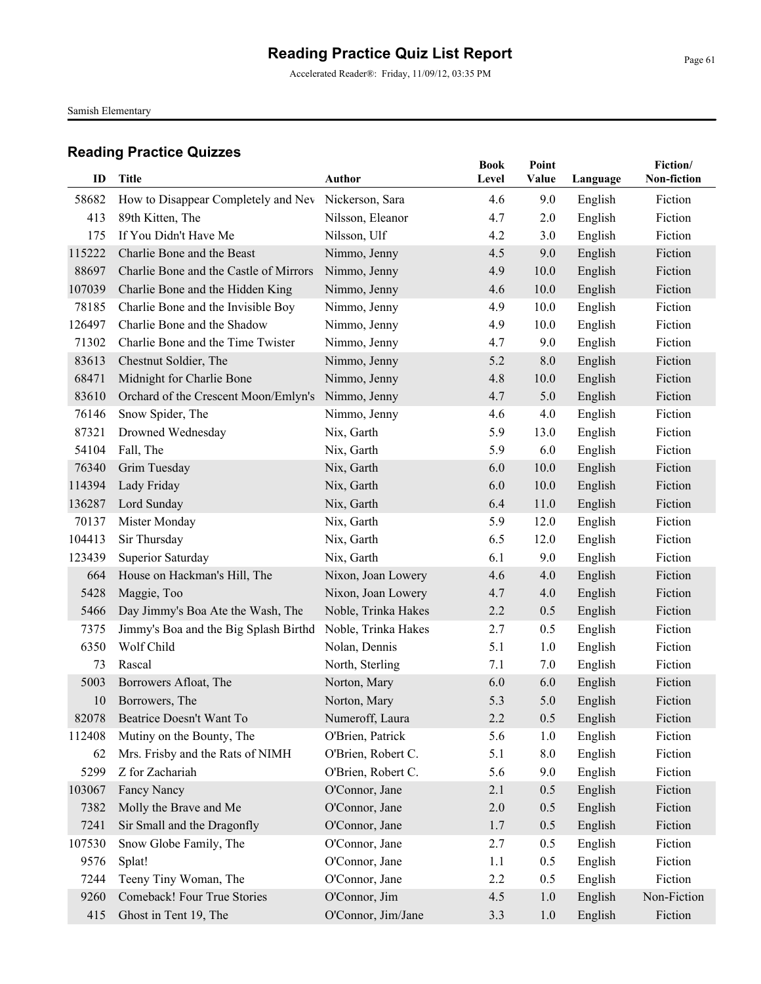Accelerated Reader®: Friday, 11/09/12, 03:35 PM

Samish Elementary

| ID     |                                        |                     | <b>Book</b> | Point |          | Fiction/<br>Non-fiction |
|--------|----------------------------------------|---------------------|-------------|-------|----------|-------------------------|
|        | Title                                  | <b>Author</b>       | Level       | Value | Language |                         |
| 58682  | How to Disappear Completely and Nev    | Nickerson, Sara     | 4.6         | 9.0   | English  | Fiction                 |
| 413    | 89th Kitten, The                       | Nilsson, Eleanor    | 4.7         | 2.0   | English  | Fiction                 |
| 175    | If You Didn't Have Me                  | Nilsson, Ulf        | 4.2         | 3.0   | English  | Fiction                 |
| 115222 | Charlie Bone and the Beast             | Nimmo, Jenny        | 4.5         | 9.0   | English  | Fiction                 |
| 88697  | Charlie Bone and the Castle of Mirrors | Nimmo, Jenny        | 4.9         | 10.0  | English  | Fiction                 |
| 107039 | Charlie Bone and the Hidden King       | Nimmo, Jenny        | 4.6         | 10.0  | English  | Fiction                 |
| 78185  | Charlie Bone and the Invisible Boy     | Nimmo, Jenny        | 4.9         | 10.0  | English  | Fiction                 |
| 126497 | Charlie Bone and the Shadow            | Nimmo, Jenny        | 4.9         | 10.0  | English  | Fiction                 |
| 71302  | Charlie Bone and the Time Twister      | Nimmo, Jenny        | 4.7         | 9.0   | English  | Fiction                 |
| 83613  | Chestnut Soldier, The                  | Nimmo, Jenny        | 5.2         | 8.0   | English  | Fiction                 |
| 68471  | Midnight for Charlie Bone              | Nimmo, Jenny        | 4.8         | 10.0  | English  | Fiction                 |
| 83610  | Orchard of the Crescent Moon/Emlyn's   | Nimmo, Jenny        | 4.7         | 5.0   | English  | Fiction                 |
| 76146  | Snow Spider, The                       | Nimmo, Jenny        | 4.6         | 4.0   | English  | Fiction                 |
| 87321  | Drowned Wednesday                      | Nix, Garth          | 5.9         | 13.0  | English  | Fiction                 |
| 54104  | Fall, The                              | Nix, Garth          | 5.9         | 6.0   | English  | Fiction                 |
| 76340  | Grim Tuesday                           | Nix, Garth          | 6.0         | 10.0  | English  | Fiction                 |
| 114394 | Lady Friday                            | Nix, Garth          | 6.0         | 10.0  | English  | Fiction                 |
| 136287 | Lord Sunday                            | Nix, Garth          | 6.4         | 11.0  | English  | Fiction                 |
| 70137  | Mister Monday                          | Nix, Garth          | 5.9         | 12.0  | English  | Fiction                 |
| 104413 | Sir Thursday                           | Nix, Garth          | 6.5         | 12.0  | English  | Fiction                 |
| 123439 | Superior Saturday                      | Nix, Garth          | 6.1         | 9.0   | English  | Fiction                 |
| 664    | House on Hackman's Hill, The           | Nixon, Joan Lowery  | 4.6         | 4.0   | English  | Fiction                 |
| 5428   | Maggie, Too                            | Nixon, Joan Lowery  | 4.7         | 4.0   | English  | Fiction                 |
| 5466   | Day Jimmy's Boa Ate the Wash, The      | Noble, Trinka Hakes | 2.2         | 0.5   | English  | Fiction                 |
| 7375   | Jimmy's Boa and the Big Splash Birthd  | Noble, Trinka Hakes | 2.7         | 0.5   | English  | Fiction                 |
| 6350   | Wolf Child                             | Nolan, Dennis       | 5.1         | 1.0   | English  | Fiction                 |
| 73     | Rascal                                 | North, Sterling     | 7.1         | 7.0   | English  | Fiction                 |
| 5003   | Borrowers Afloat, The                  | Norton, Mary        | 6.0         | 6.0   | English  | Fiction                 |
| 10     | Borrowers, The                         | Norton, Mary        | 5.3         | 5.0   | English  | Fiction                 |
| 82078  | Beatrice Doesn't Want To               | Numeroff, Laura     | 2.2         | 0.5   | English  | Fiction                 |
| 112408 | Mutiny on the Bounty, The              | O'Brien, Patrick    | 5.6         | 1.0   | English  | Fiction                 |
| 62     | Mrs. Frisby and the Rats of NIMH       | O'Brien, Robert C.  | 5.1         | 8.0   | English  | Fiction                 |
| 5299   | Z for Zachariah                        | O'Brien, Robert C.  | 5.6         | 9.0   | English  | Fiction                 |
| 103067 | Fancy Nancy                            | O'Connor, Jane      | 2.1         | 0.5   | English  | Fiction                 |
| 7382   | Molly the Brave and Me                 | O'Connor, Jane      | 2.0         | 0.5   | English  | Fiction                 |
| 7241   | Sir Small and the Dragonfly            | O'Connor, Jane      | 1.7         | 0.5   | English  | Fiction                 |
| 107530 | Snow Globe Family, The                 | O'Connor, Jane      | 2.7         | 0.5   | English  | Fiction                 |
| 9576   | Splat!                                 | O'Connor, Jane      | 1.1         | 0.5   | English  | Fiction                 |
| 7244   | Teeny Tiny Woman, The                  | O'Connor, Jane      | 2.2         | 0.5   | English  | Fiction                 |
| 9260   | Comeback! Four True Stories            | O'Connor, Jim       | 4.5         | 1.0   | English  | Non-Fiction             |
| 415    | Ghost in Tent 19, The                  | O'Connor, Jim/Jane  | 3.3         | 1.0   | English  | Fiction                 |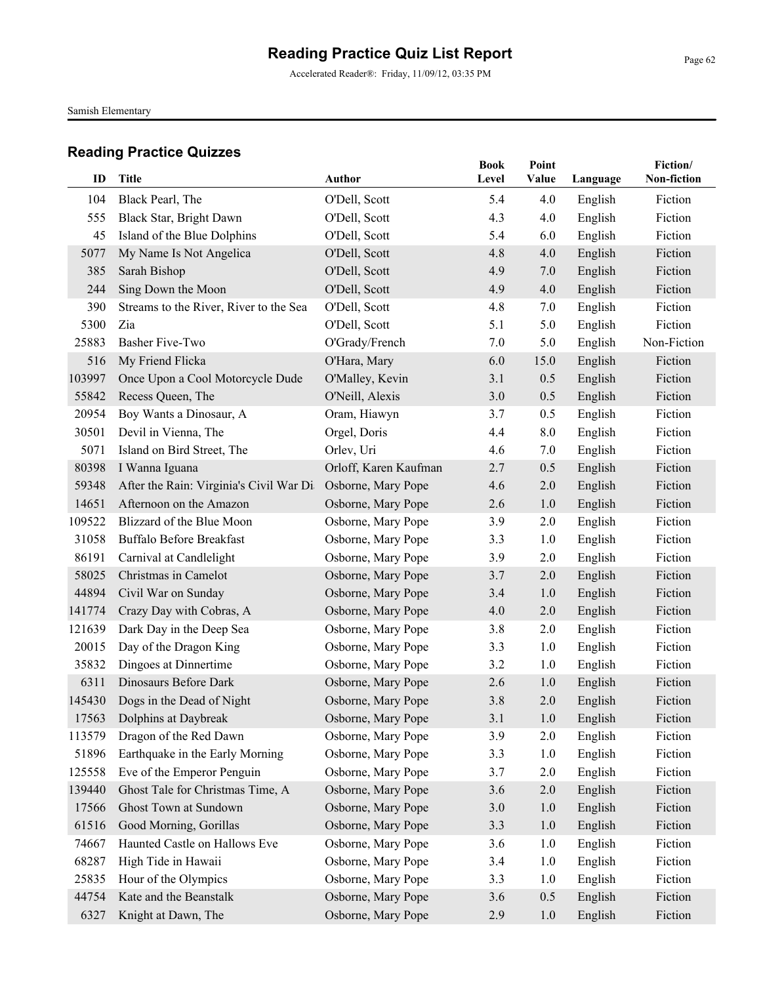Accelerated Reader®: Friday, 11/09/12, 03:35 PM

Samish Elementary

| ID     | <b>Title</b>                            | <b>Author</b>         | <b>Book</b><br>Level | Point<br>Value |          | Fiction/<br>Non-fiction |
|--------|-----------------------------------------|-----------------------|----------------------|----------------|----------|-------------------------|
|        |                                         |                       |                      |                | Language |                         |
| 104    | Black Pearl, The                        | O'Dell, Scott         | 5.4                  | 4.0            | English  | Fiction                 |
| 555    | Black Star, Bright Dawn                 | O'Dell, Scott         | 4.3                  | 4.0            | English  | Fiction                 |
| 45     | Island of the Blue Dolphins             | O'Dell, Scott         | 5.4                  | 6.0            | English  | Fiction                 |
| 5077   | My Name Is Not Angelica                 | O'Dell, Scott         | 4.8                  | 4.0            | English  | Fiction                 |
| 385    | Sarah Bishop                            | O'Dell, Scott         | 4.9                  | 7.0            | English  | Fiction                 |
| 244    | Sing Down the Moon                      | O'Dell, Scott         | 4.9                  | 4.0            | English  | Fiction                 |
| 390    | Streams to the River, River to the Sea  | O'Dell, Scott         | 4.8                  | 7.0            | English  | Fiction                 |
| 5300   | Zia                                     | O'Dell, Scott         | 5.1                  | 5.0            | English  | Fiction                 |
| 25883  | <b>Basher Five-Two</b>                  | O'Grady/French        | 7.0                  | 5.0            | English  | Non-Fiction             |
| 516    | My Friend Flicka                        | O'Hara, Mary          | 6.0                  | 15.0           | English  | Fiction                 |
| 103997 | Once Upon a Cool Motorcycle Dude        | O'Malley, Kevin       | 3.1                  | 0.5            | English  | Fiction                 |
| 55842  | Recess Queen, The                       | O'Neill, Alexis       | 3.0                  | 0.5            | English  | Fiction                 |
| 20954  | Boy Wants a Dinosaur, A                 | Oram, Hiawyn          | 3.7                  | 0.5            | English  | Fiction                 |
| 30501  | Devil in Vienna, The                    | Orgel, Doris          | 4.4                  | 8.0            | English  | Fiction                 |
| 5071   | Island on Bird Street, The              | Orlev, Uri            | 4.6                  | 7.0            | English  | Fiction                 |
| 80398  | I Wanna Iguana                          | Orloff, Karen Kaufman | 2.7                  | 0.5            | English  | Fiction                 |
| 59348  | After the Rain: Virginia's Civil War Di | Osborne, Mary Pope    | 4.6                  | 2.0            | English  | Fiction                 |
| 14651  | Afternoon on the Amazon                 | Osborne, Mary Pope    | 2.6                  | 1.0            | English  | Fiction                 |
| 109522 | Blizzard of the Blue Moon               | Osborne, Mary Pope    | 3.9                  | 2.0            | English  | Fiction                 |
| 31058  | Buffalo Before Breakfast                | Osborne, Mary Pope    | 3.3                  | 1.0            | English  | Fiction                 |
| 86191  | Carnival at Candlelight                 | Osborne, Mary Pope    | 3.9                  | 2.0            | English  | Fiction                 |
| 58025  | Christmas in Camelot                    | Osborne, Mary Pope    | 3.7                  | 2.0            | English  | Fiction                 |
| 44894  | Civil War on Sunday                     | Osborne, Mary Pope    | 3.4                  | 1.0            | English  | Fiction                 |
| 141774 | Crazy Day with Cobras, A                | Osborne, Mary Pope    | 4.0                  | 2.0            | English  | Fiction                 |
| 121639 | Dark Day in the Deep Sea                | Osborne, Mary Pope    | 3.8                  | 2.0            | English  | Fiction                 |
| 20015  | Day of the Dragon King                  | Osborne, Mary Pope    | 3.3                  | 1.0            | English  | Fiction                 |
| 35832  | Dingoes at Dinnertime                   | Osborne, Mary Pope    | 3.2                  | 1.0            | English  | Fiction                 |
| 6311   | Dinosaurs Before Dark                   | Osborne, Mary Pope    | 2.6                  | 1.0            | English  | Fiction                 |
| 145430 | Dogs in the Dead of Night               | Osborne, Mary Pope    | 3.8                  | 2.0            | English  | Fiction                 |
|        | 17563 Dolphins at Daybreak              | Osborne, Mary Pope    | 3.1                  | 1.0            | English  | Fiction                 |
| 113579 | Dragon of the Red Dawn                  | Osborne, Mary Pope    | 3.9                  | 2.0            | English  | Fiction                 |
| 51896  | Earthquake in the Early Morning         | Osborne, Mary Pope    | 3.3                  | 1.0            | English  | Fiction                 |
| 125558 | Eve of the Emperor Penguin              | Osborne, Mary Pope    | 3.7                  | 2.0            | English  | Fiction                 |
| 139440 | Ghost Tale for Christmas Time, A        | Osborne, Mary Pope    | 3.6                  | 2.0            | English  | Fiction                 |
| 17566  | Ghost Town at Sundown                   | Osborne, Mary Pope    | 3.0                  | 1.0            | English  | Fiction                 |
| 61516  | Good Morning, Gorillas                  | Osborne, Mary Pope    | 3.3                  | 1.0            | English  | Fiction                 |
| 74667  | Haunted Castle on Hallows Eve           | Osborne, Mary Pope    | 3.6                  | 1.0            | English  | Fiction                 |
| 68287  | High Tide in Hawaii                     | Osborne, Mary Pope    | 3.4                  | 1.0            | English  | Fiction                 |
| 25835  | Hour of the Olympics                    | Osborne, Mary Pope    | 3.3                  | 1.0            | English  | Fiction                 |
| 44754  | Kate and the Beanstalk                  | Osborne, Mary Pope    | 3.6                  | 0.5            | English  | Fiction                 |
| 6327   | Knight at Dawn, The                     | Osborne, Mary Pope    | 2.9                  | 1.0            | English  | Fiction                 |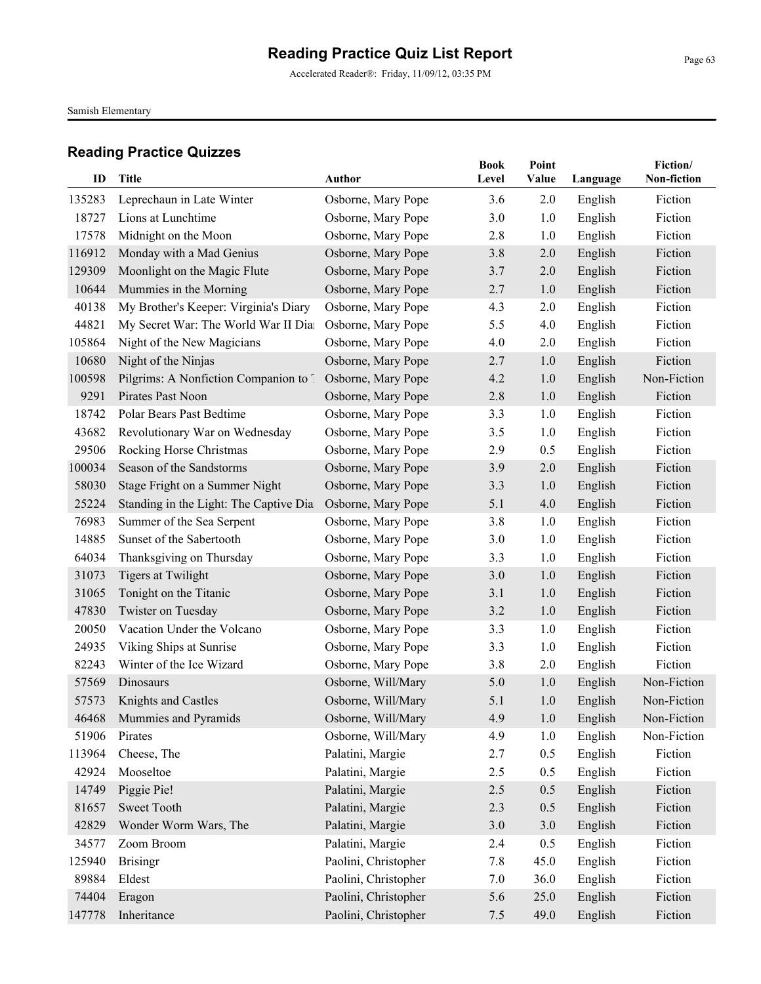Accelerated Reader®: Friday, 11/09/12, 03:35 PM

Samish Elementary

| ID     | Title                                  | <b>Author</b>        | <b>Book</b><br>Level | Point<br>Value | Language | Fiction/<br>Non-fiction |
|--------|----------------------------------------|----------------------|----------------------|----------------|----------|-------------------------|
| 135283 | Leprechaun in Late Winter              | Osborne, Mary Pope   | 3.6                  | 2.0            | English  | Fiction                 |
| 18727  | Lions at Lunchtime                     | Osborne, Mary Pope   | 3.0                  | 1.0            | English  | Fiction                 |
| 17578  | Midnight on the Moon                   | Osborne, Mary Pope   | 2.8                  | 1.0            | English  | Fiction                 |
| 116912 | Monday with a Mad Genius               | Osborne, Mary Pope   | 3.8                  | 2.0            | English  | Fiction                 |
| 129309 | Moonlight on the Magic Flute           | Osborne, Mary Pope   | 3.7                  | 2.0            | English  | Fiction                 |
| 10644  | Mummies in the Morning                 | Osborne, Mary Pope   | 2.7                  | 1.0            | English  | Fiction                 |
| 40138  | My Brother's Keeper: Virginia's Diary  | Osborne, Mary Pope   | 4.3                  | 2.0            | English  | Fiction                 |
| 44821  | My Secret War: The World War II Dia    | Osborne, Mary Pope   | 5.5                  | 4.0            | English  | Fiction                 |
| 105864 | Night of the New Magicians             | Osborne, Mary Pope   | 4.0                  | 2.0            | English  | Fiction                 |
| 10680  | Night of the Ninjas                    | Osborne, Mary Pope   | 2.7                  | 1.0            | English  | Fiction                 |
| 100598 | Pilgrims: A Nonfiction Companion to 7  | Osborne, Mary Pope   | 4.2                  | 1.0            | English  | Non-Fiction             |
| 9291   | Pirates Past Noon                      | Osborne, Mary Pope   | 2.8                  | 1.0            | English  | Fiction                 |
| 18742  | Polar Bears Past Bedtime               | Osborne, Mary Pope   | 3.3                  | 1.0            | English  | Fiction                 |
| 43682  | Revolutionary War on Wednesday         | Osborne, Mary Pope   | 3.5                  | 1.0            | English  | Fiction                 |
| 29506  | Rocking Horse Christmas                | Osborne, Mary Pope   | 2.9                  | 0.5            | English  | Fiction                 |
| 100034 | Season of the Sandstorms               | Osborne, Mary Pope   | 3.9                  | 2.0            | English  | Fiction                 |
| 58030  | Stage Fright on a Summer Night         | Osborne, Mary Pope   | 3.3                  | 1.0            | English  | Fiction                 |
| 25224  | Standing in the Light: The Captive Dia | Osborne, Mary Pope   | 5.1                  | 4.0            | English  | Fiction                 |
| 76983  | Summer of the Sea Serpent              | Osborne, Mary Pope   | 3.8                  | 1.0            | English  | Fiction                 |
| 14885  | Sunset of the Sabertooth               | Osborne, Mary Pope   | 3.0                  | 1.0            | English  | Fiction                 |
| 64034  | Thanksgiving on Thursday               | Osborne, Mary Pope   | 3.3                  | 1.0            | English  | Fiction                 |
| 31073  | <b>Tigers at Twilight</b>              | Osborne, Mary Pope   | 3.0                  | 1.0            | English  | Fiction                 |
| 31065  | Tonight on the Titanic                 | Osborne, Mary Pope   | 3.1                  | 1.0            | English  | Fiction                 |
| 47830  | Twister on Tuesday                     | Osborne, Mary Pope   | 3.2                  | 1.0            | English  | Fiction                 |
| 20050  | Vacation Under the Volcano             | Osborne, Mary Pope   | 3.3                  | 1.0            | English  | Fiction                 |
| 24935  | Viking Ships at Sunrise                | Osborne, Mary Pope   | 3.3                  | 1.0            | English  | Fiction                 |
| 82243  | Winter of the Ice Wizard               | Osborne, Mary Pope   | 3.8                  | 2.0            | English  | Fiction                 |
| 57569  | Dinosaurs                              | Osborne, Will/Mary   | 5.0                  | 1.0            | English  | Non-Fiction             |
| 57573  | Knights and Castles                    | Osborne, Will/Mary   | 5.1                  | 1.0            | English  | Non-Fiction             |
|        | 46468 Mummies and Pyramids             | Osborne, Will/Mary   | 4.9                  | 1.0            | English  | Non-Fiction             |
| 51906  | Pirates                                | Osborne, Will/Mary   | 4.9                  | 1.0            | English  | Non-Fiction             |
| 113964 | Cheese, The                            | Palatini, Margie     | 2.7                  | 0.5            | English  | Fiction                 |
| 42924  | Mooseltoe                              | Palatini, Margie     | 2.5                  | 0.5            | English  | Fiction                 |
| 14749  | Piggie Pie!                            | Palatini, Margie     | 2.5                  | 0.5            | English  | Fiction                 |
| 81657  | Sweet Tooth                            | Palatini, Margie     | 2.3                  | 0.5            | English  | Fiction                 |
| 42829  | Wonder Worm Wars, The                  | Palatini, Margie     | 3.0                  | 3.0            | English  | Fiction                 |
| 34577  | Zoom Broom                             | Palatini, Margie     | 2.4                  | 0.5            | English  | Fiction                 |
| 125940 | <b>Brisingr</b>                        | Paolini, Christopher | 7.8                  | 45.0           | English  | Fiction                 |
| 89884  | Eldest                                 | Paolini, Christopher | 7.0                  | 36.0           | English  | Fiction                 |
| 74404  | Eragon                                 | Paolini, Christopher | 5.6                  | 25.0           | English  | Fiction                 |
| 147778 | Inheritance                            | Paolini, Christopher | 7.5                  | 49.0           | English  | Fiction                 |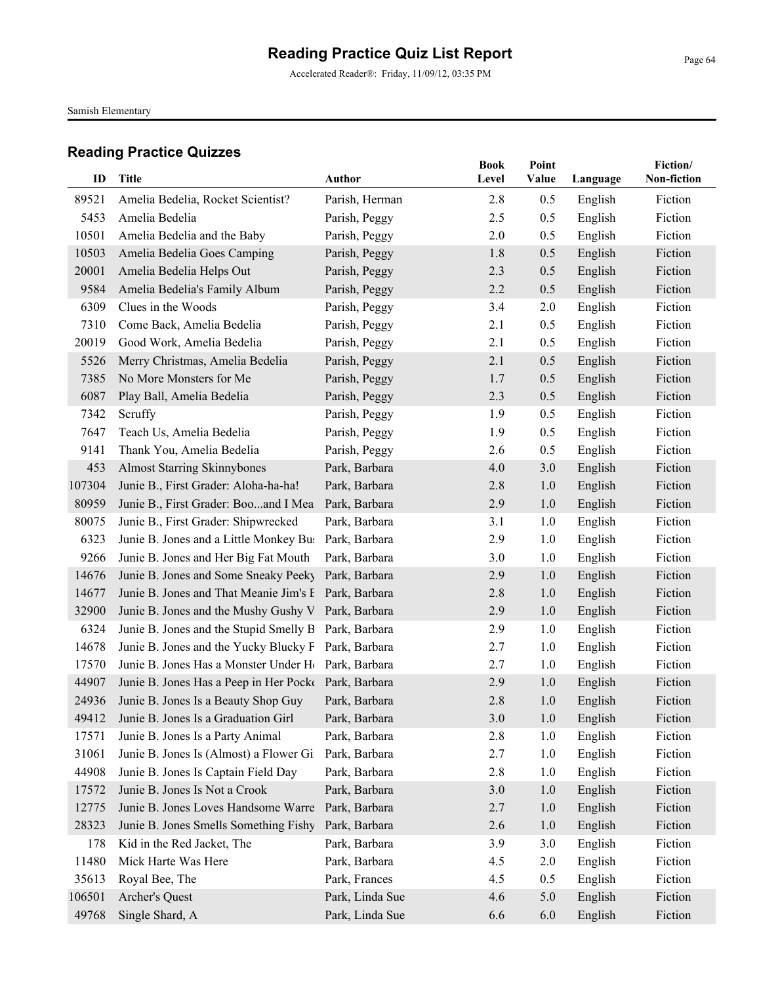Accelerated Reader®: Friday, 11/09/12, 03:35 PM

Samish Elementary

| ID     | <b>Title</b>                                                   | <b>Author</b>   | <b>Book</b><br>Level | Point<br>Value |          | Fiction/<br>Non-fiction |
|--------|----------------------------------------------------------------|-----------------|----------------------|----------------|----------|-------------------------|
|        |                                                                |                 |                      |                | Language |                         |
| 89521  | Amelia Bedelia, Rocket Scientist?                              | Parish, Herman  | 2.8                  | 0.5            | English  | Fiction                 |
| 5453   | Amelia Bedelia                                                 | Parish, Peggy   | 2.5                  | 0.5            | English  | Fiction                 |
| 10501  | Amelia Bedelia and the Baby                                    | Parish, Peggy   | 2.0                  | 0.5            | English  | Fiction                 |
| 10503  | Amelia Bedelia Goes Camping                                    | Parish, Peggy   | 1.8                  | 0.5            | English  | Fiction                 |
| 20001  | Amelia Bedelia Helps Out                                       | Parish, Peggy   | 2.3                  | 0.5            | English  | Fiction                 |
| 9584   | Amelia Bedelia's Family Album                                  | Parish, Peggy   | 2.2                  | 0.5            | English  | Fiction                 |
| 6309   | Clues in the Woods                                             | Parish, Peggy   | 3.4                  | 2.0            | English  | Fiction                 |
| 7310   | Come Back, Amelia Bedelia                                      | Parish, Peggy   | 2.1                  | 0.5            | English  | Fiction                 |
| 20019  | Good Work, Amelia Bedelia                                      | Parish, Peggy   | 2.1                  | 0.5            | English  | Fiction                 |
| 5526   | Merry Christmas, Amelia Bedelia                                | Parish, Peggy   | 2.1                  | 0.5            | English  | Fiction                 |
| 7385   | No More Monsters for Me                                        | Parish, Peggy   | 1.7                  | 0.5            | English  | Fiction                 |
| 6087   | Play Ball, Amelia Bedelia                                      | Parish, Peggy   | 2.3                  | 0.5            | English  | Fiction                 |
| 7342   | Scruffy                                                        | Parish, Peggy   | 1.9                  | 0.5            | English  | Fiction                 |
| 7647   | Teach Us, Amelia Bedelia                                       | Parish, Peggy   | 1.9                  | 0.5            | English  | Fiction                 |
| 9141   | Thank You, Amelia Bedelia                                      | Parish, Peggy   | 2.6                  | 0.5            | English  | Fiction                 |
| 453    | <b>Almost Starring Skinnybones</b>                             | Park, Barbara   | 4.0                  | 3.0            | English  | Fiction                 |
| 107304 | Junie B., First Grader: Aloha-ha-ha!                           | Park, Barbara   | 2.8                  | 1.0            | English  | Fiction                 |
| 80959  | Junie B., First Grader: Booand I Mea                           | Park, Barbara   | 2.9                  | 1.0            | English  | Fiction                 |
| 80075  | Junie B., First Grader: Shipwrecked                            | Park, Barbara   | 3.1                  | 1.0            | English  | Fiction                 |
| 6323   | Junie B. Jones and a Little Monkey Bu: Park, Barbara           |                 | 2.9                  | 1.0            | English  | Fiction                 |
| 9266   | Junie B. Jones and Her Big Fat Mouth                           | Park, Barbara   | 3.0                  | 1.0            | English  | Fiction                 |
| 14676  | Junie B. Jones and Some Sneaky Peeky                           | Park, Barbara   | 2.9                  | 1.0            | English  | Fiction                 |
| 14677  | Junie B. Jones and That Meanie Jim's E Park, Barbara           |                 | 2.8                  | 1.0            | English  | Fiction                 |
| 32900  | Junie B. Jones and the Mushy Gushy V Park, Barbara             |                 | 2.9                  | 1.0            | English  | Fiction                 |
| 6324   | Junie B. Jones and the Stupid Smelly B Park, Barbara           |                 | 2.9                  | 1.0            | English  | Fiction                 |
| 14678  | Junie B. Jones and the Yucky Blucky F Park, Barbara            |                 | 2.7                  | 1.0            | English  | Fiction                 |
| 17570  | Junie B. Jones Has a Monster Under H <sub>(Park, Barbara</sub> |                 | 2.7                  | 1.0            | English  | Fiction                 |
| 44907  | Junie B. Jones Has a Peep in Her Pocke Park, Barbara           |                 | 2.9                  | 1.0            | English  | Fiction                 |
| 24936  | Junie B. Jones Is a Beauty Shop Guy                            | Park, Barbara   | 2.8                  | 1.0            | English  | Fiction                 |
|        | 49412 Junie B. Jones Is a Graduation Girl                      | Park, Barbara   | 3.0                  | 1.0            | English  | Fiction                 |
| 17571  | Junie B. Jones Is a Party Animal                               | Park, Barbara   | 2.8                  | 1.0            | English  | Fiction                 |
| 31061  | Junie B. Jones Is (Almost) a Flower Gi                         | Park, Barbara   | 2.7                  | 1.0            | English  | Fiction                 |
| 44908  | Junie B. Jones Is Captain Field Day                            | Park, Barbara   | 2.8                  | 1.0            | English  | Fiction                 |
| 17572  | Junie B. Jones Is Not a Crook                                  | Park, Barbara   | 3.0                  | 1.0            | English  | Fiction                 |
| 12775  | Junie B. Jones Loves Handsome Warre                            | Park, Barbara   | 2.7                  | 1.0            | English  | Fiction                 |
| 28323  | Junie B. Jones Smells Something Fishy                          | Park, Barbara   | 2.6                  | 1.0            | English  | Fiction                 |
| 178    | Kid in the Red Jacket, The                                     | Park, Barbara   | 3.9                  | 3.0            | English  | Fiction                 |
| 11480  | Mick Harte Was Here                                            | Park, Barbara   | 4.5                  | 2.0            | English  | Fiction                 |
| 35613  | Royal Bee, The                                                 | Park, Frances   | 4.5                  | 0.5            | English  | Fiction                 |
| 106501 | Archer's Quest                                                 | Park, Linda Sue | 4.6                  | 5.0            | English  | Fiction                 |
| 49768  | Single Shard, A                                                | Park, Linda Sue | 6.6                  | 6.0            | English  | Fiction                 |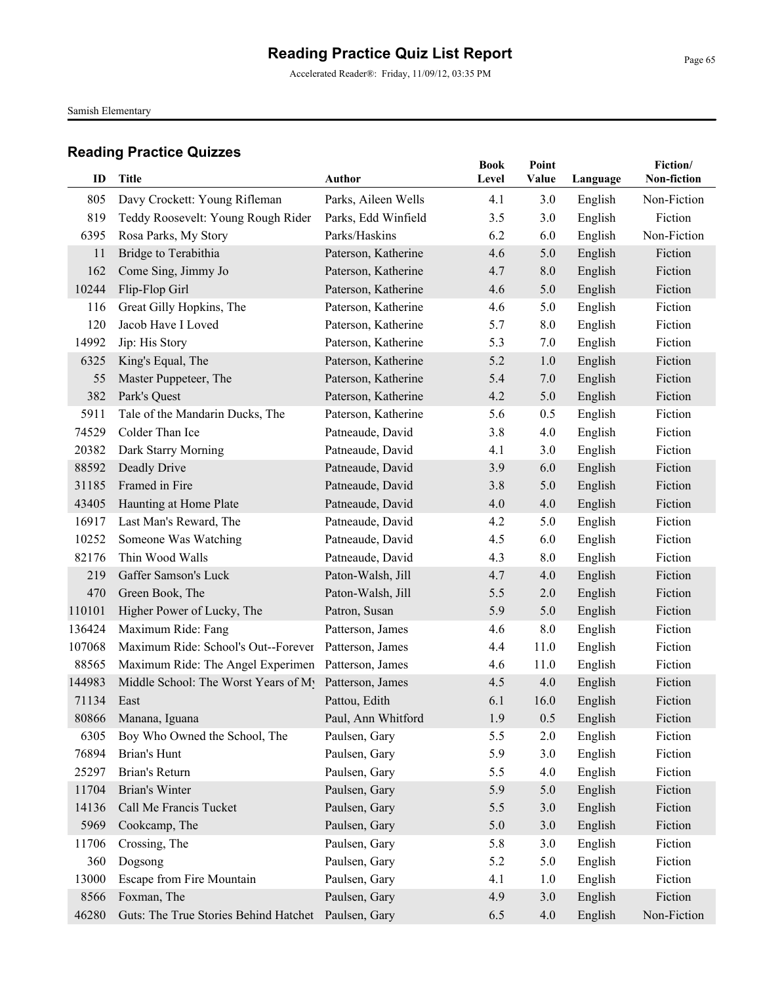Accelerated Reader®: Friday, 11/09/12, 03:35 PM

Samish Elementary

| ID     | <b>Title</b>                                       | <b>Author</b>       | <b>Book</b><br>Level | Point<br>Value | Language | Fiction/<br>Non-fiction |
|--------|----------------------------------------------------|---------------------|----------------------|----------------|----------|-------------------------|
| 805    | Davy Crockett: Young Rifleman                      | Parks, Aileen Wells | 4.1                  | 3.0            | English  | Non-Fiction             |
| 819    | Teddy Roosevelt: Young Rough Rider                 | Parks, Edd Winfield | 3.5                  | 3.0            | English  | Fiction                 |
| 6395   | Rosa Parks, My Story                               | Parks/Haskins       | 6.2                  | 6.0            | English  | Non-Fiction             |
| 11     | Bridge to Terabithia                               | Paterson, Katherine | 4.6                  | 5.0            | English  | Fiction                 |
| 162    | Come Sing, Jimmy Jo                                | Paterson, Katherine | 4.7                  | 8.0            | English  | Fiction                 |
| 10244  | Flip-Flop Girl                                     | Paterson, Katherine | 4.6                  | 5.0            | English  | Fiction                 |
| 116    | Great Gilly Hopkins, The                           | Paterson, Katherine | 4.6                  | 5.0            | English  | Fiction                 |
| 120    | Jacob Have I Loved                                 | Paterson, Katherine | 5.7                  | 8.0            | English  | Fiction                 |
| 14992  | Jip: His Story                                     | Paterson, Katherine | 5.3                  | 7.0            | English  | Fiction                 |
| 6325   | King's Equal, The                                  | Paterson, Katherine | 5.2                  | 1.0            | English  | Fiction                 |
| 55     | Master Puppeteer, The                              | Paterson, Katherine | 5.4                  | 7.0            | English  | Fiction                 |
| 382    | Park's Quest                                       | Paterson, Katherine | 4.2                  | 5.0            | English  | Fiction                 |
| 5911   | Tale of the Mandarin Ducks, The                    | Paterson, Katherine | 5.6                  | 0.5            | English  | Fiction                 |
| 74529  | Colder Than Ice                                    | Patneaude, David    | 3.8                  | 4.0            | English  | Fiction                 |
| 20382  | Dark Starry Morning                                | Patneaude, David    | 4.1                  | 3.0            | English  | Fiction                 |
| 88592  | Deadly Drive                                       | Patneaude, David    | 3.9                  | 6.0            | English  | Fiction                 |
| 31185  | Framed in Fire                                     | Patneaude, David    | 3.8                  | 5.0            | English  | Fiction                 |
| 43405  | Haunting at Home Plate                             | Patneaude, David    | 4.0                  | 4.0            | English  | Fiction                 |
| 16917  | Last Man's Reward, The                             | Patneaude, David    | 4.2                  | 5.0            | English  | Fiction                 |
| 10252  | Someone Was Watching                               | Patneaude, David    | 4.5                  | 6.0            | English  | Fiction                 |
| 82176  | Thin Wood Walls                                    | Patneaude, David    | 4.3                  | 8.0            | English  | Fiction                 |
| 219    | Gaffer Samson's Luck                               | Paton-Walsh, Jill   | 4.7                  | 4.0            | English  | Fiction                 |
| 470    | Green Book, The                                    | Paton-Walsh, Jill   | 5.5                  | 2.0            | English  | Fiction                 |
| 110101 | Higher Power of Lucky, The                         | Patron, Susan       | 5.9                  | 5.0            | English  | Fiction                 |
| 136424 | Maximum Ride: Fang                                 | Patterson, James    | 4.6                  | 8.0            | English  | Fiction                 |
| 107068 | Maximum Ride: School's Out--Forever                | Patterson, James    | 4.4                  | 11.0           | English  | Fiction                 |
| 88565  | Maximum Ride: The Angel Experimen Patterson, James |                     | 4.6                  | 11.0           | English  | Fiction                 |
| 144983 | Middle School: The Worst Years of My               | Patterson, James    | 4.5                  | 4.0            | English  | Fiction                 |
| 71134  | East                                               | Pattou, Edith       | 6.1                  | 16.0           | English  | Fiction                 |
|        | 80866 Manana, Iguana                               | Paul, Ann Whitford  | 1.9                  | 0.5            | English  | Fiction                 |
| 6305   | Boy Who Owned the School, The                      | Paulsen, Gary       | 5.5                  | 2.0            | English  | Fiction                 |
| 76894  | Brian's Hunt                                       | Paulsen, Gary       | 5.9                  | 3.0            | English  | Fiction                 |
| 25297  | Brian's Return                                     | Paulsen, Gary       | 5.5                  | 4.0            | English  | Fiction                 |
| 11704  | Brian's Winter                                     | Paulsen, Gary       | 5.9                  | 5.0            | English  | Fiction                 |
| 14136  | Call Me Francis Tucket                             | Paulsen, Gary       | 5.5                  | 3.0            | English  | Fiction                 |
| 5969   | Cookcamp, The                                      | Paulsen, Gary       | 5.0                  | 3.0            | English  | Fiction                 |
| 11706  | Crossing, The                                      | Paulsen, Gary       | 5.8                  | 3.0            | English  | Fiction                 |
| 360    | Dogsong                                            | Paulsen, Gary       | 5.2                  | 5.0            | English  | Fiction                 |
| 13000  | Escape from Fire Mountain                          | Paulsen, Gary       | 4.1                  | 1.0            | English  | Fiction                 |
| 8566   | Foxman, The                                        | Paulsen, Gary       | 4.9                  | 3.0            | English  | Fiction                 |
| 46280  | Guts: The True Stories Behind Hatchet              | Paulsen, Gary       | 6.5                  | 4.0            | English  | Non-Fiction             |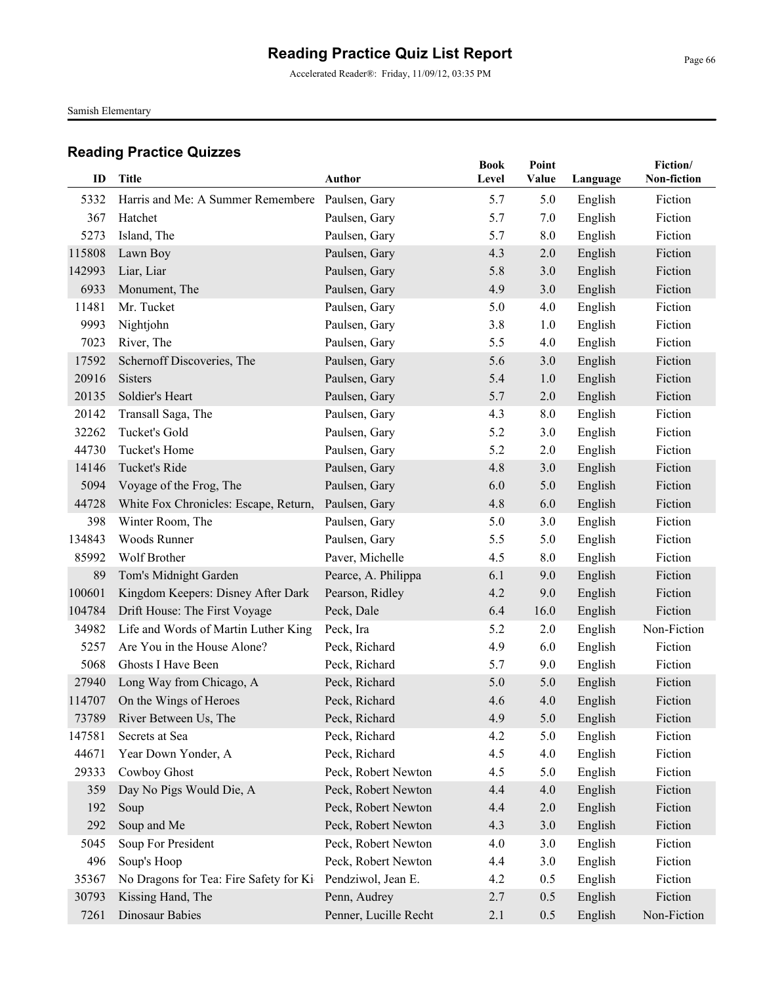Accelerated Reader®: Friday, 11/09/12, 03:35 PM

Samish Elementary

| ID             | <b>Title</b>                                    | <b>Author</b>                  | <b>Book</b><br>Level | Point<br>Value | Language | Fiction/<br>Non-fiction |
|----------------|-------------------------------------------------|--------------------------------|----------------------|----------------|----------|-------------------------|
|                |                                                 |                                |                      |                |          |                         |
| 5332<br>367    | Harris and Me: A Summer Remembere Paulsen, Gary |                                | 5.7                  | 5.0            | English  | Fiction<br>Fiction      |
|                | Hatchet                                         | Paulsen, Gary<br>Paulsen, Gary | 5.7                  | 7.0            | English  |                         |
| 5273           | Island, The                                     |                                | 5.7                  | 8.0            | English  | Fiction                 |
| 115808         | Lawn Boy                                        | Paulsen, Gary                  | 4.3                  | 2.0            | English  | Fiction<br>Fiction      |
| 142993<br>6933 | Liar, Liar                                      | Paulsen, Gary                  | 5.8<br>4.9           | 3.0            | English  | Fiction                 |
| 11481          | Monument, The<br>Mr. Tucket                     | Paulsen, Gary                  | 5.0                  | 3.0<br>4.0     | English  | Fiction                 |
| 9993           | Nightjohn                                       | Paulsen, Gary                  | 3.8                  | 1.0            | English  | Fiction                 |
|                |                                                 | Paulsen, Gary                  |                      |                | English  |                         |
| 7023           | River, The                                      | Paulsen, Gary                  | 5.5                  | 4.0            | English  | Fiction                 |
| 17592          | Schernoff Discoveries, The                      | Paulsen, Gary                  | 5.6                  | 3.0            | English  | Fiction                 |
| 20916          | <b>Sisters</b>                                  | Paulsen, Gary                  | 5.4                  | 1.0            | English  | Fiction                 |
| 20135          | Soldier's Heart                                 | Paulsen, Gary                  | 5.7                  | 2.0            | English  | Fiction                 |
| 20142          | Transall Saga, The                              | Paulsen, Gary                  | 4.3                  | 8.0            | English  | Fiction                 |
| 32262          | Tucket's Gold                                   | Paulsen, Gary                  | 5.2                  | 3.0            | English  | Fiction                 |
| 44730          | Tucket's Home                                   | Paulsen, Gary                  | 5.2                  | 2.0            | English  | Fiction                 |
| 14146          | Tucket's Ride                                   | Paulsen, Gary                  | 4.8                  | 3.0            | English  | Fiction                 |
| 5094           | Voyage of the Frog, The                         | Paulsen, Gary                  | 6.0                  | 5.0            | English  | Fiction                 |
| 44728          | White Fox Chronicles: Escape, Return,           | Paulsen, Gary                  | 4.8                  | 6.0            | English  | Fiction                 |
| 398            | Winter Room, The                                | Paulsen, Gary                  | 5.0                  | 3.0            | English  | Fiction                 |
| 134843         | Woods Runner                                    | Paulsen, Gary                  | 5.5                  | 5.0            | English  | Fiction                 |
| 85992          | Wolf Brother                                    | Paver, Michelle                | 4.5                  | 8.0            | English  | Fiction                 |
| 89             | Tom's Midnight Garden                           | Pearce, A. Philippa            | 6.1                  | 9.0            | English  | Fiction                 |
| 100601         | Kingdom Keepers: Disney After Dark              | Pearson, Ridley                | 4.2                  | 9.0            | English  | Fiction                 |
| 104784         | Drift House: The First Voyage                   | Peck, Dale                     | 6.4                  | 16.0           | English  | Fiction                 |
| 34982          | Life and Words of Martin Luther King            | Peck, Ira                      | 5.2                  | 2.0            | English  | Non-Fiction             |
| 5257           | Are You in the House Alone?                     | Peck, Richard                  | 4.9                  | 6.0            | English  | Fiction                 |
| 5068           | <b>Ghosts I Have Been</b>                       | Peck, Richard                  | 5.7                  | 9.0            | English  | Fiction                 |
| 27940          | Long Way from Chicago, A                        | Peck, Richard                  | 5.0                  | 5.0            | English  | Fiction                 |
| 114707         | On the Wings of Heroes                          | Peck, Richard                  | 4.6                  | 4.0            | English  | Fiction                 |
|                | 73789 River Between Us, The                     | Peck, Richard                  | 4.9                  | 5.0            | English  | Fiction                 |
| 147581         | Secrets at Sea                                  | Peck, Richard                  | 4.2                  | 5.0            | English  | Fiction                 |
| 44671          | Year Down Yonder, A                             | Peck, Richard                  | 4.5                  | 4.0            | English  | Fiction                 |
| 29333          | Cowboy Ghost                                    | Peck, Robert Newton            | 4.5                  | 5.0            | English  | Fiction                 |
| 359            | Day No Pigs Would Die, A                        | Peck, Robert Newton            | 4.4                  | 4.0            | English  | Fiction                 |
| 192            | Soup                                            | Peck, Robert Newton            | 4.4                  | 2.0            | English  | Fiction                 |
| 292            | Soup and Me                                     | Peck, Robert Newton            | 4.3                  | 3.0            | English  | Fiction                 |
| 5045           | Soup For President                              | Peck, Robert Newton            | 4.0                  | 3.0            | English  | Fiction                 |
| 496            | Soup's Hoop                                     | Peck, Robert Newton            | 4.4                  | 3.0            | English  | Fiction                 |
| 35367          | No Dragons for Tea: Fire Safety for Ki          | Pendziwol, Jean E.             | 4.2                  | 0.5            | English  | Fiction                 |
| 30793          | Kissing Hand, The                               | Penn, Audrey                   | 2.7                  | 0.5            | English  | Fiction                 |
| 7261           | Dinosaur Babies                                 | Penner, Lucille Recht          | 2.1                  | 0.5            | English  | Non-Fiction             |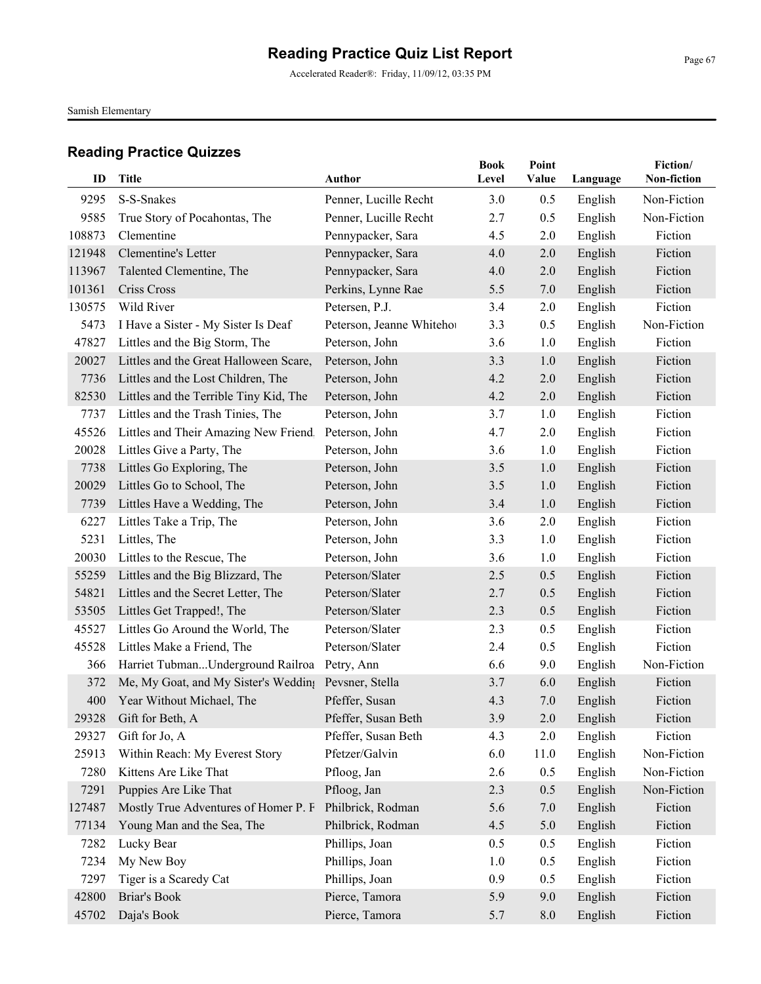Samish Elementary

| ID     |                                                      | <b>Author</b>             | <b>Book</b><br>Level | Point |          | Fiction/<br>Non-fiction |
|--------|------------------------------------------------------|---------------------------|----------------------|-------|----------|-------------------------|
|        | Title                                                |                           |                      | Value | Language |                         |
| 9295   | S-S-Snakes                                           | Penner, Lucille Recht     | 3.0                  | 0.5   | English  | Non-Fiction             |
| 9585   | True Story of Pocahontas, The                        | Penner, Lucille Recht     | 2.7                  | 0.5   | English  | Non-Fiction             |
| 108873 | Clementine                                           | Pennypacker, Sara         | 4.5                  | 2.0   | English  | Fiction                 |
| 121948 | Clementine's Letter                                  | Pennypacker, Sara         | 4.0                  | 2.0   | English  | Fiction                 |
| 113967 | Talented Clementine, The                             | Pennypacker, Sara         | 4.0                  | 2.0   | English  | Fiction                 |
| 101361 | Criss Cross                                          | Perkins, Lynne Rae        | 5.5                  | 7.0   | English  | Fiction                 |
| 130575 | Wild River                                           | Petersen, P.J.            | 3.4                  | 2.0   | English  | Fiction                 |
| 5473   | I Have a Sister - My Sister Is Deaf                  | Peterson, Jeanne Whitehor | 3.3                  | 0.5   | English  | Non-Fiction             |
| 47827  | Littles and the Big Storm, The                       | Peterson, John            | 3.6                  | 1.0   | English  | Fiction                 |
| 20027  | Littles and the Great Halloween Scare,               | Peterson, John            | 3.3                  | 1.0   | English  | Fiction                 |
| 7736   | Littles and the Lost Children, The                   | Peterson, John            | 4.2                  | 2.0   | English  | Fiction                 |
| 82530  | Littles and the Terrible Tiny Kid, The               | Peterson, John            | 4.2                  | 2.0   | English  | Fiction                 |
| 7737   | Littles and the Trash Tinies, The                    | Peterson, John            | 3.7                  | 1.0   | English  | Fiction                 |
| 45526  | Littles and Their Amazing New Friend.                | Peterson, John            | 4.7                  | 2.0   | English  | Fiction                 |
| 20028  | Littles Give a Party, The                            | Peterson, John            | 3.6                  | 1.0   | English  | Fiction                 |
| 7738   | Littles Go Exploring, The                            | Peterson, John            | 3.5                  | 1.0   | English  | Fiction                 |
| 20029  | Littles Go to School, The                            | Peterson, John            | 3.5                  | 1.0   | English  | Fiction                 |
| 7739   | Littles Have a Wedding, The                          | Peterson, John            | 3.4                  | 1.0   | English  | Fiction                 |
| 6227   | Littles Take a Trip, The                             | Peterson, John            | 3.6                  | 2.0   | English  | Fiction                 |
| 5231   | Littles, The                                         | Peterson, John            | 3.3                  | 1.0   | English  | Fiction                 |
| 20030  | Littles to the Rescue, The                           | Peterson, John            | 3.6                  | 1.0   | English  | Fiction                 |
| 55259  | Littles and the Big Blizzard, The                    | Peterson/Slater           | 2.5                  | 0.5   | English  | Fiction                 |
| 54821  | Littles and the Secret Letter, The                   | Peterson/Slater           | 2.7                  | 0.5   | English  | Fiction                 |
| 53505  | Littles Get Trapped!, The                            | Peterson/Slater           | 2.3                  | 0.5   | English  | Fiction                 |
| 45527  | Littles Go Around the World, The                     | Peterson/Slater           | 2.3                  | 0.5   | English  | Fiction                 |
| 45528  | Littles Make a Friend, The                           | Peterson/Slater           | 2.4                  | 0.5   | English  | Fiction                 |
| 366    | Harriet TubmanUnderground Railroa Petry, Ann         |                           | 6.6                  | 9.0   | English  | Non-Fiction             |
| 372    | Me, My Goat, and My Sister's Wedding Pevsner, Stella |                           | 3.7                  | 6.0   | English  | Fiction                 |
| 400    | Year Without Michael, The                            | Pfeffer, Susan            | 4.3                  | 7.0   | English  | Fiction                 |
| 29328  | Gift for Beth, A                                     | Pfeffer, Susan Beth       | 3.9                  | 2.0   | English  | Fiction                 |
| 29327  | Gift for Jo, A                                       | Pfeffer, Susan Beth       | 4.3                  | 2.0   | English  | Fiction                 |
| 25913  | Within Reach: My Everest Story                       | Pfetzer/Galvin            | 6.0                  | 11.0  | English  | Non-Fiction             |
| 7280   | Kittens Are Like That                                | Pfloog, Jan               | 2.6                  | 0.5   | English  | Non-Fiction             |
| 7291   | Puppies Are Like That                                | Pfloog, Jan               | 2.3                  | 0.5   | English  | Non-Fiction             |
| 127487 | Mostly True Adventures of Homer P. F                 | Philbrick, Rodman         | 5.6                  | 7.0   | English  | Fiction                 |
| 77134  | Young Man and the Sea, The                           | Philbrick, Rodman         | 4.5                  | 5.0   | English  | Fiction                 |
| 7282   | Lucky Bear                                           | Phillips, Joan            | 0.5                  | 0.5   | English  | Fiction                 |
| 7234   | My New Boy                                           | Phillips, Joan            | 1.0                  | 0.5   | English  | Fiction                 |
| 7297   | Tiger is a Scaredy Cat                               | Phillips, Joan            | 0.9                  | 0.5   | English  | Fiction                 |
| 42800  | Briar's Book                                         | Pierce, Tamora            | 5.9                  | 9.0   | English  | Fiction                 |
| 45702  | Daja's Book                                          | Pierce, Tamora            | 5.7                  | 8.0   | English  | Fiction                 |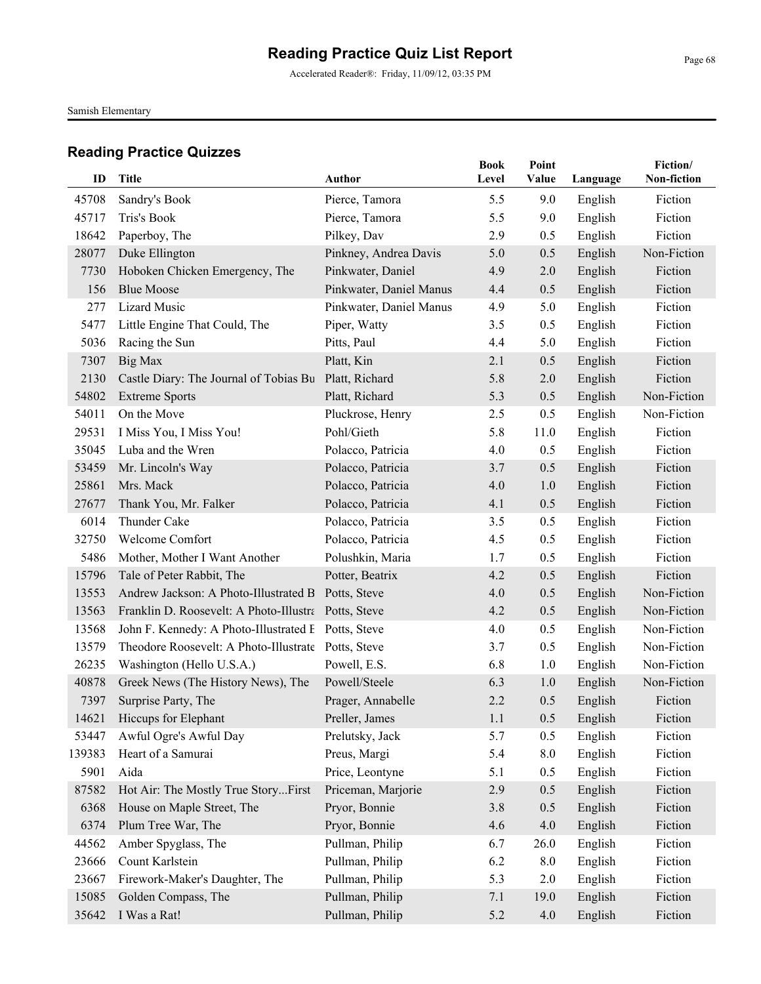Accelerated Reader®: Friday, 11/09/12, 03:35 PM

Samish Elementary

| ID     | <b>Title</b>                                         | Author                  | <b>Book</b><br>Level | Point<br>Value | Language | Fiction/<br>Non-fiction |
|--------|------------------------------------------------------|-------------------------|----------------------|----------------|----------|-------------------------|
| 45708  | Sandry's Book                                        | Pierce, Tamora          | 5.5                  | 9.0            | English  | Fiction                 |
| 45717  | Tris's Book                                          | Pierce, Tamora          | 5.5                  | 9.0            | English  | Fiction                 |
| 18642  | Paperboy, The                                        | Pilkey, Dav             | 2.9                  | 0.5            | English  | Fiction                 |
| 28077  | Duke Ellington                                       | Pinkney, Andrea Davis   | 5.0                  | 0.5            | English  | Non-Fiction             |
| 7730   | Hoboken Chicken Emergency, The                       | Pinkwater, Daniel       | 4.9                  | 2.0            | English  | Fiction                 |
| 156    | <b>Blue Moose</b>                                    | Pinkwater, Daniel Manus | 4.4                  | 0.5            | English  | Fiction                 |
| 277    | <b>Lizard Music</b>                                  | Pinkwater, Daniel Manus | 4.9                  | 5.0            | English  | Fiction                 |
| 5477   | Little Engine That Could, The                        | Piper, Watty            | 3.5                  | 0.5            | English  | Fiction                 |
| 5036   | Racing the Sun                                       | Pitts, Paul             | 4.4                  | 5.0            | English  | Fiction                 |
| 7307   | Big Max                                              | Platt, Kin              | 2.1                  | 0.5            | English  | Fiction                 |
| 2130   | Castle Diary: The Journal of Tobias Bu               | Platt, Richard          | 5.8                  | 2.0            | English  | Fiction                 |
| 54802  | <b>Extreme Sports</b>                                | Platt, Richard          | 5.3                  | 0.5            | English  | Non-Fiction             |
| 54011  | On the Move                                          | Pluckrose, Henry        | 2.5                  | 0.5            | English  | Non-Fiction             |
| 29531  | I Miss You, I Miss You!                              | Pohl/Gieth              | 5.8                  | 11.0           | English  | Fiction                 |
| 35045  | Luba and the Wren                                    | Polacco, Patricia       | 4.0                  | 0.5            | English  | Fiction                 |
| 53459  | Mr. Lincoln's Way                                    | Polacco, Patricia       | 3.7                  | 0.5            | English  | Fiction                 |
| 25861  | Mrs. Mack                                            | Polacco, Patricia       | 4.0                  | 1.0            | English  | Fiction                 |
| 27677  | Thank You, Mr. Falker                                | Polacco, Patricia       | 4.1                  | 0.5            | English  | Fiction                 |
| 6014   | Thunder Cake                                         | Polacco, Patricia       | 3.5                  | 0.5            | English  | Fiction                 |
| 32750  | Welcome Comfort                                      | Polacco, Patricia       | 4.5                  | 0.5            | English  | Fiction                 |
| 5486   | Mother, Mother I Want Another                        | Polushkin, Maria        | 1.7                  | 0.5            | English  | Fiction                 |
| 15796  | Tale of Peter Rabbit, The                            | Potter, Beatrix         | 4.2                  | 0.5            | English  | Fiction                 |
| 13553  | Andrew Jackson: A Photo-Illustrated B Potts, Steve   |                         | 4.0                  | 0.5            | English  | Non-Fiction             |
| 13563  | Franklin D. Roosevelt: A Photo-Illustra Potts, Steve |                         | 4.2                  | 0.5            | English  | Non-Fiction             |
| 13568  | John F. Kennedy: A Photo-Illustrated E Potts, Steve  |                         | 4.0                  | 0.5            | English  | Non-Fiction             |
| 13579  | Theodore Roosevelt: A Photo-Illustrate Potts, Steve  |                         | 3.7                  | 0.5            | English  | Non-Fiction             |
| 26235  | Washington (Hello U.S.A.)                            | Powell, E.S.            | 6.8                  | 1.0            | English  | Non-Fiction             |
| 40878  | Greek News (The History News), The                   | Powell/Steele           | 6.3                  | 1.0            | English  | Non-Fiction             |
| 7397   | Surprise Party, The                                  | Prager, Annabelle       | 2.2                  | 0.5            | English  | Fiction                 |
| 14621  | Hiccups for Elephant                                 | Preller, James          | 1.1                  | 0.5            | English  | Fiction                 |
| 53447  | Awful Ogre's Awful Day                               | Prelutsky, Jack         | 5.7                  | 0.5            | English  | Fiction                 |
| 139383 | Heart of a Samurai                                   | Preus, Margi            | 5.4                  | 8.0            | English  | Fiction                 |
| 5901   | Aida                                                 | Price, Leontyne         | 5.1                  | 0.5            | English  | Fiction                 |
| 87582  | Hot Air: The Mostly True StoryFirst                  | Priceman, Marjorie      | 2.9                  | 0.5            | English  | Fiction                 |
| 6368   | House on Maple Street, The                           | Pryor, Bonnie           | 3.8                  | 0.5            | English  | Fiction                 |
| 6374   | Plum Tree War, The                                   | Pryor, Bonnie           | 4.6                  | 4.0            | English  | Fiction                 |
| 44562  | Amber Spyglass, The                                  | Pullman, Philip         | 6.7                  | 26.0           | English  | Fiction                 |
| 23666  | Count Karlstein                                      | Pullman, Philip         | 6.2                  | 8.0            | English  | Fiction                 |
| 23667  | Firework-Maker's Daughter, The                       | Pullman, Philip         | 5.3                  | 2.0            | English  | Fiction                 |
| 15085  | Golden Compass, The                                  | Pullman, Philip         | 7.1                  | 19.0           | English  | Fiction                 |
| 35642  | I Was a Rat!                                         | Pullman, Philip         | 5.2                  | 4.0            | English  | Fiction                 |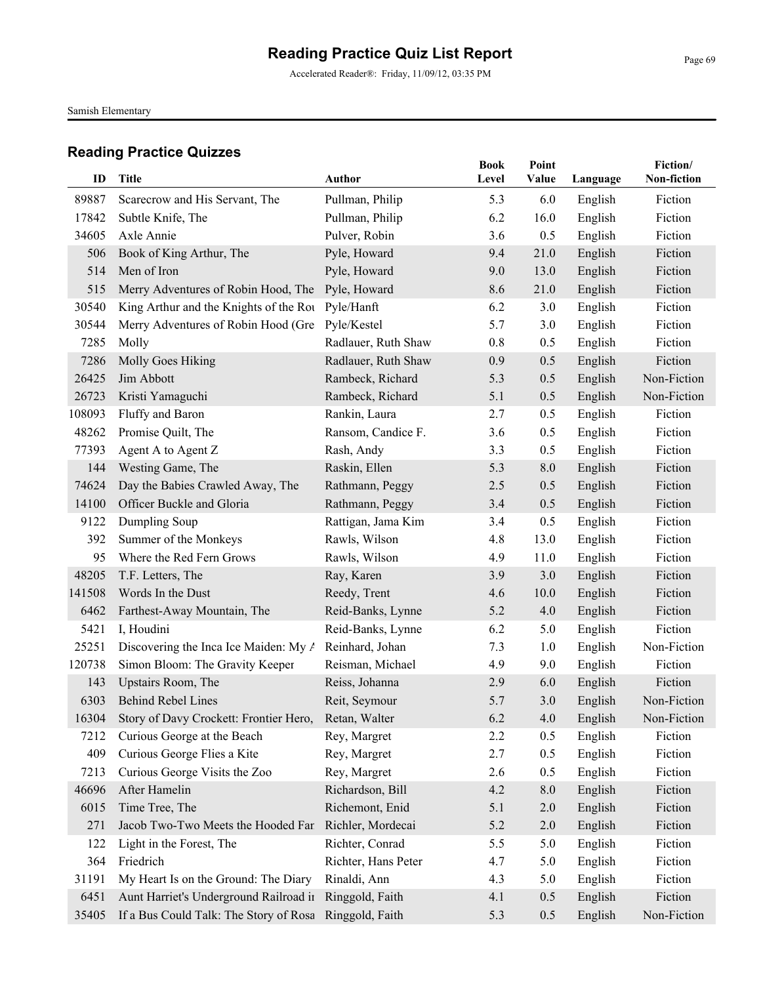Accelerated Reader®: Friday, 11/09/12, 03:35 PM

Samish Elementary

| ID              | Title                                                                                    | Author                                     | <b>Book</b><br>Level | Point<br>Value | Language           | Fiction/<br>Non-fiction |
|-----------------|------------------------------------------------------------------------------------------|--------------------------------------------|----------------------|----------------|--------------------|-------------------------|
| 89887           |                                                                                          |                                            |                      |                |                    |                         |
| 17842           | Scarecrow and His Servant, The<br>Subtle Knife, The                                      | Pullman, Philip<br>Pullman, Philip         | 5.3<br>6.2           | 6.0<br>16.0    | English            | Fiction<br>Fiction      |
| 34605           | Axle Annie                                                                               |                                            | 3.6                  | 0.5            | English            | Fiction                 |
| 506             | Book of King Arthur, The                                                                 | Pulver, Robin<br>Pyle, Howard              | 9.4                  | 21.0           | English<br>English | Fiction                 |
| 514             | Men of Iron                                                                              | Pyle, Howard                               | 9.0                  | 13.0           |                    | Fiction                 |
| 515             |                                                                                          | Pyle, Howard                               | 8.6                  | 21.0           | English            | Fiction                 |
| 30540           | Merry Adventures of Robin Hood, The<br>King Arthur and the Knights of the Rou Pyle/Hanft |                                            | 6.2                  | 3.0            | English<br>English | Fiction                 |
| 30544           | Merry Adventures of Robin Hood (Gre                                                      | Pyle/Kestel                                | 5.7                  | 3.0            | English            | Fiction                 |
| 7285            | Molly                                                                                    |                                            | 0.8                  | 0.5            |                    | Fiction                 |
| 7286            | Molly Goes Hiking                                                                        | Radlauer, Ruth Shaw<br>Radlauer, Ruth Shaw | 0.9                  | 0.5            | English            | Fiction                 |
| 26425           | Jim Abbott                                                                               | Rambeck, Richard                           | 5.3                  | 0.5            | English<br>English | Non-Fiction             |
|                 |                                                                                          |                                            |                      |                |                    |                         |
| 26723<br>108093 | Kristi Yamaguchi                                                                         | Rambeck, Richard                           | 5.1                  | 0.5            | English            | Non-Fiction<br>Fiction  |
|                 | Fluffy and Baron                                                                         | Rankin, Laura                              | 2.7                  | 0.5            | English            |                         |
| 48262           | Promise Quilt, The                                                                       | Ransom, Candice F.                         | 3.6                  | 0.5            | English            | Fiction<br>Fiction      |
| 77393<br>144    | Agent A to Agent Z<br>Westing Game, The                                                  | Rash, Andy<br>Raskin, Ellen                | 3.3<br>5.3           | 0.5<br>8.0     | English            | Fiction                 |
|                 |                                                                                          |                                            |                      |                | English            |                         |
| 74624           | Day the Babies Crawled Away, The                                                         | Rathmann, Peggy                            | 2.5                  | 0.5            | English            | Fiction                 |
| 14100           | Officer Buckle and Gloria                                                                | Rathmann, Peggy                            | 3.4                  | 0.5            | English            | Fiction                 |
| 9122            | Dumpling Soup                                                                            | Rattigan, Jama Kim                         | 3.4                  | 0.5            | English            | Fiction                 |
| 392             | Summer of the Monkeys                                                                    | Rawls, Wilson                              | 4.8                  | 13.0           | English            | Fiction                 |
| 95              | Where the Red Fern Grows                                                                 | Rawls, Wilson                              | 4.9                  | 11.0           | English            | Fiction                 |
| 48205           | T.F. Letters, The                                                                        | Ray, Karen                                 | 3.9                  | 3.0            | English            | Fiction                 |
| 141508          | Words In the Dust                                                                        | Reedy, Trent                               | 4.6                  | 10.0           | English            | Fiction                 |
| 6462            | Farthest-Away Mountain, The                                                              | Reid-Banks, Lynne                          | 5.2                  | 4.0            | English            | Fiction                 |
| 5421            | I, Houdini                                                                               | Reid-Banks, Lynne                          | 6.2                  | 5.0            | English            | Fiction                 |
| 25251           | Discovering the Inca Ice Maiden: My A                                                    | Reinhard, Johan                            | 7.3                  | 1.0            | English            | Non-Fiction             |
| 120738          | Simon Bloom: The Gravity Keeper                                                          | Reisman, Michael                           | 4.9                  | 9.0            | English            | Fiction                 |
| 143             | Upstairs Room, The                                                                       | Reiss, Johanna                             | 2.9                  | 6.0            | English            | Fiction                 |
| 6303            | <b>Behind Rebel Lines</b>                                                                | Reit, Seymour                              | 5.7                  | 3.0            | English            | Non-Fiction             |
| 16304           | Story of Davy Crockett: Frontier Hero,                                                   | Retan, Walter                              | 6.2                  | 4.0            | English            | Non-Fiction             |
| 7212            | Curious George at the Beach                                                              | Rey, Margret                               | 2.2                  | 0.5            | English            | Fiction                 |
| 409             | Curious George Flies a Kite                                                              | Rey, Margret                               | 2.7                  | 0.5            | English            | Fiction                 |
| 7213            | Curious George Visits the Zoo                                                            | Rey, Margret                               | 2.6                  | 0.5            | English            | Fiction                 |
| 46696           | After Hamelin                                                                            | Richardson, Bill                           | 4.2                  | 8.0            | English            | Fiction                 |
| 6015            | Time Tree, The                                                                           | Richemont, Enid                            | 5.1                  | $2.0\,$        | English            | Fiction                 |
| 271             | Jacob Two-Two Meets the Hooded Fan                                                       | Richler, Mordecai                          | 5.2                  | $2.0\,$        | English            | Fiction                 |
| 122             | Light in the Forest, The                                                                 | Richter, Conrad                            | 5.5                  | 5.0            | English            | Fiction                 |
| 364             | Friedrich                                                                                | Richter, Hans Peter                        | 4.7                  | 5.0            | English            | Fiction                 |
| 31191           | My Heart Is on the Ground: The Diary                                                     | Rinaldi, Ann                               | 4.3                  | 5.0            | English            | Fiction                 |
| 6451            | Aunt Harriet's Underground Railroad ir                                                   | Ringgold, Faith                            | 4.1                  | 0.5            | English            | Fiction                 |
| 35405           | If a Bus Could Talk: The Story of Rosa                                                   | Ringgold, Faith                            | 5.3                  | 0.5            | English            | Non-Fiction             |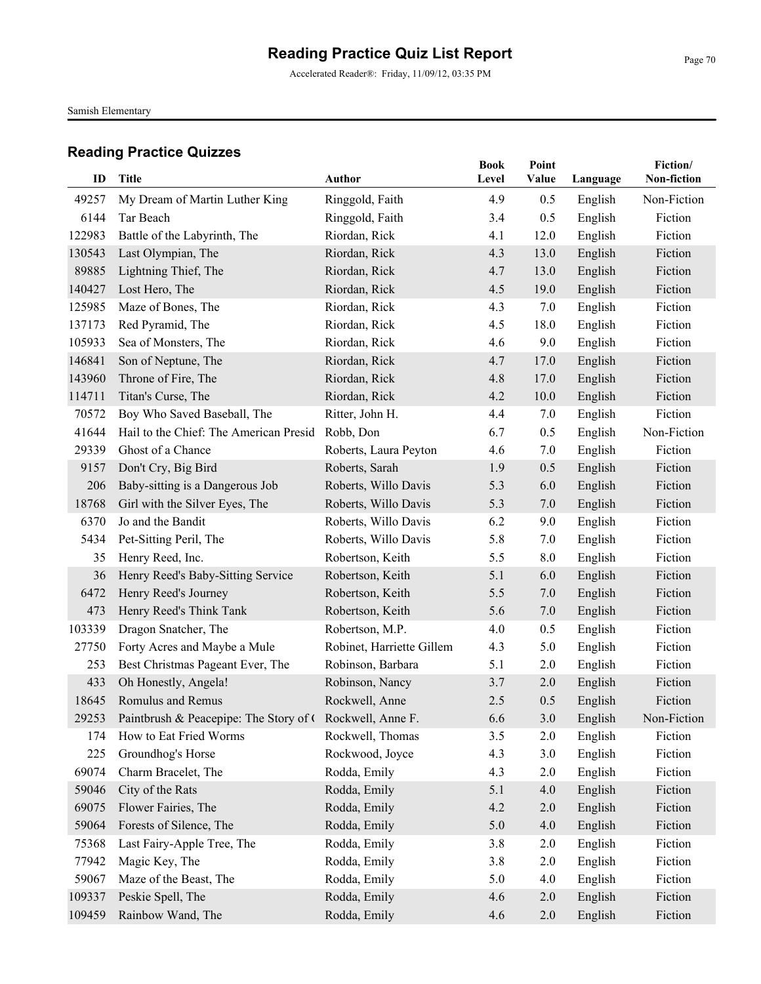Accelerated Reader®: Friday, 11/09/12, 03:35 PM

Samish Elementary

| ID     | <b>Title</b>                                             | <b>Author</b>             | <b>Book</b><br>Level | Point<br>Value | Language | Fiction/<br>Non-fiction |
|--------|----------------------------------------------------------|---------------------------|----------------------|----------------|----------|-------------------------|
| 49257  | My Dream of Martin Luther King                           | Ringgold, Faith           | 4.9                  | 0.5            | English  | Non-Fiction             |
| 6144   | Tar Beach                                                | Ringgold, Faith           | 3.4                  | 0.5            | English  | Fiction                 |
| 122983 | Battle of the Labyrinth, The                             | Riordan, Rick             | 4.1                  | 12.0           | English  | Fiction                 |
| 130543 | Last Olympian, The                                       | Riordan, Rick             | 4.3                  | 13.0           | English  | Fiction                 |
| 89885  | Lightning Thief, The                                     | Riordan, Rick             | 4.7                  | 13.0           | English  | Fiction                 |
| 140427 | Lost Hero, The                                           | Riordan, Rick             | 4.5                  | 19.0           | English  | Fiction                 |
| 125985 | Maze of Bones, The                                       | Riordan, Rick             | 4.3                  | 7.0            | English  | Fiction                 |
| 137173 | Red Pyramid, The                                         | Riordan, Rick             | 4.5                  | 18.0           | English  | Fiction                 |
| 105933 | Sea of Monsters, The                                     | Riordan, Rick             | 4.6                  | 9.0            | English  | Fiction                 |
| 146841 | Son of Neptune, The                                      | Riordan, Rick             | 4.7                  | 17.0           | English  | Fiction                 |
| 143960 | Throne of Fire, The                                      | Riordan, Rick             | 4.8                  | 17.0           | English  | Fiction                 |
| 114711 | Titan's Curse, The                                       | Riordan, Rick             | 4.2                  | 10.0           | English  | Fiction                 |
| 70572  | Boy Who Saved Baseball, The                              | Ritter, John H.           | 4.4                  | 7.0            | English  | Fiction                 |
| 41644  | Hail to the Chief: The American Presid                   | Robb, Don                 | 6.7                  | 0.5            | English  | Non-Fiction             |
| 29339  | Ghost of a Chance                                        | Roberts, Laura Peyton     | 4.6                  | 7.0            | English  | Fiction                 |
| 9157   | Don't Cry, Big Bird                                      | Roberts, Sarah            | 1.9                  | 0.5            | English  | Fiction                 |
| 206    | Baby-sitting is a Dangerous Job                          | Roberts, Willo Davis      | 5.3                  | 6.0            | English  | Fiction                 |
| 18768  | Girl with the Silver Eyes, The                           | Roberts, Willo Davis      | 5.3                  | 7.0            | English  | Fiction                 |
| 6370   | Jo and the Bandit                                        | Roberts, Willo Davis      | 6.2                  | 9.0            | English  | Fiction                 |
| 5434   | Pet-Sitting Peril, The                                   | Roberts, Willo Davis      | 5.8                  | 7.0            | English  | Fiction                 |
| 35     | Henry Reed, Inc.                                         | Robertson, Keith          | 5.5                  | 8.0            | English  | Fiction                 |
| 36     | Henry Reed's Baby-Sitting Service                        | Robertson, Keith          | 5.1                  | 6.0            | English  | Fiction                 |
| 6472   | Henry Reed's Journey                                     | Robertson, Keith          | 5.5                  | 7.0            | English  | Fiction                 |
| 473    | Henry Reed's Think Tank                                  | Robertson, Keith          | 5.6                  | 7.0            | English  | Fiction                 |
| 103339 | Dragon Snatcher, The                                     | Robertson, M.P.           | 4.0                  | 0.5            | English  | Fiction                 |
| 27750  | Forty Acres and Maybe a Mule                             | Robinet, Harriette Gillem | 4.3                  | 5.0            | English  | Fiction                 |
| 253    | Best Christmas Pageant Ever, The                         | Robinson, Barbara         | 5.1                  | 2.0            | English  | Fiction                 |
| 433    | Oh Honestly, Angela!                                     | Robinson, Nancy           | 3.7                  | 2.0            | English  | Fiction                 |
| 18645  | Romulus and Remus                                        | Rockwell, Anne            | 2.5                  | 0.5            | English  | Fiction                 |
| 29253  | Paintbrush & Peacepipe: The Story of C Rockwell, Anne F. |                           | 6.6                  | 3.0            | English  | Non-Fiction             |
| 174    | How to Eat Fried Worms                                   | Rockwell, Thomas          | 3.5                  | 2.0            | English  | Fiction                 |
| 225    | Groundhog's Horse                                        | Rockwood, Joyce           | 4.3                  | 3.0            | English  | Fiction                 |
| 69074  | Charm Bracelet, The                                      | Rodda, Emily              | 4.3                  | 2.0            | English  | Fiction                 |
| 59046  | City of the Rats                                         | Rodda, Emily              | 5.1                  | 4.0            | English  | Fiction                 |
| 69075  | Flower Fairies, The                                      | Rodda, Emily              | 4.2                  | $2.0$          | English  | Fiction                 |
| 59064  | Forests of Silence, The                                  | Rodda, Emily              | 5.0                  | 4.0            | English  | Fiction                 |
| 75368  | Last Fairy-Apple Tree, The                               | Rodda, Emily              | 3.8                  | 2.0            | English  | Fiction                 |
| 77942  | Magic Key, The                                           | Rodda, Emily              | 3.8                  | 2.0            | English  | Fiction                 |
| 59067  | Maze of the Beast, The                                   | Rodda, Emily              | 5.0                  | 4.0            | English  | Fiction                 |
| 109337 | Peskie Spell, The                                        | Rodda, Emily              | 4.6                  | 2.0            | English  | Fiction                 |
| 109459 | Rainbow Wand, The                                        | Rodda, Emily              | 4.6                  | 2.0            | English  | Fiction                 |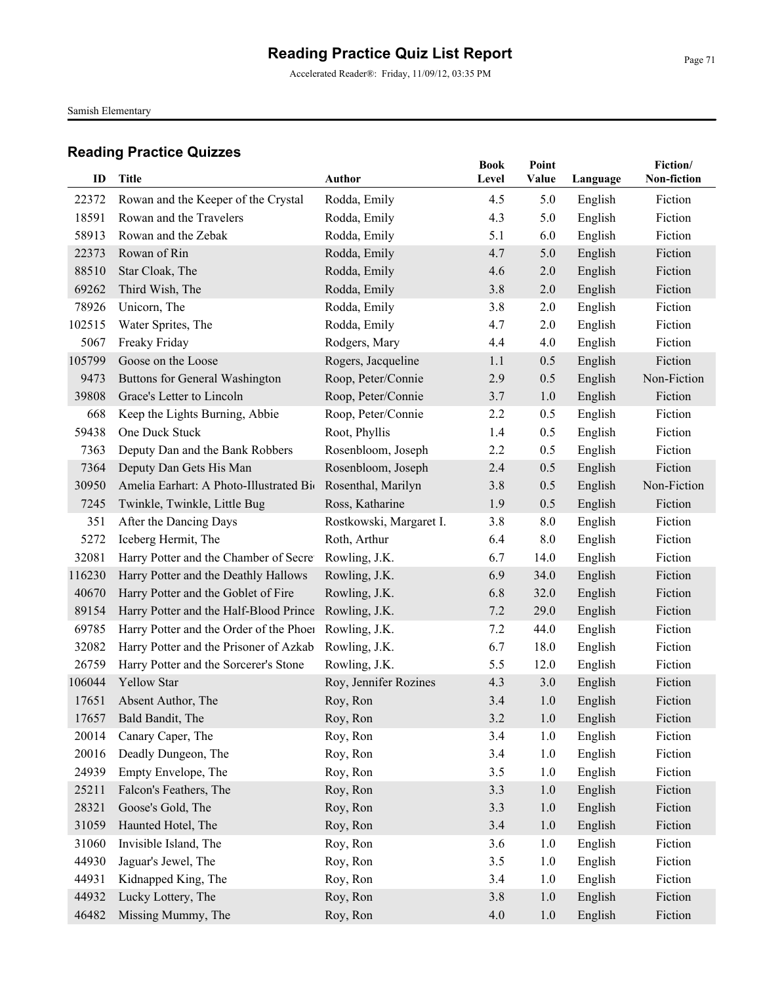Accelerated Reader®: Friday, 11/09/12, 03:35 PM

Samish Elementary

| ID             | Title                                                          | Author                                     | <b>Book</b><br>Level | Point<br>Value | Language           | Fiction/<br>Non-fiction |
|----------------|----------------------------------------------------------------|--------------------------------------------|----------------------|----------------|--------------------|-------------------------|
|                |                                                                |                                            |                      |                |                    |                         |
| 22372<br>18591 | Rowan and the Keeper of the Crystal<br>Rowan and the Travelers | Rodda, Emily<br>Rodda, Emily               | 4.5<br>4.3           | 5.0<br>5.0     | English            | Fiction<br>Fiction      |
| 58913          | Rowan and the Zebak                                            |                                            | 5.1                  | 6.0            | English            | Fiction                 |
| 22373          | Rowan of Rin                                                   | Rodda, Emily<br>Rodda, Emily               | 4.7                  | 5.0            | English<br>English | Fiction                 |
| 88510          | Star Cloak, The                                                | Rodda, Emily                               | 4.6                  | 2.0            |                    | Fiction                 |
| 69262          | Third Wish, The                                                | Rodda, Emily                               | 3.8                  | 2.0            | English<br>English | Fiction                 |
| 78926          | Unicorn, The                                                   | Rodda, Emily                               | 3.8                  | 2.0            | English            | Fiction                 |
| 102515         | Water Sprites, The                                             | Rodda, Emily                               | 4.7                  | 2.0            | English            | Fiction                 |
| 5067           |                                                                |                                            | 4.4                  | 4.0            |                    | Fiction                 |
| 105799         | Freaky Friday<br>Goose on the Loose                            | Rodgers, Mary                              | 1.1                  | 0.5            | English            | Fiction                 |
|                |                                                                | Rogers, Jacqueline                         |                      |                | English            |                         |
| 9473           | Buttons for General Washington                                 | Roop, Peter/Connie                         | 2.9                  | 0.5            | English            | Non-Fiction             |
| 39808          | Grace's Letter to Lincoln<br>Keep the Lights Burning, Abbie    | Roop, Peter/Connie                         | 3.7<br>2.2           | 1.0            | English            | Fiction<br>Fiction      |
| 668<br>59438   | One Duck Stuck                                                 | Roop, Peter/Connie                         |                      | 0.5            | English            | Fiction                 |
|                |                                                                | Root, Phyllis                              | 1.4<br>2.2           | 0.5<br>0.5     | English            | Fiction                 |
| 7363<br>7364   | Deputy Dan and the Bank Robbers<br>Deputy Dan Gets His Man     | Rosenbloom, Joseph<br>Rosenbloom, Joseph   | 2.4                  | 0.5            | English            | Fiction                 |
| 30950          | Amelia Earhart: A Photo-Illustrated Bio                        | Rosenthal, Marilyn                         | 3.8                  |                | English            | Non-Fiction             |
|                |                                                                |                                            |                      | 0.5<br>0.5     | English            | Fiction                 |
| 7245<br>351    | Twinkle, Twinkle, Little Bug                                   | Ross, Katharine<br>Rostkowski, Margaret I. | 1.9<br>3.8           | 8.0            | English            | Fiction                 |
| 5272           | After the Dancing Days<br>Iceberg Hermit, The                  | Roth, Arthur                               | 6.4                  | 8.0            | English<br>English | Fiction                 |
| 32081          | Harry Potter and the Chamber of Secret                         | Rowling, J.K.                              | 6.7                  | 14.0           | English            | Fiction                 |
| 116230         | Harry Potter and the Deathly Hallows                           | Rowling, J.K.                              | 6.9                  | 34.0           | English            | Fiction                 |
| 40670          | Harry Potter and the Goblet of Fire                            | Rowling, J.K.                              | 6.8                  | 32.0           | English            | Fiction                 |
| 89154          | Harry Potter and the Half-Blood Prince                         | Rowling, J.K.                              | 7.2                  | 29.0           |                    | Fiction                 |
| 69785          | Harry Potter and the Order of the Phoen                        | Rowling, J.K.                              | 7.2                  | 44.0           | English<br>English | Fiction                 |
| 32082          | Harry Potter and the Prisoner of Azkab                         | Rowling, J.K.                              | 6.7                  | 18.0           | English            | Fiction                 |
| 26759          | Harry Potter and the Sorcerer's Stone                          | Rowling, J.K.                              | 5.5                  | 12.0           | English            | Fiction                 |
| 106044         | <b>Yellow Star</b>                                             | Roy, Jennifer Rozines                      | 4.3                  | 3.0            | English            | Fiction                 |
| 17651          | Absent Author, The                                             | Roy, Ron                                   | 3.4                  | 1.0            | English            | Fiction                 |
|                | 17657 Bald Bandit, The                                         | Roy, Ron                                   | 3.2                  | 1.0            | English            | Fiction                 |
| 20014          | Canary Caper, The                                              | Roy, Ron                                   | 3.4                  | 1.0            | English            | Fiction                 |
| 20016          | Deadly Dungeon, The                                            | Roy, Ron                                   | 3.4                  | 1.0            | English            | Fiction                 |
| 24939          | Empty Envelope, The                                            | Roy, Ron                                   | 3.5                  | 1.0            | English            | Fiction                 |
| 25211          | Falcon's Feathers, The                                         | Roy, Ron                                   | 3.3                  | 1.0            | English            | Fiction                 |
| 28321          | Goose's Gold, The                                              | Roy, Ron                                   | 3.3                  | 1.0            | English            | Fiction                 |
| 31059          | Haunted Hotel, The                                             | Roy, Ron                                   | 3.4                  | 1.0            | English            | Fiction                 |
| 31060          | Invisible Island, The                                          | Roy, Ron                                   | 3.6                  | 1.0            | English            | Fiction                 |
| 44930          | Jaguar's Jewel, The                                            | Roy, Ron                                   | 3.5                  | 1.0            | English            | Fiction                 |
| 44931          | Kidnapped King, The                                            | Roy, Ron                                   | 3.4                  | 1.0            | English            | Fiction                 |
| 44932          | Lucky Lottery, The                                             | Roy, Ron                                   | 3.8                  | 1.0            | English            | Fiction                 |
| 46482          | Missing Mummy, The                                             | Roy, Ron                                   | 4.0                  | 1.0            | English            | Fiction                 |
|                |                                                                |                                            |                      |                |                    |                         |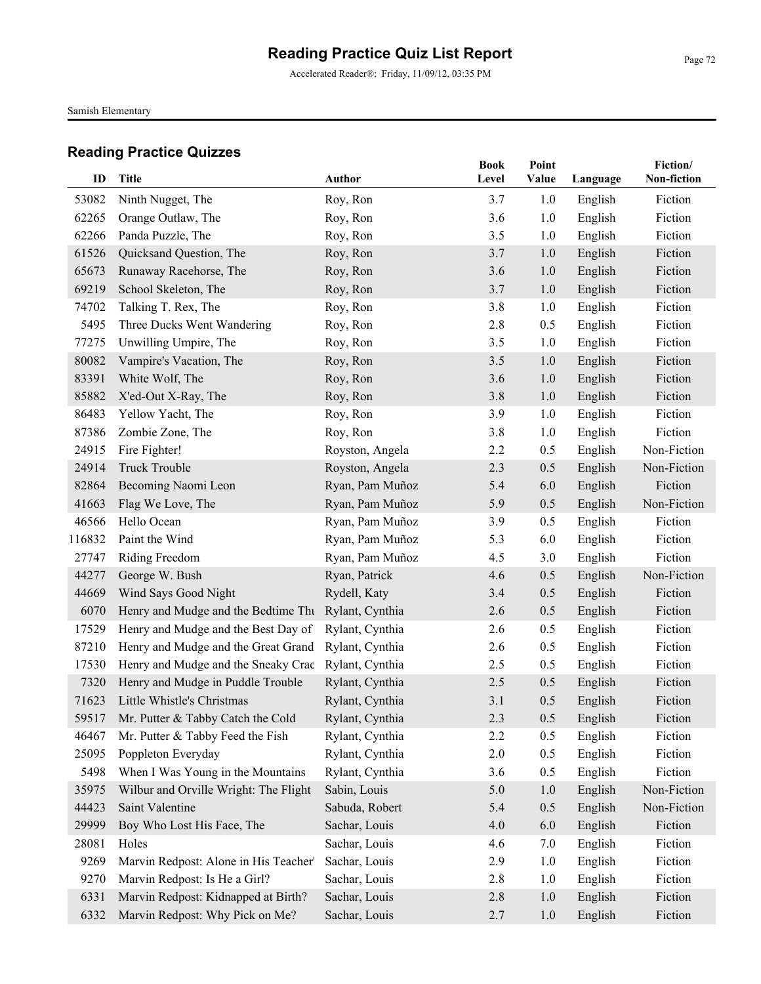Accelerated Reader®: Friday, 11/09/12, 03:35 PM

Samish Elementary

| ID     | <b>Title</b>                                        | <b>Author</b>   | <b>Book</b><br>Level | Point<br>Value | Language | Fiction/<br>Non-fiction |
|--------|-----------------------------------------------------|-----------------|----------------------|----------------|----------|-------------------------|
|        |                                                     |                 |                      |                |          |                         |
| 53082  | Ninth Nugget, The                                   | Roy, Ron        | 3.7                  | 1.0            | English  | Fiction                 |
| 62265  | Orange Outlaw, The                                  | Roy, Ron        | 3.6                  | 1.0            | English  | Fiction                 |
| 62266  | Panda Puzzle, The                                   | Roy, Ron        | 3.5                  | 1.0            | English  | Fiction                 |
| 61526  | Quicksand Question, The                             | Roy, Ron        | 3.7                  | 1.0            | English  | Fiction                 |
| 65673  | Runaway Racehorse, The                              | Roy, Ron        | 3.6                  | 1.0            | English  | Fiction                 |
| 69219  | School Skeleton, The                                | Roy, Ron        | 3.7                  | 1.0            | English  | Fiction                 |
| 74702  | Talking T. Rex, The                                 | Roy, Ron        | 3.8                  | 1.0            | English  | Fiction                 |
| 5495   | Three Ducks Went Wandering                          | Roy, Ron        | 2.8                  | 0.5            | English  | Fiction                 |
| 77275  | Unwilling Umpire, The                               | Roy, Ron        | 3.5                  | 1.0            | English  | Fiction                 |
| 80082  | Vampire's Vacation, The                             | Roy, Ron        | 3.5                  | 1.0            | English  | Fiction                 |
| 83391  | White Wolf, The                                     | Roy, Ron        | 3.6                  | 1.0            | English  | Fiction                 |
| 85882  | X'ed-Out X-Ray, The                                 | Roy, Ron        | 3.8                  | 1.0            | English  | Fiction                 |
| 86483  | Yellow Yacht, The                                   | Roy, Ron        | 3.9                  | 1.0            | English  | Fiction                 |
| 87386  | Zombie Zone, The                                    | Roy, Ron        | 3.8                  | 1.0            | English  | Fiction                 |
| 24915  | Fire Fighter!                                       | Royston, Angela | 2.2                  | 0.5            | English  | Non-Fiction             |
| 24914  | <b>Truck Trouble</b>                                | Royston, Angela | 2.3                  | 0.5            | English  | Non-Fiction             |
| 82864  | Becoming Naomi Leon                                 | Ryan, Pam Muñoz | 5.4                  | 6.0            | English  | Fiction                 |
| 41663  | Flag We Love, The                                   | Ryan, Pam Muñoz | 5.9                  | 0.5            | English  | Non-Fiction             |
| 46566  | Hello Ocean                                         | Ryan, Pam Muñoz | 3.9                  | 0.5            | English  | Fiction                 |
| 116832 | Paint the Wind                                      | Ryan, Pam Muñoz | 5.3                  | 6.0            | English  | Fiction                 |
| 27747  | Riding Freedom                                      | Ryan, Pam Muñoz | 4.5                  | 3.0            | English  | Fiction                 |
| 44277  | George W. Bush                                      | Ryan, Patrick   | 4.6                  | 0.5            | English  | Non-Fiction             |
| 44669  | Wind Says Good Night                                | Rydell, Katy    | 3.4                  | 0.5            | English  | Fiction                 |
| 6070   | Henry and Mudge and the Bedtime Thu                 | Rylant, Cynthia | 2.6                  | 0.5            | English  | Fiction                 |
| 17529  | Henry and Mudge and the Best Day of                 | Rylant, Cynthia | 2.6                  | 0.5            | English  | Fiction                 |
| 87210  | Henry and Mudge and the Great Grand                 | Rylant, Cynthia | 2.6                  | 0.5            | English  | Fiction                 |
| 17530  | Henry and Mudge and the Sneaky Crac Rylant, Cynthia |                 | 2.5                  | 0.5            | English  | Fiction                 |
| 7320   | Henry and Mudge in Puddle Trouble                   | Rylant, Cynthia | 2.5                  | 0.5            | English  | Fiction                 |
| 71623  | Little Whistle's Christmas                          | Rylant, Cynthia | 3.1                  | 0.5            | English  | Fiction                 |
|        | 59517 Mr. Putter & Tabby Catch the Cold             | Rylant, Cynthia | 2.3                  | 0.5            | English  | Fiction                 |
| 46467  | Mr. Putter & Tabby Feed the Fish                    | Rylant, Cynthia | 2.2                  | 0.5            | English  | Fiction                 |
| 25095  | Poppleton Everyday                                  | Rylant, Cynthia | 2.0                  | 0.5            | English  | Fiction                 |
| 5498   | When I Was Young in the Mountains                   | Rylant, Cynthia | 3.6                  | 0.5            | English  | Fiction                 |
| 35975  | Wilbur and Orville Wright: The Flight               | Sabin, Louis    | 5.0                  | 1.0            | English  | Non-Fiction             |
| 44423  | Saint Valentine                                     | Sabuda, Robert  | 5.4                  | 0.5            | English  | Non-Fiction             |
| 29999  | Boy Who Lost His Face, The                          | Sachar, Louis   | 4.0                  | 6.0            | English  | Fiction                 |
| 28081  | Holes                                               | Sachar, Louis   | 4.6                  | 7.0            | English  | Fiction                 |
| 9269   | Marvin Redpost: Alone in His Teacher'               | Sachar, Louis   | 2.9                  | 1.0            | English  | Fiction                 |
| 9270   | Marvin Redpost: Is He a Girl?                       | Sachar, Louis   | 2.8                  | 1.0            | English  | Fiction                 |
| 6331   | Marvin Redpost: Kidnapped at Birth?                 | Sachar, Louis   | 2.8                  | 1.0            | English  | Fiction                 |
| 6332   | Marvin Redpost: Why Pick on Me?                     | Sachar, Louis   | 2.7                  | 1.0            | English  | Fiction                 |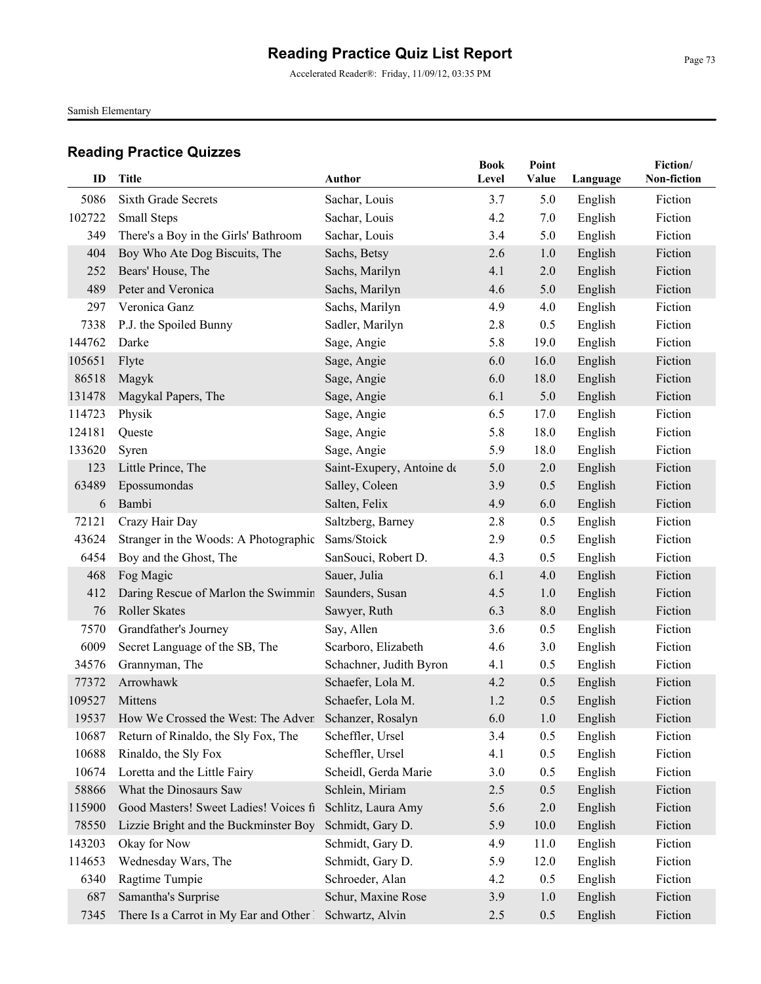Accelerated Reader®: Friday, 11/09/12, 03:35 PM

Samish Elementary

| ID     | Title                                                      | <b>Author</b>             | <b>Book</b><br>Level | Point<br>Value | Language | Fiction/<br>Non-fiction |
|--------|------------------------------------------------------------|---------------------------|----------------------|----------------|----------|-------------------------|
| 5086   | <b>Sixth Grade Secrets</b>                                 | Sachar, Louis             | 3.7                  | 5.0            | English  | Fiction                 |
| 102722 | Small Steps                                                | Sachar, Louis             | 4.2                  | 7.0            | English  | Fiction                 |
| 349    | There's a Boy in the Girls' Bathroom                       | Sachar, Louis             | 3.4                  | 5.0            | English  | Fiction                 |
| 404    | Boy Who Ate Dog Biscuits, The                              | Sachs, Betsy              | 2.6                  | 1.0            | English  | Fiction                 |
| 252    | Bears' House, The                                          | Sachs, Marilyn            | 4.1                  | 2.0            | English  | Fiction                 |
| 489    | Peter and Veronica                                         | Sachs, Marilyn            | 4.6                  | 5.0            | English  | Fiction                 |
| 297    | Veronica Ganz                                              | Sachs, Marilyn            | 4.9                  | 4.0            | English  | Fiction                 |
| 7338   | P.J. the Spoiled Bunny                                     | Sadler, Marilyn           | 2.8                  | 0.5            | English  | Fiction                 |
| 144762 | Darke                                                      | Sage, Angie               | 5.8                  | 19.0           | English  | Fiction                 |
| 105651 | Flyte                                                      | Sage, Angie               | 6.0                  | 16.0           | English  | Fiction                 |
| 86518  | Magyk                                                      | Sage, Angie               | 6.0                  | 18.0           | English  | Fiction                 |
| 131478 | Magykal Papers, The                                        | Sage, Angie               | 6.1                  | 5.0            | English  | Fiction                 |
| 114723 | Physik                                                     | Sage, Angie               | 6.5                  | 17.0           | English  | Fiction                 |
| 124181 | Queste                                                     | Sage, Angie               | 5.8                  | 18.0           | English  | Fiction                 |
| 133620 | Syren                                                      | Sage, Angie               | 5.9                  | 18.0           | English  | Fiction                 |
| 123    | Little Prince, The                                         | Saint-Exupery, Antoine de | 5.0                  | 2.0            | English  | Fiction                 |
| 63489  | Epossumondas                                               | Salley, Coleen            | 3.9                  | 0.5            | English  | Fiction                 |
| 6      | Bambi                                                      | Salten, Felix             | 4.9                  | 6.0            | English  | Fiction                 |
| 72121  | Crazy Hair Day                                             | Saltzberg, Barney         | 2.8                  | 0.5            | English  | Fiction                 |
| 43624  | Stranger in the Woods: A Photographic                      | Sams/Stoick               | 2.9                  | 0.5            | English  | Fiction                 |
| 6454   | Boy and the Ghost, The                                     | SanSouci, Robert D.       | 4.3                  | 0.5            | English  | Fiction                 |
| 468    | Fog Magic                                                  | Sauer, Julia              | 6.1                  | 4.0            | English  | Fiction                 |
| 412    | Daring Rescue of Marlon the Swimmin                        | Saunders, Susan           | 4.5                  | 1.0            | English  | Fiction                 |
| 76     | Roller Skates                                              | Sawyer, Ruth              | 6.3                  | 8.0            | English  | Fiction                 |
| 7570   | Grandfather's Journey                                      | Say, Allen                | 3.6                  | 0.5            | English  | Fiction                 |
| 6009   | Secret Language of the SB, The                             | Scarboro, Elizabeth       | 4.6                  | 3.0            | English  | Fiction                 |
| 34576  | Grannyman, The                                             | Schachner, Judith Byron   | 4.1                  | 0.5            | English  | Fiction                 |
| 77372  | Arrowhawk                                                  | Schaefer, Lola M.         | 4.2                  | 0.5            | English  | Fiction                 |
| 109527 | Mittens                                                    | Schaefer, Lola M.         | 1.2                  | 0.5            | English  | Fiction                 |
|        | 19537 How We Crossed the West: The Adven Schanzer, Rosalyn |                           | 6.0                  | 1.0            | English  | Fiction                 |
| 10687  | Return of Rinaldo, the Sly Fox, The                        | Scheffler, Ursel          | 3.4                  | 0.5            | English  | Fiction                 |
| 10688  | Rinaldo, the Sly Fox                                       | Scheffler, Ursel          | 4.1                  | 0.5            | English  | Fiction                 |
| 10674  | Loretta and the Little Fairy                               | Scheidl, Gerda Marie      | 3.0                  | 0.5            | English  | Fiction                 |
| 58866  | What the Dinosaurs Saw                                     | Schlein, Miriam           | 2.5                  | 0.5            | English  | Fiction                 |
| 115900 | Good Masters! Sweet Ladies! Voices fi                      | Schlitz, Laura Amy        | 5.6                  | 2.0            | English  | Fiction                 |
| 78550  | Lizzie Bright and the Buckminster Boy                      | Schmidt, Gary D.          | 5.9                  | 10.0           | English  | Fiction                 |
| 143203 | Okay for Now                                               | Schmidt, Gary D.          | 4.9                  | 11.0           | English  | Fiction                 |
| 114653 | Wednesday Wars, The                                        | Schmidt, Gary D.          | 5.9                  | 12.0           | English  | Fiction                 |
| 6340   | Ragtime Tumpie                                             | Schroeder, Alan           | 4.2                  | 0.5            | English  | Fiction                 |
| 687    | Samantha's Surprise                                        | Schur, Maxine Rose        | 3.9                  | 1.0            | English  | Fiction                 |
| 7345   | There Is a Carrot in My Ear and Other 1                    | Schwartz, Alvin           | 2.5                  | 0.5            | English  | Fiction                 |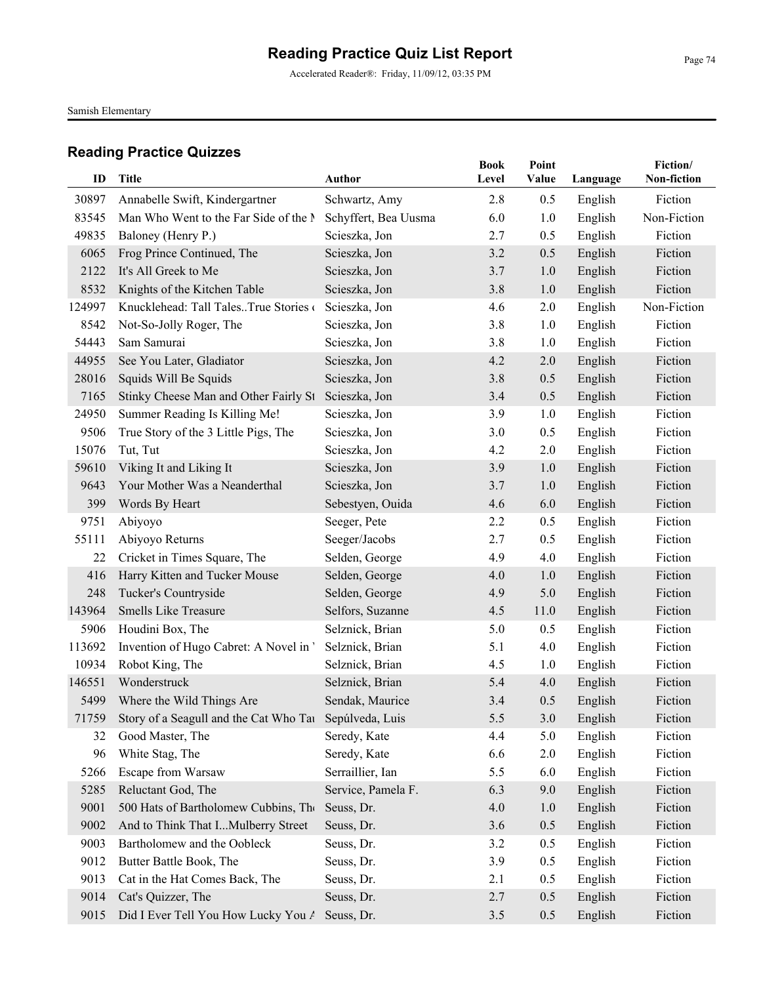Accelerated Reader®: Friday, 11/09/12, 03:35 PM

Samish Elementary

| ID     | Title                                                        | Author               | <b>Book</b><br>Level | Point<br>Value | Language | Fiction/<br>Non-fiction |
|--------|--------------------------------------------------------------|----------------------|----------------------|----------------|----------|-------------------------|
| 30897  | Annabelle Swift, Kindergartner                               | Schwartz, Amy        | 2.8                  | 0.5            | English  | Fiction                 |
| 83545  | Man Who Went to the Far Side of the N                        | Schyffert, Bea Uusma | 6.0                  | 1.0            | English  | Non-Fiction             |
| 49835  | Baloney (Henry P.)                                           | Scieszka, Jon        | 2.7                  | 0.5            | English  | Fiction                 |
| 6065   | Frog Prince Continued, The                                   | Scieszka, Jon        | 3.2                  | 0.5            | English  | Fiction                 |
| 2122   | It's All Greek to Me                                         | Scieszka, Jon        | 3.7                  | 1.0            | English  | Fiction                 |
| 8532   | Knights of the Kitchen Table                                 | Scieszka, Jon        | 3.8                  | 1.0            | English  | Fiction                 |
| 124997 | Knucklehead: Tall TalesTrue Stories                          | Scieszka, Jon        | 4.6                  | 2.0            | English  | Non-Fiction             |
| 8542   | Not-So-Jolly Roger, The                                      | Scieszka, Jon        | 3.8                  | 1.0            | English  | Fiction                 |
| 54443  | Sam Samurai                                                  | Scieszka, Jon        | 3.8                  | 1.0            | English  | Fiction                 |
| 44955  | See You Later, Gladiator                                     | Scieszka, Jon        | 4.2                  | 2.0            | English  | Fiction                 |
| 28016  | Squids Will Be Squids                                        | Scieszka, Jon        | 3.8                  | 0.5            | English  | Fiction                 |
| 7165   | Stinky Cheese Man and Other Fairly St                        | Scieszka, Jon        | 3.4                  | 0.5            | English  | Fiction                 |
| 24950  | Summer Reading Is Killing Me!                                | Scieszka, Jon        | 3.9                  | 1.0            | English  | Fiction                 |
| 9506   | True Story of the 3 Little Pigs, The                         | Scieszka, Jon        | 3.0                  | 0.5            | English  | Fiction                 |
| 15076  | Tut, Tut                                                     | Scieszka, Jon        | 4.2                  | 2.0            | English  | Fiction                 |
| 59610  | Viking It and Liking It                                      | Scieszka, Jon        | 3.9                  | 1.0            | English  | Fiction                 |
| 9643   | Your Mother Was a Neanderthal                                | Scieszka, Jon        | 3.7                  | 1.0            | English  | Fiction                 |
| 399    | Words By Heart                                               | Sebestyen, Ouida     | 4.6                  | 6.0            | English  | Fiction                 |
| 9751   | Abiyoyo                                                      | Seeger, Pete         | 2.2                  | 0.5            | English  | Fiction                 |
| 55111  | Abiyoyo Returns                                              | Seeger/Jacobs        | 2.7                  | 0.5            | English  | Fiction                 |
| 22     | Cricket in Times Square, The                                 | Selden, George       | 4.9                  | 4.0            | English  | Fiction                 |
| 416    | Harry Kitten and Tucker Mouse                                | Selden, George       | 4.0                  | 1.0            | English  | Fiction                 |
| 248    | Tucker's Countryside                                         | Selden, George       | 4.9                  | 5.0            | English  | Fiction                 |
| 143964 | <b>Smells Like Treasure</b>                                  | Selfors, Suzanne     | 4.5                  | 11.0           | English  | Fiction                 |
| 5906   | Houdini Box, The                                             | Selznick, Brian      | 5.0                  | 0.5            | English  | Fiction                 |
| 113692 | Invention of Hugo Cabret: A Novel in '                       | Selznick, Brian      | 5.1                  | 4.0            | English  | Fiction                 |
| 10934  | Robot King, The                                              | Selznick, Brian      | 4.5                  | 1.0            | English  | Fiction                 |
| 146551 | Wonderstruck                                                 | Selznick, Brian      | 5.4                  | 4.0            | English  | Fiction                 |
| 5499   | Where the Wild Things Are                                    | Sendak, Maurice      | 3.4                  | 0.5            | English  | Fiction                 |
|        | 71759 Story of a Seagull and the Cat Who Tat Sepúlveda, Luis |                      | 5.5                  | 3.0            | English  | Fiction                 |
| 32     | Good Master, The                                             | Seredy, Kate         | 4.4                  | 5.0            | English  | Fiction                 |
| 96     | White Stag, The                                              | Seredy, Kate         | 6.6                  | 2.0            | English  | Fiction                 |
| 5266   | Escape from Warsaw                                           | Serraillier, Ian     | 5.5                  | 6.0            | English  | Fiction                 |
| 5285   | Reluctant God, The                                           | Service, Pamela F.   | 6.3                  | 9.0            | English  | Fiction                 |
| 9001   | 500 Hats of Bartholomew Cubbins, The                         | Seuss, Dr.           | 4.0                  | 1.0            | English  | Fiction                 |
| 9002   | And to Think That IMulberry Street                           | Seuss, Dr.           | 3.6                  | 0.5            | English  | Fiction                 |
| 9003   | Bartholomew and the Oobleck                                  | Seuss, Dr.           | 3.2                  | 0.5            | English  | Fiction                 |
| 9012   | Butter Battle Book, The                                      | Seuss, Dr.           | 3.9                  | 0.5            | English  | Fiction                 |
| 9013   | Cat in the Hat Comes Back, The                               | Seuss, Dr.           | 2.1                  | 0.5            | English  | Fiction                 |
| 9014   | Cat's Quizzer, The                                           | Seuss, Dr.           | 2.7                  | 0.5            | English  | Fiction                 |
| 9015   | Did I Ever Tell You How Lucky You A                          | Seuss, Dr.           | 3.5                  | 0.5            | English  | Fiction                 |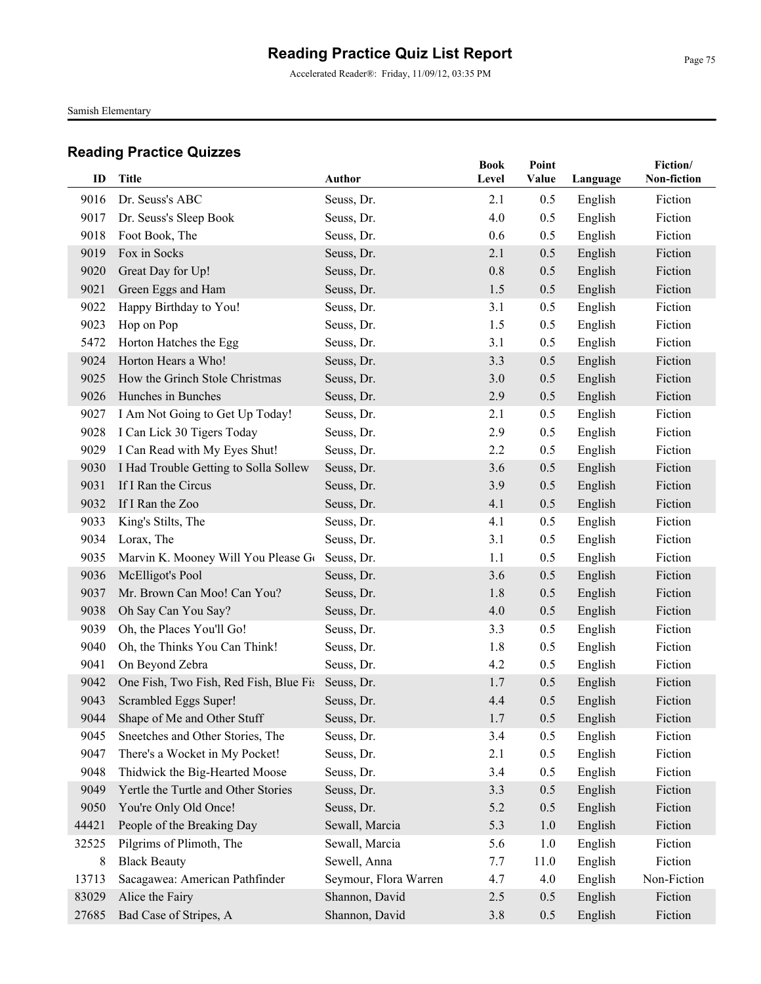Accelerated Reader®: Friday, 11/09/12, 03:35 PM

Samish Elementary

| ID    | <b>Title</b>                           | <b>Author</b>         | <b>Book</b><br>Level | Point<br>Value | Language | Fiction/<br>Non-fiction |
|-------|----------------------------------------|-----------------------|----------------------|----------------|----------|-------------------------|
| 9016  | Dr. Seuss's ABC                        | Seuss, Dr.            | 2.1                  | 0.5            | English  | Fiction                 |
| 9017  | Dr. Seuss's Sleep Book                 | Seuss, Dr.            | 4.0                  | 0.5            | English  | Fiction                 |
| 9018  | Foot Book, The                         | Seuss, Dr.            | 0.6                  | 0.5            | English  | Fiction                 |
| 9019  | Fox in Socks                           | Seuss, Dr.            | 2.1                  | 0.5            | English  | Fiction                 |
| 9020  | Great Day for Up!                      | Seuss, Dr.            | $0.8\,$              | 0.5            | English  | Fiction                 |
| 9021  | Green Eggs and Ham                     | Seuss, Dr.            | 1.5                  | 0.5            | English  | Fiction                 |
| 9022  | Happy Birthday to You!                 | Seuss, Dr.            | 3.1                  | 0.5            | English  | Fiction                 |
| 9023  | Hop on Pop                             | Seuss, Dr.            | 1.5                  | 0.5            | English  | Fiction                 |
| 5472  | Horton Hatches the Egg                 | Seuss, Dr.            | 3.1                  | 0.5            | English  | Fiction                 |
| 9024  | Horton Hears a Who!                    | Seuss, Dr.            | 3.3                  | 0.5            | English  | Fiction                 |
| 9025  | How the Grinch Stole Christmas         | Seuss, Dr.            | 3.0                  | 0.5            | English  | Fiction                 |
| 9026  | Hunches in Bunches                     | Seuss, Dr.            | 2.9                  | 0.5            | English  | Fiction                 |
| 9027  | I Am Not Going to Get Up Today!        | Seuss, Dr.            | 2.1                  | 0.5            | English  | Fiction                 |
| 9028  | I Can Lick 30 Tigers Today             | Seuss, Dr.            | 2.9                  | 0.5            | English  | Fiction                 |
| 9029  | I Can Read with My Eyes Shut!          | Seuss, Dr.            | 2.2                  | 0.5            | English  | Fiction                 |
| 9030  | I Had Trouble Getting to Solla Sollew  | Seuss, Dr.            | 3.6                  | 0.5            | English  | Fiction                 |
| 9031  | If I Ran the Circus                    | Seuss, Dr.            | 3.9                  | 0.5            | English  | Fiction                 |
| 9032  | If I Ran the Zoo                       | Seuss, Dr.            | 4.1                  | 0.5            | English  | Fiction                 |
| 9033  | King's Stilts, The                     | Seuss, Dr.            | 4.1                  | 0.5            | English  | Fiction                 |
| 9034  | Lorax, The                             | Seuss, Dr.            | 3.1                  | 0.5            | English  | Fiction                 |
| 9035  | Marvin K. Mooney Will You Please Go    | Seuss, Dr.            | 1.1                  | 0.5            | English  | Fiction                 |
| 9036  | McElligot's Pool                       | Seuss, Dr.            | 3.6                  | 0.5            | English  | Fiction                 |
| 9037  | Mr. Brown Can Moo! Can You?            | Seuss, Dr.            | 1.8                  | 0.5            | English  | Fiction                 |
| 9038  | Oh Say Can You Say?                    | Seuss, Dr.            | 4.0                  | 0.5            | English  | Fiction                 |
| 9039  | Oh, the Places You'll Go!              | Seuss, Dr.            | 3.3                  | 0.5            | English  | Fiction                 |
| 9040  | Oh, the Thinks You Can Think!          | Seuss, Dr.            | 1.8                  | 0.5            | English  | Fiction                 |
| 9041  | On Beyond Zebra                        | Seuss, Dr.            | 4.2                  | 0.5            | English  | Fiction                 |
| 9042  | One Fish, Two Fish, Red Fish, Blue Fis | Seuss, Dr.            | 1.7                  | 0.5            | English  | Fiction                 |
| 9043  | Scrambled Eggs Super!                  | Seuss, Dr.            | 4.4                  | 0.5            | English  | Fiction                 |
| 9044  | Shape of Me and Other Stuff            | Seuss, Dr.            | 1.7                  | 0.5            | English  | Fiction                 |
| 9045  | Sneetches and Other Stories, The       | Seuss, Dr.            | 3.4                  | 0.5            | English  | Fiction                 |
| 9047  | There's a Wocket in My Pocket!         | Seuss, Dr.            | 2.1                  | 0.5            | English  | Fiction                 |
| 9048  | Thidwick the Big-Hearted Moose         | Seuss, Dr.            | 3.4                  | 0.5            | English  | Fiction                 |
| 9049  | Yertle the Turtle and Other Stories    | Seuss, Dr.            | 3.3                  | 0.5            | English  | Fiction                 |
| 9050  | You're Only Old Once!                  | Seuss, Dr.            | 5.2                  | 0.5            | English  | Fiction                 |
| 44421 | People of the Breaking Day             | Sewall, Marcia        | 5.3                  | 1.0            | English  | Fiction                 |
| 32525 | Pilgrims of Plimoth, The               | Sewall, Marcia        | 5.6                  | 1.0            | English  | Fiction                 |
| 8     | <b>Black Beauty</b>                    | Sewell, Anna          | 7.7                  | 11.0           | English  | Fiction                 |
| 13713 | Sacagawea: American Pathfinder         | Seymour, Flora Warren | 4.7                  | 4.0            | English  | Non-Fiction             |
| 83029 | Alice the Fairy                        | Shannon, David        | 2.5                  | 0.5            | English  | Fiction                 |
| 27685 | Bad Case of Stripes, A                 | Shannon, David        | 3.8                  | 0.5            | English  | Fiction                 |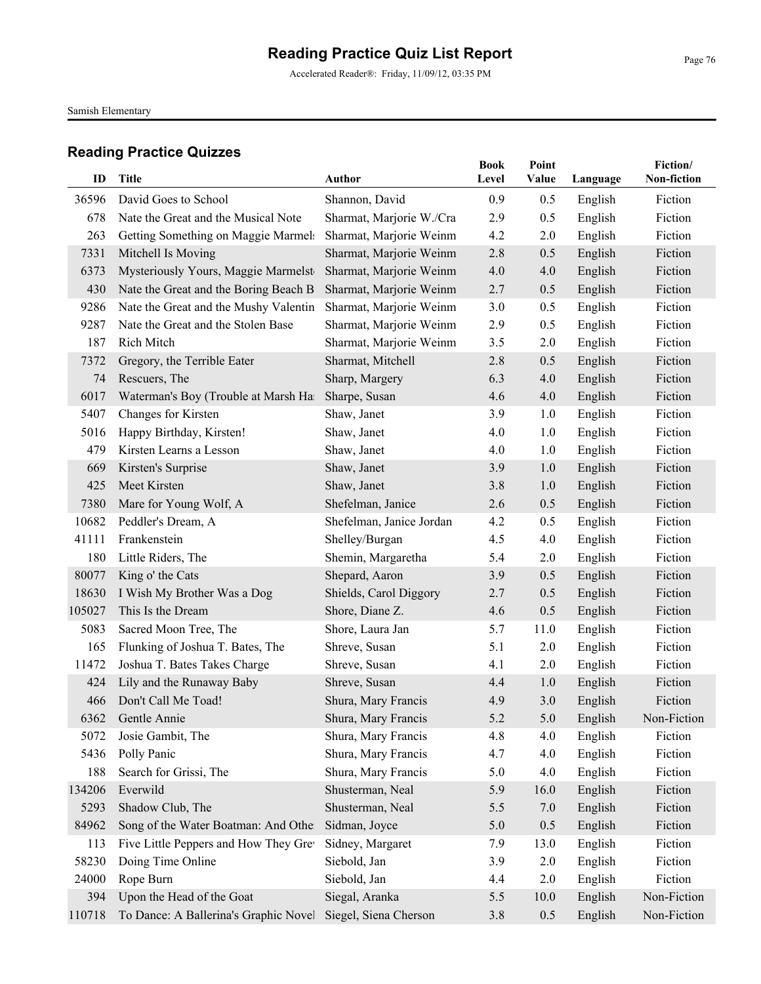Accelerated Reader®: Friday, 11/09/12, 03:35 PM

Samish Elementary

| ID     | Title                                 | <b>Author</b>            | <b>Book</b><br>Level | Point<br>Value | Language | Fiction/<br>Non-fiction |
|--------|---------------------------------------|--------------------------|----------------------|----------------|----------|-------------------------|
| 36596  | David Goes to School                  | Shannon, David           | 0.9                  | 0.5            | English  | Fiction                 |
| 678    | Nate the Great and the Musical Note   | Sharmat, Marjorie W./Cra | 2.9                  | 0.5            | English  | Fiction                 |
| 263    | Getting Something on Maggie Marmels   | Sharmat, Marjorie Weinm  | 4.2                  | 2.0            | English  | Fiction                 |
| 7331   | Mitchell Is Moving                    | Sharmat, Marjorie Weinm  | 2.8                  | 0.5            | English  | Fiction                 |
| 6373   | Mysteriously Yours, Maggie Marmelst   | Sharmat, Marjorie Weinm  | 4.0                  | 4.0            | English  | Fiction                 |
| 430    | Nate the Great and the Boring Beach B | Sharmat, Marjorie Weinm  | 2.7                  | 0.5            | English  | Fiction                 |
| 9286   | Nate the Great and the Mushy Valentin | Sharmat, Marjorie Weinm  | 3.0                  | 0.5            | English  | Fiction                 |
| 9287   | Nate the Great and the Stolen Base    | Sharmat, Marjorie Weinm  | 2.9                  | 0.5            | English  | Fiction                 |
| 187    | Rich Mitch                            | Sharmat, Marjorie Weinm  | 3.5                  | 2.0            | English  | Fiction                 |
| 7372   | Gregory, the Terrible Eater           | Sharmat, Mitchell        | 2.8                  | 0.5            | English  | Fiction                 |
| 74     | Rescuers, The                         | Sharp, Margery           | 6.3                  | 4.0            | English  | Fiction                 |
| 6017   | Waterman's Boy (Trouble at Marsh Ha   | Sharpe, Susan            | 4.6                  | 4.0            | English  | Fiction                 |
| 5407   | Changes for Kirsten                   | Shaw, Janet              | 3.9                  | 1.0            | English  | Fiction                 |
| 5016   | Happy Birthday, Kirsten!              | Shaw, Janet              | 4.0                  | 1.0            | English  | Fiction                 |
| 479    | Kirsten Learns a Lesson               | Shaw, Janet              | 4.0                  | 1.0            | English  | Fiction                 |
| 669    | Kirsten's Surprise                    | Shaw, Janet              | 3.9                  | 1.0            | English  | Fiction                 |
| 425    | Meet Kirsten                          | Shaw, Janet              | 3.8                  | 1.0            | English  | Fiction                 |
| 7380   | Mare for Young Wolf, A                | Shefelman, Janice        | 2.6                  | 0.5            | English  | Fiction                 |
| 10682  | Peddler's Dream, A                    | Shefelman, Janice Jordan | 4.2                  | 0.5            | English  | Fiction                 |
| 41111  | Frankenstein                          | Shelley/Burgan           | 4.5                  | 4.0            | English  | Fiction                 |
| 180    | Little Riders, The                    | Shemin, Margaretha       | 5.4                  | 2.0            | English  | Fiction                 |
| 80077  | King o' the Cats                      | Shepard, Aaron           | 3.9                  | 0.5            | English  | Fiction                 |
| 18630  | I Wish My Brother Was a Dog           | Shields, Carol Diggory   | 2.7                  | 0.5            | English  | Fiction                 |
| 105027 | This Is the Dream                     | Shore, Diane Z.          | 4.6                  | 0.5            | English  | Fiction                 |
| 5083   | Sacred Moon Tree, The                 | Shore, Laura Jan         | 5.7                  | 11.0           | English  | Fiction                 |
| 165    | Flunking of Joshua T. Bates, The      | Shreve, Susan            | 5.1                  | 2.0            | English  | Fiction                 |
| 11472  | Joshua T. Bates Takes Charge          | Shreve, Susan            | 4.1                  | 2.0            | English  | Fiction                 |
| 424    | Lily and the Runaway Baby             | Shreve, Susan            | 4.4                  | 1.0            | English  | Fiction                 |
| 466    | Don't Call Me Toad!                   | Shura, Mary Francis      | 4.9                  | 3.0            | English  | Fiction                 |
|        | 6362 Gentle Annie                     | Shura, Mary Francis      | 5.2                  | 5.0            | English  | Non-Fiction             |
| 5072   | Josie Gambit, The                     | Shura, Mary Francis      | 4.8                  | 4.0            | English  | Fiction                 |
| 5436   | Polly Panic                           | Shura, Mary Francis      | 4.7                  | 4.0            | English  | Fiction                 |
| 188    | Search for Grissi, The                | Shura, Mary Francis      | 5.0                  | 4.0            | English  | Fiction                 |
| 134206 | Everwild                              | Shusterman, Neal         | 5.9                  | 16.0           | English  | Fiction                 |
| 5293   | Shadow Club, The                      | Shusterman, Neal         | 5.5                  | 7.0            | English  | Fiction                 |
| 84962  | Song of the Water Boatman: And Other  | Sidman, Joyce            | 5.0                  | 0.5            | English  | Fiction                 |
| 113    | Five Little Peppers and How They Gre  | Sidney, Margaret         | 7.9                  | 13.0           | English  | Fiction                 |
| 58230  | Doing Time Online                     | Siebold, Jan             | 3.9                  | 2.0            | English  | Fiction                 |
| 24000  | Rope Burn                             | Siebold, Jan             | 4.4                  | 2.0            | English  | Fiction                 |
| 394    | Upon the Head of the Goat             | Siegal, Aranka           | 5.5                  | 10.0           | English  | Non-Fiction             |
| 110718 | To Dance: A Ballerina's Graphic Novel | Siegel, Siena Cherson    | $3.8$                | 0.5            | English  | Non-Fiction             |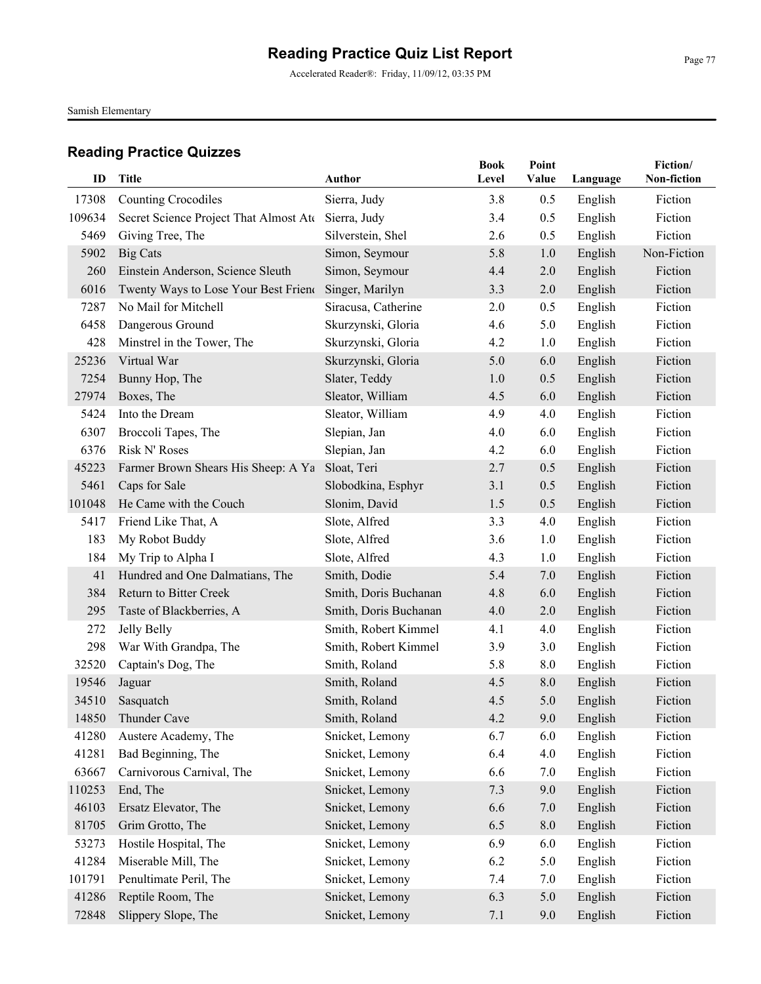Accelerated Reader®: Friday, 11/09/12, 03:35 PM

Samish Elementary

| ID     | <b>Title</b>                           | Author                | <b>Book</b><br>Level | Point<br>Value | Language | Fiction/<br>Non-fiction |
|--------|----------------------------------------|-----------------------|----------------------|----------------|----------|-------------------------|
| 17308  | <b>Counting Crocodiles</b>             | Sierra, Judy          | 3.8                  | 0.5            | English  | Fiction                 |
| 109634 | Secret Science Project That Almost Ate | Sierra, Judy          | 3.4                  | 0.5            | English  | Fiction                 |
| 5469   | Giving Tree, The                       | Silverstein, Shel     | 2.6                  | 0.5            | English  | Fiction                 |
| 5902   | <b>Big Cats</b>                        | Simon, Seymour        | 5.8                  | 1.0            | English  | Non-Fiction             |
| 260    | Einstein Anderson, Science Sleuth      | Simon, Seymour        | 4.4                  | 2.0            | English  | Fiction                 |
| 6016   | Twenty Ways to Lose Your Best Friend   | Singer, Marilyn       | 3.3                  | 2.0            | English  | Fiction                 |
| 7287   | No Mail for Mitchell                   | Siracusa, Catherine   | 2.0                  | 0.5            | English  | Fiction                 |
| 6458   | Dangerous Ground                       | Skurzynski, Gloria    | 4.6                  | 5.0            | English  | Fiction                 |
| 428    | Minstrel in the Tower, The             | Skurzynski, Gloria    | 4.2                  | 1.0            | English  | Fiction                 |
| 25236  | Virtual War                            | Skurzynski, Gloria    | 5.0                  | 6.0            | English  | Fiction                 |
| 7254   | Bunny Hop, The                         | Slater, Teddy         | 1.0                  | 0.5            | English  | Fiction                 |
| 27974  | Boxes, The                             | Sleator, William      | 4.5                  | 6.0            | English  | Fiction                 |
| 5424   | Into the Dream                         | Sleator, William      | 4.9                  | 4.0            | English  | Fiction                 |
| 6307   | Broccoli Tapes, The                    | Slepian, Jan          | 4.0                  | 6.0            | English  | Fiction                 |
| 6376   | Risk N' Roses                          | Slepian, Jan          | 4.2                  | 6.0            | English  | Fiction                 |
| 45223  | Farmer Brown Shears His Sheep: A Ya    | Sloat, Teri           | 2.7                  | 0.5            | English  | Fiction                 |
| 5461   | Caps for Sale                          | Slobodkina, Esphyr    | 3.1                  | 0.5            | English  | Fiction                 |
| 101048 | He Came with the Couch                 | Slonim, David         | 1.5                  | 0.5            | English  | Fiction                 |
| 5417   | Friend Like That, A                    | Slote, Alfred         | 3.3                  | 4.0            | English  | Fiction                 |
| 183    | My Robot Buddy                         | Slote, Alfred         | 3.6                  | 1.0            | English  | Fiction                 |
| 184    | My Trip to Alpha I                     | Slote, Alfred         | 4.3                  | 1.0            | English  | Fiction                 |
| 41     | Hundred and One Dalmatians, The        | Smith, Dodie          | 5.4                  | 7.0            | English  | Fiction                 |
| 384    | <b>Return to Bitter Creek</b>          | Smith, Doris Buchanan | 4.8                  | 6.0            | English  | Fiction                 |
| 295    | Taste of Blackberries, A               | Smith, Doris Buchanan | 4.0                  | 2.0            | English  | Fiction                 |
| 272    | Jelly Belly                            | Smith, Robert Kimmel  | 4.1                  | 4.0            | English  | Fiction                 |
| 298    | War With Grandpa, The                  | Smith, Robert Kimmel  | 3.9                  | 3.0            | English  | Fiction                 |
| 32520  | Captain's Dog, The                     | Smith, Roland         | 5.8                  | 8.0            | English  | Fiction                 |
| 19546  | Jaguar                                 | Smith, Roland         | 4.5                  | 8.0            | English  | Fiction                 |
| 34510  | Sasquatch                              | Smith, Roland         | 4.5                  | 5.0            | English  | Fiction                 |
| 14850  | Thunder Cave                           | Smith, Roland         | 4.2                  | 9.0            | English  | Fiction                 |
| 41280  | Austere Academy, The                   | Snicket, Lemony       | 6.7                  | 6.0            | English  | Fiction                 |
| 41281  | Bad Beginning, The                     | Snicket, Lemony       | 6.4                  | 4.0            | English  | Fiction                 |
| 63667  | Carnivorous Carnival, The              | Snicket, Lemony       | 6.6                  | 7.0            | English  | Fiction                 |
| 110253 | End, The                               | Snicket, Lemony       | 7.3                  | 9.0            | English  | Fiction                 |
| 46103  | Ersatz Elevator, The                   | Snicket, Lemony       | 6.6                  | 7.0            | English  | Fiction                 |
| 81705  | Grim Grotto, The                       | Snicket, Lemony       | 6.5                  | $8.0\,$        | English  | Fiction                 |
| 53273  | Hostile Hospital, The                  | Snicket, Lemony       | 6.9                  | 6.0            | English  | Fiction                 |
| 41284  | Miserable Mill, The                    | Snicket, Lemony       | 6.2                  | 5.0            | English  | Fiction                 |
| 101791 | Penultimate Peril, The                 | Snicket, Lemony       | 7.4                  | 7.0            | English  | Fiction                 |
| 41286  | Reptile Room, The                      | Snicket, Lemony       | 6.3                  | 5.0            | English  | Fiction                 |
| 72848  | Slippery Slope, The                    | Snicket, Lemony       | 7.1                  | 9.0            | English  | Fiction                 |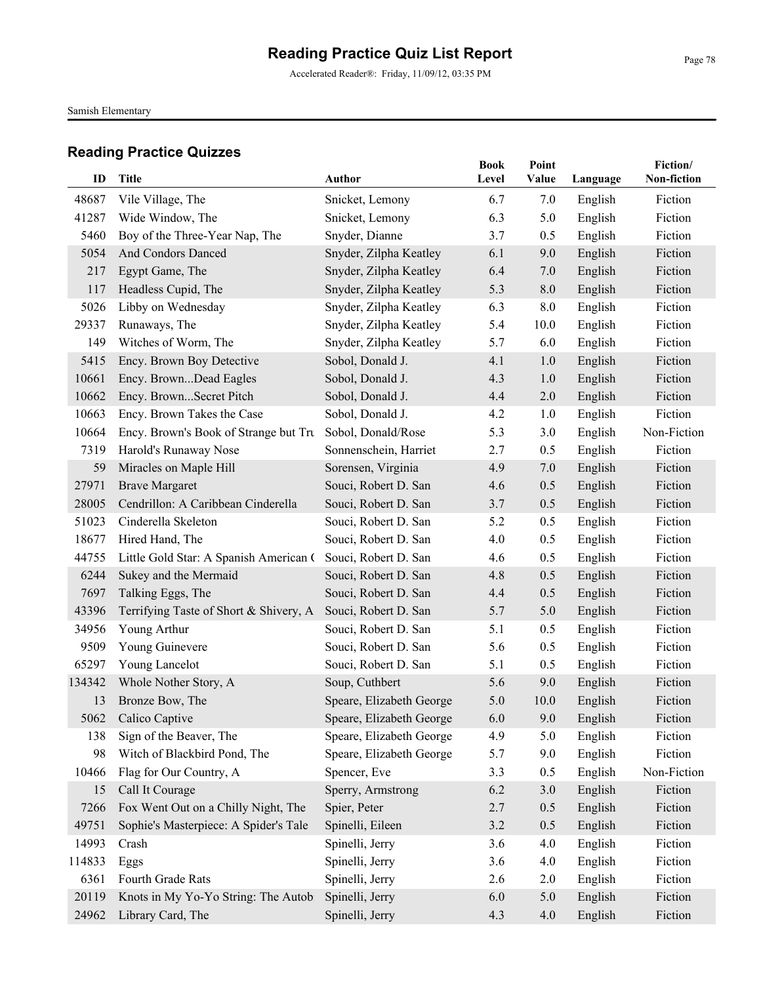Accelerated Reader®: Friday, 11/09/12, 03:35 PM

Samish Elementary

| ID     | Title                                  | Author                   | <b>Book</b><br>Level | Point<br>Value | Language | Fiction/<br>Non-fiction |
|--------|----------------------------------------|--------------------------|----------------------|----------------|----------|-------------------------|
| 48687  | Vile Village, The                      | Snicket, Lemony          | 6.7                  | 7.0            | English  | Fiction                 |
| 41287  | Wide Window, The                       | Snicket, Lemony          | 6.3                  | 5.0            | English  | Fiction                 |
| 5460   | Boy of the Three-Year Nap, The         | Snyder, Dianne           | 3.7                  | 0.5            | English  | Fiction                 |
| 5054   | And Condors Danced                     | Snyder, Zilpha Keatley   | 6.1                  | 9.0            | English  | Fiction                 |
| 217    | Egypt Game, The                        | Snyder, Zilpha Keatley   | 6.4                  | 7.0            | English  | Fiction                 |
| 117    | Headless Cupid, The                    | Snyder, Zilpha Keatley   | 5.3                  | 8.0            | English  | Fiction                 |
| 5026   | Libby on Wednesday                     | Snyder, Zilpha Keatley   | 6.3                  | 8.0            | English  | Fiction                 |
| 29337  | Runaways, The                          | Snyder, Zilpha Keatley   | 5.4                  | 10.0           | English  | Fiction                 |
| 149    | Witches of Worm, The                   | Snyder, Zilpha Keatley   | 5.7                  | 6.0            | English  | Fiction                 |
| 5415   | Ency. Brown Boy Detective              | Sobol, Donald J.         | 4.1                  | 1.0            | English  | Fiction                 |
| 10661  | Ency. BrownDead Eagles                 | Sobol, Donald J.         | 4.3                  | 1.0            | English  | Fiction                 |
| 10662  | Ency. BrownSecret Pitch                | Sobol, Donald J.         | 4.4                  | 2.0            | English  | Fiction                 |
| 10663  | Ency. Brown Takes the Case             | Sobol, Donald J.         | 4.2                  | 1.0            | English  | Fiction                 |
| 10664  | Ency. Brown's Book of Strange but Tru  | Sobol, Donald/Rose       | 5.3                  | 3.0            | English  | Non-Fiction             |
| 7319   | Harold's Runaway Nose                  | Sonnenschein, Harriet    | 2.7                  | 0.5            | English  | Fiction                 |
| 59     | Miracles on Maple Hill                 | Sorensen, Virginia       | 4.9                  | 7.0            | English  | Fiction                 |
| 27971  | <b>Brave Margaret</b>                  | Souci, Robert D. San     | 4.6                  | 0.5            | English  | Fiction                 |
| 28005  | Cendrillon: A Caribbean Cinderella     | Souci, Robert D. San     | 3.7                  | 0.5            | English  | Fiction                 |
| 51023  | Cinderella Skeleton                    | Souci, Robert D. San     | 5.2                  | 0.5            | English  | Fiction                 |
| 18677  | Hired Hand, The                        | Souci, Robert D. San     | 4.0                  | 0.5            | English  | Fiction                 |
| 44755  | Little Gold Star: A Spanish American ( | Souci, Robert D. San     | 4.6                  | 0.5            | English  | Fiction                 |
| 6244   | Sukey and the Mermaid                  | Souci, Robert D. San     | 4.8                  | 0.5            | English  | Fiction                 |
| 7697   | Talking Eggs, The                      | Souci, Robert D. San     | 4.4                  | 0.5            | English  | Fiction                 |
| 43396  | Terrifying Taste of Short & Shivery, A | Souci, Robert D. San     | 5.7                  | 5.0            | English  | Fiction                 |
| 34956  | Young Arthur                           | Souci, Robert D. San     | 5.1                  | 0.5            | English  | Fiction                 |
| 9509   | Young Guinevere                        | Souci, Robert D. San     | 5.6                  | 0.5            | English  | Fiction                 |
| 65297  | Young Lancelot                         | Souci, Robert D. San     | 5.1                  | 0.5            | English  | Fiction                 |
| 134342 | Whole Nother Story, A                  | Soup, Cuthbert           | 5.6                  | 9.0            | English  | Fiction                 |
| 13     | Bronze Bow, The                        | Speare, Elizabeth George | 5.0                  | 10.0           | English  | Fiction                 |
|        | 5062 Calico Captive                    | Speare, Elizabeth George | 6.0                  | 9.0            | English  | Fiction                 |
| 138    | Sign of the Beaver, The                | Speare, Elizabeth George | 4.9                  | 5.0            | English  | Fiction                 |
| 98     | Witch of Blackbird Pond, The           | Speare, Elizabeth George | 5.7                  | 9.0            | English  | Fiction                 |
| 10466  | Flag for Our Country, A                | Spencer, Eve             | 3.3                  | 0.5            | English  | Non-Fiction             |
| 15     | Call It Courage                        | Sperry, Armstrong        | 6.2                  | 3.0            | English  | Fiction                 |
| 7266   | Fox Went Out on a Chilly Night, The    | Spier, Peter             | 2.7                  | 0.5            | English  | Fiction                 |
| 49751  | Sophie's Masterpiece: A Spider's Tale  | Spinelli, Eileen         | 3.2                  | 0.5            | English  | Fiction                 |
| 14993  | Crash                                  | Spinelli, Jerry          | 3.6                  | 4.0            | English  | Fiction                 |
| 114833 | Eggs                                   | Spinelli, Jerry          | 3.6                  | 4.0            | English  | Fiction                 |
| 6361   | Fourth Grade Rats                      | Spinelli, Jerry          | 2.6                  | 2.0            | English  | Fiction                 |
| 20119  | Knots in My Yo-Yo String: The Autob    | Spinelli, Jerry          | 6.0                  | 5.0            | English  | Fiction                 |
| 24962  | Library Card, The                      | Spinelli, Jerry          | 4.3                  | 4.0            | English  | Fiction                 |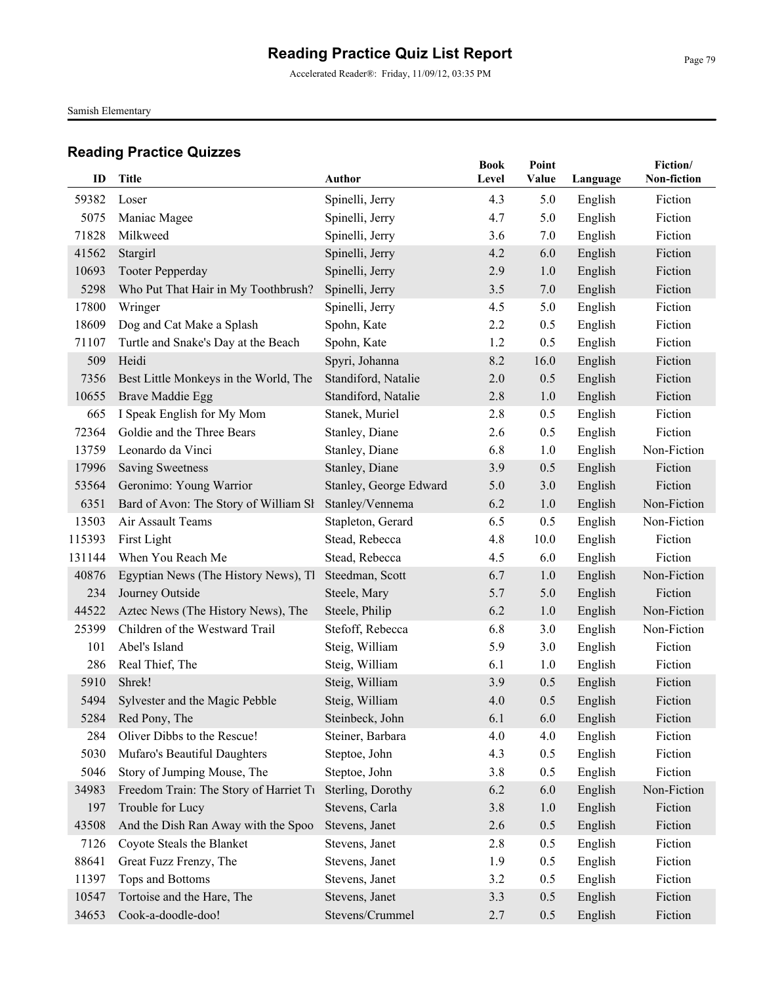Accelerated Reader®: Friday, 11/09/12, 03:35 PM

Samish Elementary

| ID             | <b>Title</b>                                                   | Author                 | <b>Book</b><br>Level | Point<br>Value | Language | Fiction/<br>Non-fiction |
|----------------|----------------------------------------------------------------|------------------------|----------------------|----------------|----------|-------------------------|
|                |                                                                |                        |                      |                |          |                         |
| 59382          | Loser                                                          | Spinelli, Jerry        | 4.3                  | 5.0            | English  | Fiction<br>Fiction      |
| 5075           | Maniac Magee                                                   | Spinelli, Jerry        | 4.7                  | 5.0            | English  |                         |
| 71828          | Milkweed                                                       | Spinelli, Jerry        | 3.6                  | 7.0            | English  | Fiction                 |
| 41562<br>10693 | Stargirl                                                       | Spinelli, Jerry        | 4.2<br>2.9           | 6.0            | English  | Fiction<br>Fiction      |
| 5298           | <b>Tooter Pepperday</b><br>Who Put That Hair in My Toothbrush? | Spinelli, Jerry        | 3.5                  | 1.0<br>7.0     | English  | Fiction                 |
| 17800          |                                                                | Spinelli, Jerry        | 4.5                  | 5.0            | English  | Fiction                 |
| 18609          | Wringer                                                        | Spinelli, Jerry        | 2.2                  | 0.5            | English  | Fiction                 |
|                | Dog and Cat Make a Splash                                      | Spohn, Kate            |                      |                | English  |                         |
| 71107          | Turtle and Snake's Day at the Beach                            | Spohn, Kate            | 1.2                  | 0.5            | English  | Fiction                 |
| 509            | Heidi                                                          | Spyri, Johanna         | 8.2                  | 16.0           | English  | Fiction                 |
| 7356           | Best Little Monkeys in the World, The                          | Standiford, Natalie    | 2.0                  | 0.5            | English  | Fiction                 |
| 10655          | Brave Maddie Egg                                               | Standiford, Natalie    | 2.8                  | 1.0            | English  | Fiction                 |
| 665            | I Speak English for My Mom                                     | Stanek, Muriel         | 2.8                  | 0.5            | English  | Fiction                 |
| 72364          | Goldie and the Three Bears                                     | Stanley, Diane         | 2.6                  | 0.5            | English  | Fiction                 |
| 13759          | Leonardo da Vinci                                              | Stanley, Diane         | 6.8                  | 1.0            | English  | Non-Fiction             |
| 17996          | <b>Saving Sweetness</b>                                        | Stanley, Diane         | 3.9                  | 0.5            | English  | Fiction                 |
| 53564          | Geronimo: Young Warrior                                        | Stanley, George Edward | 5.0                  | 3.0            | English  | Fiction                 |
| 6351           | Bard of Avon: The Story of William SI                          | Stanley/Vennema        | 6.2                  | 1.0            | English  | Non-Fiction             |
| 13503          | Air Assault Teams                                              | Stapleton, Gerard      | 6.5                  | 0.5            | English  | Non-Fiction             |
| 115393         | First Light                                                    | Stead, Rebecca         | 4.8                  | 10.0           | English  | Fiction                 |
| 131144         | When You Reach Me                                              | Stead, Rebecca         | 4.5                  | 6.0            | English  | Fiction                 |
| 40876          | Egyptian News (The History News), Tl                           | Steedman, Scott        | 6.7                  | 1.0            | English  | Non-Fiction             |
| 234            | Journey Outside                                                | Steele, Mary           | 5.7                  | 5.0            | English  | Fiction                 |
| 44522          | Aztec News (The History News), The                             | Steele, Philip         | 6.2                  | 1.0            | English  | Non-Fiction             |
| 25399          | Children of the Westward Trail                                 | Stefoff, Rebecca       | 6.8                  | $3.0$          | English  | Non-Fiction             |
| 101            | Abel's Island                                                  | Steig, William         | 5.9                  | 3.0            | English  | Fiction                 |
| 286            | Real Thief, The                                                | Steig, William         | 6.1                  | 1.0            | English  | Fiction                 |
| 5910           | Shrek!                                                         | Steig, William         | 3.9                  | 0.5            | English  | Fiction                 |
| 5494           | Sylvester and the Magic Pebble                                 | Steig, William         | 4.0                  | 0.5            | English  | Fiction                 |
|                | 5284 Red Pony, The                                             | Steinbeck, John        | 6.1                  | 6.0            | English  | Fiction                 |
| 284            | Oliver Dibbs to the Rescue!                                    | Steiner, Barbara       | 4.0                  | 4.0            | English  | Fiction                 |
| 5030           | Mufaro's Beautiful Daughters                                   | Steptoe, John          | 4.3                  | 0.5            | English  | Fiction                 |
| 5046           | Story of Jumping Mouse, The                                    | Steptoe, John          | 3.8                  | 0.5            | English  | Fiction                 |
| 34983          | Freedom Train: The Story of Harriet Tu                         | Sterling, Dorothy      | 6.2                  | 6.0            | English  | Non-Fiction             |
| 197            | Trouble for Lucy                                               | Stevens, Carla         | 3.8                  | 1.0            | English  | Fiction                 |
| 43508          | And the Dish Ran Away with the Spoo.                           | Stevens, Janet         | 2.6                  | 0.5            | English  | Fiction                 |
| 7126           | Coyote Steals the Blanket                                      | Stevens, Janet         | 2.8                  | 0.5            | English  | Fiction                 |
| 88641          | Great Fuzz Frenzy, The                                         | Stevens, Janet         | 1.9                  | 0.5            | English  | Fiction                 |
| 11397          | Tops and Bottoms                                               | Stevens, Janet         | 3.2                  | 0.5            | English  | Fiction                 |
| 10547          | Tortoise and the Hare, The                                     | Stevens, Janet         | 3.3                  | 0.5            | English  | Fiction                 |
| 34653          | Cook-a-doodle-doo!                                             | Stevens/Crummel        | 2.7                  | 0.5            | English  | Fiction                 |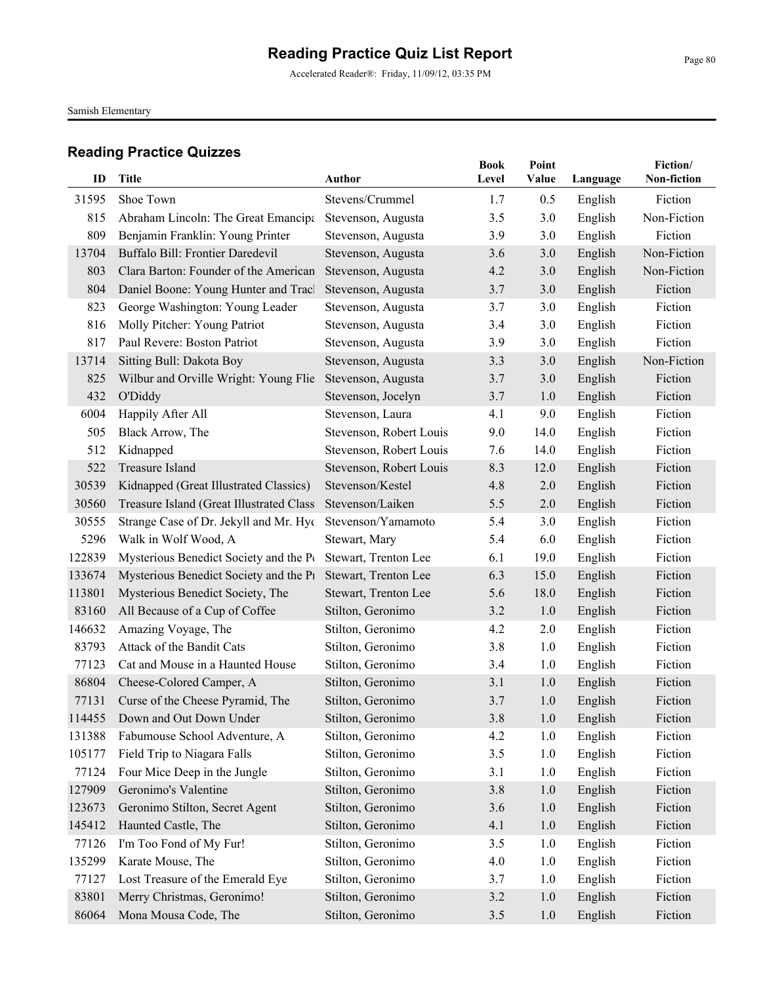Accelerated Reader®: Friday, 11/09/12, 03:35 PM

Samish Elementary

| ID     | <b>Title</b>                             | Author                  | <b>Book</b><br>Level | Point<br>Value | Language | Fiction/<br><b>Non-fiction</b> |
|--------|------------------------------------------|-------------------------|----------------------|----------------|----------|--------------------------------|
| 31595  | Shoe Town                                | Stevens/Crummel         | 1.7                  | 0.5            | English  | Fiction                        |
| 815    | Abraham Lincoln: The Great Emancipa      | Stevenson, Augusta      | 3.5                  | 3.0            | English  | Non-Fiction                    |
| 809    | Benjamin Franklin: Young Printer         | Stevenson, Augusta      | 3.9                  | 3.0            | English  | Fiction                        |
| 13704  | Buffalo Bill: Frontier Daredevil         | Stevenson, Augusta      | 3.6                  | 3.0            | English  | Non-Fiction                    |
| 803    | Clara Barton: Founder of the American    | Stevenson, Augusta      | 4.2                  | 3.0            | English  | Non-Fiction                    |
| 804    | Daniel Boone: Young Hunter and Tracl     | Stevenson, Augusta      | 3.7                  | 3.0            | English  | Fiction                        |
| 823    | George Washington: Young Leader          | Stevenson, Augusta      | 3.7                  | 3.0            | English  | Fiction                        |
| 816    | Molly Pitcher: Young Patriot             | Stevenson, Augusta      | 3.4                  | 3.0            | English  | Fiction                        |
| 817    | Paul Revere: Boston Patriot              | Stevenson, Augusta      | 3.9                  | 3.0            | English  | Fiction                        |
| 13714  | Sitting Bull: Dakota Boy                 | Stevenson, Augusta      | 3.3                  | 3.0            | English  | Non-Fiction                    |
| 825    | Wilbur and Orville Wright: Young Flie    | Stevenson, Augusta      | 3.7                  | 3.0            | English  | Fiction                        |
| 432    | O'Diddy                                  | Stevenson, Jocelyn      | 3.7                  | 1.0            | English  | Fiction                        |
| 6004   | Happily After All                        | Stevenson, Laura        | 4.1                  | 9.0            | English  | Fiction                        |
| 505    | Black Arrow, The                         | Stevenson, Robert Louis | 9.0                  | 14.0           | English  | Fiction                        |
| 512    | Kidnapped                                | Stevenson, Robert Louis | 7.6                  | 14.0           | English  | Fiction                        |
| 522    | Treasure Island                          | Stevenson, Robert Louis | 8.3                  | 12.0           | English  | Fiction                        |
| 30539  | Kidnapped (Great Illustrated Classics)   | Stevenson/Kestel        | 4.8                  | 2.0            | English  | Fiction                        |
| 30560  | Treasure Island (Great Illustrated Class | Stevenson/Laiken        | 5.5                  | 2.0            | English  | Fiction                        |
| 30555  | Strange Case of Dr. Jekyll and Mr. Hyc   | Stevenson/Yamamoto      | 5.4                  | 3.0            | English  | Fiction                        |
| 5296   | Walk in Wolf Wood, A                     | Stewart, Mary           | 5.4                  | 6.0            | English  | Fiction                        |
| 122839 | Mysterious Benedict Society and the Pt   | Stewart, Trenton Lee    | 6.1                  | 19.0           | English  | Fiction                        |
| 133674 | Mysterious Benedict Society and the P1   | Stewart, Trenton Lee    | 6.3                  | 15.0           | English  | Fiction                        |
| 113801 | Mysterious Benedict Society, The         | Stewart, Trenton Lee    | 5.6                  | 18.0           | English  | Fiction                        |
| 83160  | All Because of a Cup of Coffee           | Stilton, Geronimo       | 3.2                  | 1.0            | English  | Fiction                        |
| 146632 | Amazing Voyage, The                      | Stilton, Geronimo       | 4.2                  | 2.0            | English  | Fiction                        |
| 83793  | Attack of the Bandit Cats                | Stilton, Geronimo       | 3.8                  | 1.0            | English  | Fiction                        |
| 77123  | Cat and Mouse in a Haunted House         | Stilton, Geronimo       | 3.4                  | 1.0            | English  | Fiction                        |
| 86804  | Cheese-Colored Camper, A                 | Stilton, Geronimo       | 3.1                  | 1.0            | English  | Fiction                        |
| 77131  | Curse of the Cheese Pyramid, The         | Stilton, Geronimo       | 3.7                  | 1.0            | English  | Fiction                        |
|        | 114455 Down and Out Down Under           | Stilton, Geronimo       | 3.8                  | 1.0            | English  | Fiction                        |
| 131388 | Fabumouse School Adventure, A            | Stilton, Geronimo       | 4.2                  | 1.0            | English  | Fiction                        |
| 105177 | Field Trip to Niagara Falls              | Stilton, Geronimo       | 3.5                  | 1.0            | English  | Fiction                        |
| 77124  | Four Mice Deep in the Jungle             | Stilton, Geronimo       | 3.1                  | 1.0            | English  | Fiction                        |
| 127909 | Geronimo's Valentine                     | Stilton, Geronimo       | 3.8                  | 1.0            | English  | Fiction                        |
| 123673 | Geronimo Stilton, Secret Agent           | Stilton, Geronimo       | 3.6                  | 1.0            | English  | Fiction                        |
| 145412 | Haunted Castle, The                      | Stilton, Geronimo       | 4.1                  | 1.0            | English  | Fiction                        |
| 77126  | I'm Too Fond of My Fur!                  | Stilton, Geronimo       | 3.5                  | 1.0            | English  | Fiction                        |
| 135299 | Karate Mouse, The                        | Stilton, Geronimo       | 4.0                  | 1.0            | English  | Fiction                        |
| 77127  | Lost Treasure of the Emerald Eye         | Stilton, Geronimo       | 3.7                  | 1.0            | English  | Fiction                        |
| 83801  | Merry Christmas, Geronimo!               | Stilton, Geronimo       | 3.2                  | 1.0            | English  | Fiction                        |
| 86064  | Mona Mousa Code, The                     | Stilton, Geronimo       | 3.5                  | 1.0            | English  | Fiction                        |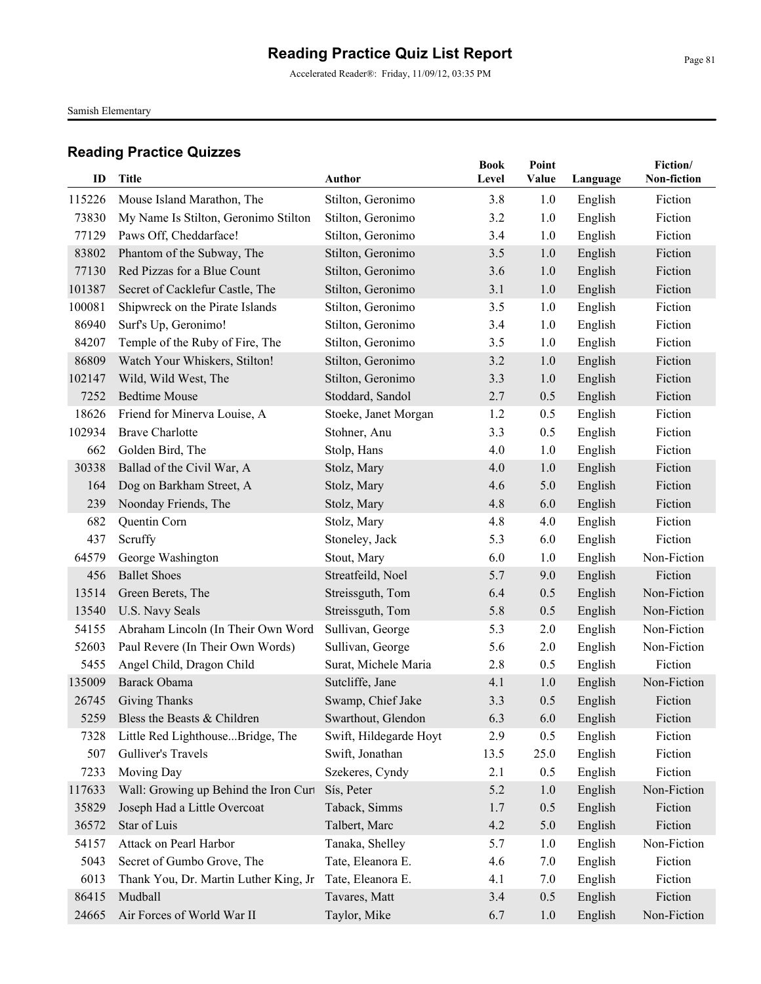Accelerated Reader®: Friday, 11/09/12, 03:35 PM

Samish Elementary

| ID     | <b>Title</b>                          | Author                 | <b>Book</b><br>Level | Point<br>Value | Language | Fiction/<br>Non-fiction |
|--------|---------------------------------------|------------------------|----------------------|----------------|----------|-------------------------|
|        |                                       |                        |                      |                |          |                         |
| 115226 | Mouse Island Marathon, The            | Stilton, Geronimo      | 3.8                  | 1.0            | English  | Fiction                 |
| 73830  | My Name Is Stilton, Geronimo Stilton  | Stilton, Geronimo      | 3.2                  | 1.0            | English  | Fiction                 |
| 77129  | Paws Off, Cheddarface!                | Stilton, Geronimo      | 3.4                  | 1.0            | English  | Fiction                 |
| 83802  | Phantom of the Subway, The            | Stilton, Geronimo      | 3.5                  | 1.0            | English  | Fiction                 |
| 77130  | Red Pizzas for a Blue Count           | Stilton, Geronimo      | 3.6                  | 1.0            | English  | Fiction                 |
| 101387 | Secret of Cacklefur Castle, The       | Stilton, Geronimo      | 3.1                  | 1.0            | English  | Fiction                 |
| 100081 | Shipwreck on the Pirate Islands       | Stilton, Geronimo      | 3.5                  | 1.0            | English  | Fiction                 |
| 86940  | Surf's Up, Geronimo!                  | Stilton, Geronimo      | 3.4                  | 1.0            | English  | Fiction                 |
| 84207  | Temple of the Ruby of Fire, The       | Stilton, Geronimo      | 3.5                  | 1.0            | English  | Fiction                 |
| 86809  | Watch Your Whiskers, Stilton!         | Stilton, Geronimo      | 3.2                  | 1.0            | English  | Fiction                 |
| 102147 | Wild, Wild West, The                  | Stilton, Geronimo      | 3.3                  | 1.0            | English  | Fiction                 |
| 7252   | <b>Bedtime Mouse</b>                  | Stoddard, Sandol       | 2.7                  | 0.5            | English  | Fiction                 |
| 18626  | Friend for Minerva Louise, A          | Stoeke, Janet Morgan   | 1.2                  | 0.5            | English  | Fiction                 |
| 102934 | <b>Brave Charlotte</b>                | Stohner, Anu           | 3.3                  | 0.5            | English  | Fiction                 |
| 662    | Golden Bird, The                      | Stolp, Hans            | 4.0                  | 1.0            | English  | Fiction                 |
| 30338  | Ballad of the Civil War, A            | Stolz, Mary            | 4.0                  | 1.0            | English  | Fiction                 |
| 164    | Dog on Barkham Street, A              | Stolz, Mary            | 4.6                  | 5.0            | English  | Fiction                 |
| 239    | Noonday Friends, The                  | Stolz, Mary            | 4.8                  | 6.0            | English  | Fiction                 |
| 682    | Quentin Corn                          | Stolz, Mary            | 4.8                  | 4.0            | English  | Fiction                 |
| 437    | Scruffy                               | Stoneley, Jack         | 5.3                  | 6.0            | English  | Fiction                 |
| 64579  | George Washington                     | Stout, Mary            | 6.0                  | 1.0            | English  | Non-Fiction             |
| 456    | <b>Ballet Shoes</b>                   | Streatfeild, Noel      | 5.7                  | 9.0            | English  | Fiction                 |
| 13514  | Green Berets, The                     | Streissguth, Tom       | 6.4                  | 0.5            | English  | Non-Fiction             |
| 13540  | U.S. Navy Seals                       | Streissguth, Tom       | 5.8                  | 0.5            | English  | Non-Fiction             |
| 54155  | Abraham Lincoln (In Their Own Word    | Sullivan, George       | 5.3                  | 2.0            | English  | Non-Fiction             |
| 52603  | Paul Revere (In Their Own Words)      | Sullivan, George       | 5.6                  | 2.0            | English  | Non-Fiction             |
| 5455   | Angel Child, Dragon Child             | Surat, Michele Maria   | 2.8                  | 0.5            | English  | Fiction                 |
| 135009 | Barack Obama                          | Sutcliffe, Jane        | 4.1                  | 1.0            | English  | Non-Fiction             |
| 26745  | <b>Giving Thanks</b>                  | Swamp, Chief Jake      | 3.3                  | 0.5            | English  | Fiction                 |
| 5259   | Bless the Beasts & Children           | Swarthout, Glendon     | 6.3                  | 6.0            | English  | Fiction                 |
| 7328   | Little Red LighthouseBridge, The      | Swift, Hildegarde Hoyt | 2.9                  | 0.5            | English  | Fiction                 |
| 507    | Gulliver's Travels                    | Swift, Jonathan        | 13.5                 | 25.0           | English  | Fiction                 |
| 7233   | Moving Day                            | Szekeres, Cyndy        | 2.1                  | 0.5            | English  | Fiction                 |
| 117633 | Wall: Growing up Behind the Iron Curt | Sís, Peter             | 5.2                  | 1.0            | English  | Non-Fiction             |
| 35829  | Joseph Had a Little Overcoat          | Taback, Simms          | 1.7                  | 0.5            | English  | Fiction                 |
| 36572  | Star of Luis                          | Talbert, Marc          | 4.2                  | 5.0            | English  | Fiction                 |
| 54157  | Attack on Pearl Harbor                | Tanaka, Shelley        | 5.7                  | 1.0            | English  | Non-Fiction             |
| 5043   | Secret of Gumbo Grove, The            | Tate, Eleanora E.      | 4.6                  | 7.0            | English  | Fiction                 |
| 6013   | Thank You, Dr. Martin Luther King, Jr | Tate, Eleanora E.      | 4.1                  | 7.0            | English  | Fiction                 |
| 86415  | Mudball                               | Tavares, Matt          | 3.4                  | 0.5            | English  | Fiction                 |
| 24665  | Air Forces of World War II            | Taylor, Mike           | 6.7                  | 1.0            | English  | Non-Fiction             |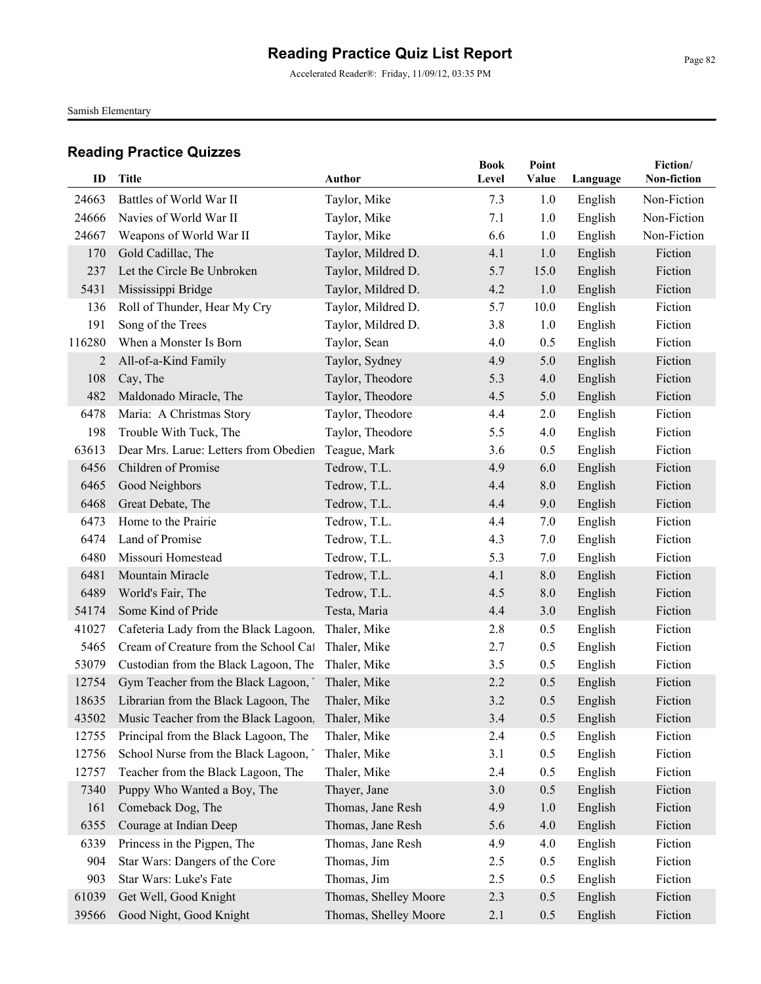Accelerated Reader®: Friday, 11/09/12, 03:35 PM

Samish Elementary

| ID     | <b>Title</b>                               | <b>Author</b>         | <b>Book</b><br>Level | Point<br>Value | Language | Fiction/<br>Non-fiction |
|--------|--------------------------------------------|-----------------------|----------------------|----------------|----------|-------------------------|
| 24663  | Battles of World War II                    | Taylor, Mike          | 7.3                  | 1.0            | English  | Non-Fiction             |
| 24666  | Navies of World War II                     | Taylor, Mike          | 7.1                  | 1.0            | English  | Non-Fiction             |
| 24667  | Weapons of World War II                    | Taylor, Mike          | 6.6                  | 1.0            | English  | Non-Fiction             |
| 170    | Gold Cadillac, The                         | Taylor, Mildred D.    | 4.1                  | 1.0            | English  | Fiction                 |
| 237    | Let the Circle Be Unbroken                 | Taylor, Mildred D.    | 5.7                  | 15.0           | English  | Fiction                 |
| 5431   | Mississippi Bridge                         | Taylor, Mildred D.    | 4.2                  | 1.0            | English  | Fiction                 |
| 136    | Roll of Thunder, Hear My Cry               | Taylor, Mildred D.    | 5.7                  | 10.0           | English  | Fiction                 |
| 191    | Song of the Trees                          | Taylor, Mildred D.    | 3.8                  | 1.0            | English  | Fiction                 |
| 116280 | When a Monster Is Born                     | Taylor, Sean          | 4.0                  | 0.5            | English  | Fiction                 |
| 2      | All-of-a-Kind Family                       | Taylor, Sydney        | 4.9                  | 5.0            | English  | Fiction                 |
| 108    | Cay, The                                   | Taylor, Theodore      | 5.3                  | 4.0            | English  | Fiction                 |
| 482    | Maldonado Miracle, The                     | Taylor, Theodore      | 4.5                  | 5.0            | English  | Fiction                 |
| 6478   | Maria: A Christmas Story                   | Taylor, Theodore      | 4.4                  | 2.0            | English  | Fiction                 |
| 198    | Trouble With Tuck, The                     | Taylor, Theodore      | 5.5                  | 4.0            | English  | Fiction                 |
| 63613  | Dear Mrs. Larue: Letters from Obedien      | Teague, Mark          | 3.6                  | 0.5            | English  | Fiction                 |
| 6456   | Children of Promise                        | Tedrow, T.L.          | 4.9                  | 6.0            | English  | Fiction                 |
| 6465   | Good Neighbors                             | Tedrow, T.L.          | 4.4                  | 8.0            | English  | Fiction                 |
| 6468   | Great Debate, The                          | Tedrow, T.L.          | 4.4                  | 9.0            | English  | Fiction                 |
| 6473   | Home to the Prairie                        | Tedrow, T.L.          | 4.4                  | 7.0            | English  | Fiction                 |
| 6474   | Land of Promise                            | Tedrow, T.L.          | 4.3                  | 7.0            | English  | Fiction                 |
| 6480   | Missouri Homestead                         | Tedrow, T.L.          | 5.3                  | 7.0            | English  | Fiction                 |
| 6481   | Mountain Miracle                           | Tedrow, T.L.          | 4.1                  | 8.0            | English  | Fiction                 |
| 6489   | World's Fair, The                          | Tedrow, T.L.          | 4.5                  | 8.0            | English  | Fiction                 |
| 54174  | Some Kind of Pride                         | Testa, Maria          | 4.4                  | 3.0            | English  | Fiction                 |
| 41027  | Cafeteria Lady from the Black Lagoon,      | Thaler, Mike          | 2.8                  | 0.5            | English  | Fiction                 |
| 5465   | Cream of Creature from the School Cat      | Thaler, Mike          | 2.7                  | 0.5            | English  | Fiction                 |
| 53079  | Custodian from the Black Lagoon, The       | Thaler, Mike          | 3.5                  | 0.5            | English  | Fiction                 |
| 12754  | Gym Teacher from the Black Lagoon,         | Thaler, Mike          | 2.2                  | 0.5            | English  | Fiction                 |
| 18635  | Librarian from the Black Lagoon, The       | Thaler, Mike          | 3.2                  | 0.5            | English  | Fiction                 |
|        | 43502 Music Teacher from the Black Lagoon, | Thaler, Mike          | 3.4                  | 0.5            | English  | Fiction                 |
| 12755  | Principal from the Black Lagoon, The       | Thaler, Mike          | 2.4                  | 0.5            | English  | Fiction                 |
| 12756  | School Nurse from the Black Lagoon, 7      | Thaler, Mike          | 3.1                  | 0.5            | English  | Fiction                 |
| 12757  | Teacher from the Black Lagoon, The         | Thaler, Mike          | 2.4                  | 0.5            | English  | Fiction                 |
| 7340   | Puppy Who Wanted a Boy, The                | Thayer, Jane          | 3.0                  | 0.5            | English  | Fiction                 |
| 161    | Comeback Dog, The                          | Thomas, Jane Resh     | 4.9                  | 1.0            | English  | Fiction                 |
| 6355   | Courage at Indian Deep                     | Thomas, Jane Resh     | 5.6                  | 4.0            | English  | Fiction                 |
| 6339   | Princess in the Pigpen, The                | Thomas, Jane Resh     | 4.9                  | 4.0            | English  | Fiction                 |
| 904    | Star Wars: Dangers of the Core             | Thomas, Jim           | 2.5                  | 0.5            | English  | Fiction                 |
| 903    | Star Wars: Luke's Fate                     | Thomas, Jim           | 2.5                  | 0.5            | English  | Fiction                 |
| 61039  | Get Well, Good Knight                      | Thomas, Shelley Moore | 2.3                  | 0.5            | English  | Fiction                 |
| 39566  | Good Night, Good Knight                    | Thomas, Shelley Moore | 2.1                  | 0.5            | English  | Fiction                 |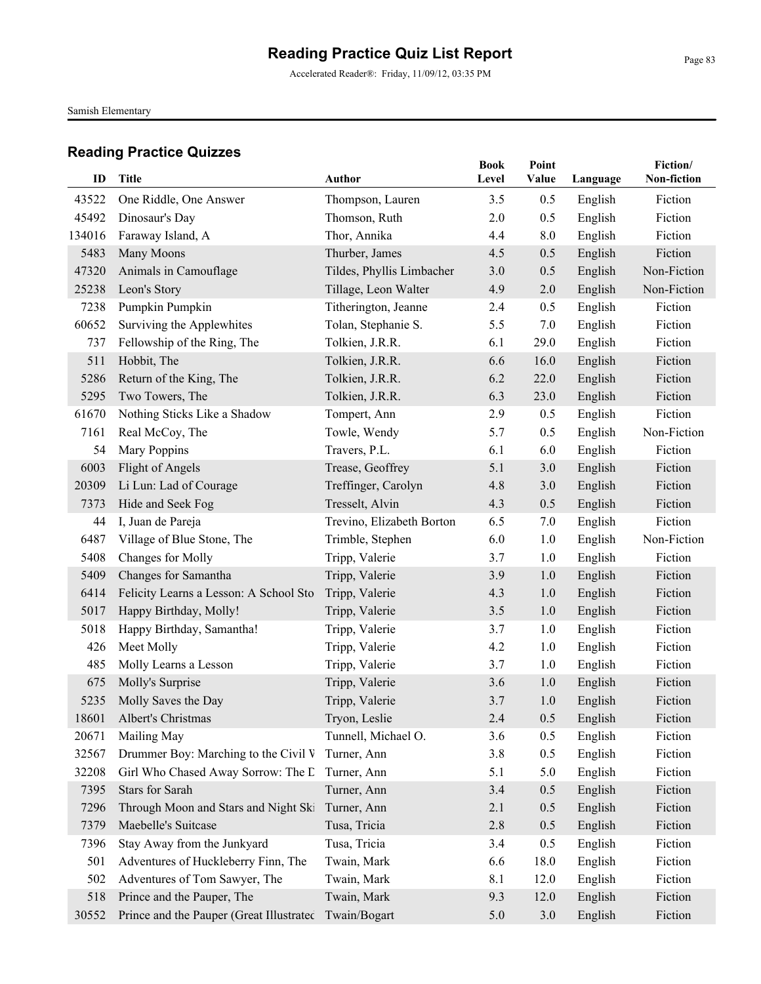Accelerated Reader®: Friday, 11/09/12, 03:35 PM

Samish Elementary

| ID     | Title                                    | Author                    | Book<br>Level | Point<br>Value | Language | Fiction/<br>Non-fiction |
|--------|------------------------------------------|---------------------------|---------------|----------------|----------|-------------------------|
| 43522  | One Riddle, One Answer                   | Thompson, Lauren          | 3.5           | 0.5            | English  | Fiction                 |
| 45492  | Dinosaur's Day                           | Thomson, Ruth             | 2.0           | 0.5            | English  | Fiction                 |
| 134016 | Faraway Island, A                        | Thor, Annika              | 4.4           | 8.0            | English  | Fiction                 |
| 5483   | Many Moons                               | Thurber, James            | 4.5           | 0.5            | English  | Fiction                 |
| 47320  | Animals in Camouflage                    | Tildes, Phyllis Limbacher | 3.0           | 0.5            | English  | Non-Fiction             |
| 25238  | Leon's Story                             | Tillage, Leon Walter      | 4.9           | 2.0            | English  | Non-Fiction             |
| 7238   | Pumpkin Pumpkin                          | Titherington, Jeanne      | 2.4           | 0.5            | English  | Fiction                 |
| 60652  | Surviving the Applewhites                | Tolan, Stephanie S.       | 5.5           | 7.0            | English  | Fiction                 |
| 737    | Fellowship of the Ring, The              | Tolkien, J.R.R.           | 6.1           | 29.0           | English  | Fiction                 |
| 511    | Hobbit, The                              | Tolkien, J.R.R.           | 6.6           | 16.0           | English  | Fiction                 |
| 5286   | Return of the King, The                  | Tolkien, J.R.R.           | 6.2           | 22.0           | English  | Fiction                 |
| 5295   | Two Towers, The                          | Tolkien, J.R.R.           | 6.3           | 23.0           | English  | Fiction                 |
| 61670  | Nothing Sticks Like a Shadow             | Tompert, Ann              | 2.9           | 0.5            | English  | Fiction                 |
| 7161   | Real McCoy, The                          | Towle, Wendy              | 5.7           | 0.5            | English  | Non-Fiction             |
| 54     | <b>Mary Poppins</b>                      | Travers, P.L.             | 6.1           | 6.0            | English  | Fiction                 |
| 6003   | Flight of Angels                         | Trease, Geoffrey          | 5.1           | 3.0            | English  | Fiction                 |
| 20309  | Li Lun: Lad of Courage                   | Treffinger, Carolyn       | 4.8           | 3.0            | English  | Fiction                 |
| 7373   | Hide and Seek Fog                        | Tresselt, Alvin           | 4.3           | 0.5            | English  | Fiction                 |
| 44     | I, Juan de Pareja                        | Trevino, Elizabeth Borton | 6.5           | 7.0            | English  | Fiction                 |
| 6487   | Village of Blue Stone, The               | Trimble, Stephen          | 6.0           | 1.0            | English  | Non-Fiction             |
| 5408   | Changes for Molly                        | Tripp, Valerie            | 3.7           | 1.0            | English  | Fiction                 |
| 5409   | Changes for Samantha                     | Tripp, Valerie            | 3.9           | 1.0            | English  | Fiction                 |
| 6414   | Felicity Learns a Lesson: A School Sto   | Tripp, Valerie            | 4.3           | 1.0            | English  | Fiction                 |
| 5017   | Happy Birthday, Molly!                   | Tripp, Valerie            | 3.5           | 1.0            | English  | Fiction                 |
| 5018   | Happy Birthday, Samantha!                | Tripp, Valerie            | 3.7           | 1.0            | English  | Fiction                 |
| 426    | Meet Molly                               | Tripp, Valerie            | 4.2           | 1.0            | English  | Fiction                 |
| 485    | Molly Learns a Lesson                    | Tripp, Valerie            | 3.7           | 1.0            | English  | Fiction                 |
| 675    | Molly's Surprise                         | Tripp, Valerie            | 3.6           | 1.0            | English  | Fiction                 |
| 5235   | Molly Saves the Day                      | Tripp, Valerie            | 3.7           | 1.0            | English  | Fiction                 |
| 18601  | Albert's Christmas                       | Tryon, Leslie             | 2.4           | 0.5            | English  | Fiction                 |
| 20671  | Mailing May                              | Tunnell, Michael O.       | 3.6           | 0.5            | English  | Fiction                 |
| 32567  | Drummer Boy: Marching to the Civil V     | Turner, Ann               | 3.8           | 0.5            | English  | Fiction                 |
| 32208  | Girl Who Chased Away Sorrow: The L       | Turner, Ann               | 5.1           | 5.0            | English  | Fiction                 |
| 7395   | <b>Stars for Sarah</b>                   | Turner, Ann               | 3.4           | 0.5            | English  | Fiction                 |
| 7296   | Through Moon and Stars and Night Ski     | Turner, Ann               | 2.1           | 0.5            | English  | Fiction                 |
| 7379   | Maebelle's Suitcase                      | Tusa, Tricia              | 2.8           | 0.5            | English  | Fiction                 |
| 7396   | Stay Away from the Junkyard              | Tusa, Tricia              | 3.4           | 0.5            | English  | Fiction                 |
| 501    | Adventures of Huckleberry Finn, The      | Twain, Mark               | 6.6           | 18.0           | English  | Fiction                 |
| 502    | Adventures of Tom Sawyer, The            | Twain, Mark               | 8.1           | 12.0           | English  | Fiction                 |
| 518    | Prince and the Pauper, The               | Twain, Mark               | 9.3           | 12.0           | English  | Fiction                 |
| 30552  | Prince and the Pauper (Great Illustrated | Twain/Bogart              | 5.0           | 3.0            | English  | Fiction                 |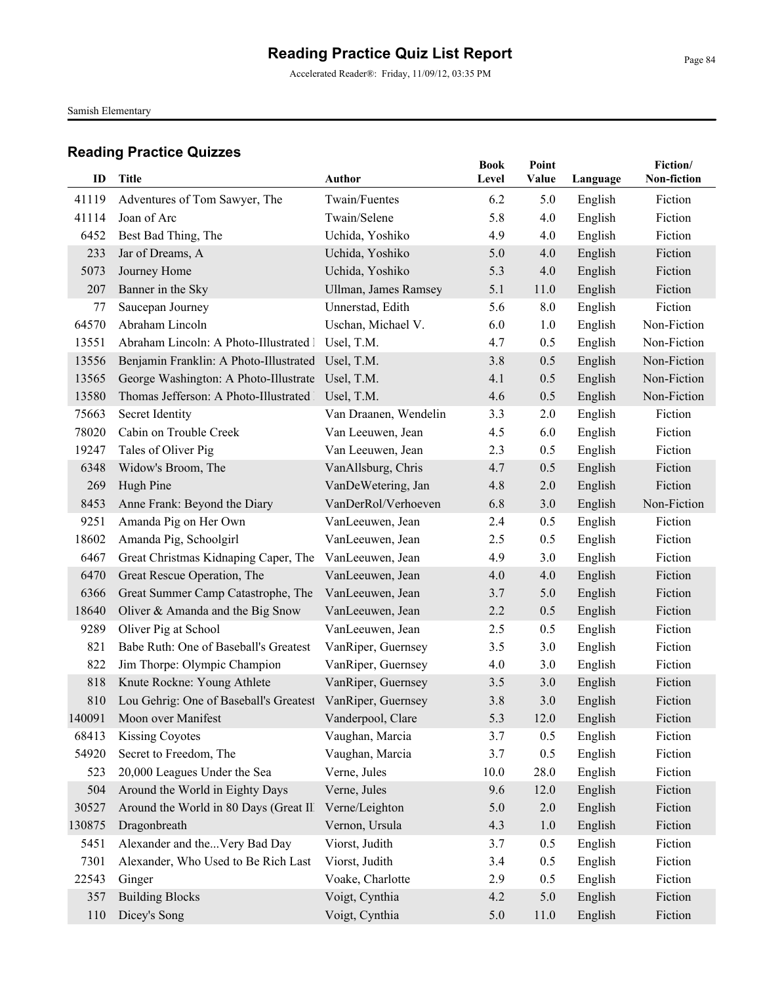Accelerated Reader®: Friday, 11/09/12, 03:35 PM

Samish Elementary

| ID     | Title                                                     | Author                | <b>Book</b><br>Level | Point<br>Value | Language | Fiction/<br>Non-fiction |
|--------|-----------------------------------------------------------|-----------------------|----------------------|----------------|----------|-------------------------|
|        |                                                           |                       |                      |                |          |                         |
| 41119  | Adventures of Tom Sawyer, The                             | Twain/Fuentes         | 6.2                  | 5.0            | English  | Fiction                 |
| 41114  | Joan of Arc                                               | Twain/Selene          | 5.8                  | 4.0            | English  | Fiction                 |
| 6452   | Best Bad Thing, The                                       | Uchida, Yoshiko       | 4.9                  | 4.0            | English  | Fiction                 |
| 233    | Jar of Dreams, A                                          | Uchida, Yoshiko       | 5.0                  | 4.0            | English  | Fiction                 |
| 5073   | Journey Home                                              | Uchida, Yoshiko       | 5.3                  | 4.0            | English  | Fiction                 |
| 207    | Banner in the Sky                                         | Ullman, James Ramsey  | 5.1                  | 11.0           | English  | Fiction                 |
| 77     | Saucepan Journey                                          | Unnerstad, Edith      | 5.6                  | $8.0\,$        | English  | Fiction                 |
| 64570  | Abraham Lincoln                                           | Uschan, Michael V.    | 6.0                  | 1.0            | English  | Non-Fiction             |
| 13551  | Abraham Lincoln: A Photo-Illustrated 1                    | Usel, T.M.            | 4.7                  | 0.5            | English  | Non-Fiction             |
| 13556  | Benjamin Franklin: A Photo-Illustrated Usel, T.M.         |                       | 3.8                  | 0.5            | English  | Non-Fiction             |
| 13565  | George Washington: A Photo-Illustrate Usel, T.M.          |                       | 4.1                  | 0.5            | English  | Non-Fiction             |
| 13580  | Thomas Jefferson: A Photo-Illustrated   Usel, T.M.        |                       | 4.6                  | 0.5            | English  | Non-Fiction             |
| 75663  | Secret Identity                                           | Van Draanen, Wendelin | 3.3                  | 2.0            | English  | Fiction                 |
| 78020  | Cabin on Trouble Creek                                    | Van Leeuwen, Jean     | 4.5                  | 6.0            | English  | Fiction                 |
| 19247  | Tales of Oliver Pig                                       | Van Leeuwen, Jean     | 2.3                  | 0.5            | English  | Fiction                 |
| 6348   | Widow's Broom, The                                        | VanAllsburg, Chris    | 4.7                  | 0.5            | English  | Fiction                 |
| 269    | Hugh Pine                                                 | VanDeWetering, Jan    | 4.8                  | 2.0            | English  | Fiction                 |
| 8453   | Anne Frank: Beyond the Diary                              | VanDerRol/Verhoeven   | 6.8                  | 3.0            | English  | Non-Fiction             |
| 9251   | Amanda Pig on Her Own                                     | VanLeeuwen, Jean      | 2.4                  | 0.5            | English  | Fiction                 |
| 18602  | Amanda Pig, Schoolgirl                                    | VanLeeuwen, Jean      | 2.5                  | 0.5            | English  | Fiction                 |
| 6467   | Great Christmas Kidnaping Caper, The                      | VanLeeuwen, Jean      | 4.9                  | 3.0            | English  | Fiction                 |
| 6470   | Great Rescue Operation, The                               | VanLeeuwen, Jean      | 4.0                  | 4.0            | English  | Fiction                 |
| 6366   | Great Summer Camp Catastrophe, The                        | VanLeeuwen, Jean      | 3.7                  | 5.0            | English  | Fiction                 |
| 18640  | Oliver & Amanda and the Big Snow                          | VanLeeuwen, Jean      | 2.2                  | 0.5            | English  | Fiction                 |
| 9289   | Oliver Pig at School                                      | VanLeeuwen, Jean      | 2.5                  | 0.5            | English  | Fiction                 |
| 821    | Babe Ruth: One of Baseball's Greatest                     | VanRiper, Guernsey    | 3.5                  | 3.0            | English  | Fiction                 |
| 822    | Jim Thorpe: Olympic Champion                              | VanRiper, Guernsey    | 4.0                  | 3.0            | English  | Fiction                 |
| 818    | Knute Rockne: Young Athlete                               | VanRiper, Guernsey    | 3.5                  | 3.0            | English  | Fiction                 |
| 810    | Lou Gehrig: One of Baseball's Greatest VanRiper, Guernsey |                       | 3.8                  | 3.0            | English  | Fiction                 |
|        | 140091 Moon over Manifest                                 | Vanderpool, Clare     | 5.3                  | 12.0           | English  | Fiction                 |
| 68413  | <b>Kissing Coyotes</b>                                    | Vaughan, Marcia       | 3.7                  | 0.5            | English  | Fiction                 |
| 54920  | Secret to Freedom, The                                    | Vaughan, Marcia       | 3.7                  | 0.5            | English  | Fiction                 |
| 523    | 20,000 Leagues Under the Sea                              | Verne, Jules          | 10.0                 | 28.0           | English  | Fiction                 |
| 504    | Around the World in Eighty Days                           | Verne, Jules          | 9.6                  | 12.0           | English  | Fiction                 |
| 30527  | Around the World in 80 Days (Great Ill                    | Verne/Leighton        | 5.0                  | $2.0\,$        | English  | Fiction                 |
| 130875 | Dragonbreath                                              | Vernon, Ursula        | 4.3                  | 1.0            | English  | Fiction                 |
| 5451   | Alexander and theVery Bad Day                             | Viorst, Judith        | 3.7                  | 0.5            | English  | Fiction                 |
| 7301   | Alexander, Who Used to Be Rich Last                       | Viorst, Judith        | 3.4                  | 0.5            | English  | Fiction                 |
| 22543  | Ginger                                                    | Voake, Charlotte      | 2.9                  | 0.5            | English  | Fiction                 |
| 357    | <b>Building Blocks</b>                                    | Voigt, Cynthia        | 4.2                  | 5.0            | English  | Fiction                 |
| 110    | Dicey's Song                                              | Voigt, Cynthia        | 5.0                  | 11.0           | English  | Fiction                 |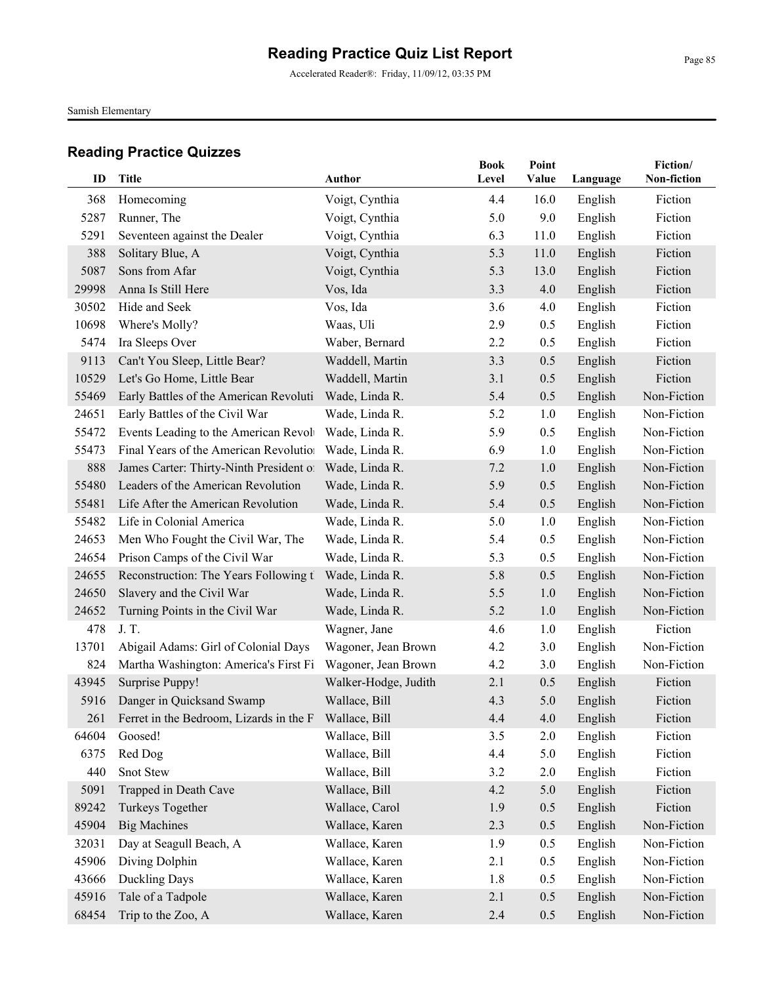Accelerated Reader®: Friday, 11/09/12, 03:35 PM

Samish Elementary

| ID    | Title                                                     | Author               | <b>Book</b><br>Level | Point<br><b>Value</b> | Language | Fiction/<br>Non-fiction |
|-------|-----------------------------------------------------------|----------------------|----------------------|-----------------------|----------|-------------------------|
| 368   | Homecoming                                                | Voigt, Cynthia       | 4.4                  | 16.0                  | English  | Fiction                 |
| 5287  | Runner, The                                               | Voigt, Cynthia       | 5.0                  | 9.0                   | English  | Fiction                 |
| 5291  | Seventeen against the Dealer                              | Voigt, Cynthia       | 6.3                  | 11.0                  | English  | Fiction                 |
| 388   | Solitary Blue, A                                          | Voigt, Cynthia       | 5.3                  | 11.0                  | English  | Fiction                 |
| 5087  | Sons from Afar                                            | Voigt, Cynthia       | 5.3                  | 13.0                  | English  | Fiction                 |
| 29998 | Anna Is Still Here                                        | Vos, Ida             | 3.3                  | 4.0                   | English  | Fiction                 |
| 30502 | Hide and Seek                                             | Vos, Ida             | 3.6                  | 4.0                   | English  | Fiction                 |
| 10698 | Where's Molly?                                            | Waas, Uli            | 2.9                  | 0.5                   | English  | Fiction                 |
| 5474  | Ira Sleeps Over                                           | Waber, Bernard       | 2.2                  | 0.5                   | English  | Fiction                 |
| 9113  | Can't You Sleep, Little Bear?                             | Waddell, Martin      | 3.3                  | 0.5                   | English  | Fiction                 |
| 10529 | Let's Go Home, Little Bear                                | Waddell, Martin      | 3.1                  | 0.5                   | English  | Fiction                 |
| 55469 | Early Battles of the American Revoluti                    | Wade, Linda R.       | 5.4                  | 0.5                   | English  | Non-Fiction             |
| 24651 | Early Battles of the Civil War                            | Wade, Linda R.       | 5.2                  | 1.0                   | English  | Non-Fiction             |
| 55472 | Events Leading to the American Revolv                     | Wade, Linda R.       | 5.9                  | 0.5                   | English  | Non-Fiction             |
| 55473 | Final Years of the American Revolution                    | Wade, Linda R.       | 6.9                  | 1.0                   | English  | Non-Fiction             |
| 888   | James Carter: Thirty-Ninth President of                   | Wade, Linda R.       | 7.2                  | 1.0                   | English  | Non-Fiction             |
| 55480 | Leaders of the American Revolution                        | Wade, Linda R.       | 5.9                  | 0.5                   | English  | Non-Fiction             |
| 55481 | Life After the American Revolution                        | Wade, Linda R.       | 5.4                  | 0.5                   | English  | Non-Fiction             |
| 55482 | Life in Colonial America                                  | Wade, Linda R.       | 5.0                  | 1.0                   | English  | Non-Fiction             |
| 24653 | Men Who Fought the Civil War, The                         | Wade, Linda R.       | 5.4                  | 0.5                   | English  | Non-Fiction             |
| 24654 | Prison Camps of the Civil War                             | Wade, Linda R.       | 5.3                  | 0.5                   | English  | Non-Fiction             |
| 24655 | Reconstruction: The Years Following th                    | Wade, Linda R.       | 5.8                  | 0.5                   | English  | Non-Fiction             |
| 24650 | Slavery and the Civil War                                 | Wade, Linda R.       | 5.5                  | 1.0                   | English  | Non-Fiction             |
| 24652 | Turning Points in the Civil War                           | Wade, Linda R.       | 5.2                  | 1.0                   | English  | Non-Fiction             |
| 478   | J.T.                                                      | Wagner, Jane         | 4.6                  | 1.0                   | English  | Fiction                 |
| 13701 | Abigail Adams: Girl of Colonial Days                      | Wagoner, Jean Brown  | 4.2                  | 3.0                   | English  | Non-Fiction             |
| 824   | Martha Washington: America's First Fi                     | Wagoner, Jean Brown  | 4.2                  | 3.0                   | English  | Non-Fiction             |
| 43945 | Surprise Puppy!                                           | Walker-Hodge, Judith | 2.1                  | 0.5                   | English  | Fiction                 |
| 5916  | Danger in Quicksand Swamp                                 | Wallace, Bill        | 4.3                  | 5.0                   | English  | Fiction                 |
|       | 261 Ferret in the Bedroom, Lizards in the F Wallace, Bill |                      | 4.4                  | 4.0                   | English  | Fiction                 |
| 64604 | Goosed!                                                   | Wallace, Bill        | 3.5                  | 2.0                   | English  | Fiction                 |
| 6375  | Red Dog                                                   | Wallace, Bill        | 4.4                  | 5.0                   | English  | Fiction                 |
| 440   | Snot Stew                                                 | Wallace, Bill        | 3.2                  | 2.0                   | English  | Fiction                 |
| 5091  | Trapped in Death Cave                                     | Wallace, Bill        | 4.2                  | 5.0                   | English  | Fiction                 |
| 89242 | Turkeys Together                                          | Wallace, Carol       | 1.9                  | 0.5                   | English  | Fiction                 |
| 45904 | <b>Big Machines</b>                                       | Wallace, Karen       | 2.3                  | 0.5                   | English  | Non-Fiction             |
| 32031 | Day at Seagull Beach, A                                   | Wallace, Karen       | 1.9                  | 0.5                   | English  | Non-Fiction             |
| 45906 | Diving Dolphin                                            | Wallace, Karen       | 2.1                  | 0.5                   | English  | Non-Fiction             |
| 43666 | Duckling Days                                             | Wallace, Karen       | 1.8                  | 0.5                   | English  | Non-Fiction             |
| 45916 | Tale of a Tadpole                                         | Wallace, Karen       | 2.1                  | 0.5                   | English  | Non-Fiction             |
| 68454 | Trip to the Zoo, A                                        | Wallace, Karen       | 2.4                  | 0.5                   | English  | Non-Fiction             |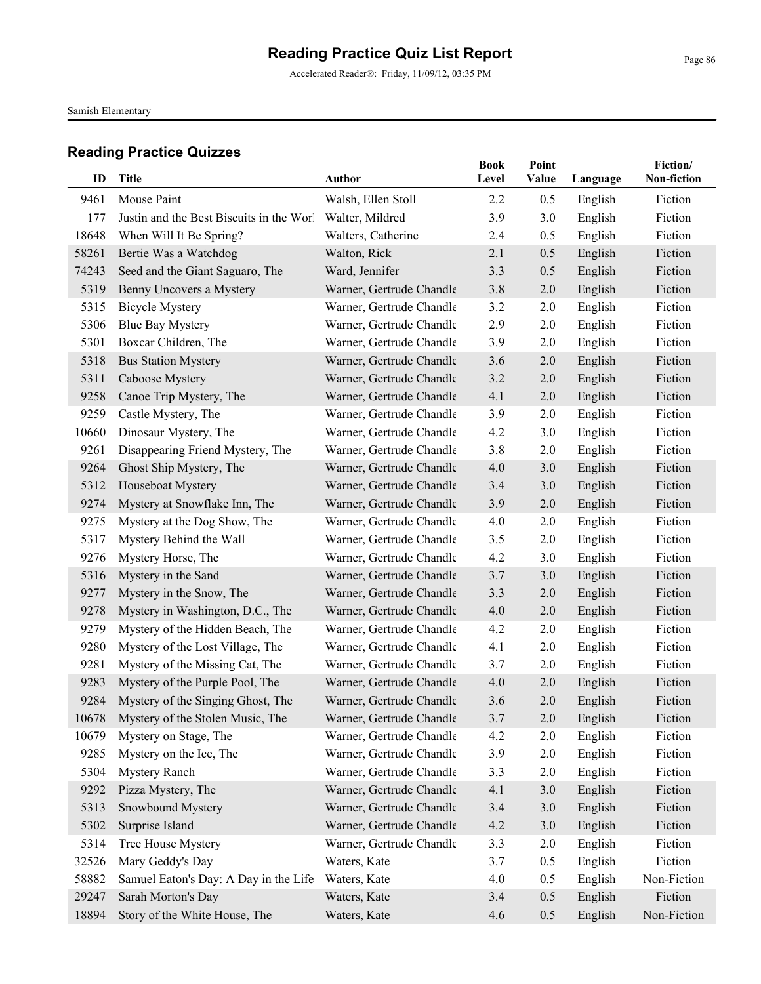Accelerated Reader®: Friday, 11/09/12, 03:35 PM

Samish Elementary

| ID    | <b>Title</b>                             | Author                   | <b>Book</b><br>Level | Point |          | Fiction/<br>Non-fiction |
|-------|------------------------------------------|--------------------------|----------------------|-------|----------|-------------------------|
|       |                                          |                          |                      | Value | Language |                         |
| 9461  | Mouse Paint                              | Walsh, Ellen Stoll       | 2.2                  | 0.5   | English  | Fiction                 |
| 177   | Justin and the Best Biscuits in the Worl | Walter, Mildred          | 3.9                  | 3.0   | English  | Fiction                 |
| 18648 | When Will It Be Spring?                  | Walters, Catherine       | 2.4                  | 0.5   | English  | Fiction                 |
| 58261 | Bertie Was a Watchdog                    | Walton, Rick             | 2.1                  | 0.5   | English  | Fiction                 |
| 74243 | Seed and the Giant Saguaro, The          | Ward, Jennifer           | 3.3                  | 0.5   | English  | Fiction                 |
| 5319  | Benny Uncovers a Mystery                 | Warner, Gertrude Chandle | 3.8                  | 2.0   | English  | Fiction                 |
| 5315  | <b>Bicycle Mystery</b>                   | Warner, Gertrude Chandle | 3.2                  | 2.0   | English  | Fiction                 |
| 5306  | <b>Blue Bay Mystery</b>                  | Warner, Gertrude Chandle | 2.9                  | 2.0   | English  | Fiction                 |
| 5301  | Boxcar Children, The                     | Warner, Gertrude Chandle | 3.9                  | 2.0   | English  | Fiction                 |
| 5318  | <b>Bus Station Mystery</b>               | Warner, Gertrude Chandle | 3.6                  | 2.0   | English  | Fiction                 |
| 5311  | Caboose Mystery                          | Warner, Gertrude Chandle | 3.2                  | 2.0   | English  | Fiction                 |
| 9258  | Canoe Trip Mystery, The                  | Warner, Gertrude Chandle | 4.1                  | 2.0   | English  | Fiction                 |
| 9259  | Castle Mystery, The                      | Warner, Gertrude Chandle | 3.9                  | 2.0   | English  | Fiction                 |
| 10660 | Dinosaur Mystery, The                    | Warner, Gertrude Chandle | 4.2                  | 3.0   | English  | Fiction                 |
| 9261  | Disappearing Friend Mystery, The         | Warner, Gertrude Chandle | 3.8                  | 2.0   | English  | Fiction                 |
| 9264  | Ghost Ship Mystery, The                  | Warner, Gertrude Chandle | 4.0                  | 3.0   | English  | Fiction                 |
| 5312  | Houseboat Mystery                        | Warner, Gertrude Chandle | 3.4                  | 3.0   | English  | Fiction                 |
| 9274  | Mystery at Snowflake Inn, The            | Warner, Gertrude Chandle | 3.9                  | 2.0   | English  | Fiction                 |
| 9275  | Mystery at the Dog Show, The             | Warner, Gertrude Chandle | 4.0                  | 2.0   | English  | Fiction                 |
| 5317  | Mystery Behind the Wall                  | Warner, Gertrude Chandle | 3.5                  | 2.0   | English  | Fiction                 |
| 9276  | Mystery Horse, The                       | Warner, Gertrude Chandle | 4.2                  | 3.0   | English  | Fiction                 |
| 5316  | Mystery in the Sand                      | Warner, Gertrude Chandle | 3.7                  | 3.0   | English  | Fiction                 |
| 9277  | Mystery in the Snow, The                 | Warner, Gertrude Chandle | 3.3                  | 2.0   | English  | Fiction                 |
| 9278  | Mystery in Washington, D.C., The         | Warner, Gertrude Chandle | 4.0                  | 2.0   | English  | Fiction                 |
| 9279  | Mystery of the Hidden Beach, The         | Warner, Gertrude Chandle | 4.2                  | 2.0   | English  | Fiction                 |
| 9280  | Mystery of the Lost Village, The         | Warner, Gertrude Chandle | 4.1                  | 2.0   | English  | Fiction                 |
| 9281  | Mystery of the Missing Cat, The          | Warner, Gertrude Chandle | 3.7                  | 2.0   | English  | Fiction                 |
| 9283  | Mystery of the Purple Pool, The          | Warner, Gertrude Chandle | 4.0                  | 2.0   | English  | Fiction                 |
| 9284  | Mystery of the Singing Ghost, The        | Warner, Gertrude Chandle | 3.6                  | 2.0   | English  | Fiction                 |
|       | 10678 Mystery of the Stolen Music, The   | Warner, Gertrude Chandle | 3.7                  | 2.0   | English  | Fiction                 |
| 10679 | Mystery on Stage, The                    | Warner, Gertrude Chandle | 4.2                  | 2.0   | English  | Fiction                 |
| 9285  | Mystery on the Ice, The                  | Warner, Gertrude Chandle | 3.9                  | 2.0   | English  | Fiction                 |
| 5304  | <b>Mystery Ranch</b>                     | Warner, Gertrude Chandle | 3.3                  | 2.0   | English  | Fiction                 |
| 9292  | Pizza Mystery, The                       | Warner, Gertrude Chandle | 4.1                  | 3.0   | English  | Fiction                 |
| 5313  | Snowbound Mystery                        | Warner, Gertrude Chandle | 3.4                  | 3.0   | English  | Fiction                 |
| 5302  | Surprise Island                          | Warner, Gertrude Chandle | 4.2                  | 3.0   | English  | Fiction                 |
| 5314  | Tree House Mystery                       | Warner, Gertrude Chandle | 3.3                  | 2.0   | English  | Fiction                 |
| 32526 | Mary Geddy's Day                         | Waters, Kate             | 3.7                  | 0.5   | English  | Fiction                 |
| 58882 | Samuel Eaton's Day: A Day in the Life    | Waters, Kate             | 4.0                  | 0.5   | English  | Non-Fiction             |
| 29247 | Sarah Morton's Day                       | Waters, Kate             | 3.4                  | 0.5   | English  | Fiction                 |
| 18894 | Story of the White House, The            | Waters, Kate             | 4.6                  | 0.5   | English  | Non-Fiction             |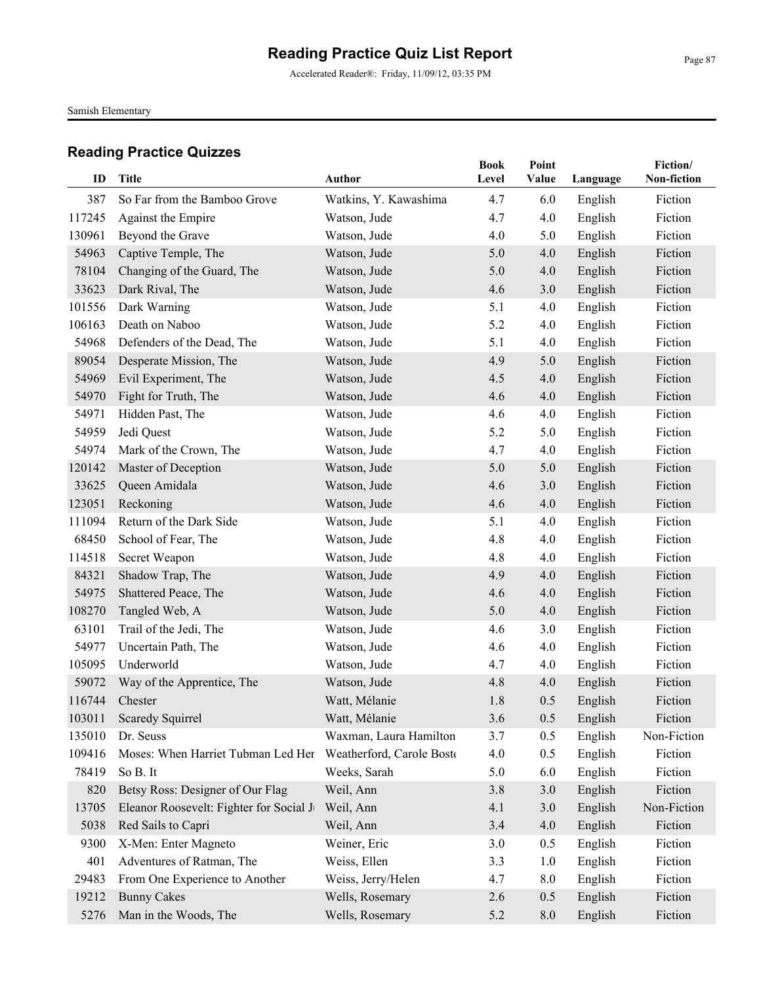Accelerated Reader®: Friday, 11/09/12, 03:35 PM

Samish Elementary

| ID     | Title                                    | <b>Author</b>             | <b>Book</b><br>Level | Point<br>Value | Language | Fiction/<br>Non-fiction |
|--------|------------------------------------------|---------------------------|----------------------|----------------|----------|-------------------------|
| 387    | So Far from the Bamboo Grove             | Watkins, Y. Kawashima     | 4.7                  | 6.0            | English  | Fiction                 |
| 117245 | Against the Empire                       | Watson, Jude              | 4.7                  | 4.0            | English  | Fiction                 |
| 130961 | Beyond the Grave                         | Watson, Jude              | 4.0                  | 5.0            | English  | Fiction                 |
| 54963  | Captive Temple, The                      | Watson, Jude              | 5.0                  | 4.0            | English  | Fiction                 |
| 78104  | Changing of the Guard, The               | Watson, Jude              | 5.0                  | 4.0            | English  | Fiction                 |
| 33623  | Dark Rival, The                          | Watson, Jude              | 4.6                  | 3.0            | English  | Fiction                 |
| 101556 | Dark Warning                             | Watson, Jude              | 5.1                  | 4.0            | English  | Fiction                 |
| 106163 | Death on Naboo                           | Watson, Jude              | 5.2                  | 4.0            | English  | Fiction                 |
| 54968  | Defenders of the Dead, The               | Watson, Jude              | 5.1                  | 4.0            | English  | Fiction                 |
| 89054  | Desperate Mission, The                   | Watson, Jude              | 4.9                  | 5.0            | English  | Fiction                 |
| 54969  | Evil Experiment, The                     | Watson, Jude              | 4.5                  | 4.0            | English  | Fiction                 |
| 54970  | Fight for Truth, The                     | Watson, Jude              | 4.6                  | 4.0            | English  | Fiction                 |
| 54971  | Hidden Past, The                         | Watson, Jude              | 4.6                  | 4.0            | English  | Fiction                 |
| 54959  | Jedi Quest                               | Watson, Jude              | 5.2                  | 5.0            | English  | Fiction                 |
| 54974  | Mark of the Crown, The                   | Watson, Jude              | 4.7                  | 4.0            | English  | Fiction                 |
| 120142 | Master of Deception                      | Watson, Jude              | 5.0                  | 5.0            | English  | Fiction                 |
| 33625  | Queen Amidala                            | Watson, Jude              | 4.6                  | 3.0            | English  | Fiction                 |
| 123051 | Reckoning                                | Watson, Jude              | 4.6                  | 4.0            | English  | Fiction                 |
| 111094 | Return of the Dark Side                  | Watson, Jude              | 5.1                  | 4.0            | English  | Fiction                 |
| 68450  | School of Fear, The                      | Watson, Jude              | 4.8                  | 4.0            | English  | Fiction                 |
| 114518 | Secret Weapon                            | Watson, Jude              | 4.8                  | 4.0            | English  | Fiction                 |
| 84321  | Shadow Trap, The                         | Watson, Jude              | 4.9                  | 4.0            | English  | Fiction                 |
| 54975  | Shattered Peace, The                     | Watson, Jude              | 4.6                  | 4.0            | English  | Fiction                 |
| 108270 | Tangled Web, A                           | Watson, Jude              | 5.0                  | 4.0            | English  | Fiction                 |
| 63101  | Trail of the Jedi, The                   | Watson, Jude              | 4.6                  | 3.0            | English  | Fiction                 |
| 54977  | Uncertain Path, The                      | Watson, Jude              | 4.6                  | 4.0            | English  | Fiction                 |
| 105095 | Underworld                               | Watson, Jude              | 4.7                  | 4.0            | English  | Fiction                 |
| 59072  | Way of the Apprentice, The               | Watson, Jude              | 4.8                  | 4.0            | English  | Fiction                 |
| 116744 | Chester                                  | Watt, Mélanie             | 1.8                  | 0.5            | English  | Fiction                 |
| 103011 | <b>Scaredy Squirrel</b>                  | Watt, Mélanie             | 3.6                  | 0.5            | English  | Fiction                 |
| 135010 | Dr. Seuss                                | Waxman, Laura Hamilton    | 3.7                  | 0.5            | English  | Non-Fiction             |
| 109416 | Moses: When Harriet Tubman Led Her       | Weatherford, Carole Bosto | 4.0                  | 0.5            | English  | Fiction                 |
| 78419  | So B. It                                 | Weeks, Sarah              | 5.0                  | 6.0            | English  | Fiction                 |
| 820    | Betsy Ross: Designer of Our Flag         | Weil, Ann                 | 3.8                  | 3.0            | English  | Fiction                 |
| 13705  | Eleanor Roosevelt: Fighter for Social Ju | Weil, Ann                 | 4.1                  | 3.0            | English  | Non-Fiction             |
| 5038   | Red Sails to Capri                       | Weil, Ann                 | 3.4                  | 4.0            | English  | Fiction                 |
| 9300   | X-Men: Enter Magneto                     | Weiner, Eric              | 3.0                  | 0.5            | English  | Fiction                 |
| 401    | Adventures of Ratman, The                | Weiss, Ellen              | 3.3                  | 1.0            | English  | Fiction                 |
| 29483  | From One Experience to Another           | Weiss, Jerry/Helen        | 4.7                  | 8.0            | English  | Fiction                 |
| 19212  | <b>Bunny Cakes</b>                       | Wells, Rosemary           | 2.6                  | 0.5            | English  | Fiction                 |
| 5276   | Man in the Woods, The                    | Wells, Rosemary           | 5.2                  | 8.0            | English  | Fiction                 |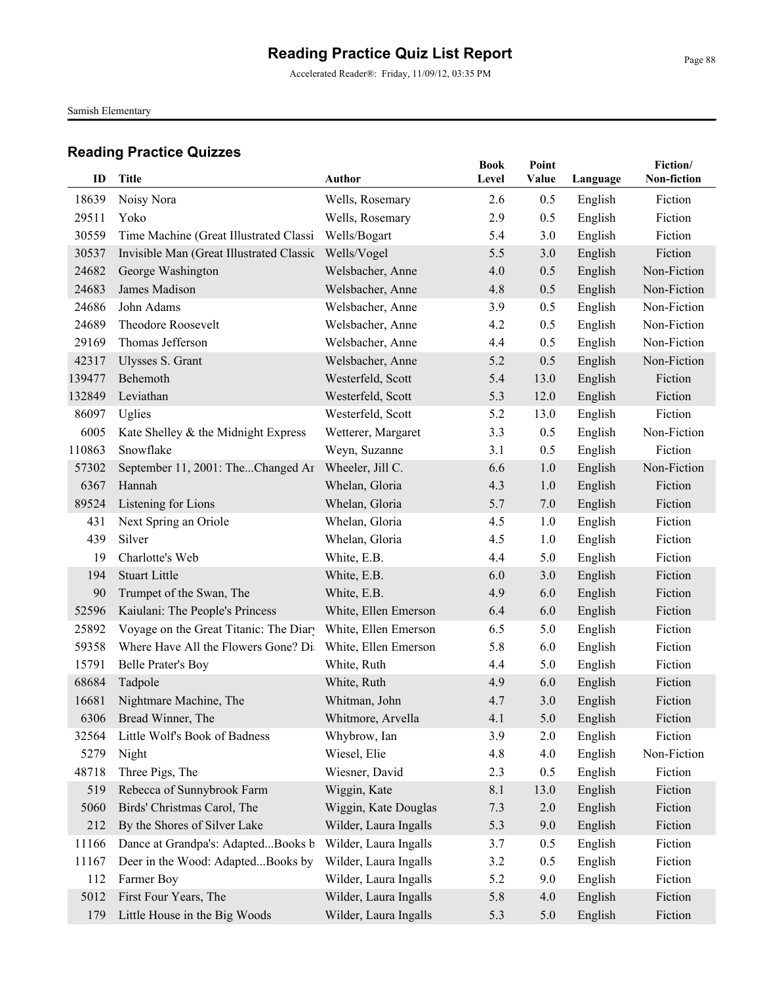Accelerated Reader®: Friday, 11/09/12, 03:35 PM

Samish Elementary

| ID     | <b>Title</b>                             | <b>Author</b>         | <b>Book</b><br>Level | Point<br>Value | Language | Fiction/<br>Non-fiction |
|--------|------------------------------------------|-----------------------|----------------------|----------------|----------|-------------------------|
| 18639  | Noisy Nora                               | Wells, Rosemary       | 2.6                  | 0.5            | English  | Fiction                 |
| 29511  | Yoko                                     | Wells, Rosemary       | 2.9                  | 0.5            | English  | Fiction                 |
| 30559  | Time Machine (Great Illustrated Classi   | Wells/Bogart          | 5.4                  | 3.0            | English  | Fiction                 |
| 30537  | Invisible Man (Great Illustrated Classic | Wells/Vogel           | 5.5                  | 3.0            | English  | Fiction                 |
| 24682  | George Washington                        | Welsbacher, Anne      | 4.0                  | 0.5            | English  | Non-Fiction             |
| 24683  | James Madison                            | Welsbacher, Anne      | 4.8                  | 0.5            | English  | Non-Fiction             |
| 24686  | John Adams                               | Welsbacher, Anne      | 3.9                  | 0.5            | English  | Non-Fiction             |
| 24689  | Theodore Roosevelt                       | Welsbacher, Anne      | 4.2                  | 0.5            | English  | Non-Fiction             |
| 29169  | Thomas Jefferson                         | Welsbacher, Anne      | 4.4                  | 0.5            | English  | Non-Fiction             |
| 42317  | Ulysses S. Grant                         | Welsbacher, Anne      | 5.2                  | 0.5            | English  | Non-Fiction             |
| 139477 | Behemoth                                 | Westerfeld, Scott     | 5.4                  | 13.0           | English  | Fiction                 |
| 132849 | Leviathan                                | Westerfeld, Scott     | 5.3                  | 12.0           | English  | Fiction                 |
| 86097  | Uglies                                   | Westerfeld, Scott     | 5.2                  | 13.0           | English  | Fiction                 |
| 6005   | Kate Shelley & the Midnight Express      | Wetterer, Margaret    | 3.3                  | 0.5            | English  | Non-Fiction             |
| 110863 | Snowflake                                | Weyn, Suzanne         | 3.1                  | 0.5            | English  | Fiction                 |
| 57302  | September 11, 2001: TheChanged Ar        | Wheeler, Jill C.      | 6.6                  | 1.0            | English  | Non-Fiction             |
| 6367   | Hannah                                   | Whelan, Gloria        | 4.3                  | 1.0            | English  | Fiction                 |
| 89524  | Listening for Lions                      | Whelan, Gloria        | 5.7                  | 7.0            | English  | Fiction                 |
| 431    | Next Spring an Oriole                    | Whelan, Gloria        | 4.5                  | 1.0            | English  | Fiction                 |
| 439    | Silver                                   | Whelan, Gloria        | 4.5                  | 1.0            | English  | Fiction                 |
| 19     | Charlotte's Web                          | White, E.B.           | 4.4                  | 5.0            | English  | Fiction                 |
| 194    | <b>Stuart Little</b>                     | White, E.B.           | 6.0                  | 3.0            | English  | Fiction                 |
| 90     | Trumpet of the Swan, The                 | White, E.B.           | 4.9                  | 6.0            | English  | Fiction                 |
| 52596  | Kaiulani: The People's Princess          | White, Ellen Emerson  | 6.4                  | 6.0            | English  | Fiction                 |
| 25892  | Voyage on the Great Titanic: The Diary   | White, Ellen Emerson  | 6.5                  | 5.0            | English  | Fiction                 |
| 59358  | Where Have All the Flowers Gone? Di-     | White, Ellen Emerson  | 5.8                  | 6.0            | English  | Fiction                 |
| 15791  | <b>Belle Prater's Boy</b>                | White, Ruth           | 4.4                  | 5.0            | English  | Fiction                 |
| 68684  | Tadpole                                  | White, Ruth           | 4.9                  | 6.0            | English  | Fiction                 |
| 16681  | Nightmare Machine, The                   | Whitman, John         | 4.7                  | 3.0            | English  | Fiction                 |
|        | 6306 Bread Winner, The                   | Whitmore, Arvella     | 4.1                  | 5.0            | English  | Fiction                 |
| 32564  | Little Wolf's Book of Badness            | Whybrow, Ian          | 3.9                  | 2.0            | English  | Fiction                 |
| 5279   | Night                                    | Wiesel, Elie          | 4.8                  | 4.0            | English  | Non-Fiction             |
| 48718  | Three Pigs, The                          | Wiesner, David        | 2.3                  | 0.5            | English  | Fiction                 |
| 519    | Rebecca of Sunnybrook Farm               | Wiggin, Kate          | 8.1                  | 13.0           | English  | Fiction                 |
| 5060   | Birds' Christmas Carol, The              | Wiggin, Kate Douglas  | 7.3                  | 2.0            | English  | Fiction                 |
| 212    | By the Shores of Silver Lake             | Wilder, Laura Ingalls | 5.3                  | 9.0            | English  | Fiction                 |
| 11166  | Dance at Grandpa's: AdaptedBooks b       | Wilder, Laura Ingalls | 3.7                  | 0.5            | English  | Fiction                 |
| 11167  | Deer in the Wood: AdaptedBooks by        | Wilder, Laura Ingalls | 3.2                  | 0.5            | English  | Fiction                 |
| 112    | Farmer Boy                               | Wilder, Laura Ingalls | 5.2                  | 9.0            | English  | Fiction                 |
| 5012   | First Four Years, The                    | Wilder, Laura Ingalls | 5.8                  | 4.0            | English  | Fiction                 |
| 179    | Little House in the Big Woods            | Wilder, Laura Ingalls | 5.3                  | 5.0            | English  | Fiction                 |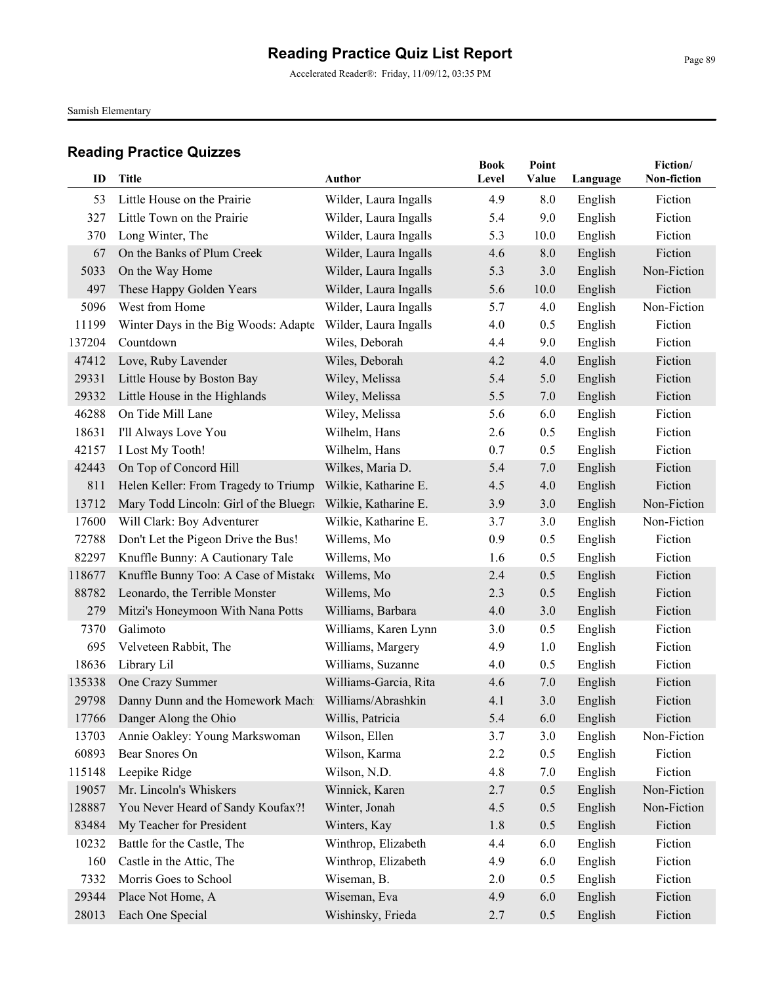Samish Elementary

| ID     | Title                                                | <b>Author</b>         | <b>Book</b><br>Level | Point<br><b>Value</b> | Language | Fiction/<br>Non-fiction |
|--------|------------------------------------------------------|-----------------------|----------------------|-----------------------|----------|-------------------------|
|        |                                                      |                       |                      |                       |          |                         |
| 53     | Little House on the Prairie                          | Wilder, Laura Ingalls | 4.9                  | 8.0                   | English  | Fiction                 |
| 327    | Little Town on the Prairie                           | Wilder, Laura Ingalls | 5.4                  | 9.0                   | English  | Fiction                 |
| 370    | Long Winter, The                                     | Wilder, Laura Ingalls | 5.3                  | 10.0                  | English  | Fiction                 |
| 67     | On the Banks of Plum Creek                           | Wilder, Laura Ingalls | 4.6                  | 8.0                   | English  | Fiction                 |
| 5033   | On the Way Home                                      | Wilder, Laura Ingalls | 5.3                  | 3.0                   | English  | Non-Fiction             |
| 497    | These Happy Golden Years                             | Wilder, Laura Ingalls | 5.6                  | 10.0                  | English  | Fiction                 |
| 5096   | West from Home                                       | Wilder, Laura Ingalls | 5.7                  | 4.0                   | English  | Non-Fiction             |
| 11199  | Winter Days in the Big Woods: Adapte                 | Wilder, Laura Ingalls | 4.0                  | 0.5                   | English  | Fiction                 |
| 137204 | Countdown                                            | Wiles, Deborah        | 4.4                  | 9.0                   | English  | Fiction                 |
| 47412  | Love, Ruby Lavender                                  | Wiles, Deborah        | 4.2                  | 4.0                   | English  | Fiction                 |
| 29331  | Little House by Boston Bay                           | Wiley, Melissa        | 5.4                  | 5.0                   | English  | Fiction                 |
| 29332  | Little House in the Highlands                        | Wiley, Melissa        | 5.5                  | 7.0                   | English  | Fiction                 |
| 46288  | On Tide Mill Lane                                    | Wiley, Melissa        | 5.6                  | 6.0                   | English  | Fiction                 |
| 18631  | I'll Always Love You                                 | Wilhelm, Hans         | 2.6                  | 0.5                   | English  | Fiction                 |
| 42157  | I Lost My Tooth!                                     | Wilhelm, Hans         | 0.7                  | 0.5                   | English  | Fiction                 |
| 42443  | On Top of Concord Hill                               | Wilkes, Maria D.      | 5.4                  | 7.0                   | English  | Fiction                 |
| 811    | Helen Keller: From Tragedy to Triump                 | Wilkie, Katharine E.  | 4.5                  | 4.0                   | English  | Fiction                 |
| 13712  | Mary Todd Lincoln: Girl of the Bluegra               | Wilkie, Katharine E.  | 3.9                  | 3.0                   | English  | Non-Fiction             |
| 17600  | Will Clark: Boy Adventurer                           | Wilkie, Katharine E.  | 3.7                  | 3.0                   | English  | Non-Fiction             |
| 72788  | Don't Let the Pigeon Drive the Bus!                  | Willems, Mo           | 0.9                  | 0.5                   | English  | Fiction                 |
| 82297  | Knuffle Bunny: A Cautionary Tale                     | Willems, Mo           | 1.6                  | 0.5                   | English  | Fiction                 |
| 118677 | Knuffle Bunny Too: A Case of Mistake                 | Willems, Mo           | 2.4                  | 0.5                   | English  | Fiction                 |
| 88782  | Leonardo, the Terrible Monster                       | Willems, Mo           | 2.3                  | 0.5                   | English  | Fiction                 |
| 279    | Mitzi's Honeymoon With Nana Potts                    | Williams, Barbara     | 4.0                  | 3.0                   | English  | Fiction                 |
| 7370   | Galimoto                                             | Williams, Karen Lynn  | 3.0                  | 0.5                   | English  | Fiction                 |
| 695    | Velveteen Rabbit, The                                | Williams, Margery     | 4.9                  | 1.0                   | English  | Fiction                 |
| 18636  | Library Lil                                          | Williams, Suzanne     | 4.0                  | 0.5                   | English  | Fiction                 |
| 135338 | One Crazy Summer                                     | Williams-Garcia, Rita | 4.6                  | 7.0                   | English  | Fiction                 |
| 29798  | Danny Dunn and the Homework Machi Williams/Abrashkin |                       | 4.1                  | 3.0                   | English  | Fiction                 |
|        | 17766 Danger Along the Ohio                          | Willis, Patricia      | 5.4                  | 6.0                   | English  | Fiction                 |
| 13703  | Annie Oakley: Young Markswoman                       | Wilson, Ellen         | 3.7                  | 3.0                   | English  | Non-Fiction             |
| 60893  | Bear Snores On                                       | Wilson, Karma         | 2.2                  | 0.5                   | English  | Fiction                 |
| 115148 | Leepike Ridge                                        | Wilson, N.D.          | 4.8                  | 7.0                   | English  | Fiction                 |
| 19057  | Mr. Lincoln's Whiskers                               | Winnick, Karen        | 2.7                  | 0.5                   | English  | Non-Fiction             |
| 128887 | You Never Heard of Sandy Koufax?!                    | Winter, Jonah         | 4.5                  | 0.5                   | English  | Non-Fiction             |
| 83484  | My Teacher for President                             | Winters, Kay          | 1.8                  | 0.5                   | English  | Fiction                 |
| 10232  | Battle for the Castle, The                           | Winthrop, Elizabeth   | 4.4                  | 6.0                   | English  | Fiction                 |
| 160    | Castle in the Attic, The                             | Winthrop, Elizabeth   | 4.9                  | 6.0                   | English  | Fiction                 |
| 7332   | Morris Goes to School                                | Wiseman, B.           | 2.0                  | 0.5                   | English  | Fiction                 |
| 29344  | Place Not Home, A                                    | Wiseman, Eva          | 4.9                  | 6.0                   | English  | Fiction                 |
| 28013  | Each One Special                                     | Wishinsky, Frieda     | 2.7                  | 0.5                   | English  | Fiction                 |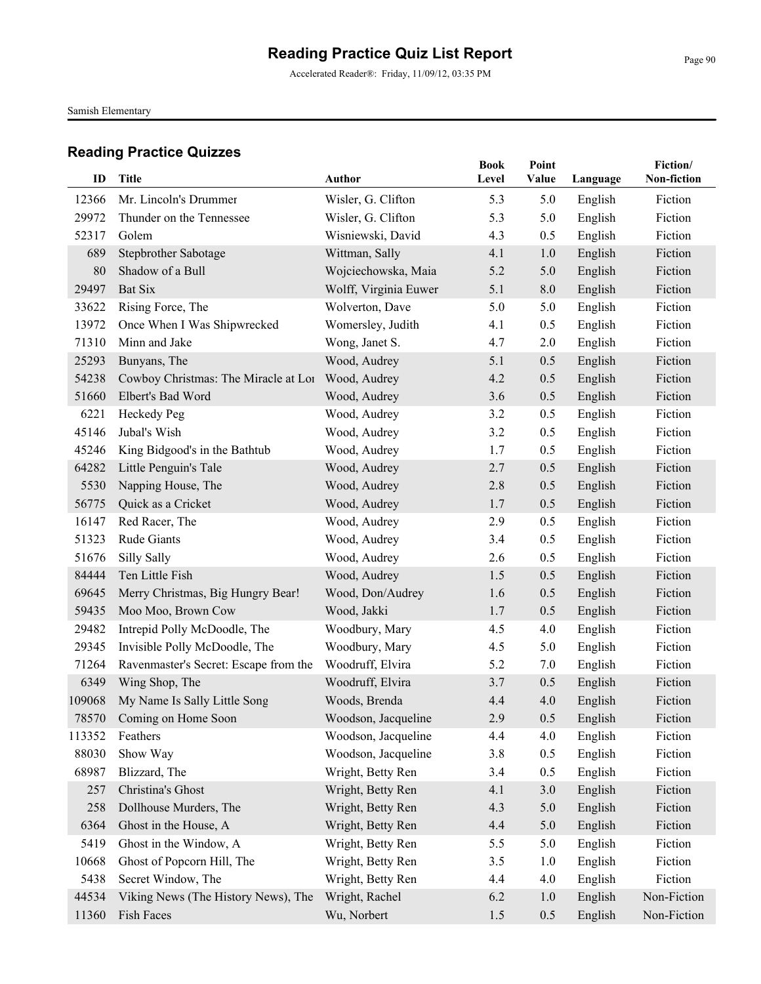Samish Elementary

| ID     | <b>Title</b>                          | <b>Author</b>         | <b>Book</b><br>Level | Point<br>Value | Language | Fiction/<br>Non-fiction |
|--------|---------------------------------------|-----------------------|----------------------|----------------|----------|-------------------------|
| 12366  | Mr. Lincoln's Drummer                 | Wisler, G. Clifton    | 5.3                  | 5.0            | English  | Fiction                 |
| 29972  | Thunder on the Tennessee              | Wisler, G. Clifton    | 5.3                  | 5.0            | English  | Fiction                 |
| 52317  | Golem                                 | Wisniewski, David     | 4.3                  | 0.5            | English  | Fiction                 |
| 689    | Stepbrother Sabotage                  | Wittman, Sally        | 4.1                  | 1.0            | English  | Fiction                 |
| 80     | Shadow of a Bull                      | Wojciechowska, Maia   | 5.2                  | 5.0            | English  | Fiction                 |
| 29497  | <b>Bat Six</b>                        | Wolff, Virginia Euwer | 5.1                  | 8.0            | English  | Fiction                 |
| 33622  | Rising Force, The                     | Wolverton, Dave       | 5.0                  | 5.0            | English  | Fiction                 |
| 13972  | Once When I Was Shipwrecked           | Womersley, Judith     | 4.1                  | 0.5            | English  | Fiction                 |
| 71310  | Minn and Jake                         | Wong, Janet S.        | 4.7                  | 2.0            | English  | Fiction                 |
| 25293  | Bunyans, The                          | Wood, Audrey          | 5.1                  | 0.5            | English  | Fiction                 |
| 54238  | Cowboy Christmas: The Miracle at Lor  | Wood, Audrey          | 4.2                  | 0.5            | English  | Fiction                 |
| 51660  | Elbert's Bad Word                     | Wood, Audrey          | 3.6                  | 0.5            | English  | Fiction                 |
| 6221   | Heckedy Peg                           | Wood, Audrey          | 3.2                  | 0.5            | English  | Fiction                 |
| 45146  | Jubal's Wish                          | Wood, Audrey          | 3.2                  | 0.5            | English  | Fiction                 |
| 45246  | King Bidgood's in the Bathtub         | Wood, Audrey          | 1.7                  | 0.5            | English  | Fiction                 |
| 64282  | Little Penguin's Tale                 | Wood, Audrey          | 2.7                  | 0.5            | English  | Fiction                 |
| 5530   | Napping House, The                    | Wood, Audrey          | 2.8                  | 0.5            | English  | Fiction                 |
| 56775  | Quick as a Cricket                    | Wood, Audrey          | 1.7                  | 0.5            | English  | Fiction                 |
| 16147  | Red Racer, The                        | Wood, Audrey          | 2.9                  | 0.5            | English  | Fiction                 |
| 51323  | Rude Giants                           | Wood, Audrey          | 3.4                  | 0.5            | English  | Fiction                 |
| 51676  | Silly Sally                           | Wood, Audrey          | 2.6                  | 0.5            | English  | Fiction                 |
| 84444  | Ten Little Fish                       | Wood, Audrey          | 1.5                  | 0.5            | English  | Fiction                 |
| 69645  | Merry Christmas, Big Hungry Bear!     | Wood, Don/Audrey      | 1.6                  | 0.5            | English  | Fiction                 |
| 59435  | Moo Moo, Brown Cow                    | Wood, Jakki           | 1.7                  | 0.5            | English  | Fiction                 |
| 29482  | Intrepid Polly McDoodle, The          | Woodbury, Mary        | 4.5                  | 4.0            | English  | Fiction                 |
| 29345  | Invisible Polly McDoodle, The         | Woodbury, Mary        | 4.5                  | 5.0            | English  | Fiction                 |
| 71264  | Ravenmaster's Secret: Escape from the | Woodruff, Elvira      | 5.2                  | 7.0            | English  | Fiction                 |
| 6349   | Wing Shop, The                        | Woodruff, Elvira      | 3.7                  | 0.5            | English  | Fiction                 |
| 109068 | My Name Is Sally Little Song          | Woods, Brenda         | 4.4                  | 4.0            | English  | Fiction                 |
|        | 78570 Coming on Home Soon             | Woodson, Jacqueline   | 2.9                  | 0.5            | English  | Fiction                 |
| 113352 | Feathers                              | Woodson, Jacqueline   | 4.4                  | 4.0            | English  | Fiction                 |
| 88030  | Show Way                              | Woodson, Jacqueline   | 3.8                  | 0.5            | English  | Fiction                 |
| 68987  | Blizzard, The                         | Wright, Betty Ren     | 3.4                  | 0.5            | English  | Fiction                 |
| 257    | Christina's Ghost                     | Wright, Betty Ren     | 4.1                  | 3.0            | English  | Fiction                 |
| 258    | Dollhouse Murders, The                | Wright, Betty Ren     | 4.3                  | 5.0            | English  | Fiction                 |
| 6364   | Ghost in the House, A                 | Wright, Betty Ren     | 4.4                  | 5.0            | English  | Fiction                 |
| 5419   | Ghost in the Window, A                | Wright, Betty Ren     | 5.5                  | 5.0            | English  | Fiction                 |
| 10668  | Ghost of Popcorn Hill, The            | Wright, Betty Ren     | 3.5                  | 1.0            | English  | Fiction                 |
| 5438   | Secret Window, The                    | Wright, Betty Ren     | 4.4                  | 4.0            | English  | Fiction                 |
| 44534  | Viking News (The History News), The   | Wright, Rachel        | 6.2                  | 1.0            | English  | Non-Fiction             |
| 11360  | Fish Faces                            | Wu, Norbert           | 1.5                  | 0.5            | English  | Non-Fiction             |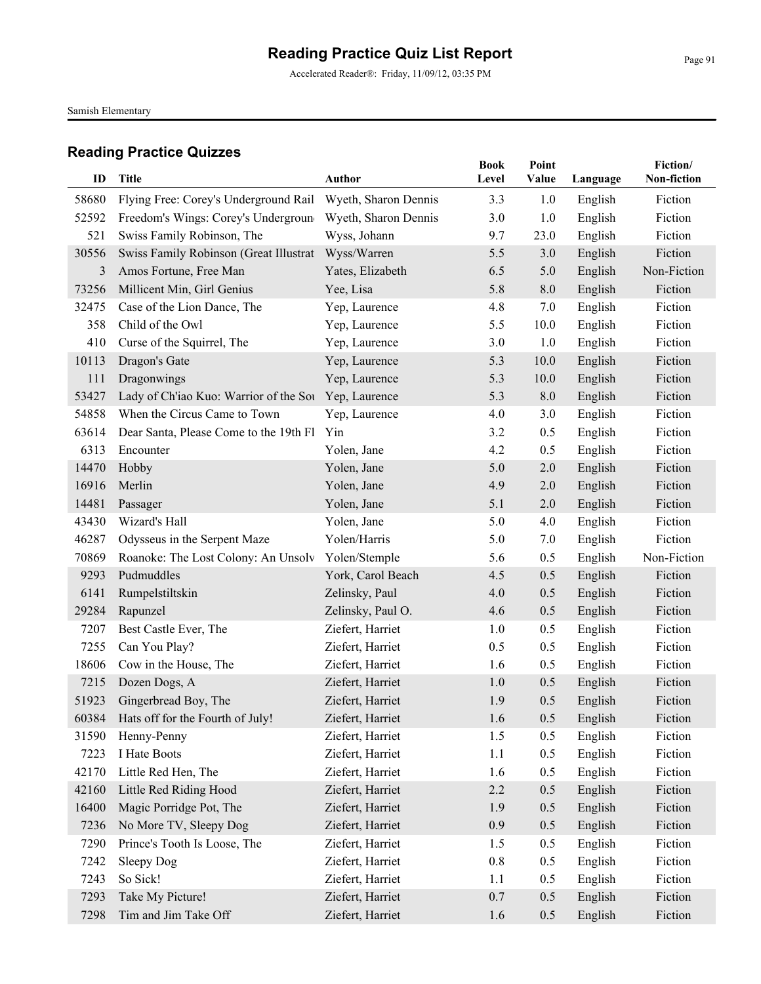Accelerated Reader®: Friday, 11/09/12, 03:35 PM

Samish Elementary

| ID    | <b>Title</b>                                         | <b>Author</b>        | <b>Book</b><br>Level | Point<br>Value | Language | Fiction/<br>Non-fiction |
|-------|------------------------------------------------------|----------------------|----------------------|----------------|----------|-------------------------|
| 58680 | Flying Free: Corey's Underground Rail                | Wyeth, Sharon Dennis | 3.3                  | 1.0            | English  | Fiction                 |
| 52592 | Freedom's Wings: Corey's Undergroun                  | Wyeth, Sharon Dennis | 3.0                  | 1.0            | English  | Fiction                 |
| 521   | Swiss Family Robinson, The                           | Wyss, Johann         | 9.7                  | 23.0           | English  | Fiction                 |
| 30556 | Swiss Family Robinson (Great Illustrat               | Wyss/Warren          | 5.5                  | 3.0            | English  | Fiction                 |
| 3     | Amos Fortune, Free Man                               | Yates, Elizabeth     | 6.5                  | 5.0            | English  | Non-Fiction             |
| 73256 | Millicent Min, Girl Genius                           | Yee, Lisa            | 5.8                  | 8.0            | English  | Fiction                 |
| 32475 | Case of the Lion Dance, The                          | Yep, Laurence        | 4.8                  | 7.0            | English  | Fiction                 |
| 358   | Child of the Owl                                     | Yep, Laurence        | 5.5                  | 10.0           | English  | Fiction                 |
| 410   | Curse of the Squirrel, The                           | Yep, Laurence        | 3.0                  | 1.0            | English  | Fiction                 |
| 10113 | Dragon's Gate                                        | Yep, Laurence        | 5.3                  | 10.0           | English  | Fiction                 |
| 111   | Dragonwings                                          | Yep, Laurence        | 5.3                  | 10.0           | English  | Fiction                 |
| 53427 | Lady of Ch'iao Kuo: Warrior of the Sou Yep, Laurence |                      | 5.3                  | 8.0            | English  | Fiction                 |
| 54858 | When the Circus Came to Town                         | Yep, Laurence        | 4.0                  | 3.0            | English  | Fiction                 |
| 63614 | Dear Santa, Please Come to the 19th Fl               | Yin                  | 3.2                  | 0.5            | English  | Fiction                 |
| 6313  | Encounter                                            | Yolen, Jane          | 4.2                  | 0.5            | English  | Fiction                 |
| 14470 | Hobby                                                | Yolen, Jane          | 5.0                  | 2.0            | English  | Fiction                 |
| 16916 | Merlin                                               | Yolen, Jane          | 4.9                  | 2.0            | English  | Fiction                 |
| 14481 | Passager                                             | Yolen, Jane          | 5.1                  | 2.0            | English  | Fiction                 |
| 43430 | Wizard's Hall                                        | Yolen, Jane          | 5.0                  | 4.0            | English  | Fiction                 |
| 46287 | Odysseus in the Serpent Maze                         | Yolen/Harris         | 5.0                  | 7.0            | English  | Fiction                 |
| 70869 | Roanoke: The Lost Colony: An Unsolv                  | Yolen/Stemple        | 5.6                  | 0.5            | English  | Non-Fiction             |
| 9293  | Pudmuddles                                           | York, Carol Beach    | 4.5                  | 0.5            | English  | Fiction                 |
| 6141  | Rumpelstiltskin                                      | Zelinsky, Paul       | 4.0                  | 0.5            | English  | Fiction                 |
| 29284 | Rapunzel                                             | Zelinsky, Paul O.    | 4.6                  | 0.5            | English  | Fiction                 |
| 7207  | Best Castle Ever, The                                | Ziefert, Harriet     | 1.0                  | 0.5            | English  | Fiction                 |
| 7255  | Can You Play?                                        | Ziefert, Harriet     | 0.5                  | 0.5            | English  | Fiction                 |
| 18606 | Cow in the House, The                                | Ziefert, Harriet     | 1.6                  | 0.5            | English  | Fiction                 |
| 7215  | Dozen Dogs, A                                        | Ziefert, Harriet     | 1.0                  | 0.5            | English  | Fiction                 |
| 51923 | Gingerbread Boy, The                                 | Ziefert, Harriet     | 1.9                  | 0.5            | English  | Fiction                 |
| 60384 | Hats off for the Fourth of July!                     | Ziefert, Harriet     | 1.6                  | 0.5            | English  | Fiction                 |
| 31590 | Henny-Penny                                          | Ziefert, Harriet     | 1.5                  | 0.5            | English  | Fiction                 |
| 7223  | I Hate Boots                                         | Ziefert, Harriet     | 1.1                  | 0.5            | English  | Fiction                 |
| 42170 | Little Red Hen, The                                  | Ziefert, Harriet     | 1.6                  | 0.5            | English  | Fiction                 |
| 42160 | Little Red Riding Hood                               | Ziefert, Harriet     | 2.2                  | 0.5            | English  | Fiction                 |
| 16400 | Magic Porridge Pot, The                              | Ziefert, Harriet     | 1.9                  | 0.5            | English  | Fiction                 |
| 7236  | No More TV, Sleepy Dog                               | Ziefert, Harriet     | 0.9                  | 0.5            | English  | Fiction                 |
| 7290  | Prince's Tooth Is Loose, The                         | Ziefert, Harriet     | 1.5                  | 0.5            | English  | Fiction                 |
| 7242  | Sleepy Dog                                           | Ziefert, Harriet     | 0.8                  | 0.5            | English  | Fiction                 |
| 7243  | So Sick!                                             | Ziefert, Harriet     | 1.1                  | 0.5            | English  | Fiction                 |
| 7293  | Take My Picture!                                     | Ziefert, Harriet     | 0.7                  | 0.5            | English  | Fiction                 |
| 7298  | Tim and Jim Take Off                                 | Ziefert, Harriet     | 1.6                  | 0.5            | English  | Fiction                 |